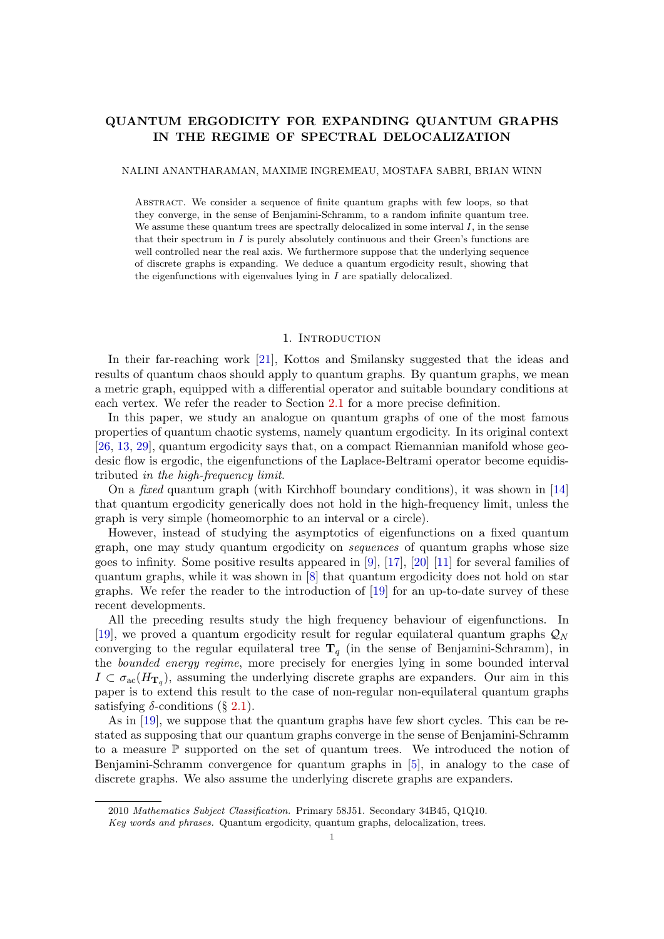# QUANTUM ERGODICITY FOR EXPANDING QUANTUM GRAPHS IN THE REGIME OF SPECTRAL DELOCALIZATION

NALINI ANANTHARAMAN, MAXIME INGREMEAU, MOSTAFA SABRI, BRIAN WINN

Abstract. We consider a sequence of finite quantum graphs with few loops, so that they converge, in the sense of Benjamini-Schramm, to a random infinite quantum tree. We assume these quantum trees are spectrally delocalized in some interval  $I$ , in the sense that their spectrum in  $I$  is purely absolutely continuous and their Green's functions are well controlled near the real axis. We furthermore suppose that the underlying sequence of discrete graphs is expanding. We deduce a quantum ergodicity result, showing that the eigenfunctions with eigenvalues lying in I are spatially delocalized.

## 1. Introduction

In their far-reaching work [\[21\]](#page-63-0), Kottos and Smilansky suggested that the ideas and results of quantum chaos should apply to quantum graphs. By quantum graphs, we mean a metric graph, equipped with a differential operator and suitable boundary conditions at each vertex. We refer the reader to Section [2.1](#page-2-0) for a more precise definition.

In this paper, we study an analogue on quantum graphs of one of the most famous properties of quantum chaotic systems, namely quantum ergodicity. In its original context [\[26,](#page-63-1) [13,](#page-62-0) [29\]](#page-63-2), quantum ergodicity says that, on a compact Riemannian manifold whose geodesic flow is ergodic, the eigenfunctions of the Laplace-Beltrami operator become equidistributed in the high-frequency limit.

On a fixed quantum graph (with Kirchhoff boundary conditions), it was shown in [\[14\]](#page-62-1) that quantum ergodicity generically does not hold in the high-frequency limit, unless the graph is very simple (homeomorphic to an interval or a circle).

However, instead of studying the asymptotics of eigenfunctions on a fixed quantum graph, one may study quantum ergodicity on sequences of quantum graphs whose size goes to infinity. Some positive results appeared in  $[9]$ ,  $[17]$ ,  $[20]$   $[11]$  for several families of quantum graphs, while it was shown in [\[8\]](#page-62-4) that quantum ergodicity does not hold on star graphs. We refer the reader to the introduction of [\[19\]](#page-63-5) for an up-to-date survey of these recent developments.

All the preceding results study the high frequency behaviour of eigenfunctions. In [\[19\]](#page-63-5), we proved a quantum ergodicity result for regular equilateral quantum graphs  $\mathcal{Q}_N$ converging to the regular equilateral tree  $T_q$  (in the sense of Benjamini-Schramm), in the bounded energy regime, more precisely for energies lying in some bounded interval  $I \subset \sigma_{\rm ac}(H_{\rm T_q})$ , assuming the underlying discrete graphs are expanders. Our aim in this paper is to extend this result to the case of non-regular non-equilateral quantum graphs satisfying  $\delta$ -conditions (§ [2.1\)](#page-2-0).

As in [\[19\]](#page-63-5), we suppose that the quantum graphs have few short cycles. This can be restated as supposing that our quantum graphs converge in the sense of Benjamini-Schramm to a measure P supported on the set of quantum trees. We introduced the notion of Benjamini-Schramm convergence for quantum graphs in [\[5\]](#page-62-5), in analogy to the case of discrete graphs. We also assume the underlying discrete graphs are expanders.

<sup>2010</sup> Mathematics Subject Classification. Primary 58J51. Secondary 34B45, Q1Q10.

Key words and phrases. Quantum ergodicity, quantum graphs, delocalization, trees.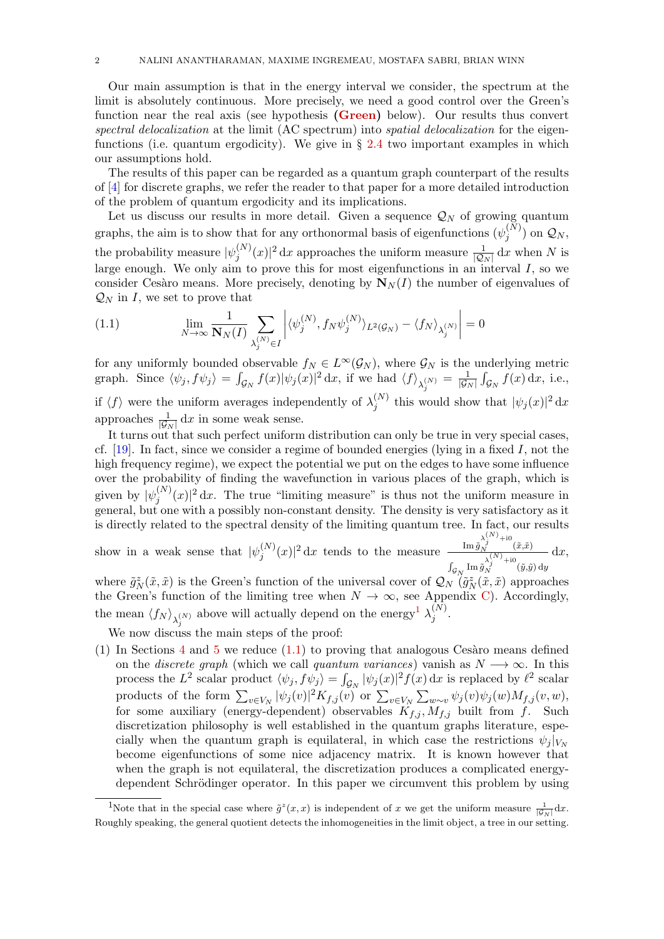Our main assumption is that in the energy interval we consider, the spectrum at the limit is absolutely continuous. More precisely, we need a good control over the Green's function near the real axis (see hypothesis [\(Green\)](#page-5-0) below). Our results thus convert spectral delocalization at the limit (AC spectrum) into spatial delocalization for the eigenfunctions (i.e. quantum ergodicity). We give in  $\S 2.4$  $\S 2.4$  two important examples in which our assumptions hold.

The results of this paper can be regarded as a quantum graph counterpart of the results of [\[4\]](#page-62-6) for discrete graphs, we refer the reader to that paper for a more detailed introduction of the problem of quantum ergodicity and its implications.

Let us discuss our results in more detail. Given a sequence  $\mathcal{Q}_N$  of growing quantum graphs, the aim is to show that for any orthonormal basis of eigenfunctions  $(\psi_i^{(N)})$  $\mathcal{Q}_N$ <sup>(N)</sup>) on  $\mathcal{Q}_N$ , the probability measure  $|\psi_i^{(N)}\rangle$  $j^{(N)}(x)|^2 dx$  approaches the uniform measure  $\frac{1}{|\mathcal{Q}_N|} dx$  when N is large enough. We only aim to prove this for most eigenfunctions in an interval  $I$ , so we consider Cesàro means. More precisely, denoting by  $\mathbf{N}_{N}(I)$  the number of eigenvalues of  $\mathcal{Q}_N$  in I, we set to prove that

<span id="page-1-1"></span>(1.1) 
$$
\lim_{N \to \infty} \frac{1}{\mathbf{N}_N(I)} \sum_{\lambda_j^{(N)} \in I} \left| \langle \psi_j^{(N)}, f_N \psi_j^{(N)} \rangle_{L^2(\mathcal{G}_N)} - \langle f_N \rangle_{\lambda_j^{(N)}} \right| = 0
$$

for any uniformly bounded observable  $f_N \in L^{\infty}(\mathcal{G}_N)$ , where  $\mathcal{G}_N$  is the underlying metric graph. Since  $\langle \psi_j, f\psi_j \rangle = \int_{\mathcal{G}_N} f(x) |\psi_j(x)|^2 dx$ , if we had  $\langle f \rangle_{\lambda_j^{(N)}} = \frac{1}{|\mathcal{G}_j|}$  $\frac{1}{|\mathcal{G}_N|} \int_{\mathcal{G}_N} f(x) dx$ , i.e., if  $\langle f \rangle$  were the uniform averages independently of  $\lambda_i^{(N)}$  $j^{(N)}$  this would show that  $|\psi_j(x)|^2 dx$ approaches  $\frac{1}{|\mathcal{G}_N|} dx$  in some weak sense.

It turns out that such perfect uniform distribution can only be true in very special cases, cf. [\[19\]](#page-63-5). In fact, since we consider a regime of bounded energies (lying in a fixed  $I$ , not the high frequency regime), we expect the potential we put on the edges to have some influence over the probability of finding the wavefunction in various places of the graph, which is given by  $|\psi_i^{(N)}\>$  $j^{(N)}(x)|^2 dx$ . The true "limiting measure" is thus not the uniform measure in general, but one with a possibly non-constant density. The density is very satisfactory as it is directly related to the spectral density of the limiting quantum tree. In fact, our results

show in a weak sense that  $|\psi_i^{(N)}\rangle$  $\int_{j}^{(N)}(x)|^{2} dx$  tends to the measure  $\frac{\text{Im} \tilde{g}_{\lambda}^{(N)} + \text{i0}}{\lambda^{(N)} + \text{i0}}$  $\int_{\mathcal{G}_N} \mathrm{Im} \, \tilde{g}^{\lambda^{(N)}_j+ \mathrm{i} 0}_N(\tilde{y}, \tilde{y}) \, \mathrm{d} y$  $dx,$ 

where  $\tilde{g}_N^z(\tilde{x}, \tilde{x})$  is the Green's function of the universal cover of  $\mathcal{Q}_N$   $(\tilde{g}_N^z(\tilde{x}, \tilde{x})$  approaches  $z(\tilde{x}, \tilde{y})$  is the Green's function of the universal cover of  $Q_{\tilde{y}}$   $(\tilde{\sigma}^2)$ the Green's function of the limiting tree when  $N \to \infty$ , see Appendix [C\)](#page-56-0). Accordingly, the mean  $\langle f_N \rangle_{\lambda_j^{(N)}}$  above will actually depend on the energy<sup>[1](#page-1-0)</sup>  $\lambda_j^{(N)}$  $j^{(N)}$ .

We now discuss the main steps of the proof:

(1) In Sections  $4$  and  $5$  we reduce [\(1.1\)](#page-1-1) to proving that analogous Cessaro means defined on the *discrete graph* (which we call *quantum variances*) vanish as  $N \rightarrow \infty$ . In this process the  $L^2$  scalar product  $\langle \psi_j, f \psi_j \rangle = \int_{\mathcal{G}_N} |\psi_j(x)|^2 f(x) dx$  is replaced by  $\ell^2$  scalar products of the form  $\sum_{v \in V_N} |\psi_j(v)|^2 K_{f,j}(v)$  or  $\sum_{v \in V_N} \sum_{w \sim v} \psi_j(v) \psi_j(w) M_{f,j}(v, w)$ , for some auxiliary (energy-dependent) observables  $K_{f,j}$ ,  $M_{f,j}$  built from f. Such discretization philosophy is well established in the quantum graphs literature, especially when the quantum graph is equilateral, in which case the restrictions  $\psi_i |_{V_N}$ become eigenfunctions of some nice adjacency matrix. It is known however that when the graph is not equilateral, the discretization produces a complicated energydependent Schrödinger operator. In this paper we circumvent this problem by using

<span id="page-1-0"></span><sup>&</sup>lt;sup>1</sup>Note that in the special case where  $\tilde{g}^z(x,x)$  is independent of x we get the uniform measure  $\frac{1}{|\mathcal{G}_N|}dx$ . Roughly speaking, the general quotient detects the inhomogeneities in the limit object, a tree in our setting.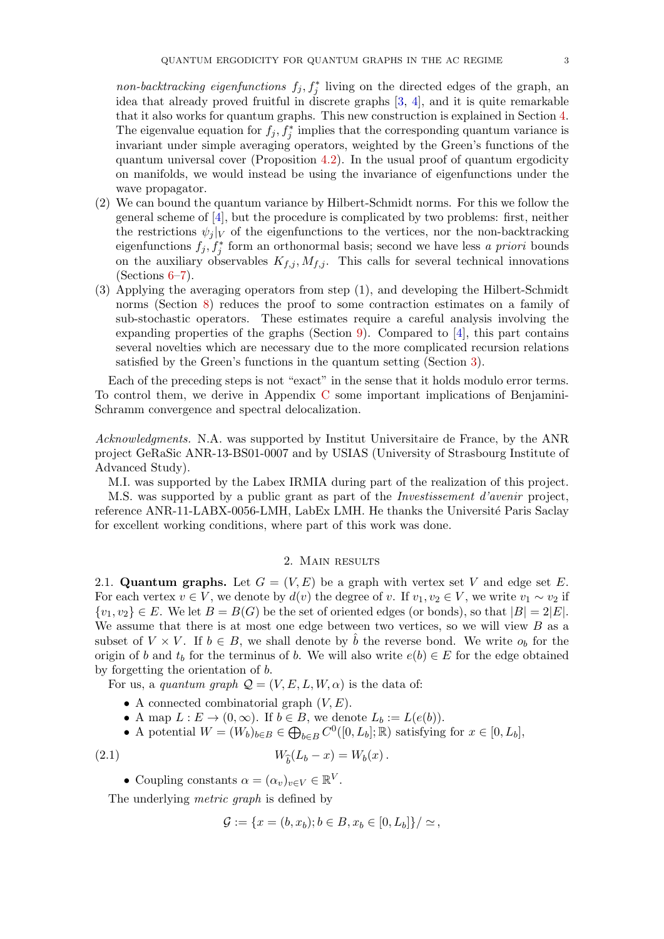non-backtracking eigenfunctions  $f_j, f_j^*$  living on the directed edges of the graph, and idea that already proved fruitful in discrete graphs [\[3,](#page-62-7) [4\]](#page-62-6), and it is quite remarkable that it also works for quantum graphs. This new construction is explained in Section [4.](#page-13-0) The eigenvalue equation for  $f_j, f_j^*$  implies that the corresponding quantum variance is invariant under simple averaging operators, weighted by the Green's functions of the quantum universal cover (Proposition [4.2\)](#page-16-1). In the usual proof of quantum ergodicity on manifolds, we would instead be using the invariance of eigenfunctions under the wave propagator.

- (2) We can bound the quantum variance by Hilbert-Schmidt norms. For this we follow the general scheme of [\[4\]](#page-62-6), but the procedure is complicated by two problems: first, neither the restrictions  $\psi_i|_V$  of the eigenfunctions to the vertices, nor the non-backtracking eigenfunctions  $f_j, f_j^*$  form an orthonormal basis; second we have less a priori bounds on the auxiliary observables  $K_{f,j}$ ,  $M_{f,j}$ . This calls for several technical innovations  $(Sections 6-7)$  $(Sections 6-7)$ .
- <span id="page-2-2"></span>(3) Applying the averaging operators from step (1), and developing the Hilbert-Schmidt norms (Section [8\)](#page-27-0) reduces the proof to some contraction estimates on a family of sub-stochastic operators. These estimates require a careful analysis involving the expanding properties of the graphs (Section [9\)](#page-32-0). Compared to  $[4]$ , this part contains several novelties which are necessary due to the more complicated recursion relations satisfied by the Green's functions in the quantum setting (Section [3\)](#page-8-0).

Each of the preceding steps is not "exact" in the sense that it holds modulo error terms. To control them, we derive in Appendix [C](#page-56-0) some important implications of Benjamini-Schramm convergence and spectral delocalization.

Acknowledgments. N.A. was supported by Institut Universitaire de France, by the ANR project GeRaSic ANR-13-BS01-0007 and by USIAS (University of Strasbourg Institute of Advanced Study).

M.I. was supported by the Labex IRMIA during part of the realization of this project. M.S. was supported by a public grant as part of the Investissement d'avenir project, reference ANR-11-LABX-0056-LMH, LabEx LMH. He thanks the Université Paris Saclay for excellent working conditions, where part of this work was done.

## 2. Main results

<span id="page-2-0"></span>2.1. Quantum graphs. Let  $G = (V, E)$  be a graph with vertex set V and edge set E. For each vertex  $v \in V$ , we denote by  $d(v)$  the degree of v. If  $v_1, v_2 \in V$ , we write  $v_1 \sim v_2$  if  $\{v_1, v_2\} \in E$ . We let  $B = B(G)$  be the set of oriented edges (or bonds), so that  $|B| = 2|E|$ . We assume that there is at most one edge between two vertices, so we will view  $B$  as a subset of  $V \times V$ . If  $b \in B$ , we shall denote by  $\hat{b}$  the reverse bond. We write  $o_b$  for the origin of b and  $t_b$  for the terminus of b. We will also write  $e(b) \in E$  for the edge obtained by forgetting the orientation of b.

For us, a quantum graph  $\mathcal{Q} = (V, E, L, W, \alpha)$  is the data of:

- A connected combinatorial graph  $(V, E)$ .
- A map  $L: E \to (0, \infty)$ . If  $b \in B$ , we denote  $L_b := L(e(b))$ .
- A potential  $W = (W_b)_{b \in B} \in \bigoplus_{b \in B} C^0([0, L_b]; \mathbb{R})$  satisfying for  $x \in [0, L_b]$ ,

(2.1) 
$$
W_{\hat{b}}(L_b - x) = W_b(x).
$$

• Coupling constants  $\alpha = (\alpha_v)_{v \in V} \in \mathbb{R}^V$ .

The underlying *metric graph* is defined by

<span id="page-2-1"></span>
$$
\mathcal{G} := \{x = (b, x_b); b \in B, x_b \in [0, L_b]\}/\simeq,
$$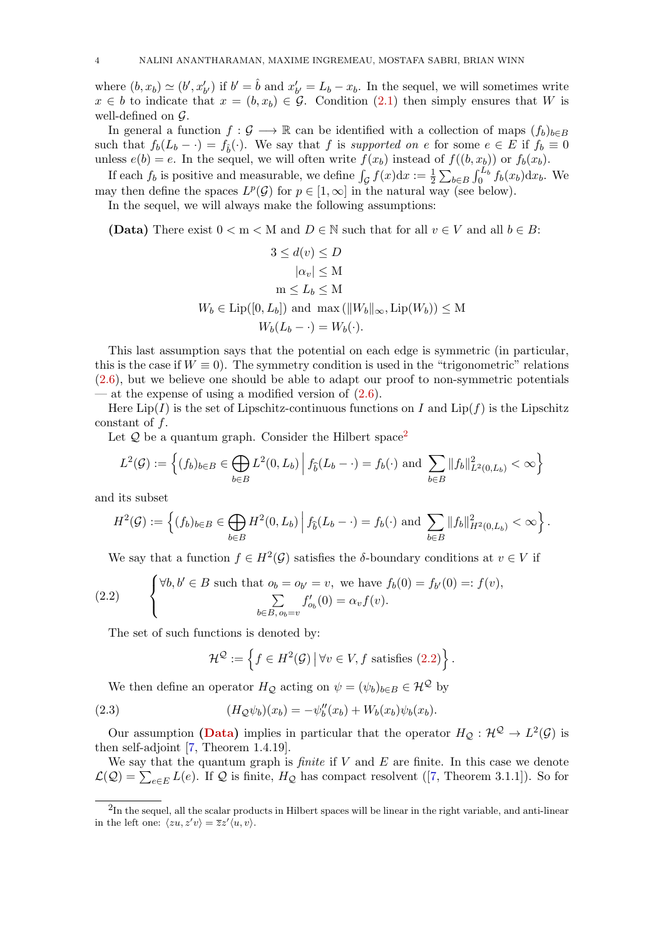where  $(b, x_b) \simeq (b', x'_{b'})$  if  $b' = \hat{b}$  and  $x'_{b'} = L_b - x_b$ . In the sequel, we will sometimes write  $x \in b$  to indicate that  $x = (b, x_b) \in \mathcal{G}$ . Condition [\(2.1\)](#page-2-1) then simply ensures that W is well-defined on  $\mathcal{G}$ .

In general a function  $f : \mathcal{G} \longrightarrow \mathbb{R}$  can be identified with a collection of maps  $(f_b)_{b \in B}$ such that  $f_b(L_b - \cdot) = f_{\hat{b}}(\cdot)$ . We say that f is supported on e for some  $e \in E$  if  $f_b \equiv 0$ unless  $e(b) = e$ . In the sequel, we will often write  $f(x_b)$  instead of  $f((b, x_b))$  or  $f_b(x_b)$ .

If each  $f_b$  is positive and measurable, we define  $\int_{\mathcal{G}} f(x) dx := \frac{1}{2} \sum_{b \in B} \int_0^{L_b} f_b(x_b) dx_b$ . We may then define the spaces  $L^p(\mathcal{G})$  for  $p \in [1,\infty]$  in the natural way (see below).

In the sequel, we will always make the following assumptions:

<span id="page-3-2"></span>(Data) There exist  $0 < m < M$  and  $D \in \mathbb{N}$  such that for all  $v \in V$  and all  $b \in B$ :

$$
3 \le d(v) \le D
$$
  
\n
$$
|\alpha_v| \le M
$$
  
\n
$$
m \le L_b \le M
$$
  
\n
$$
W_b \in \text{Lip}([0, L_b]) \text{ and } \max(\|W_b\|_{\infty}, \text{Lip}(W_b)) \le M
$$
  
\n
$$
W_b(L_b - \cdot) = W_b(\cdot).
$$

This last assumption says that the potential on each edge is symmetric (in particular, this is the case if  $W \equiv 0$ ). The symmetry condition is used in the "trigonometric" relations [\(2.6\)](#page-4-0), but we believe one should be able to adapt our proof to non-symmetric potentials — at the expense of using a modified version of  $(2.6)$ .

Here  $\text{Lip}(I)$  is the set of Lipschitz-continuous functions on I and  $\text{Lip}(f)$  is the Lipschitz constant of f.

Let  $Q$  be a quantum graph. Consider the Hilbert space<sup>[2](#page-3-0)</sup>

$$
L^{2}(\mathcal{G}) := \left\{ (f_{b})_{b \in B} \in \bigoplus_{b \in B} L^{2}(0, L_{b}) \, \middle| \, f_{\hat{b}}(L_{b} - \cdot) = f_{b}(\cdot) \text{ and } \sum_{b \in B} ||f_{b}||^{2}_{L^{2}(0, L_{b})} < \infty \right\}
$$

and its subset

$$
H^{2}(\mathcal{G}) := \left\{ (f_{b})_{b \in B} \in \bigoplus_{b \in B} H^{2}(0, L_{b}) \, \Big| \, f_{\widehat{b}}(L_{b} - \cdot) = f_{b}(\cdot) \text{ and } \sum_{b \in B} ||f_{b}||^{2}_{H^{2}(0, L_{b})} < \infty \right\}.
$$

<span id="page-3-1"></span>We say that a function  $f \in H^2(\mathcal{G})$  satisfies the  $\delta$ -boundary conditions at  $v \in V$  if

(2.2) 
$$
\begin{cases} \forall b, b' \in B \text{ such that } o_b = o_{b'} = v, \text{ we have } f_b(0) = f_{b'}(0) =: f(v), \\ \sum_{b \in B, o_b = v} f'_{o_b}(0) = \alpha_v f(v). \end{cases}
$$

The set of such functions is denoted by:

$$
\mathcal{H}^{\mathcal{Q}} := \left\{ f \in H^2(\mathcal{G}) \, \middle| \, \forall v \in V, f \text{ satisfies (2.2)} \right\}.
$$

We then define an operator  $H_{\mathcal{Q}}$  acting on  $\psi = (\psi_b)_{b \in B} \in \mathcal{H}^{\mathcal{Q}}$  by

(2.3) 
$$
(H_{\mathcal{Q}}\psi_b)(x_b) = -\psi''_b(x_b) + W_b(x_b)\psi_b(x_b).
$$

Our assumption [\(Data\)](#page-3-2) implies in particular that the operator  $H_Q: \mathcal{H}^{\mathcal{Q}} \to L^2(\mathcal{G})$  is then self-adjoint [\[7,](#page-62-8) Theorem 1.4.19].

We say that the quantum graph is *finite* if  $V$  and  $E$  are finite. In this case we denote  $\mathcal{L}(\mathcal{Q}) = \sum_{e \in E} L(e)$  $\mathcal{L}(\mathcal{Q}) = \sum_{e \in E} L(e)$  $\mathcal{L}(\mathcal{Q}) = \sum_{e \in E} L(e)$ . If  $\mathcal Q$  is finite,  $H_{\mathcal{Q}}$  has compact resolvent ([\[7,](#page-62-8) Theorem 3.1.1]). So for

<span id="page-3-0"></span> ${}^{2}$ In the sequel, all the scalar products in Hilbert spaces will be linear in the right variable, and anti-linear in the left one:  $\langle zu, z'v \rangle = \overline{z}z' \langle u, v \rangle$ .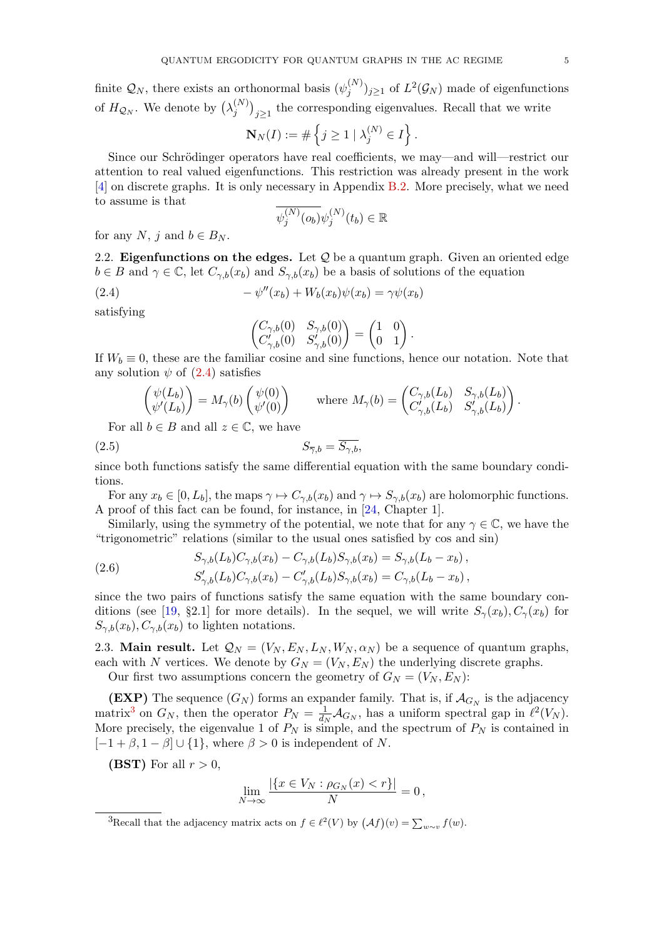finite  $\mathcal{Q}_N$ , there exists an orthonormal basis  $(\psi_j^{(N)})$  $(j^{(N)})_{j\geq 1}$  of  $L^2(\mathcal{G}_N)$  made of eigenfunctions of  $H_{\mathcal{Q}_N}$ . We denote by  $\left(\lambda_j^{(N)}\right)$  $j^{(N)}\big)_{j\geq 1}$  the corresponding eigenvalues. Recall that we write

$$
\mathbf{N}_N(I) := \# \left\{ j \geq 1 \mid \lambda_j^{(N)} \in I \right\}.
$$

Since our Schrödinger operators have real coefficients, we may—and will—restrict our attention to real valued eigenfunctions. This restriction was already present in the work [\[4\]](#page-62-6) on discrete graphs. It is only necessary in Appendix [B.2.](#page-53-0) More precisely, what we need to assume is that

$$
\overline{\psi_j^{(N)}(o_b)}\psi_j^{(N)}(t_b)\in\mathbb{R}
$$

for any N, j and  $b \in B_N$ .

<span id="page-4-5"></span>2.2. Eigenfunctions on the edges. Let  $\mathcal Q$  be a quantum graph. Given an oriented edge  $b \in B$  and  $\gamma \in \mathbb{C}$ , let  $C_{\gamma,b}(x_b)$  and  $S_{\gamma,b}(x_b)$  be a basis of solutions of the equation

(2.4) 
$$
-\psi''(x_b) + W_b(x_b)\psi(x_b) = \gamma\psi(x_b)
$$

satisfying

<span id="page-4-1"></span>
$$
\begin{pmatrix}C_{\gamma,b}(0) & S_{\gamma,b}(0)\\ C'_{\gamma,b}(0) & S'_{\gamma,b}(0)\end{pmatrix}=\begin{pmatrix}1 & 0\\ 0 & 1\end{pmatrix}.
$$

If  $W_b \equiv 0$ , these are the familiar cosine and sine functions, hence our notation. Note that any solution  $\psi$  of  $(2.4)$  satisfies

$$
\begin{pmatrix} \psi(L_b) \\ \psi'(L_b) \end{pmatrix} = M_{\gamma}(b) \begin{pmatrix} \psi(0) \\ \psi'(0) \end{pmatrix} \quad \text{where } M_{\gamma}(b) = \begin{pmatrix} C_{\gamma,b}(L_b) & S_{\gamma,b}(L_b) \\ C_{\gamma,b}'(L_b) & S_{\gamma,b}'(L_b) \end{pmatrix}.
$$

For all  $b \in B$  and all  $z \in \mathbb{C}$ , we have

(2.5)  $S_{\overline{\gamma}b} = \overline{S_{\gamma b}},$ 

since both functions satisfy the same differential equation with the same boundary conditions.

For any  $x_b \in [0, L_b]$ , the maps  $\gamma \mapsto C_{\gamma,b}(x_b)$  and  $\gamma \mapsto S_{\gamma,b}(x_b)$  are holomorphic functions. A proof of this fact can be found, for instance, in [\[24,](#page-63-6) Chapter 1].

Similarly, using the symmetry of the potential, we note that for any  $\gamma \in \mathbb{C}$ , we have the "trigonometric" relations (similar to the usual ones satisfied by cos and sin)

<span id="page-4-0"></span>(2.6) 
$$
S_{\gamma,b}(L_b)C_{\gamma,b}(x_b) - C_{\gamma,b}(L_b)S_{\gamma,b}(x_b) = S_{\gamma,b}(L_b - x_b),
$$

$$
S'_{\gamma,b}(L_b)C_{\gamma,b}(x_b) - C'_{\gamma,b}(L_b)S_{\gamma,b}(x_b) = C_{\gamma,b}(L_b - x_b),
$$

since the two pairs of functions satisfy the same equation with the same boundary con-ditions (see [\[19,](#page-63-5) §2.1] for more details). In the sequel, we will write  $S_{\gamma}(x_b)$ ,  $C_{\gamma}(x_b)$  for  $S_{\gamma,b}(x_b), C_{\gamma,b}(x_b)$  to lighten notations.

2.3. Main result. Let  $\mathcal{Q}_N = (V_N, E_N, L_N, W_N, \alpha_N)$  be a sequence of quantum graphs, each with N vertices. We denote by  $G_N = (V_N, E_N)$  the underlying discrete graphs. Our first two assumptions concern the geometry of  $G_N = (V_N, E_N)$ :

<span id="page-4-4"></span>**(EXP)** The sequence  $(G_N)$  forms an expander family. That is, if  $\mathcal{A}_{G_N}$  is the adjacency matrix<sup>[3](#page-4-2)</sup> on  $G_N$ , then the operator  $P_N = \frac{1}{d_N}$  $\frac{1}{d_N} A_{G_N}$ , has a uniform spectral gap in  $\ell^2(V_N)$ . More precisely, the eigenvalue 1 of  $P_N$  is simple, and the spectrum of  $P_N$  is contained in  $[-1 + \beta, 1 - \beta] \cup \{1\}$ , where  $\beta > 0$  is independent of N.

<span id="page-4-3"></span>(BST) For all  $r > 0$ ,

$$
\lim_{N \to \infty} \frac{|\{x \in V_N : \rho_{G_N}(x) < r\}|}{N} = 0,
$$

<span id="page-4-2"></span><sup>3</sup>Recall that the adjacency matrix acts on  $f \in \ell^2(V)$  by  $(Af)(v) = \sum_{w \sim v} f(w)$ .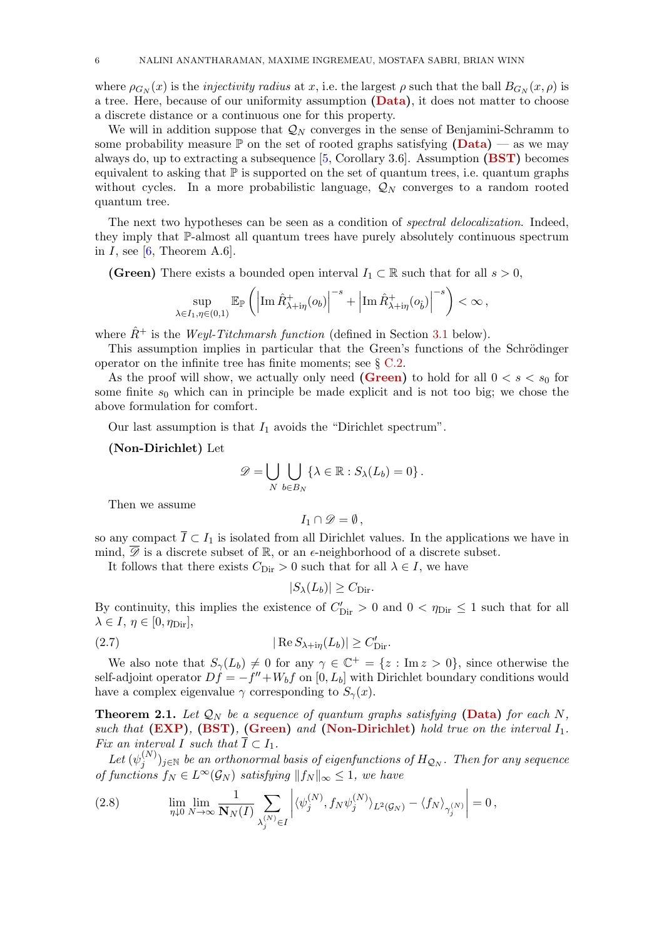where  $\rho_{G_N}(x)$  is the *injectivity radius* at x, i.e. the largest  $\rho$  such that the ball  $B_{G_N}(x, \rho)$  is a tree. Here, because of our uniformity assumption [\(Data\)](#page-3-2), it does not matter to choose a discrete distance or a continuous one for this property.

We will in addition suppose that  $\mathcal{Q}_N$  converges in the sense of Benjamini-Schramm to some probability measure  $\mathbb P$  on the set of rooted graphs satisfying  $(Data)$  — as we may always do, up to extracting a subsequence  $[5,$  Corollary 3.6. Assumption  $(BST)$  becomes equivalent to asking that  $\mathbb P$  is supported on the set of quantum trees, i.e. quantum graphs without cycles. In a more probabilistic language,  $\mathcal{Q}_N$  converges to a random rooted quantum tree.

The next two hypotheses can be seen as a condition of *spectral delocalization*. Indeed, they imply that P-almost all quantum trees have purely absolutely continuous spectrum in  $I$ , see [\[6,](#page-62-9) Theorem A.6].

<span id="page-5-0"></span>(Green) There exists a bounded open interval  $I_1 \subset \mathbb{R}$  such that for all  $s > 0$ ,

$$
\sup_{\lambda \in I_1, \eta \in (0,1)} \mathbb{E}_{\mathbb{P}} \left( \left| \operatorname{Im} \hat{R}^+_{\lambda + i\eta}(o_b) \right|^{-s} + \left| \operatorname{Im} \hat{R}^+_{\lambda + i\eta}(o_{\hat{b}}) \right|^{-s} \right) < \infty,
$$

where  $\hat{R}^+$  is the Weyl-Titchmarsh function (defined in Section [3.1](#page-8-1) below).

This assumption implies in particular that the Green's functions of the Schrödinger operator on the infinite tree has finite moments; see § [C.2.](#page-59-0)

As the proof will show, we actually only need [\(Green\)](#page-5-0) to hold for all  $0 < s < s_0$  for some finite  $s_0$  which can in principle be made explicit and is not too big; we chose the above formulation for comfort.

Our last assumption is that  $I_1$  avoids the "Dirichlet spectrum".

## <span id="page-5-1"></span>(Non-Dirichlet) Let

$$
\mathscr{D} = \bigcup_N \bigcup_{b \in B_N} \{ \lambda \in \mathbb{R} : S_{\lambda}(L_b) = 0 \}.
$$

Then we assume

$$
I_1\cap\mathscr{D}=\emptyset\,,
$$

so any compact  $\overline{I} \subset I_1$  is isolated from all Dirichlet values. In the applications we have in mind,  $\overline{\mathscr{D}}$  is a discrete subset of  $\mathbb{R}$ , or an  $\epsilon$ -neighborhood of a discrete subset.

It follows that there exists  $C_{\text{Dir}} > 0$  such that for all  $\lambda \in I$ , we have

<span id="page-5-3"></span>
$$
|S_{\lambda}(L_b)| \geq C_{\text{Dir}}.
$$

By continuity, this implies the existence of  $C'_{\text{Dir}} > 0$  and  $0 < \eta_{\text{Dir}} \leq 1$  such that for all  $\lambda \in I, \eta \in [0, \eta_{\text{Dir}}],$ 

(2.7) 
$$
|\operatorname{Re} S_{\lambda+\mathrm{i}\eta}(L_b)| \geq C'_{\mathrm{Dir}}.
$$

We also note that  $S_{\gamma}(L_b) \neq 0$  for any  $\gamma \in \mathbb{C}^+ = \{z : \text{Im } z > 0\}$ , since otherwise the self-adjoint operator  $Df = -f'' + W_b f$  on  $[0, L_b]$  with Dirichlet boundary conditions would have a complex eigenvalue  $\gamma$  corresponding to  $S_{\gamma}(x)$ .

<span id="page-5-2"></span>**Theorem 2.1.** Let  $\mathcal{Q}_N$  be a sequence of quantum graphs satisfying [\(Data\)](#page-3-2) for each N, such that  $(EXP)$ ,  $(BST)$ ,  $(Green)$  and  $(Non-Dirichlet)$  hold true on the interval  $I_1$ . Fix an interval I such that  $\overline{I} \subset I_1$ .

Let  $(\psi_i^{(N)}$  $(j^{(N)})_{j\in\mathbb{N}}$  be an orthonormal basis of eigenfunctions of  $H_{{\cal Q}_N}.$  Then for any sequence of functions  $f_N \in L^{\infty}(\mathcal{G}_N)$  satisfying  $||f_N||_{\infty} \leq 1$ , we have

<span id="page-5-4"></span>(2.8) 
$$
\lim_{\eta \downarrow 0} \lim_{N \to \infty} \frac{1}{\mathbf{N}_N(I)} \sum_{\lambda_j^{(N)} \in I} \left| \langle \psi_j^{(N)}, f_N \psi_j^{(N)} \rangle_{L^2(\mathcal{G}_N)} - \langle f_N \rangle_{\gamma_j^{(N)}} \right| = 0,
$$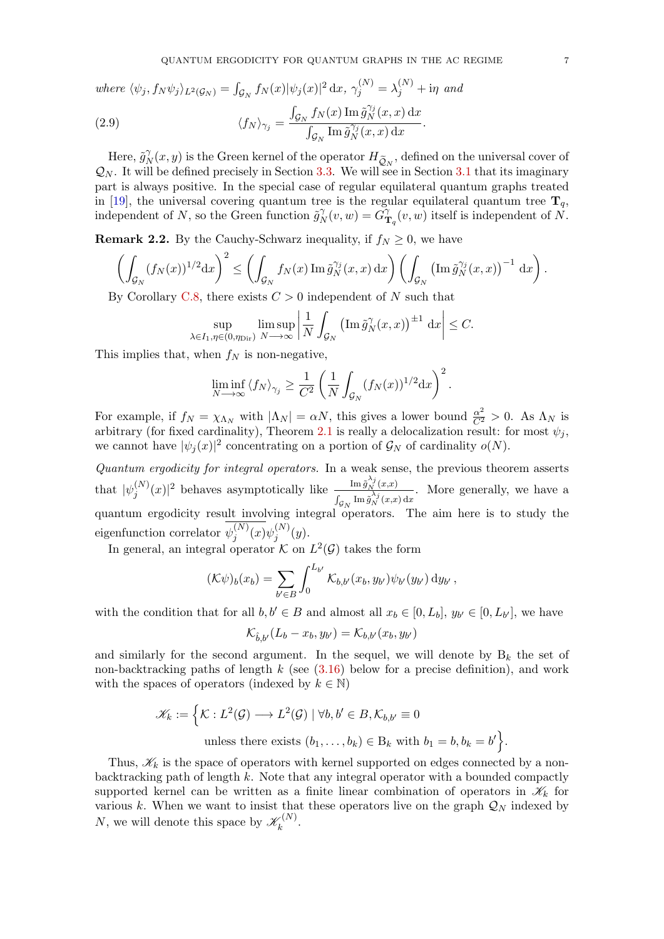where  $\langle \psi_j, f_N \psi_j \rangle_{L^2(\mathcal{G}_N)} = \int_{\mathcal{G}_N} f_N(x) |\psi_j(x)|^2 dx$ ,  $\gamma_j^{(N)} = \lambda_j^{(N)} + i\eta$  and

<span id="page-6-0"></span>(2.9) 
$$
\langle f_N \rangle_{\gamma_j} = \frac{\int_{\mathcal{G}_N} f_N(x) \operatorname{Im} \tilde{g}_N^{\gamma_j}(x, x) dx}{\int_{\mathcal{G}_N} \operatorname{Im} \tilde{g}_N^{\gamma_j}(x, x) dx}.
$$

Here,  $\tilde{g}^{\gamma}_{\lambda}$  $\tilde{N}_N(x, y)$  is the Green kernel of the operator  $H_{\tilde{Q}_N}$ , defined on the universal cover of  $\mathcal{Q}_N$ . It will be defined precisely in Section [3.3.](#page-11-0) We will see in Section [3.1](#page-8-1) that its imaginary part is always positive. In the special case of regular equilateral quantum graphs treated in [\[19\]](#page-63-5), the universal covering quantum tree is the regular equilateral quantum tree  $\mathbf{T}_q$ , independent of N, so the Green function  $\tilde{g}_h^{\gamma}$  $G_N^{\gamma}(v,w)=\widetilde{G}_\mathbf{I}^{\gamma}$  $\int_{\mathbf{T}_q}^{\gamma}(v, w)$  itself is independent of N.

**Remark 2.2.** By the Cauchy-Schwarz inequality, if  $f_N \geq 0$ , we have

$$
\left(\int_{\mathcal{G}_N} (f_N(x))^{1/2} dx\right)^2 \leq \left(\int_{\mathcal{G}_N} f_N(x) \operatorname{Im} \tilde{g}_N^{\gamma_j}(x,x) dx\right) \left(\int_{\mathcal{G}_N} \left(\operatorname{Im} \tilde{g}_N^{\gamma_j}(x,x)\right)^{-1} dx\right).
$$

By Corollary [C.8,](#page-61-0) there exists  $C > 0$  independent of N such that

$$
\sup_{\lambda \in I_1, \eta \in (0,\eta_{\text{Dir}})} \limsup_{N \to \infty} \left| \frac{1}{N} \int_{\mathcal{G}_N} \left( \operatorname{Im} \tilde{g}_N^{\gamma}(x,x) \right)^{\pm 1} dx \right| \leq C.
$$

This implies that, when  $f_N$  is non-negative,

$$
\liminf_{N \to \infty} \langle f_N \rangle_{\gamma_j} \ge \frac{1}{C^2} \left( \frac{1}{N} \int_{\mathcal{G}_N} (f_N(x))^{1/2} dx \right)^2.
$$

For example, if  $f_N = \chi_{\Lambda_N}$  with  $|\Lambda_N| = \alpha N$ , this gives a lower bound  $\frac{\alpha^2}{C^2} > 0$ . As  $\Lambda_N$  is arbitrary (for fixed cardinality), Theorem [2.1](#page-5-2) is really a delocalization result: for most  $\psi_j$ , we cannot have  $|\psi_j(x)|^2$  concentrating on a portion of  $\mathcal{G}_N$  of cardinality  $o(N)$ .

Quantum ergodicity for integral operators. In a weak sense, the previous theorem asserts that  $|\psi_i^{(N)}\>$  $\int_{j}^{(N)}(x)|^{2}$  behaves asymptotically like  $\frac{\text{Im}\,\tilde{g}_{N}^{\lambda_{j}}(x,x)}{\int_{N}\text{Im}\,\tilde{g}_{N}^{\lambda_{j}}(x,x)}$  $\int_{\mathcal{G}_N} \text{Im} \, \tilde{g}_N^{\lambda_j}(x,x) \, \text{d}x$ . More generally, we have a quantum ergodicity result involving integral operators. The aim here is to study the eigenfunction correlator  $\psi_i^{(N)}$  $j^{(N)}(x)\psi_j^{(N)}$  $y_j^{(N)}(y).$ 

In general, an integral operator  $K$  on  $L^2(\mathcal{G})$  takes the form

$$
(\mathcal{K}\psi)_b(x_b) = \sum_{b' \in B} \int_0^{L_{b'}} \mathcal{K}_{b,b'}(x_b, y_{b'}) \psi_{b'}(y_{b'}) \, dy_{b'},
$$

with the condition that for all  $b, b' \in B$  and almost all  $x_b \in [0, L_b]$ ,  $y_{b'} \in [0, L_{b'}]$ , we have

$$
\mathcal{K}_{\hat{b},b'}(L_b-x_b,y_{b'})=\mathcal{K}_{b,b'}(x_b,y_{b'})
$$

and similarly for the second argument. In the sequel, we will denote by  $B_k$  the set of non-backtracking paths of length k (see  $(3.16)$ ) below for a precise definition), and work with the spaces of operators (indexed by  $k \in \mathbb{N}$ )

$$
\mathcal{K}_k := \left\{ \mathcal{K} : L^2(\mathcal{G}) \longrightarrow L^2(\mathcal{G}) \mid \forall b, b' \in B, \mathcal{K}_{b,b'} \equiv 0 \right\}
$$
  
unless there exists  $(b_1, \dots, b_k) \in B_k$  with  $b_1 = b, b_k = b' \right\}.$ 

Thus,  $\mathscr{K}_k$  is the space of operators with kernel supported on edges connected by a nonbacktracking path of length  $k$ . Note that any integral operator with a bounded compactly supported kernel can be written as a finite linear combination of operators in  $\mathscr{K}_k$  for various k. When we want to insist that these operators live on the graph  $\mathcal{Q}_N$  indexed by N, we will denote this space by  $\mathscr{K}_k^{(N)}$  $\hat{k}^{(N)}$ .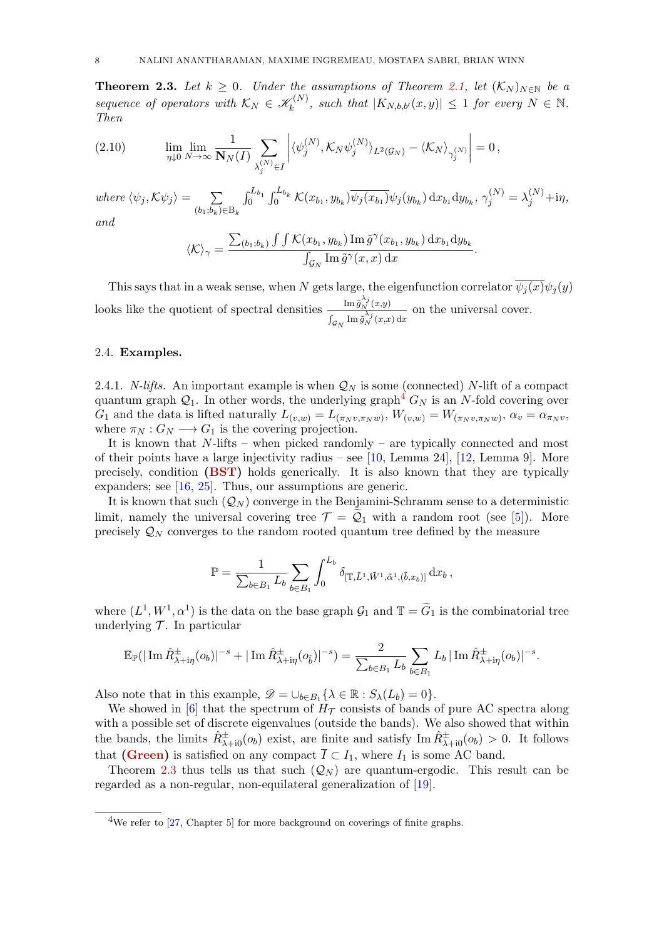<span id="page-7-2"></span>**Theorem 2.3.** Let  $k \geq 0$ . Under the assumptions of Theorem [2.1,](#page-5-2) let  $(\mathcal{K}_N)_{N \in \mathbb{N}}$  be a sequence of operators with  $\mathcal{K}_N \in \mathcal{K}_k^{(N)}$  $\mathcal{K}_k^{(N)}$ , such that  $|K_{N,b,b'}(x,y)| \leq 1$  for every  $N \in \mathbb{N}$ . Then

<span id="page-7-3"></span>(2.10) 
$$
\lim_{\eta \downarrow 0} \lim_{N \to \infty} \frac{1}{\mathbf{N}_N(I)} \sum_{\lambda_j^{(N)} \in I} \left| \langle \psi_j^{(N)}, \mathcal{K}_N \psi_j^{(N)} \rangle_{L^2(\mathcal{G}_N)} - \langle \mathcal{K}_N \rangle_{\gamma_j^{(N)}} \right| = 0,
$$

where  $\langle \psi_j, \mathcal{K} \psi_j \rangle = \sum$  $(b_1;b_k)\in B_k$  $\int_0^{L_{b_1}} \int_0^{L_{b_k}} \mathcal{K}(x_{b_1}, y_{b_k}) \overline{\psi_j(x_{b_1})} \psi_j(y_{b_k}) \,dx_{b_1} dy_{b_k}, \, \gamma_j^{(N)} = \lambda_j^{(N)} + \mathrm{i} \eta,$ and

$$
\langle \mathcal{K} \rangle_{\gamma} = \frac{\sum_{(b_1; b_k)} \int \int \mathcal{K}(x_{b_1}, y_{b_k}) \operatorname{Im} \tilde{g}^{\gamma}(x_{b_1}, y_{b_k}) dx_{b_1} dy_{b_k}}{\int_{\mathcal{G}_N} \operatorname{Im} \tilde{g}^{\gamma}(x, x) dx}.
$$

This says that in a weak sense, when N gets large, the eigenfunction correlator  $\overline{\psi_i(x)}\psi_i(y)$ looks like the quotient of spectral densities  $\frac{\text{Im} \tilde{g}_N^{\lambda_j}(x,y)}{\lambda_j}$  $\int_{\mathcal{G}_N} \text{Im} \, \tilde{g}_N^{\lambda_j}(x,x) \, \text{d}x$ on the universal cover.

## <span id="page-7-0"></span>2.4. Examples.

2.4.1. N-lifts. An important example is when  $\mathcal{Q}_N$  is some (connected) N-lift of a compact quantum graph  $\mathcal{Q}_1$ . In other words, the underlying graph<sup>[4](#page-7-1)</sup>  $G_N$  is an N-fold covering over  $G_1$  and the data is lifted naturally  $L_{(v,w)} = L_{(\pi_N v, \pi_N w)}$ ,  $W_{(v,w)} = W_{(\pi_N v, \pi_N w)}$ ,  $\alpha_v = \alpha_{\pi_N v}$ , where  $\pi_N : G_N \longrightarrow G_1$  is the covering projection.

It is known that  $N$ -lifts – when picked randomly – are typically connected and most of their points have a large injectivity radius – see [\[10,](#page-62-10) Lemma 24], [\[12,](#page-62-11) Lemma 9]. More precisely, condition [\(BST\)](#page-4-3) holds generically. It is also known that they are typically expanders; see [\[16,](#page-62-12) [25\]](#page-63-7). Thus, our assumptions are generic.

It is known that such  $(Q_N)$  converge in the Benjamini-Schramm sense to a deterministic limit, namely the universal covering tree  $\mathcal{T} = \mathcal{Q}_1$  with a random root (see [\[5\]](#page-62-5)). More precisely  $\mathcal{Q}_N$  converges to the random rooted quantum tree defined by the measure

$$
\mathbb{P} = \frac{1}{\sum_{b \in B_1} L_b} \sum_{b \in B_1} \int_0^{L_b} \delta_{[\mathbb{T}, \tilde{L}^1, \tilde{W}^1, \tilde{\alpha}^1, (\tilde{b}, x_b)]} \,dx_b,
$$

where  $(L^1, W^1, \alpha^1)$  is the data on the base graph  $\mathcal{G}_1$  and  $\mathbb{T} = \widetilde{G}_1$  is the combinatorial tree underlying  $T$ . In particular

$$
\mathbb{E}_{\mathbb{P}}(|\operatorname{Im} \hat{R}_{\lambda+i\eta}^{\pm}(o_b)|^{-s} + |\operatorname{Im} \hat{R}_{\lambda+i\eta}^{\pm}(o_{\hat{b}})|^{-s}) = \frac{2}{\sum_{b \in B_1} L_b} \sum_{b \in B_1} L_b |\operatorname{Im} \hat{R}_{\lambda+i\eta}^{\pm}(o_b)|^{-s}.
$$

Also note that in this example,  $\mathscr{D} = \cup_{b \in B_1} \{ \lambda \in \mathbb{R} : S_{\lambda}(L_b) = 0 \}.$ 

We showed in [\[6\]](#page-62-9) that the spectrum of  $H<sub>T</sub>$  consists of bands of pure AC spectra along with a possible set of discrete eigenvalues (outside the bands). We also showed that within the bands, the limits  $\hat{R}^{\pm}_{\lambda+i0}(o_b)$  exist, are finite and satisfy  $\text{Im } \hat{R}^{\pm}_{\lambda+i0}(o_b) > 0$ . It follows that [\(Green\)](#page-5-0) is satisfied on any compact  $\overline{I} \subset I_1$ , where  $I_1$  is some AC band.

Theorem [2.3](#page-7-2) thus tells us that such  $(Q_N)$  are quantum-ergodic. This result can be regarded as a non-regular, non-equilateral generalization of [\[19\]](#page-63-5).

<span id="page-7-1"></span><sup>&</sup>lt;sup>4</sup>We refer to [\[27,](#page-63-8) Chapter 5] for more background on coverings of finite graphs.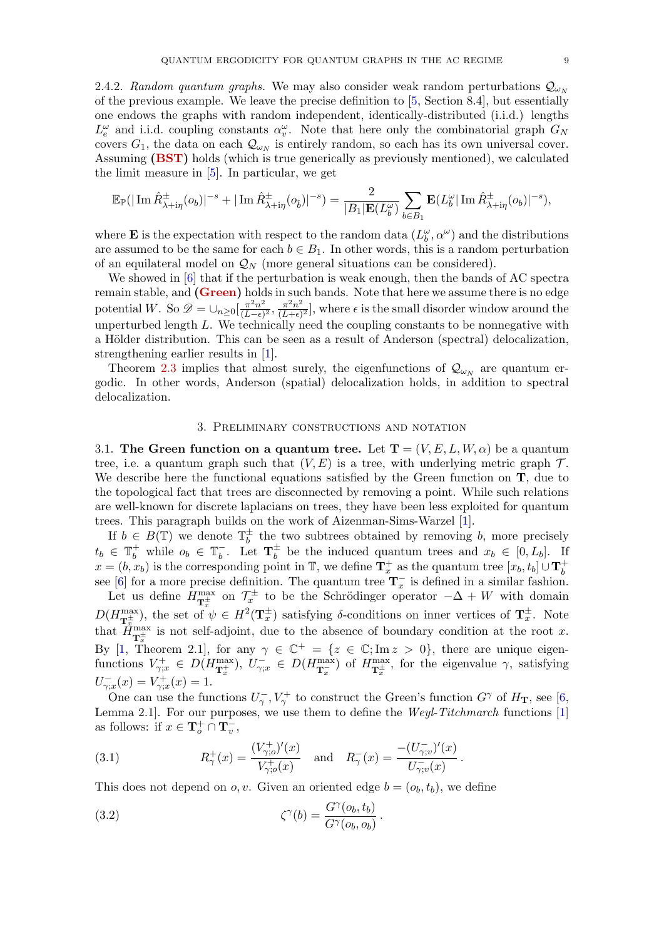2.4.2. Random quantum graphs. We may also consider weak random perturbations  $Q_{\omega_N}$ of the previous example. We leave the precise definition to [\[5,](#page-62-5) Section 8.4], but essentially one endows the graphs with random independent, identically-distributed (i.i.d.) lengths  $L_e^{\omega}$  and i.i.d. coupling constants  $\alpha_v^{\omega}$ . Note that here only the combinatorial graph  $G_N$ covers  $G_1$ , the data on each  $\mathcal{Q}_{\omega_N}$  is entirely random, so each has its own universal cover. Assuming [\(BST\)](#page-4-3) holds (which is true generically as previously mentioned), we calculated the limit measure in [\[5\]](#page-62-5). In particular, we get

$$
\mathbb{E}_{\mathbb{P}}(|\operatorname{Im}\hat{R}_{\lambda+i\eta}^{\pm}(o_b)|^{-s}+|\operatorname{Im}\hat{R}_{\lambda+i\eta}^{\pm}(o_{\hat{b}})|^{-s})=\frac{2}{|B_1|\mathbf{E}(L_b^{\omega})}\sum_{b\in B_1}\mathbf{E}(L_b^{\omega}|\operatorname{Im}\hat{R}_{\lambda+i\eta}^{\pm}(o_b)|^{-s}),
$$

where **E** is the expectation with respect to the random data  $(L_b^{\omega}, \alpha^{\omega})$  and the distributions are assumed to be the same for each  $b \in B_1$ . In other words, this is a random perturbation of an equilateral model on  $\mathcal{Q}_N$  (more general situations can be considered).

We showed in [\[6\]](#page-62-9) that if the perturbation is weak enough, then the bands of AC spectra remain stable, and [\(Green\)](#page-5-0) holds in such bands. Note that here we assume there is no edge potential W. So  $\mathscr{D} = \cup_{n \geq 0} \left[ \frac{\pi^2 n^2}{(L - \epsilon)} \right]$  $\frac{\pi^2 n^2}{(L-\epsilon)^2}, \frac{\pi^2 n^2}{(L+\epsilon)}$  $\frac{\pi^2 n^2}{(L+\epsilon)^2}$ , where  $\epsilon$  is the small disorder window around the unperturbed length L. We technically need the coupling constants to be nonnegative with a Hölder distribution. This can be seen as a result of Anderson (spectral) delocalization, strengthening earlier results in [\[1\]](#page-62-13).

Theorem [2.3](#page-7-2) implies that almost surely, the eigenfunctions of  $\mathcal{Q}_{\omega_N}$  are quantum ergodic. In other words, Anderson (spatial) delocalization holds, in addition to spectral delocalization.

## 3. Preliminary constructions and notation

<span id="page-8-1"></span><span id="page-8-0"></span>3.1. The Green function on a quantum tree. Let  $T = (V, E, L, W, \alpha)$  be a quantum tree, i.e. a quantum graph such that  $(V, E)$  is a tree, with underlying metric graph  $\mathcal{T}$ . We describe here the functional equations satisfied by the Green function on  $\mathbf{T}$ , due to the topological fact that trees are disconnected by removing a point. While such relations are well-known for discrete laplacians on trees, they have been less exploited for quantum trees. This paragraph builds on the work of Aizenman-Sims-Warzel [\[1\]](#page-62-13).

If  $b \in B(\mathbb{T})$  we denote  $\mathbb{T}_{b}^{\pm}$  $\frac{1}{b}$  the two subtrees obtained by removing b, more precisely  $t_b \in \mathbb{T}_b^+$  while  $o_b \in \mathbb{T}_b^ \bar{b}$ . Let  $\mathbf{T}_b^{\pm}$  $\frac{1}{b}$  be the induced quantum trees and  $x_b \in [0, L_b]$ . If  $x = (b, x_b)$  is the corresponding point in T, we define  $\mathbf{T}_x^+$  as the quantum tree  $[x_b, t_b] \cup \mathbf{T}_b^+$  $x = (b, x_b)$  is the corresponding point in  $\mathbb{I}$ , we define  $\mathbf{I}_x$  as the quantum tree  $[x_b, t_b] \cup \mathbf{I}_b$ <br>see [\[6\]](#page-62-9) for a more precise definition. The quantum tree  $\mathbf{T}_x^-$  is defined in a similar fashion.

Let us define  $H_{\mathbf{T}_{x}^{\pm}}^{\max}$  on  $\mathcal{T}_{x}^{\pm}$  to be the Schrödinger operator  $-\Delta + W$  with domain  $D(H_{\mathbf{T}_{x}^{\pm}}^{\max})$ , the set of  $\psi \in H^{2}(\mathbf{T}_{x}^{\pm})$  satisfying  $\delta$ -conditions on inner vertices of  $\mathbf{T}_{x}^{\pm}$ . Note that  $\vec{H}_{\mathbf{T}_{x}^{\pm}}^{\text{max}}$  is not self-adjoint, due to the absence of boundary condition at the root x. By [\[1,](#page-62-13) Theorem 2.1], for any  $\gamma \in \mathbb{C}^+ = \{z \in \mathbb{C}; \text{Im } z > 0\}$ , there are unique eigenfunctions  $V_{\gamma;x}^+ \in D(H_{\mathbf{T}_x^+}^{\max}), U_{\gamma;x}^- \in D(H_{\mathbf{T}_x^-}^{\max})$  of  $H_{\mathbf{T}_x^+}^{\max}$ , for the eigenvalue  $\gamma$ , satisfying  $U^-_{\gamma;x}(x) = V^+_{\gamma;x}(x) = 1.$ 

One can use the functions  $U_{\gamma}^-, V_{\gamma}^+$  to construct the Green's function  $G^{\gamma}$  of  $H_{\mathbf{T}}$ , see [\[6,](#page-62-9) Lemma 2.1. For our purposes, we use them to define the Weyl-Titchmarch functions [\[1\]](#page-62-13) as follows: if  $x \in \mathbf{T}_o^+ \cap \mathbf{T}_v^-$ ,

<span id="page-8-2"></span>(3.1) 
$$
R_{\gamma}^{+}(x) = \frac{(V_{\gamma,o}^{+})'(x)}{V_{\gamma,o}^{+}(x)} \text{ and } R_{\gamma}^{-}(x) = \frac{-(U_{\gamma,v}^{-})'(x)}{U_{\gamma,v}^{-}(x)}.
$$

This does not depend on o, v. Given an oriented edge  $b = (o_h, t_h)$ , we define

(3.2) 
$$
\zeta^{\gamma}(b) = \frac{G^{\gamma}(o_b, t_b)}{G^{\gamma}(o_b, o_b)}.
$$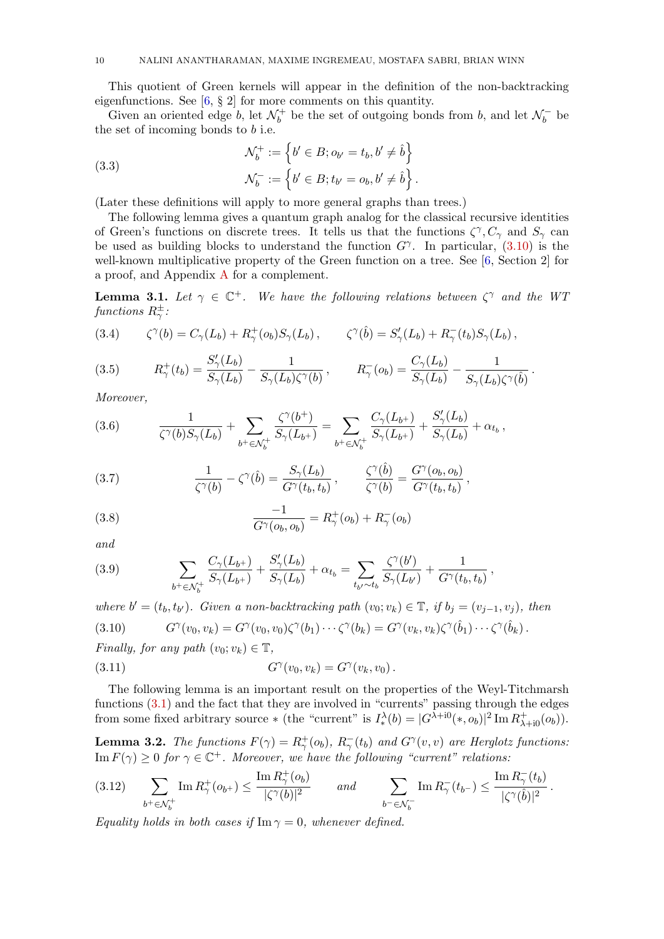This quotient of Green kernels will appear in the definition of the non-backtracking eigenfunctions. See [\[6,](#page-62-9) § 2] for more comments on this quantity.

Given an oriented edge b, let  $\mathcal{N}_h^+$  $\mathcal{b}_b^+$  be the set of outgoing bonds from b, and let  $\mathcal{N}_b^$  $b<sub>b</sub>$  be the set of incoming bonds to  $b$  i.e.

<span id="page-9-3"></span>(3.3)  
\n
$$
\mathcal{N}_b^+ := \left\{ b' \in B; o_{b'} = t_b, b' \neq \hat{b} \right\}
$$
\n
$$
\mathcal{N}_b^- := \left\{ b' \in B; t_{b'} = o_b, b' \neq \hat{b} \right\}.
$$

(Later these definitions will apply to more general graphs than trees.)

The following lemma gives a quantum graph analog for the classical recursive identities of Green's functions on discrete trees. It tells us that the functions  $\zeta^{\gamma}, C_{\gamma}$  and  $S_{\gamma}$  can be used as building blocks to understand the function  $G^{\gamma}$ . In particular, [\(3.10\)](#page-9-0) is the well-known multiplicative property of the Green function on a tree. See [\[6,](#page-62-9) Section 2] for a proof, and Appendix [A](#page-47-0) for a complement.

<span id="page-9-7"></span>**Lemma 3.1.** Let  $\gamma \in \mathbb{C}^+$ . We have the following relations between  $\zeta^{\gamma}$  and the WT functions  $R^{\pm}_{\gamma}$ :

<span id="page-9-6"></span>(3.4) 
$$
\zeta^{\gamma}(b) = C_{\gamma}(L_b) + R_{\gamma}^+(o_b)S_{\gamma}(L_b), \qquad \zeta^{\gamma}(\hat{b}) = S_{\gamma}'(L_b) + R_{\gamma}^-(t_b)S_{\gamma}(L_b),
$$

(3.5) 
$$
R_{\gamma}^{+}(t_{b}) = \frac{S_{\gamma}'(L_{b})}{S_{\gamma}(L_{b})} - \frac{1}{S_{\gamma}(L_{b})\zeta^{\gamma}(b)}, \qquad R_{\gamma}^{-}(o_{b}) = \frac{C_{\gamma}(L_{b})}{S_{\gamma}(L_{b})} - \frac{1}{S_{\gamma}(L_{b})\zeta^{\gamma}(\hat{b})}.
$$

Moreover,

<span id="page-9-2"></span>(3.6) 
$$
\frac{1}{\zeta^{\gamma}(b)S_{\gamma}(L_b)} + \sum_{b^+\in\mathcal{N}_b^+} \frac{\zeta^{\gamma}(b^+)}{S_{\gamma}(L_{b^+})} = \sum_{b^+\in\mathcal{N}_b^+} \frac{C_{\gamma}(L_{b^+})}{S_{\gamma}(L_{b^+})} + \frac{S'_{\gamma}(L_b)}{S_{\gamma}(L_b)} + \alpha_{t_b},
$$

<span id="page-9-1"></span>(3.7) 
$$
\frac{1}{\zeta^{\gamma}(b)} - \zeta^{\gamma}(\hat{b}) = \frac{S_{\gamma}(L_b)}{G^{\gamma}(t_b, t_b)}, \qquad \frac{\zeta^{\gamma}(\hat{b})}{\zeta^{\gamma}(b)} = \frac{G^{\gamma}(o_b, o_b)}{G^{\gamma}(t_b, t_b)},
$$

<span id="page-9-10"></span>(3.8) 
$$
\frac{-1}{G^{\gamma}(o_b, o_b)} = R_{\gamma}^{+}(o_b) + R_{\gamma}^{-}(o_b)
$$

and

<span id="page-9-9"></span>(3.9) 
$$
\sum_{b^+\in\mathcal{N}_b^+}\frac{C_{\gamma}(L_{b^+})}{S_{\gamma}(L_{b^+})}+\frac{S'_{\gamma}(L_b)}{S_{\gamma}(L_b)}+\alpha_{t_b}=\sum_{t_{b'}\sim t_b}\frac{\zeta^{\gamma}(b')}{S_{\gamma}(L_{b'})}+\frac{1}{G^{\gamma}(t_b,t_b)},
$$

<span id="page-9-0"></span>where  $b' = (t_b, t_{b'})$ . Given a non-backtracking path  $(v_0; v_k) \in \mathbb{T}$ , if  $b_j = (v_{j-1}, v_j)$ , then  $(3.10)$  $\gamma(v_0, v_k) = G^\gamma(v_0, v_0) \zeta^\gamma(b_1) \cdots \zeta^\gamma(b_k) = G^\gamma(v_k, v_k) \zeta^\gamma(\hat{b}_1) \cdots \zeta^\gamma(\hat{b}_k) \, .$ 

Finally, for any path  $(v_0; v_k) \in \mathbb{T}$ ,

<span id="page-9-4"></span>(3.11) 
$$
G^{\gamma}(v_0, v_k) = G^{\gamma}(v_k, v_0).
$$

The following lemma is an important result on the properties of the Weyl-Titchmarsh functions  $(3.1)$  and the fact that they are involved in "currents" passing through the edges from some fixed arbitrary source \* (the "current" is  $I^{\lambda}_{*}(b) = |G^{\lambda+10}(*, o_b)|^2 \operatorname{Im} R_{\lambda+10}^{+}(o_b)).$ 

<span id="page-9-8"></span>**Lemma 3.2.** The functions  $F(\gamma) = R_{\gamma}^+(o_b)$ ,  $R_{\gamma}^-(t_b)$  and  $G^{\gamma}(v, v)$  are Herglotz functions:  $\text{Im}\,F(\gamma) \geq 0$  for  $\gamma \in \mathbb{C}^+$ . Moreover, we have the following "current" relations:

<span id="page-9-5"></span>
$$
(3.12) \qquad \sum_{b^+\in\mathcal{N}_b^+} \operatorname{Im} R_\gamma^+(o_{b^+}) \le \frac{\operatorname{Im} R_\gamma^+(o_b)}{|\zeta^\gamma(b)|^2} \qquad \text{and} \qquad \sum_{b^-\in\mathcal{N}_b^-} \operatorname{Im} R_\gamma^-(t_{b^-}) \le \frac{\operatorname{Im} R_\gamma^-(t_b)}{|\zeta^\gamma(\hat{b})|^2}.
$$

Equality holds in both cases if  $\text{Im }\gamma = 0$ , whenever defined.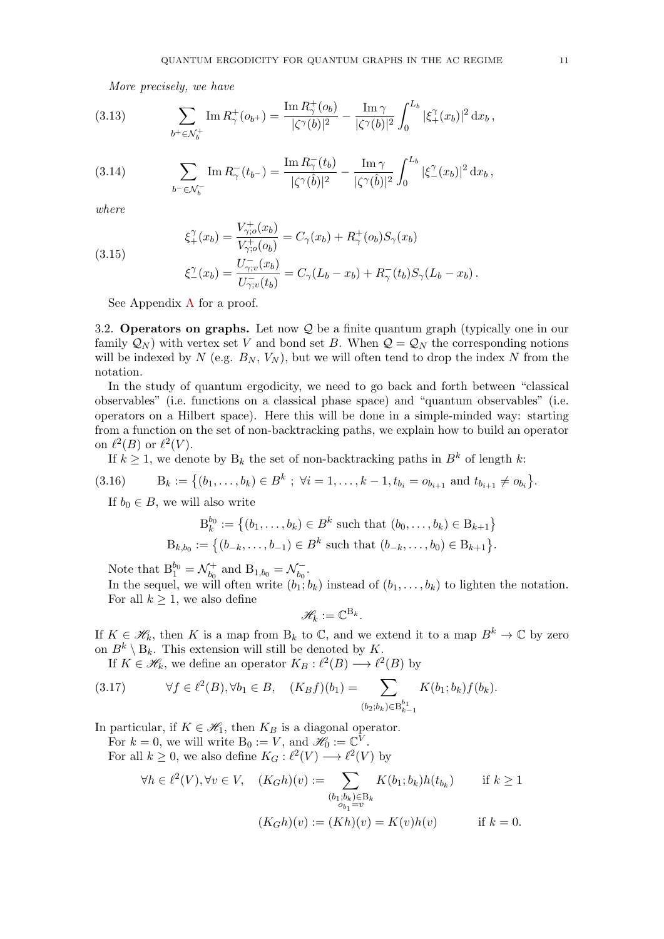<span id="page-10-2"></span>More precisely, we have

(3.13) 
$$
\sum_{b^+\in\mathcal{N}_b^+} \text{Im}\, R_\gamma^+(o_{b^+}) = \frac{\text{Im}\, R_\gamma^+(o_b)}{|\zeta^\gamma(b)|^2} - \frac{\text{Im}\,\gamma}{|\zeta^\gamma(b)|^2} \int_0^{L_b} |\xi_+^\gamma(x_b)|^2 \,dx_b,
$$

(3.14) 
$$
\sum_{b^- \in \mathcal{N}_b^-} \text{Im} \, R_\gamma^-(t_{b^-}) = \frac{\text{Im} \, R_\gamma^-(t_b)}{|\zeta^\gamma(\hat{b})|^2} - \frac{\text{Im} \, \gamma}{|\zeta^\gamma(\hat{b})|^2} \int_0^{L_b} |\xi^\gamma_-(x_b)|^2 \, \mathrm{d}x_b,
$$

where

(3.15)

<span id="page-10-3"></span>
$$
\xi_+^{\gamma}(x_b) = \frac{V_{\gamma;o}^+(x_b)}{V_{\gamma;o}^+(o_b)} = C_{\gamma}(x_b) + R_{\gamma}^+(o_b)S_{\gamma}(x_b)
$$
  

$$
U_{\gamma,(x_b)}^{-}(x_b)
$$

<span id="page-10-4"></span>
$$
\xi_{-}^{\gamma}(x_b) = \frac{U_{\gamma;v}^{-}(x_b)}{U_{\gamma;v}^{-}(t_b)} = C_{\gamma}(L_b - x_b) + R_{\gamma}^{-}(t_b)S_{\gamma}(L_b - x_b).
$$

See Appendix [A](#page-47-0) for a proof.

3.2. Operators on graphs. Let now Q be a finite quantum graph (typically one in our family  $\mathcal{Q}_N$ ) with vertex set V and bond set B. When  $\mathcal{Q} = \mathcal{Q}_N$  the corresponding notions will be indexed by N (e.g.  $B_N$ ,  $V_N$ ), but we will often tend to drop the index N from the notation.

In the study of quantum ergodicity, we need to go back and forth between "classical observables" (i.e. functions on a classical phase space) and "quantum observables" (i.e. operators on a Hilbert space). Here this will be done in a simple-minded way: starting from a function on the set of non-backtracking paths, we explain how to build an operator on  $\ell^2(B)$  or  $\ell^2(V)$ .

If  $k \geq 1$ , we denote by  $B_k$  the set of non-backtracking paths in  $B^k$  of length k:

$$
(3.16) \t Bk := \{(b_1, \ldots, b_k) \in B^k \; ; \; \forall i = 1, \ldots, k-1, t_{b_i} = o_{b_{i+1}} \text{ and } t_{b_{i+1}} \neq o_{b_i}\}.
$$

If  $b_0 \in B$ , we will also write

<span id="page-10-0"></span>
$$
B_k^{b_0} := \left\{ (b_1, \dots, b_k) \in B^k \text{ such that } (b_0, \dots, b_k) \in B_{k+1} \right\}
$$
  

$$
B_{k,b_0} := \left\{ (b_{-k}, \dots, b_{-1}) \in B^k \text{ such that } (b_{-k}, \dots, b_0) \in B_{k+1} \right\}.
$$

Note that  $B_1^{b_0} = \mathcal{N}_{b_0}^+$  $b_0^+$  and  $B_{1,b_0} = \mathcal{N}_{b_0}^ \tilde{b_0}$  .

In the sequel, we will often write  $(b_1; b_k)$  instead of  $(b_1, \ldots, b_k)$  to lighten the notation. For all  $k \geq 1$ , we also define

$$
\mathscr{H}_k := \mathbb{C}^{\mathbf{B}_k}.
$$

If  $K \in \mathcal{H}_k$ , then K is a map from  $B_k$  to  $\mathbb{C}$ , and we extend it to a map  $B^k \to \mathbb{C}$  by zero on  $B^k \setminus B_k$ . This extension will still be denoted by K.

<span id="page-10-1"></span>If  $K \in \mathcal{H}_k$ , we define an operator  $K_B: \ell^2(B) \longrightarrow \ell^2(B)$  by

$$
(3.17) \t\t \forall f \in \ell^2(B), \forall b_1 \in B, \quad (K_B f)(b_1) = \sum_{(b_2; b_k) \in B_{k-1}^{b_1}} K(b_1; b_k) f(b_k).
$$

In particular, if  $K \in \mathcal{H}_1$ , then  $K_B$  is a diagonal operator.

For  $k = 0$ , we will write  $B_0 := V$ , and  $\mathscr{H}_0 := \mathbb{C}^V$ . For all  $k \geq 0$ , we also define  $K_G : \ell^2(V) \longrightarrow \ell^2(V)$  by

$$
\forall h \in \ell^2(V), \forall v \in V, \quad (K_G h)(v) := \sum_{\substack{(b_1; b_k) \in B_k \\ o_{b_1} = v}} K(b_1; b_k) h(t_{b_k}) \quad \text{if } k \ge 1
$$

$$
(K_G h)(v) := (Kh)(v) = K(v)h(v) \quad \text{if } k = 0.
$$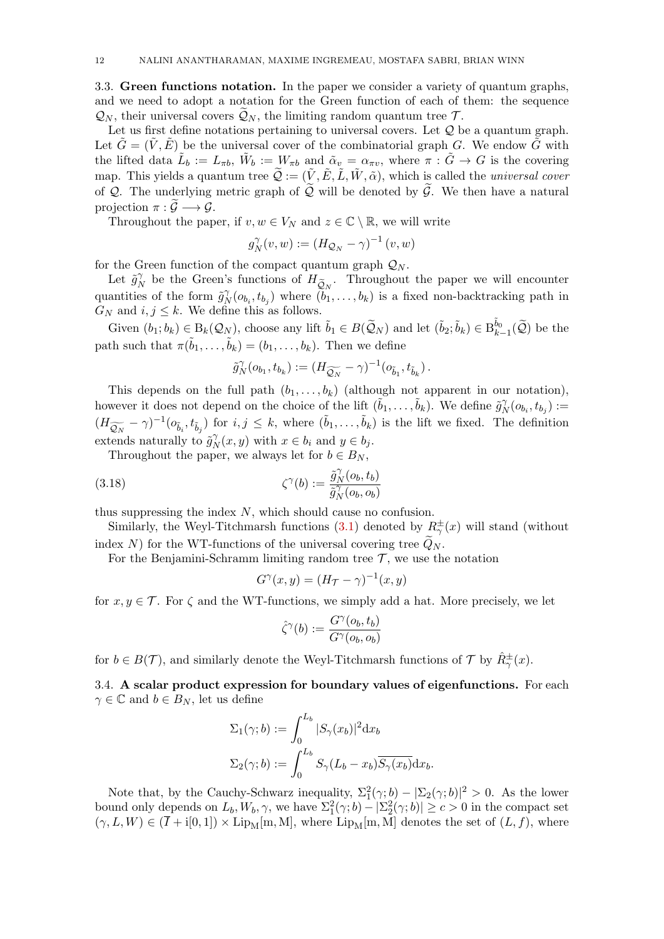<span id="page-11-0"></span>3.3. Green functions notation. In the paper we consider a variety of quantum graphs, and we need to adopt a notation for the Green function of each of them: the sequence  $\mathcal{Q}_N$ , their universal covers  $\widetilde{\mathcal{Q}}_N$ , the limiting random quantum tree T.

Let us first define notations pertaining to universal covers. Let  $Q$  be a quantum graph. Let  $\tilde{G} = (\tilde{V}, \tilde{E})$  be the universal cover of the combinatorial graph G. We endow  $\tilde{G}$  with the lifted data  $\tilde{L}_b := L_{\pi b}$ ,  $\tilde{W}_b := W_{\pi b}$  and  $\tilde{\alpha}_v = \alpha_{\pi v}$ , where  $\pi : \tilde{G} \to G$  is the covering map. This yields a quantum tree  $\widetilde{Q} := (\widetilde{V}, \widetilde{E}, \widetilde{L}, \widetilde{W}, \widetilde{\alpha})$ , which is called the *universal cover* of Q. The underlying metric graph of  $\tilde{Q}$  will be denoted by  $\tilde{G}$ . We then have a natural projection  $\pi : \widetilde{\mathcal{G}} \longrightarrow \mathcal{G}$ .

Throughout the paper, if  $v, w \in V_N$  and  $z \in \mathbb{C} \setminus \mathbb{R}$ , we will write

$$
g_N^{\gamma}(v, w) := (H_{\mathcal{Q}_N} - \gamma)^{-1}(v, w)
$$

for the Green function of the compact quantum graph  $\mathcal{Q}_N$ .

Let  $\tilde{g}_N^{\gamma}$  $\widetilde{N}_N$  be the Green's functions of  $H_{\widetilde{Q}_N}$ . Throughout the paper we will encounter quantities of the form  $\tilde{g}_N^{\gamma}$  $N_N(\mathfrak{o}_{b_i}, t_{b_j})$  where  $(b_1, \ldots, b_k)$  is a fixed non-backtracking path in  $G_N$  and  $i, j \leq k$ . We define this as follows.

Given  $(b_1; b_k) \in B_k(\mathcal{Q}_N)$ , choose any lift  $\tilde{b}_1 \in B(\widetilde{\mathcal{Q}}_N)$  and let  $(\tilde{b}_2; \tilde{b}_k) \in B_{k-1}^{\tilde{b}_0}(\widetilde{\mathcal{Q}})$  be the path such that  $\pi(\tilde{b}_1, \ldots, \tilde{b}_k) = (b_1, \ldots, b_k)$ . Then we define

$$
\tilde{g}_N^{\gamma}(o_{b_1},t_{b_k}) := (H_{\widetilde{\mathcal{Q}_N}} - \gamma)^{-1}(o_{\tilde{b}_1},t_{\tilde{b}_k}).
$$

This depends on the full path  $(b_1, \ldots, b_k)$  (although not apparent in our notation), however it does not depend on the choice of the lift  $(\tilde{b}_1, \ldots, \tilde{b}_k)$ . We define  $\tilde{g}_k^{\gamma}$  $\partial_N^{\gamma}(o_{b_i}, t_{b_j}) :=$  $(H_{\widetilde{Q_N}} - \gamma)^{-1} (o_{\tilde{b}_i}, t_{\tilde{b}_j})$  for  $i, j \leq k$ , where  $(\tilde{b}_1, \ldots, \tilde{b}_k)$  is the lift we fixed. The definition extends naturally to  $\tilde{g}_{N}^{\gamma}$  $N(x, y)$  with  $x \in b_i$  and  $y \in b_j$ .

Throughout the paper, we always let for  $b \in B_N$ ,

(3.18) 
$$
\zeta^{\gamma}(b) := \frac{\tilde{g}_N^{\gamma}(o_b, t_b)}{\tilde{g}_N^{\gamma}(o_b, o_b)}
$$

thus suppressing the index N, which should cause no confusion.

Similarly, the Weyl-Titchmarsh functions [\(3.1\)](#page-8-2) denoted by  $R^{\pm}_{\gamma}(x)$  will stand (without index N) for the WT-functions of the universal covering tree  $\widetilde{Q}_N$ .

For the Benjamini-Schramm limiting random tree  $\mathcal{T}$ , we use the notation

<span id="page-11-1"></span>
$$
G^{\gamma}(x,y) = (H_{\mathcal{T}} - \gamma)^{-1}(x,y)
$$

for  $x, y \in \mathcal{T}$ . For  $\zeta$  and the WT-functions, we simply add a hat. More precisely, we let

$$
\hat{\zeta}^{\gamma}(b) := \frac{G^{\gamma}(o_b, t_b)}{G^{\gamma}(o_b, o_b)}
$$

for  $b \in B(\mathcal{T})$ , and similarly denote the Weyl-Titchmarsh functions of  $\mathcal{T}$  by  $\hat{R}^{\pm}_{\gamma}(x)$ .

<span id="page-11-2"></span>3.4. A scalar product expression for boundary values of eigenfunctions. For each  $\gamma \in \mathbb{C}$  and  $b \in B_N$ , let us define

$$
\Sigma_1(\gamma; b) := \int_0^{L_b} |S_{\gamma}(x_b)|^2 dx_b
$$
  

$$
\Sigma_2(\gamma; b) := \int_0^{L_b} S_{\gamma}(L_b - x_b) \overline{S_{\gamma}(x_b)} dx_b.
$$

Note that, by the Cauchy-Schwarz inequality,  $\Sigma_1^2(\gamma;b) - |\Sigma_2(\gamma;b)|^2 > 0$ . As the lower bound only depends on  $L_b, W_b, \gamma$ , we have  $\Sigma_1^2(\gamma; b) - |\Sigma_2^2(\gamma; b)| \ge c > 0$  in the compact set  $(\gamma, L, W) \in (\overline{I} + i[0, 1]) \times \text{Lip}_{M}[\text{m}, M]$ , where  $\text{Lip}_{M}[\text{m}, M]$  denotes the set of  $(L, f)$ , where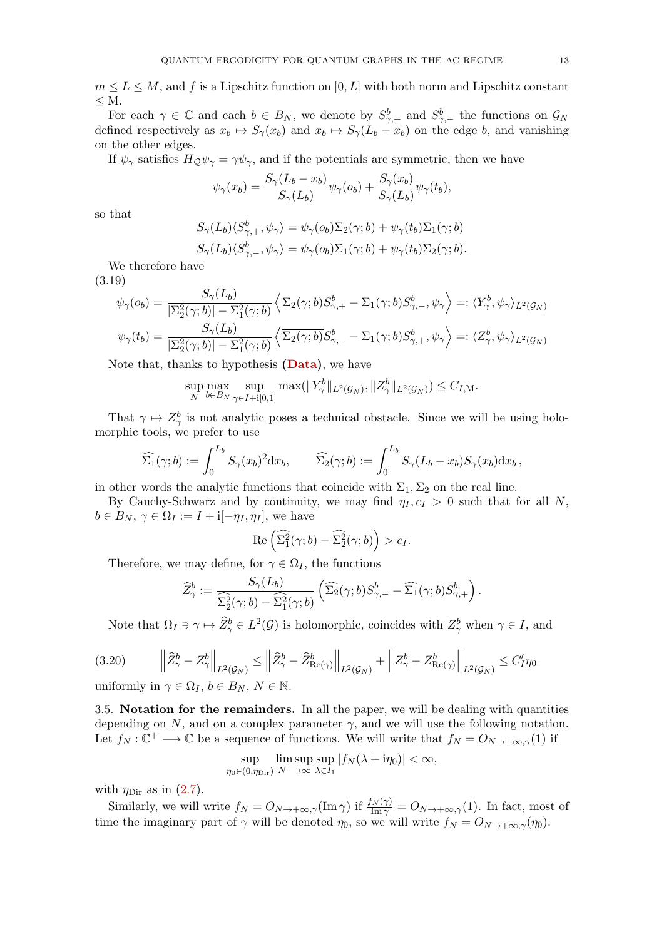$m \leq L \leq M$ , and f is a Lipschitz function on  $[0, L]$  with both norm and Lipschitz constant  $\leq M$ .

For each  $\gamma \in \mathbb{C}$  and each  $b \in B_N$ , we denote by  $S^b_{\gamma,+}$  and  $S^b_{\gamma,-}$  the functions on  $\mathcal{G}_N$ defined respectively as  $x_b \mapsto S_{\gamma}(x_b)$  and  $x_b \mapsto S_{\gamma}(L_b - x_b)$  on the edge b, and vanishing on the other edges.

If  $\psi_{\gamma}$  satisfies  $H_{\mathcal{Q}}\psi_{\gamma} = \gamma\psi_{\gamma}$ , and if the potentials are symmetric, then we have

$$
\psi_{\gamma}(x_b) = \frac{S_{\gamma}(L_b - x_b)}{S_{\gamma}(L_b)} \psi_{\gamma}(o_b) + \frac{S_{\gamma}(x_b)}{S_{\gamma}(L_b)} \psi_{\gamma}(t_b),
$$

so that

$$
S_{\gamma}(L_b)\langle S_{\gamma,+}^b, \psi_{\gamma} \rangle = \psi_{\gamma}(o_b)\Sigma_2(\gamma;b) + \psi_{\gamma}(t_b)\Sigma_1(\gamma;b)
$$
  

$$
S_{\gamma}(L_b)\langle S_{\gamma,-}^b, \psi_{\gamma} \rangle = \psi_{\gamma}(o_b)\Sigma_1(\gamma;b) + \psi_{\gamma}(t_b)\overline{\Sigma_2(\gamma;b)}.
$$

We therefore have

(3.19)

<span id="page-12-0"></span>
$$
\psi_{\gamma}(o_b) = \frac{S_{\gamma}(L_b)}{|\Sigma_2^2(\gamma;b)| - \Sigma_1^2(\gamma;b)} \left\langle \Sigma_2(\gamma;b)S_{\gamma,+}^b - \Sigma_1(\gamma;b)S_{\gamma,-}^b, \psi_{\gamma} \right\rangle =: \left\langle Y_{\gamma}^b, \psi_{\gamma} \right\rangle_{L^2(\mathcal{G}_N)}
$$

$$
\psi_{\gamma}(t_b) = \frac{S_{\gamma}(L_b)}{|\Sigma_2^2(\gamma;b)| - \Sigma_1^2(\gamma;b)} \left\langle \Sigma_2(\gamma;b)S_{\gamma,-}^b - \Sigma_1(\gamma;b)S_{\gamma,+}^b, \psi_{\gamma} \right\rangle =: \left\langle Z_{\gamma}^b, \psi_{\gamma} \right\rangle_{L^2(\mathcal{G}_N)}
$$

Note that, thanks to hypothesis (**Data**), we have

$$
\sup_{N} \max_{b \in B_N} \sup_{\gamma \in I + i[0,1]} \max(||Y^b_{\gamma}||_{L^2(\mathcal{G}_N)}, ||Z^b_{\gamma}||_{L^2(\mathcal{G}_N)}) \leq C_{I,M}.
$$

That  $\gamma \mapsto Z_{\gamma}^{b}$  is not analytic poses a technical obstacle. Since we will be using holomorphic tools, we prefer to use

$$
\widehat{\Sigma_1}(\gamma;b) := \int_0^{L_b} S_{\gamma}(x_b)^2 dx_b, \qquad \widehat{\Sigma_2}(\gamma;b) := \int_0^{L_b} S_{\gamma}(L_b-x_b)S_{\gamma}(x_b)dx_b,
$$

in other words the analytic functions that coincide with  $\Sigma_1, \Sigma_2$  on the real line.

By Cauchy-Schwarz and by continuity, we may find  $\eta_I, c_I > 0$  such that for all N,  $b \in B_N$ ,  $\gamma \in \Omega_I := I + i[-\eta_I, \eta_I]$ , we have

$$
\operatorname{Re}\left(\widehat{\Sigma}_{1}^{2}(\gamma;b)-\widehat{\Sigma}_{2}^{2}(\gamma;b)\right)>c_{I}.
$$

Therefore, we may define, for  $\gamma \in \Omega_I$ , the functions

$$
\widehat{Z}^b_\gamma:=\frac{S_\gamma(L_b)}{\widehat{\Sigma_2^2}(\gamma;b)-\widehat{\Sigma_1^2}(\gamma;b)}\left(\widehat{\Sigma_2}(\gamma;b)S^b_{\gamma,-}-\widehat{\Sigma_1}(\gamma;b)S^b_{\gamma,+}\right).
$$

<span id="page-12-1"></span>Note that  $\Omega_I \ni \gamma \mapsto \hat{Z}^b_\gamma \in L^2(\mathcal{G})$  is holomorphic, coincides with  $Z^b_\gamma$  when  $\gamma \in I$ , and

$$
(3.20) \t\left\|\widehat{Z}_{\gamma}^{b} - Z_{\gamma}^{b}\right\|_{L^{2}(\mathcal{G}_{N})} \leq \left\|\widehat{Z}_{\gamma}^{b} - \widehat{Z}_{\text{Re}(\gamma)}^{b}\right\|_{L^{2}(\mathcal{G}_{N})} + \left\|Z_{\gamma}^{b} - Z_{\text{Re}(\gamma)}^{b}\right\|_{L^{2}(\mathcal{G}_{N})} \leq C'_{I}\eta_{0}
$$

uniformly in  $\gamma \in \Omega_I$ ,  $b \in B_N$ ,  $N \in \mathbb{N}$ .

3.5. Notation for the remainders. In all the paper, we will be dealing with quantities depending on N, and on a complex parameter  $\gamma$ , and we will use the following notation. Let  $f_N: \mathbb{C}^+ \longrightarrow \mathbb{C}$  be a sequence of functions. We will write that  $f_N = O_{N \to +\infty, \gamma}(1)$  if

$$
\sup_{\eta_0 \in (0,\eta_{\text{Dir}})} \limsup_{N \to \infty} \sup_{\lambda \in I_1} |f_N(\lambda + i\eta_0)| < \infty,
$$

with  $\eta_{\text{Dir}}$  as in [\(2.7\)](#page-5-3).

Similarly, we will write  $f_N = O_{N \to +\infty,\gamma}(\text{Im }\gamma)$  if  $\frac{f_N(\gamma)}{\text{Im }\gamma} = O_{N \to +\infty,\gamma}(1)$ . In fact, most of time the imaginary part of  $\gamma$  will be denoted  $\eta_0$ , so we will write  $f_N = O_{N \to +\infty,\gamma}(\eta_0)$ .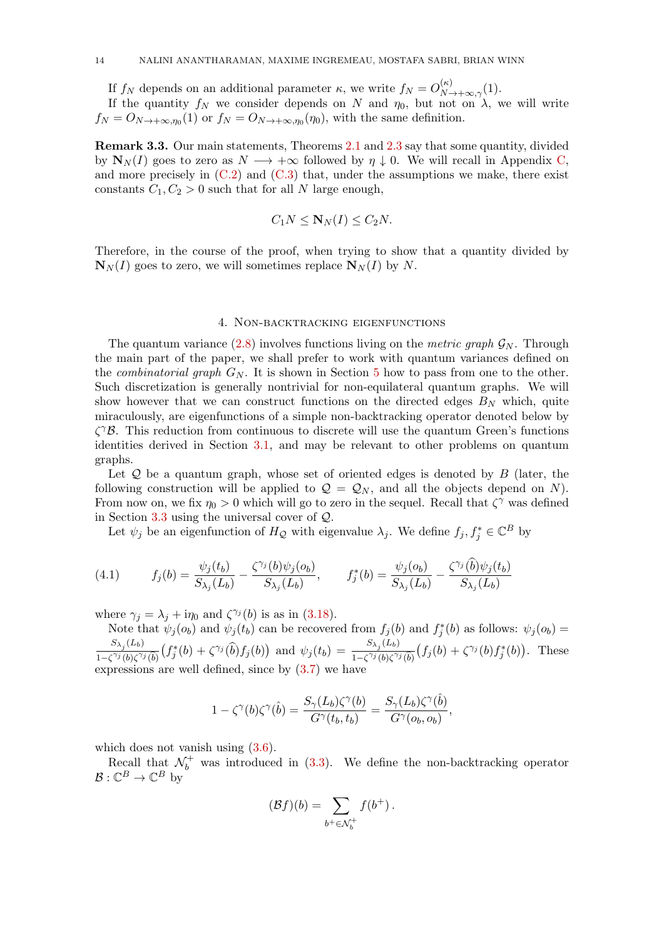If  $f_N$  depends on an additional parameter  $\kappa$ , we write  $f_N = O_{N \to +\infty,\gamma}^{(\kappa)}(1)$ .

If the quantity  $f_N$  we consider depends on N and  $\eta_0$ , but not on  $\lambda$ , we will write  $f_N = O_{N \to +\infty,\eta_0}(1)$  or  $f_N = O_{N \to +\infty,\eta_0}(\eta_0)$ , with the same definition.

Remark 3.3. Our main statements, Theorems [2.1](#page-5-2) and [2.3](#page-7-2) say that some quantity, divided by  $\mathbf{N}_N(I)$  goes to zero as  $N \longrightarrow +\infty$  followed by  $\eta \downarrow 0$ . We will recall in Appendix [C,](#page-56-0) and more precisely in  $(C.2)$  and  $(C.3)$  that, under the assumptions we make, there exist constants  $C_1, C_2 > 0$  such that for all N large enough,

$$
C_1N \leq \mathbf{N}_N(I) \leq C_2N.
$$

Therefore, in the course of the proof, when trying to show that a quantity divided by  $\mathbf{N}_N(I)$  goes to zero, we will sometimes replace  $\mathbf{N}_N(I)$  by N.

## 4. Non-backtracking eigenfunctions

<span id="page-13-0"></span>The quantum variance  $(2.8)$  involves functions living on the metric graph  $\mathcal{G}_N$ . Through the main part of the paper, we shall prefer to work with quantum variances defined on the *combinatorial graph*  $G_N$ . It is shown in Section [5](#page-16-0) how to pass from one to the other. Such discretization is generally nontrivial for non-equilateral quantum graphs. We will show however that we can construct functions on the directed edges  $B<sub>N</sub>$  which, quite miraculously, are eigenfunctions of a simple non-backtracking operator denoted below by  $\zeta^{\gamma}$ B. This reduction from continuous to discrete will use the quantum Green's functions identities derived in Section [3.1,](#page-8-1) and may be relevant to other problems on quantum graphs.

Let  $Q$  be a quantum graph, whose set of oriented edges is denoted by  $B$  (later, the following construction will be applied to  $\mathcal{Q} = \mathcal{Q}_N$ , and all the objects depend on N). From now on, we fix  $\eta_0 > 0$  which will go to zero in the sequel. Recall that  $\zeta^{\gamma}$  was defined in Section [3.3](#page-11-0) using the universal cover of Q.

Let  $\psi_j$  be an eigenfunction of  $H_Q$  with eigenvalue  $\lambda_j$ . We define  $f_j, f_j^* \in \mathbb{C}^B$  by

<span id="page-13-1"></span>(4.1) 
$$
f_j(b) = \frac{\psi_j(t_b)}{S_{\lambda_j}(L_b)} - \frac{\zeta^{\gamma_j}(b)\psi_j(o_b)}{S_{\lambda_j}(L_b)}, \qquad f_j^*(b) = \frac{\psi_j(o_b)}{S_{\lambda_j}(L_b)} - \frac{\zeta^{\gamma_j}(\hat{b})\psi_j(t_b)}{S_{\lambda_j}(L_b)}
$$

where  $\gamma_j = \lambda_j + i\eta_0$  and  $\zeta^{\gamma_j}(b)$  is as in [\(3.18\)](#page-11-1).

Note that  $\psi_j(o_b)$  and  $\psi_j(t_b)$  can be recovered from  $f_j(b)$  and  $f_j^*(b)$  as follows:  $\psi_j(o_b)$  $S_{\lambda_j}(L_b)$  $\frac{S_{\lambda_j}(L_b)}{1-\zeta^{\gamma_j}(b)\zeta^{\gamma_j}(\hat{b})}\left(f_j^*(b)+\zeta^{\gamma_j}(\hat{b})f_j(b)\right)$  and  $\psi_j(t_b) = \frac{S_{\lambda_j}(L_b)}{1-\zeta^{\gamma_j}(b)\zeta^{\gamma_j}}$  $\frac{D\lambda_j(b)}{1-\zeta^{\gamma_j}(b)\zeta^{\gamma_j}(\delta)}(f_j(b)+\zeta^{\gamma_j}(b)f_j^*(b)).$  These expressions are well defined, since by [\(3.7\)](#page-9-1) we have

$$
1-\zeta^\gamma(b)\zeta^\gamma(\hat b) = \frac{S_\gamma(L_b)\zeta^\gamma(b)}{G^\gamma(t_b,t_b)} = \frac{S_\gamma(L_b)\zeta^\gamma(\hat b)}{G^\gamma(o_b,o_b)},
$$

which does not vanish using  $(3.6)$ .

Recall that  $\mathcal{N}_b^+$  was introduced in [\(3.3\)](#page-9-3). We define the non-backtracking operator  $\mathcal{B}: \mathbb{C}^B \to \mathbb{C}^B$  by

$$
(\mathcal{B}f)(b) = \sum_{b^+ \in \mathcal{N}_b^+} f(b^+).
$$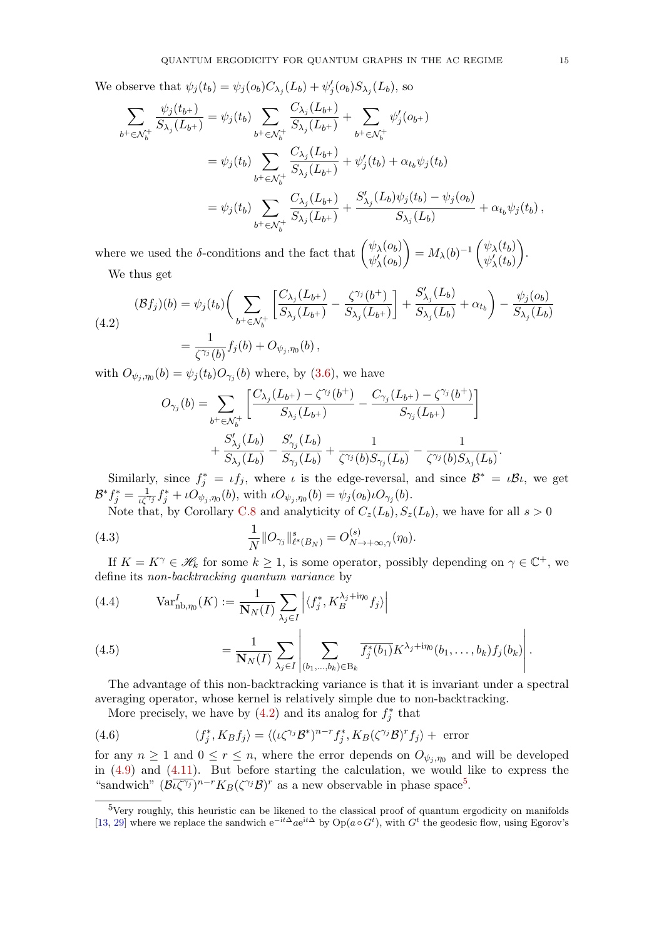We observe that  $\psi_j(t_b) = \psi_j(o_b) C_{\lambda_j}(L_b) + \psi'_j(o_b) S_{\lambda_j}(L_b)$ , so

$$
\sum_{b^+\in\mathcal{N}_b^+} \frac{\psi_j(t_{b^+})}{S_{\lambda_j}(L_{b^+})} = \psi_j(t_b) \sum_{b^+\in\mathcal{N}_b^+} \frac{C_{\lambda_j}(L_{b^+})}{S_{\lambda_j}(L_{b^+})} + \sum_{b^+\in\mathcal{N}_b^+} \psi'_j(o_{b^+})
$$
\n
$$
= \psi_j(t_b) \sum_{b^+\in\mathcal{N}_b^+} \frac{C_{\lambda_j}(L_{b^+})}{S_{\lambda_j}(L_{b^+})} + \psi'_j(t_b) + \alpha_{t_b}\psi_j(t_b)
$$
\n
$$
= \psi_j(t_b) \sum_{b^+\in\mathcal{N}_b^+} \frac{C_{\lambda_j}(L_{b^+})}{S_{\lambda_j}(L_{b^+})} + \frac{S'_{\lambda_j}(L_b)\psi_j(t_b) - \psi_j(o_b)}{S_{\lambda_j}(L_b)} + \alpha_{t_b}\psi_j(t_b),
$$

where we used the  $\delta$ -conditions and the fact that  $\begin{pmatrix} \psi_{\lambda}(o_{b}) \\ \psi_{\lambda}(o_{b}) \end{pmatrix}$  $\psi_\lambda'(o_b)$  $= M_{\lambda}(b)^{-1} \left( \psi_{\lambda}(t_b) \over \psi'(t_b) \right)$  $\psi_\lambda'(t_b)$  . We thus get

<span id="page-14-0"></span>(4.2)  
\n
$$
(\mathcal{B}f_j)(b) = \psi_j(t_b) \bigg( \sum_{b^+ \in \mathcal{N}_b^+} \left[ \frac{C_{\lambda_j}(L_{b^+})}{S_{\lambda_j}(L_{b^+})} - \frac{\zeta^{\gamma_j}(b^+)}{S_{\lambda_j}(L_{b^+})} \right] + \frac{S'_{\lambda_j}(L_b)}{S_{\lambda_j}(L_b)} + \alpha_{t_b} \bigg) - \frac{\psi_j(o_b)}{S_{\lambda_j}(L_b)}
$$
\n
$$
= \frac{1}{\zeta^{\gamma_j}(b)} f_j(b) + O_{\psi_j, \eta_0}(b),
$$

with  $O_{\psi_j,\eta_0}(b) = \psi_j(t_b)O_{\gamma_j}(b)$  where, by [\(3.6\)](#page-9-2), we have

$$
O_{\gamma_j}(b) = \sum_{b^+ \in \mathcal{N}_b^+} \left[ \frac{C_{\lambda_j}(L_{b^+}) - \zeta^{\gamma_j}(b^+)}{S_{\lambda_j}(L_{b^+})} - \frac{C_{\gamma_j}(L_{b^+}) - \zeta^{\gamma_j}(b^+)}{S_{\gamma_j}(L_{b^+})} \right] + \frac{S'_{\lambda_j}(L_b)}{S_{\lambda_j}(L_b)} - \frac{S'_{\gamma_j}(L_b)}{S_{\gamma_j}(L_b)} + \frac{1}{\zeta^{\gamma_j}(b)S_{\gamma_j}(L_b)} - \frac{1}{\zeta^{\gamma_j}(b)S_{\lambda_j}(L_b)}.
$$

Similarly, since  $f_j^* = \iota f_j$ , where  $\iota$  is the edge-reversal, and since  $\mathcal{B}^* = \iota \mathcal{B} \iota$ , we get  $\mathcal{B}^* f_j^* = \frac{1}{\iota \zeta^{\gamma_j}} f_j^* + \iota O_{\psi_j, \eta_0}(b)$ , with  $\iota O_{\psi_j, \eta_0}(b) = \psi_j(o_b) \iota O_{\gamma_j}(b)$ .

<span id="page-14-4"></span>Note that, by Corollary [C.8](#page-61-0) and analyticity of  $C_z(L_b)$ ,  $S_z(L_b)$ , we have for all  $s > 0$ 

(4.3) 
$$
\frac{1}{N} \|O_{\gamma_j}\|_{\ell^s(B_N)}^s = O_{N \to +\infty,\gamma}^{(s)}(\eta_0).
$$

If  $K = K^{\gamma} \in \mathcal{H}_k$  for some  $k \geq 1$ , is some operator, possibly depending on  $\gamma \in \mathbb{C}^+$ , we define its non-backtracking quantum variance by

<span id="page-14-3"></span>(4.4) 
$$
\operatorname{Var}_{\text{nb}, \eta_0}^I(K) := \frac{1}{\mathbf{N}_N(I)} \sum_{\lambda_j \in I} \left| \langle f_j^*, K_B^{\lambda_j + i\eta_0} f_j \rangle \right|
$$

$$
= \frac{1}{\mathbf{N}_N(I)} \sum_{\lambda_j \in I} \left| \sum_{(b_1, \dots, b_k) \in B_k} \overline{f_j^*(b_1)} K^{\lambda_j + i\eta_0} (b_1, \dots, b_k) f_j(b_k) \right|.
$$

The advantage of this non-backtracking variance is that it is invariant under a spectral averaging operator, whose kernel is relatively simple due to non-backtracking.

More precisely, we have by  $(4.2)$  and its analog for  $f_j^*$  that

<span id="page-14-2"></span>(4.6) 
$$
\langle f_j^*, K_B f_j \rangle = \langle (\iota \zeta^{\gamma_j} \mathcal{B}^*)^{n-r} f_j^*, K_B (\zeta^{\gamma_j} \mathcal{B})^r f_j \rangle + \text{ error}
$$

for any  $n \geq 1$  and  $0 \leq r \leq n$ , where the error depends on  $O_{\psi_j, \eta_0}$  and will be developed in  $(4.9)$  and  $(4.11)$ . But before starting the calculation, we would like to express the "sandwich"  $(\mathcal{B}(\overline{\zeta^{\gamma_j}})^{n-r} K_B(\zeta^{\gamma_j} \mathcal{B})^r$  as a new observable in phase space<sup>[5](#page-14-1)</sup>.

 $\overline{\phantom{a}}$ 

<span id="page-14-1"></span> $5$ Very roughly, this heuristic can be likened to the classical proof of quantum ergodicity on manifolds [\[13,](#page-62-0) [29\]](#page-63-2) where we replace the sandwich  $e^{-it\Delta}ae^{it\Delta}$  by  $Op(a \circ G^t)$ , with  $G^t$  the geodesic flow, using Egorov's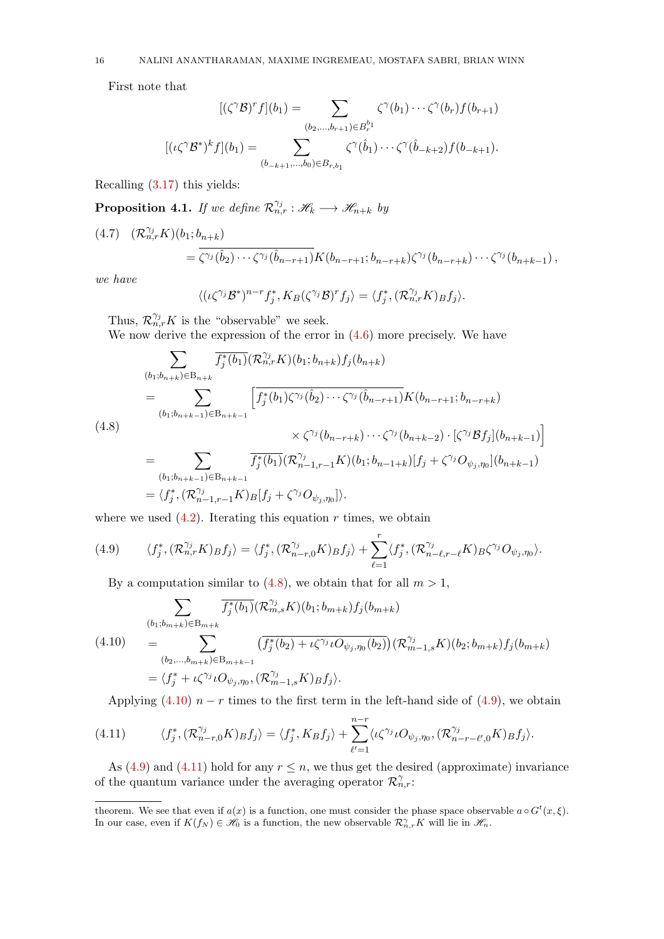First note that

$$
[(\zeta^{\gamma} \mathcal{B})^r f](b_1) = \sum_{(b_2,...,b_{r+1}) \in B_r^{b_1}} \zeta^{\gamma}(b_1) \cdots \zeta^{\gamma}(b_r) f(b_{r+1})
$$

$$
[(\iota \zeta^{\gamma} \mathcal{B}^*)^k f](b_1) = \sum_{(b_{-k+1},...,b_0) \in B_{r,b_1}} \zeta^{\gamma}(\hat{b}_1) \cdots \zeta^{\gamma}(\hat{b}_{-k+2}) f(b_{-k+1}).
$$

Recalling [\(3.17\)](#page-10-1) this yields:

**Proposition 4.1.** If we define  $\mathcal{R}_{n,r}^{\gamma_j} : \mathscr{H}_k \longrightarrow \mathscr{H}_{n+k}$  by

<span id="page-15-4"></span>
$$
(4.7) \quad (\mathcal{R}_{n,r}^{\gamma_j} K)(b_1; b_{n+k}) = \overline{\zeta^{\gamma_j}(\hat{b}_2) \cdots \zeta^{\gamma_j}(\hat{b}_{n-r+1})} K(b_{n-r+1}; b_{n-r+k}) \zeta^{\gamma_j} (b_{n-r+k}) \cdots \zeta^{\gamma_j} (b_{n+k-1}),
$$

we have

$$
\langle (\iota \zeta^{\gamma_j} \mathcal{B}^*)^{n-r} f_j^*, K_B(\zeta^{\gamma_j} \mathcal{B})^r f_j \rangle = \langle f_j^*, (\mathcal{R}_{n,r}^{\gamma_j} K)_B f_j \rangle.
$$

Thus,  $\mathcal{R}_{n,r}^{\gamma_j}K$  is the "observable" we seek.

We now derive the expression of the error in [\(4.6\)](#page-14-2) more precisely. We have

<span id="page-15-2"></span>
$$
\sum_{(b_1; b_{n+k}) \in B_{n+k}} \overline{f_j^*(b_1)} (\mathcal{R}_{n,r}^{\gamma_j} K)(b_1; b_{n+k}) f_j(b_{n+k})
$$
\n
$$
= \sum_{(b_1; b_{n+k-1}) \in B_{n+k-1}} \left[ f_j^*(b_1) \zeta^{\gamma_j} (\hat{b}_2) \cdots \zeta^{\gamma_j} (\hat{b}_{n-r+1}) K(b_{n-r+1}; b_{n-r+k}) \right]
$$
\n
$$
\times \zeta^{\gamma_j} (b_{n-r+k}) \cdots \zeta^{\gamma_j} (b_{n+k-2}) \cdot [\zeta^{\gamma_j} \mathcal{B} f_j](b_{n+k-1}) \right]
$$
\n
$$
= \sum_{(b_1; b_{n+k-1}) \in B_{n+k-1}} \overline{f_j^*(b_1)} (\mathcal{R}_{n-1,r-1}^{\gamma_j} K)(b_1; b_{n-1+k}) [f_j + \zeta^{\gamma_j} O_{\psi_j, \eta_0}](b_{n+k-1})
$$
\n
$$
= \langle f_j^*, (\mathcal{R}_{n-1,r-1}^{\gamma_j} K)_{B}[f_j + \zeta^{\gamma_j} O_{\psi_j, \eta_0}] \rangle.
$$

where we used  $(4.2)$ . Iterating this equation r times, we obtain

<span id="page-15-0"></span>(4.9) 
$$
\langle f_j^*, (\mathcal{R}_{n,r}^{\gamma_j} K)_{B} f_j \rangle = \langle f_j^*, (\mathcal{R}_{n-r,0}^{\gamma_j} K)_{B} f_j \rangle + \sum_{\ell=1}^r \langle f_j^*, (\mathcal{R}_{n-\ell,r-\ell}^{\gamma_j} K)_{B} \zeta^{\gamma_j} O_{\psi_j,\eta_0} \rangle.
$$

By a computation similar to [\(4.8\)](#page-15-2), we obtain that for all  $m > 1$ ,

<span id="page-15-3"></span>
$$
\sum_{\substack{(b_1; b_{m+k}) \in B_{m+k}}} \overline{f_j^*(b_1)}(\mathcal{R}_{m,s}^{\gamma_j} K)(b_1; b_{m+k}) f_j(b_{m+k})
$$
\n
$$
= \sum_{\substack{(b_2,\ldots,b_{m+k}) \in B_{m+k-1}}} \left(\overline{f_j^*(b_2) + \iota\zeta^{\gamma_j} \iota O_{\psi_j,\eta_0}(b_2)}\right) (\mathcal{R}_{m-1,s}^{\gamma_j} K)(b_2; b_{m+k}) f_j(b_{m+k})
$$
\n
$$
= \langle f_j^* + \iota\zeta^{\gamma_j} \iota O_{\psi_j,\eta_0}, (\mathcal{R}_{m-1,s}^{\gamma_j} K) B f_j \rangle.
$$

<span id="page-15-1"></span>Applying [\(4.10\)](#page-15-3)  $n-r$  times to the first term in the left-hand side of [\(4.9\)](#page-15-0), we obtain

(4.11) 
$$
\langle f_j^*, (\mathcal{R}_{n-r,0}^{\gamma_j} K) B f_j \rangle = \langle f_j^*, K_B f_j \rangle + \sum_{\ell'=1}^{n-r} \langle \iota \zeta^{\gamma_j} \iota O_{\psi_j, \eta_0}, (\mathcal{R}_{n-r-\ell',0}^{\gamma_j} K) B f_j \rangle.
$$

As [\(4.9\)](#page-15-0) and [\(4.11\)](#page-15-1) hold for any  $r \leq n$ , we thus get the desired (approximate) invariance of the quantum variance under the averaging operator  $\mathcal{R}_{n,r}^{\gamma}$ .

theorem. We see that even if  $a(x)$  is a function, one must consider the phase space observable  $a \circ G^t(x, \xi)$ . In our case, even if  $K(f_N) \in \mathcal{H}_0$  is a function, the new observable  $\mathcal{R}_{n,r}^{\gamma}K$  will lie in  $\mathcal{H}_n$ .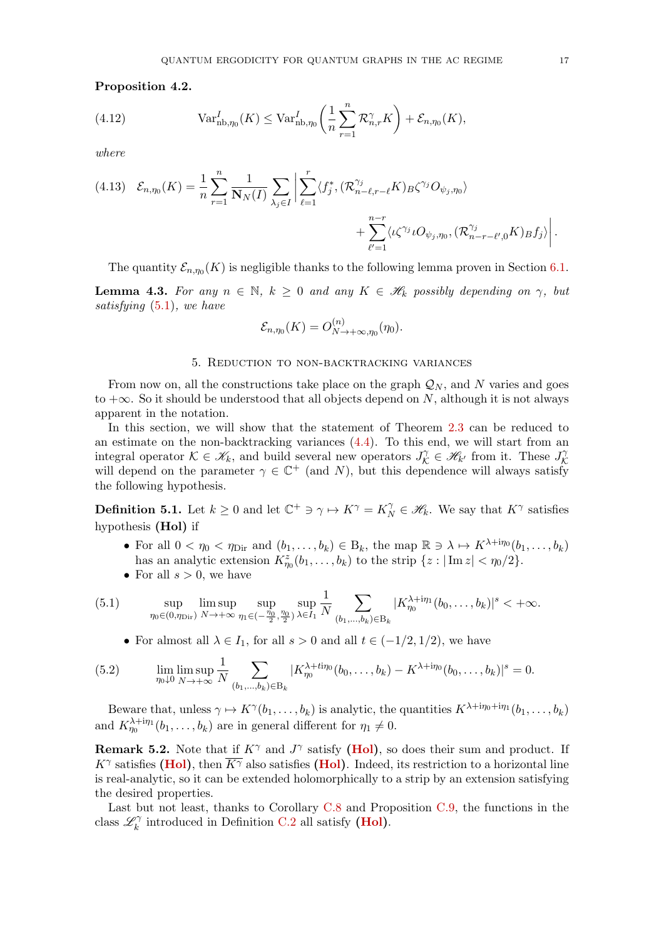<span id="page-16-1"></span>Proposition 4.2.

(4.12) 
$$
\text{Var}_{\text{nb},\eta_0}^I(K) \leq \text{Var}_{\text{nb},\eta_0}^I\left(\frac{1}{n}\sum_{r=1}^n \mathcal{R}_{n,r}^{\gamma}K\right) + \mathcal{E}_{n,\eta_0}(K),
$$

where

<span id="page-16-7"></span>
$$
(4.13) \quad \mathcal{E}_{n,\eta_0}(K) = \frac{1}{n} \sum_{r=1}^n \frac{1}{\mathbf{N}_N(I)} \sum_{\lambda_j \in I} \left| \sum_{\ell=1}^r \langle f_j^*, (\mathcal{R}_{n-\ell,r-\ell}^{\gamma_j} K) B \zeta^{\gamma_j} O_{\psi_j,\eta_0} \rangle \right. \\ \left. + \sum_{\ell'=1}^{n-r} \langle \iota \zeta^{\gamma_j} \iota O_{\psi_j,\eta_0}, (\mathcal{R}_{n-r-\ell',0}^{\gamma_j} K) B f_j \rangle \right|.
$$

The quantity  $\mathcal{E}_{n,\eta_0}(K)$  is negligible thanks to the following lemma proven in Section [6.1.](#page-23-0)

<span id="page-16-6"></span>**Lemma 4.3.** For any  $n \in \mathbb{N}$ ,  $k \geq 0$  and any  $K \in \mathcal{H}_k$  possibly depending on  $\gamma$ , but satisfying [\(5.1\)](#page-16-2), we have

$$
\mathcal{E}_{n,\eta_0}(K) = O_{N \to +\infty,\eta_0}^{(n)}(\eta_0).
$$

#### 5. Reduction to non-backtracking variances

<span id="page-16-0"></span>From now on, all the constructions take place on the graph  $\mathcal{Q}_N$ , and N varies and goes to  $+\infty$ . So it should be understood that all objects depend on N, although it is not always apparent in the notation.

In this section, we will show that the statement of Theorem [2.3](#page-7-2) can be reduced to an estimate on the non-backtracking variances  $(4.4)$ . To this end, we will start from an integral operator  $\mathcal{K} \in \mathscr{K}_k$ , and build several new operators  $J_{\mathcal{K}}^{\gamma} \in \mathscr{H}_{k'}$  from it. These  $J_{\mathcal{K}}^{\gamma}$ K will depend on the parameter  $\gamma \in \mathbb{C}^+$  (and N), but this dependence will always satisfy the following hypothesis.

<span id="page-16-4"></span>**Definition 5.1.** Let  $k \geq 0$  and let  $\mathbb{C}^+ \ni \gamma \mapsto K^{\gamma} = K_N^{\gamma} \in \mathcal{H}_k$ . We say that  $K^{\gamma}$  satisfies hypothesis (Hol) if

- <span id="page-16-3"></span>• For all  $0 < \eta_0 < \eta_{\text{Dir}}$  and  $(b_1, \ldots, b_k) \in B_k$ , the map  $\mathbb{R} \ni \lambda \mapsto K^{\lambda + i\eta_0}(b_1, \ldots, b_k)$ has an analytic extension  $K_{\eta_0}^z(b_1,\ldots,b_k)$  to the strip  $\{z: |\operatorname{Im} z| < \eta_0/2\}.$
- <span id="page-16-2"></span>• For all  $s > 0$ , we have

(5.1) 
$$
\sup_{\eta_0 \in (0,\eta_{\text{Dir}})} \limsup_{N \to +\infty} \sup_{\eta_1 \in (-\frac{\eta_0}{2},\frac{\eta_0}{2})} \sup_{\lambda \in I_1} \frac{1}{N} \sum_{(b_1,\dots,b_k) \in B_k} |K_{\eta_0}^{\lambda + i\eta_1}(b_0,\dots,b_k)|^s < +\infty.
$$

<span id="page-16-8"></span>• For almost all  $\lambda \in I_1$ , for all  $s > 0$  and all  $t \in (-1/2, 1/2)$ , we have

(5.2) 
$$
\lim_{\eta_0 \downarrow 0} \limsup_{N \to +\infty} \frac{1}{N} \sum_{(b_1, ..., b_k) \in B_k} |K_{\eta_0}^{\lambda + ti\eta_0}(b_0, ..., b_k) - K^{\lambda + i\eta_0}(b_0, ..., b_k)|^s = 0.
$$

Beware that, unless  $\gamma \mapsto K^{\gamma}(b_1,\ldots,b_k)$  is analytic, the quantities  $K^{\lambda+i\eta_0+i\eta_1}(b_1,\ldots,b_k)$ and  $K_{\eta_0}^{\lambda+i\eta_1}(b_1,\ldots,b_k)$  are in general different for  $\eta_1 \neq 0$ .

<span id="page-16-5"></span>**Remark 5.2.** Note that if  $K^{\gamma}$  and  $J^{\gamma}$  satisfy [\(Hol\)](#page-16-3), so does their sum and product. If  $K^{\gamma}$  satisfies [\(Hol\)](#page-16-3), then  $\overline{K^{\gamma}}$  also satisfies (Hol). Indeed, its restriction to a horizontal line is real-analytic, so it can be extended holomorphically to a strip by an extension satisfying the desired properties.

Last but not least, thanks to Corollary [C.8](#page-61-0) and Proposition [C.9,](#page-62-14) the functions in the class  $\mathscr{L}_k^{\gamma}$  $\mathcal{C}^{\gamma}_{k}$  introduced in Definition [C.2](#page-58-0) all satisfy (**Hol**).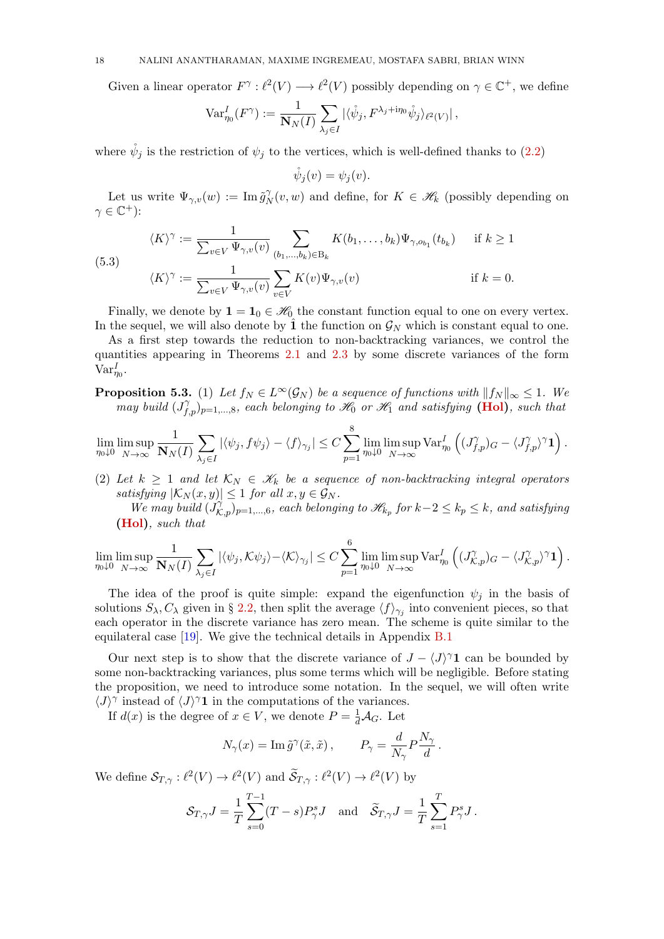Given a linear operator  $F^{\gamma}: \ell^2(V) \longrightarrow \ell^2(V)$  possibly depending on  $\gamma \in \mathbb{C}^+$ , we define

$$
\text{Var}_{\eta_0}^I(F^\gamma) := \frac{1}{\mathbf{N}_N(I)} \sum_{\lambda_j \in I} |\langle \mathring{\psi}_j, F^{\lambda_j + \text{ip}_0} \mathring{\psi}_j \rangle_{\ell^2(V)}|,
$$

where  $\psi_j$  is the restriction of  $\psi_j$  to the vertices, which is well-defined thanks to [\(2.2\)](#page-3-1)

$$
\mathring{\psi}_j(v) = \psi_j(v).
$$

Let us write  $\Psi_{\gamma,v}(w) := \operatorname{Im} \tilde{g}_{\rho}^{\gamma}$  $N_N^{\gamma}(v, w)$  and define, for  $K \in \mathcal{H}_k$  (possibly depending on  $\gamma \in \mathbb{C}^+$ ):

$$
\langle K \rangle^{\gamma} := \frac{1}{\sum_{v \in V} \Psi_{\gamma,v}(v)} \sum_{(b_1,\dots,b_k) \in B_k} K(b_1,\dots,b_k) \Psi_{\gamma,o_{b_1}}(t_{b_k}) \quad \text{if } k \ge 1
$$
  

$$
\langle K \rangle^{\gamma} := \frac{1}{\sum_{v \in V} \Psi_{\gamma,v}(v)} \sum_{v \in V} K(v) \Psi_{\gamma,v}(v) \quad \text{if } k = 0.
$$

<span id="page-17-1"></span> $\overline{S}$ 

Finally, we denote by  $\mathbf{1} = \mathbf{1}_0 \in \mathcal{H}_0$  the constant function equal to one on every vertex. In the sequel, we will also denote by  $\hat{1}$  the function on  $\mathcal{G}_N$  which is constant equal to one.

As a first step towards the reduction to non-backtracking variances, we control the quantities appearing in Theorems [2.1](#page-5-2) and [2.3](#page-7-2) by some discrete variances of the form  $\text{Var}_{\eta_0}^I$ .

<span id="page-17-0"></span>**Proposition 5.3.** (1) Let  $f_N \in L^\infty(\mathcal{G}_N)$  be a sequence of functions with  $||f_N||_{\infty} \leq 1$ . We may build  $(J_{f,p}^{\gamma})_{p=1,\dots,8}$ , each belonging to  $\mathscr{H}_0$  or  $\mathscr{H}_1$  and satisfying [\(Hol\)](#page-16-3), such that

$$
\lim_{\eta_0 \downarrow 0} \limsup_{N \to \infty} \frac{1}{\mathbf{N}_N(I)} \sum_{\lambda_j \in I} |\langle \psi_j, f \psi_j \rangle - \langle f \rangle_{\gamma_j}| \leq C \sum_{p=1}^8 \lim_{\eta_0 \downarrow 0} \limsup_{N \to \infty} \text{Var}_{\eta_0}^I \left( (J_{f,p}^{\gamma})_G - \langle J_{f,p}^{\gamma} \rangle^{\gamma} \mathbf{1} \right).
$$

(2) Let  $k \geq 1$  and let  $\mathcal{K}_N \in \mathcal{K}_k$  be a sequence of non-backtracking integral operators satisfying  $|\mathcal{K}_N(x, y)| \leq 1$  for all  $x, y \in \mathcal{G}_N$ .

We may build  $(\hat{J}_{K,p}^{\gamma})_{p=1,\dots,6}$ , each belonging to  $\mathcal{H}_{k_p}$  for  $k-2 \leq k_p \leq k$ , and satisfying [\(Hol\)](#page-16-3), such that

$$
\lim_{\eta_0 \downarrow 0} \limsup_{N \to \infty} \frac{1}{\mathbf{N}_N(I)} \sum_{\lambda_j \in I} |\langle \psi_j, \mathcal{K} \psi_j \rangle - \langle \mathcal{K} \rangle_{\gamma_j}| \leq C \sum_{p=1}^6 \lim_{\eta_0 \downarrow 0} \limsup_{N \to \infty} \text{Var}_{\eta_0}^I \left( (J_{\mathcal{K},p}^{\gamma})_G - \langle J_{\mathcal{K},p}^{\gamma} \rangle^{\gamma} \mathbf{1} \right).
$$

The idea of the proof is quite simple: expand the eigenfunction  $\psi_j$  in the basis of solutions  $S_{\lambda}, C_{\lambda}$  given in § [2.2,](#page-4-5) then split the average  $\langle f \rangle_{\gamma_j}$  into convenient pieces, so that each operator in the discrete variance has zero mean. The scheme is quite similar to the equilateral case [\[19\]](#page-63-5). We give the technical details in Appendix [B.1](#page-49-0)

Our next step is to show that the discrete variance of  $J - \langle J \rangle^{\gamma}$  can be bounded by some non-backtracking variances, plus some terms which will be negligible. Before stating the proposition, we need to introduce some notation. In the sequel, we will often write  $\langle J \rangle^{\gamma}$  instead of  $\langle J \rangle^{\gamma}$  in the computations of the variances.

If  $d(x)$  is the degree of  $x \in V$ , we denote  $P = \frac{1}{d}A_G$ . Let

$$
N_{\gamma}(x) = \operatorname{Im} \tilde{g}^{\gamma}(\tilde{x}, \tilde{x}), \qquad P_{\gamma} = \frac{d}{N_{\gamma}} P \frac{N_{\gamma}}{d}.
$$

We define  $S_{T,\gamma}: \ell^2(V) \to \ell^2(V)$  and  $\widetilde{S}_{T,\gamma}: \ell^2(V) \to \ell^2(V)$  by

$$
\mathcal{S}_{T,\gamma}J = \frac{1}{T}\sum_{s=0}^{T-1}(T-s)P_{\gamma}^sJ \quad \text{and} \quad \widetilde{\mathcal{S}}_{T,\gamma}J = \frac{1}{T}\sum_{s=1}^T P_{\gamma}^sJ.
$$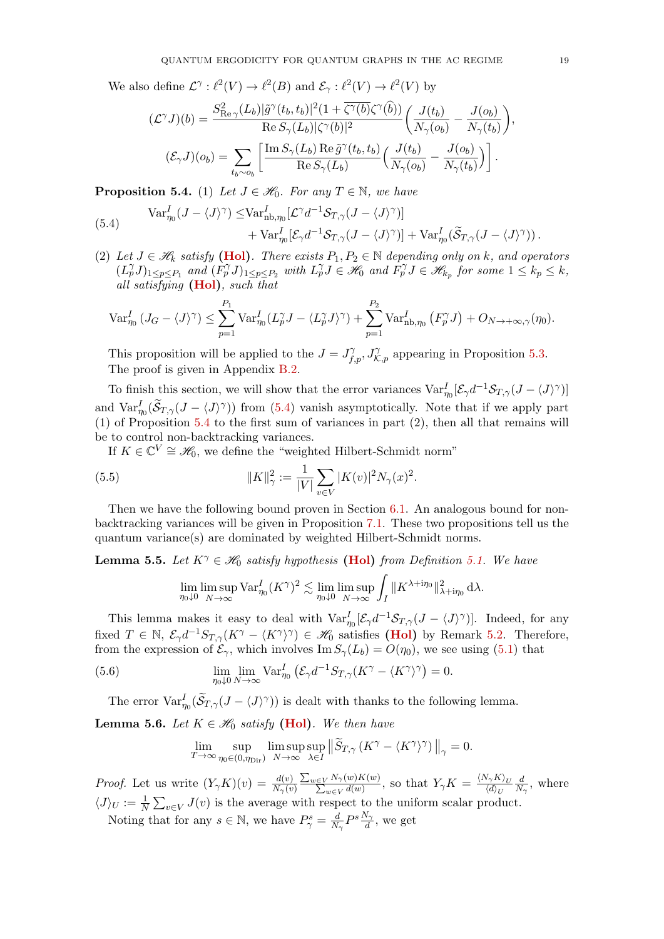We also define  $\mathcal{L}^{\gamma}: \ell^2(V) \to \ell^2(B)$  and  $\mathcal{E}_{\gamma}: \ell^2(V) \to \ell^2(V)$  by

$$
(\mathcal{L}^{\gamma} J)(b) = \frac{S_{\text{Re}\,\gamma}^{2}(L_{b})|\tilde{g}^{\gamma}(t_{b},t_{b})|^{2}(1+\overline{\zeta^{\gamma}(b)}\zeta^{\gamma}(\tilde{b}))}{\text{Re}\,S_{\gamma}(L_{b})|\zeta^{\gamma}(b)|^{2}} \left(\frac{J(t_{b})}{N_{\gamma}(o_{b})} - \frac{J(o_{b})}{N_{\gamma}(t_{b})}\right),
$$

$$
(\mathcal{E}_{\gamma} J)(o_{b}) = \sum_{t_{b}\sim o_{b}} \left[\frac{\text{Im}\,S_{\gamma}(L_{b})\,\text{Re}\,\tilde{g}^{\gamma}(t_{b},t_{b})}{\text{Re}\,S_{\gamma}(L_{b})}\left(\frac{J(t_{b})}{N_{\gamma}(o_{b})} - \frac{J(o_{b})}{N_{\gamma}(t_{b})}\right)\right].
$$

<span id="page-18-1"></span>**Proposition 5.4.** (1) Let  $J \in \mathcal{H}_0$ . For any  $T \in \mathbb{N}$ , we have

<span id="page-18-0"></span>(5.4) 
$$
\operatorname{Var}_{\eta_0}^I (J - \langle J \rangle^{\gamma}) \leq \operatorname{Var}_{\text{nb}, \eta_0}^I [\mathcal{L}^{\gamma} d^{-1} \mathcal{S}_{T, \gamma} (J - \langle J \rangle^{\gamma})] + \operatorname{Var}_{\eta_0}^I [\mathcal{E}_{\gamma} d^{-1} \mathcal{S}_{T, \gamma} (J - \langle J \rangle^{\gamma})] + \operatorname{Var}_{\eta_0}^I (\widetilde{\mathcal{S}}_{T, \gamma} (J - \langle J \rangle^{\gamma})) .
$$

(2) Let  $J \in \mathcal{H}_k$  satisfy [\(Hol\)](#page-16-3). There exists  $P_1, P_2 \in \mathbb{N}$  depending only on k, and operators  $(L_p^{\gamma}J)_{1\leq p\leq P_1}$  and  $(F_p^{\gamma}J)_{1\leq p\leq P_2}$  with  $L_p^{\gamma}J \in \mathscr{H}_0$  and  $F_p^{\gamma}J \in \mathscr{H}_{k_p}$  for some  $1 \leq k_p \leq k$ , all satisfying  $(Hol)$ , such that

$$
\operatorname{Var}_{\eta_0}^I (J_G - \langle J \rangle^{\gamma}) \le \sum_{p=1}^{P_1} \operatorname{Var}_{\eta_0}^I (L_p^{\gamma} J - \langle L_p^{\gamma} J \rangle^{\gamma}) + \sum_{p=1}^{P_2} \operatorname{Var}_{\text{nb}, \eta_0}^I (F_p^{\gamma} J) + O_{N \to +\infty, \gamma}(\eta_0).
$$

This proposition will be applied to the  $J = J_{f,p}^{\gamma}, J_{\mathcal{K},p}^{\gamma}$  appearing in Proposition [5.3.](#page-17-0) The proof is given in Appendix [B.2.](#page-53-0)

To finish this section, we will show that the error variances  $\text{Var}_{\eta_0}^I[\mathcal{E}_\gamma d^{-1} \mathcal{S}_{T,\gamma} (J - \langle J \rangle^\gamma)]$ and  $\text{Var}_{\eta_0}^I(\widetilde{\mathcal{S}}_{T,\gamma}(J-\langle J\rangle^{\gamma}))$  from [\(5.4\)](#page-18-0) vanish asymptotically. Note that if we apply part (1) of Proposition [5.4](#page-18-1) to the first sum of variances in part (2), then all that remains will be to control non-backtracking variances.

If  $K \in \mathbb{C}^V \cong \mathcal{H}_0$ , we define the "weighted Hilbert-Schmidt norm"

(5.5) 
$$
||K||_{\gamma}^{2} := \frac{1}{|V|} \sum_{v \in V} |K(v)|^{2} N_{\gamma}(x)^{2}.
$$

Then we have the following bound proven in Section [6.1.](#page-23-0) An analogous bound for nonbacktracking variances will be given in Proposition [7.1.](#page-24-1) These two propositions tell us the quantum variance(s) are dominated by weighted Hilbert-Schmidt norms.

<span id="page-18-2"></span>**Lemma 5.5.** Let  $K^{\gamma} \in \mathcal{H}_0$  satisfy hypothesis [\(Hol\)](#page-16-3) from Definition [5.1.](#page-16-4) We have

$$
\lim_{\eta_0 \downarrow 0} \limsup_{N \to \infty} \text{Var}_{\eta_0}^I (K^\gamma)^2 \lesssim \lim_{\eta_0 \downarrow 0} \limsup_{N \to \infty} \int_I \| K^{\lambda + i\eta_0} \|_{\lambda + i\eta_0}^2 \, \mathrm{d} \lambda.
$$

This lemma makes it easy to deal with  $\text{Var}_{\eta_0}^I[\mathcal{E}_\gamma d^{-1} \mathcal{S}_{T,\gamma} (J - \langle J \rangle^\gamma)].$  Indeed, for any fixed  $T \in \mathbb{N}$ ,  $\mathcal{E}_{\gamma}d^{-1}S_{T,\gamma}(K^{\gamma} - \langle K^{\gamma} \rangle^{\gamma}) \in \mathscr{H}_0$  satisfies [\(Hol\)](#page-16-3) by Remark [5.2.](#page-16-5) Therefore, from the expression of  $\mathcal{E}_{\gamma}$ , which involves Im  $S_{\gamma}(L_b) = O(\eta_0)$ , we see using [\(5.1\)](#page-16-2) that

(5.6) 
$$
\lim_{\eta_0 \downarrow 0} \lim_{N \to \infty} \text{Var}_{\eta_0}^I \left( \mathcal{E}_{\gamma} d^{-1} S_{T,\gamma} (K^{\gamma} - \langle K^{\gamma} \rangle^{\gamma} \right) = 0.
$$

The error  $\text{Var}_{\eta_0}^I(\widetilde{\mathcal{S}}_{T,\gamma}(J-\langle J\rangle^{\gamma}))$  is dealt with thanks to the following lemma.

<span id="page-18-3"></span>**Lemma 5.6.** Let  $K \in \mathcal{H}_0$  satisfy [\(Hol\)](#page-16-3). We then have

<span id="page-18-4"></span>
$$
\lim_{T \to \infty} \sup_{\eta_0 \in (0,\eta_{\text{Dir}})} \limsup_{N \to \infty} \sup_{\lambda \in I} \left\| \widetilde{S}_{T,\gamma} \left( K^{\gamma} - \langle K^{\gamma} \rangle^{\gamma} \right) \right\|_{\gamma} = 0.
$$

*Proof.* Let us write  $(Y_{\gamma}K)(v) = \frac{d(v)}{N_{\gamma}(v)}$  $\frac{\sum_{w\in V}N_{\gamma}(w)K(w)}{\sum_{w\in V}d(w)},$  so that  $Y_{\gamma}K=\frac{\langle N_{\gamma}K\rangle_{U}}{\langle d\rangle_{U}}$  $\langle d \rangle_U$ d  $\frac{d}{N_{\gamma}}$ , where  $\langle J \rangle_U := \frac{1}{N} \sum_{v \in V} J(v)$  is the average with respect to the uniform scalar product.

Noting that for any  $s \in \mathbb{N}$ , we have  $P^s_{\gamma} = \frac{d}{N}$  $\frac{d}{N_{\gamma}}P^s\frac{N_{\gamma}}{d}$ , we get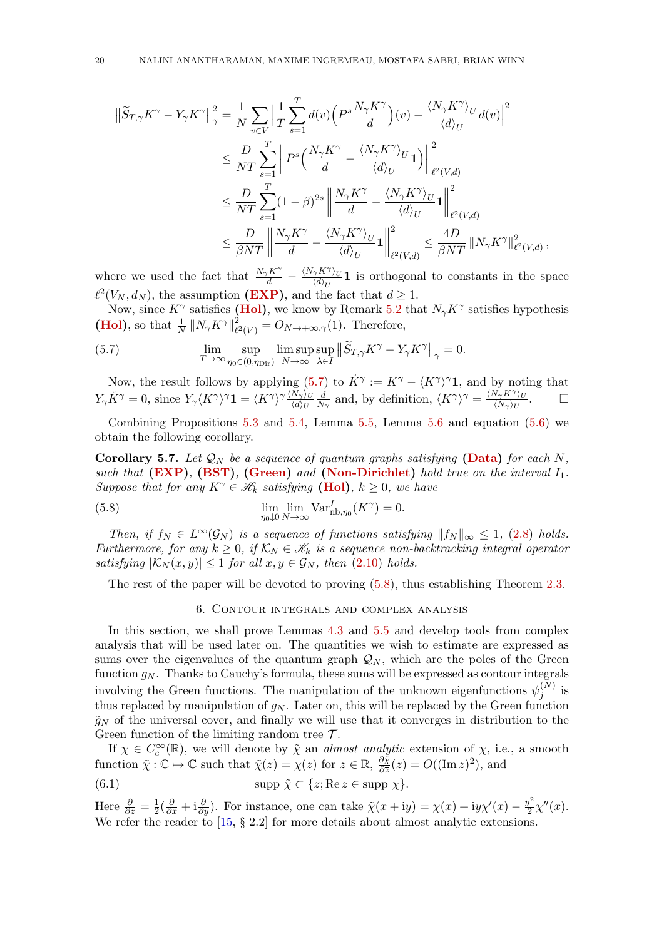$$
\begin{split} \left\|\widetilde{S}_{T,\gamma}K^{\gamma}-Y_{\gamma}K^{\gamma}\right\|^{2}_{\gamma}&=\frac{1}{N}\sum_{v\in V}\Big|\frac{1}{T}\sum_{s=1}^{T}d(v)\Big(P^{s}\frac{N_{\gamma}K^{\gamma}}{d}\Big)(v)-\frac{\langle N_{\gamma}K^{\gamma}\rangle_{U}}{\langle d\rangle_{U}}d(v)\Big|^{2}\\ &\leq\frac{D}{NT}\sum_{s=1}^{T}\Big\|P^{s}\Big(\frac{N_{\gamma}K^{\gamma}}{d}-\frac{\langle N_{\gamma}K^{\gamma}\rangle_{U}}{\langle d\rangle_{U}}\mathbf{1}\Big)\Big\|^{2}_{\ell^{2}(V,d)}\\ &\leq\frac{D}{NT}\sum_{s=1}^{T}(1-\beta)^{2s}\left\|\frac{N_{\gamma}K^{\gamma}}{d}-\frac{\langle N_{\gamma}K^{\gamma}\rangle_{U}}{\langle d\rangle_{U}}\mathbf{1}\right\|^{2}_{\ell^{2}(V,d)}\\ &\leq\frac{D}{\beta NT}\left\|\frac{N_{\gamma}K^{\gamma}}{d}-\frac{\langle N_{\gamma}K^{\gamma}\rangle_{U}}{\langle d\rangle_{U}}\mathbf{1}\right\|^{2}_{\ell^{2}(V,d)}\leq\frac{4D}{\beta NT}\left\|N_{\gamma}K^{\gamma}\right\|^{2}_{\ell^{2}(V,d)},\end{split}
$$

where we used the fact that  $\frac{N_{\gamma} K^{\gamma}}{d} - \frac{\langle N_{\gamma} K^{\gamma} \rangle_{U}}{\langle d \rangle_{U}}$  $\frac{\gamma \Lambda' \gamma_U}{\langle d \rangle_U}$  1 is orthogonal to constants in the space  $\ell^2(V_N, d_N)$ , the assumption [\(EXP\)](#page-4-4), and the fact that  $d \geq 1$ .

Now, since  $K^{\gamma}$  satisfies [\(Hol\)](#page-16-3), we know by Remark [5.2](#page-16-5) that  $N_{\gamma} K^{\gamma}$  satisfies hypothesis **[\(Hol\)](#page-16-3)**, so that  $\frac{1}{N} ||N_{\gamma} K^{\gamma}||_{\ell}^2$  $\chi^2_{\ell^2(V)} = O_{N \to +\infty,\gamma}(1)$ . Therefore,

<span id="page-19-1"></span>(5.7) 
$$
\lim_{T \to \infty} \sup_{\eta_0 \in (0, \eta_{\text{Dir}})} \limsup_{N \to \infty} \sup_{\lambda \in I} ||\widetilde{S}_{T,\gamma} K^{\gamma} - Y_{\gamma} K^{\gamma}||_{\gamma} = 0.
$$

Now, the result follows by applying [\(5.7\)](#page-19-1) to  $K^{\gamma} := K^{\gamma} - \langle K^{\gamma} \rangle^{\gamma}$  and by noting that  $Y_{\gamma}\mathring{K}^{\gamma} = 0$ , since  $Y_{\gamma}\langle K^{\gamma}\rangle^{\gamma}\mathbf{1} = \langle K^{\gamma}\rangle^{\gamma}\frac{\langle N_{\gamma}\rangle_{U}}{\langle d\rangle_{U}}$  $\langle d \rangle_U$ d  $\frac{d}{N_{\gamma}}$  and, by definition,  $\langle K^{\gamma} \rangle^{\gamma} = \frac{\langle N_{\gamma} K^{\gamma} \rangle_{U}}{\langle N_{\gamma} \rangle_{U}}$  $\frac{N_{\gamma}K^{\gamma}\rangle_{U}}{\langle N_{\gamma}\rangle_{U}}.$ 

Combining Propositions [5.3](#page-17-0) and [5.4,](#page-18-1) Lemma [5.5,](#page-18-2) Lemma [5.6](#page-18-3) and equation  $(5.6)$  we obtain the following corollary.

Corollary 5.7. Let  $\mathcal{Q}_N$  be a sequence of quantum graphs satisfying [\(Data\)](#page-3-2) for each N, such that  $(EXP)$ ,  $(BST)$ ,  $(Green)$  and  $(Non-Dirichlet)$  hold true on the interval  $I_1$ . Suppose that for any  $K^{\gamma} \in \mathcal{H}_k$  satisfying [\(Hol\)](#page-16-3),  $k \geq 0$ , we have

(5.8) 
$$
\lim_{\eta_0 \downarrow 0} \lim_{N \to \infty} \text{Var}_{\text{nb}, \eta_0}^I(K^{\gamma}) = 0.
$$

Then, if  $f_N \in L^{\infty}(\mathcal{G}_N)$  is a sequence of functions satisfying  $||f_N||_{\infty} \leq 1$ , [\(2.8\)](#page-5-4) holds. Furthermore, for any  $k \geq 0$ , if  $\mathcal{K}_N \in \mathscr{K}_k$  is a sequence non-backtracking integral operator satisfying  $|\mathcal{K}_N(x, y)| \leq 1$  for all  $x, y \in \mathcal{G}_N$ , then [\(2.10\)](#page-7-3) holds.

<span id="page-19-0"></span>The rest of the paper will be devoted to proving [\(5.8\)](#page-19-2), thus establishing Theorem [2.3.](#page-7-2)

## <span id="page-19-2"></span>6. Contour integrals and complex analysis

In this section, we shall prove Lemmas [4.3](#page-16-6) and [5.5](#page-18-2) and develop tools from complex analysis that will be used later on. The quantities we wish to estimate are expressed as sums over the eigenvalues of the quantum graph  $\mathcal{Q}_N$ , which are the poles of the Green function  $g_N$ . Thanks to Cauchy's formula, these sums will be expressed as contour integrals involving the Green functions. The manipulation of the unknown eigenfunctions  $\psi_i^{(N)}$  $j^{(N)}$  is thus replaced by manipulation of  $g_N$ . Later on, this will be replaced by the Green function  $\tilde{g}_N$  of the universal cover, and finally we will use that it converges in distribution to the Green function of the limiting random tree  $\mathcal{T}$ .

If  $\chi \in C_c^{\infty}(\mathbb{R})$ , we will denote by  $\tilde{\chi}$  an *almost analytic* extension of  $\chi$ , i.e., a smooth function  $\tilde{\chi}: \mathbb{C} \mapsto \mathbb{C}$  such that  $\tilde{\chi}(z) = \chi(z)$  for  $z \in \mathbb{R}$ ,  $\frac{\partial \tilde{\chi}}{\partial \overline{z}}$  $\frac{\partial \tilde{\chi}}{\partial \bar{z}}(z) = O((\text{Im } z)^2)$ , and

<span id="page-19-3"></span>(6.1) 
$$
\text{supp }\tilde{\chi}\subset\{z;\text{Re }z\in\text{supp }\chi\}.
$$

Here  $\frac{\partial}{\partial \overline{z}} = \frac{1}{2}$  $\frac{1}{2}(\frac{\partial}{\partial x} + i\frac{\partial}{\partial y})$ . For instance, one can take  $\tilde{\chi}(x + iy) = \chi(x) + iy\chi'(x) - \frac{y^2}{2}$  $\frac{y^2}{2}\chi''(x)$ . We refer the reader to  $[15, § 2.2]$  for more details about almost analytic extensions.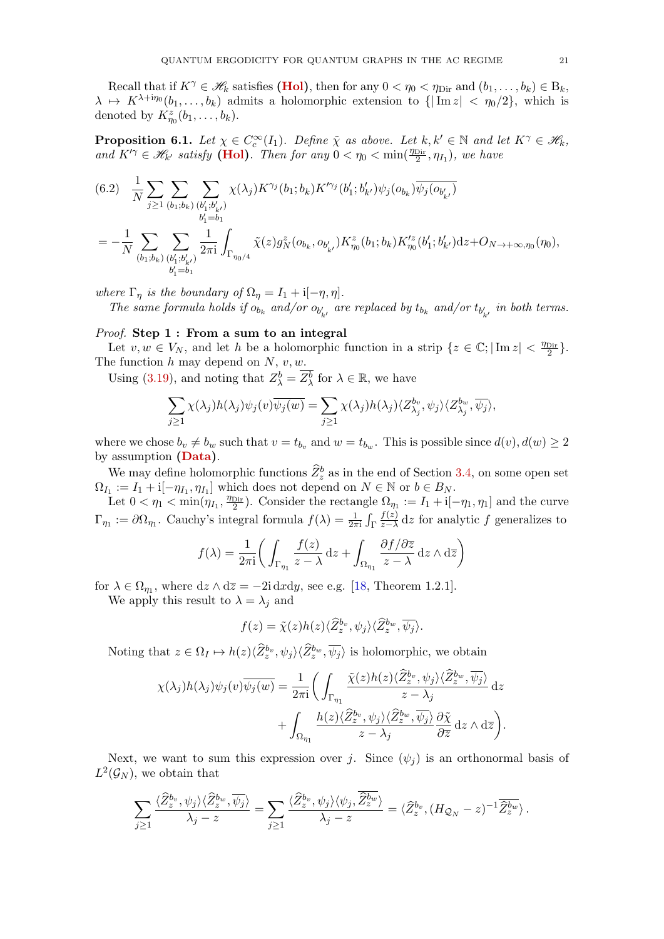Recall that if  $K^{\gamma} \in \mathscr{H}_k$  satisfies [\(Hol\)](#page-16-3), then for any  $0 < \eta_0 < \eta_{\text{Dir}}$  and  $(b_1, \ldots, b_k) \in B_k$ ,  $\lambda \mapsto K^{\lambda + i\eta_0} (b_1, \ldots, b_k)$  admits a holomorphic extension to  $\{|\text{Im } z| < \eta_0/2\}$ , which is denoted by  $K_{\eta_0}^z(b_1,\ldots,b_k)$ .

<span id="page-20-0"></span>**Proposition 6.1.** Let  $\chi \in C_c^{\infty}(I_1)$ . Define  $\tilde{\chi}$  as above. Let  $k, k' \in \mathbb{N}$  and let  $K^{\gamma} \in \mathcal{H}_k$ , and  $K'^\gamma \in \mathcal{H}_{k'}$  satisfy [\(Hol\)](#page-16-3). Then for any  $0 < \eta_0 < \min(\frac{\eta_{\text{Dir}}}{2}, \eta_{I_1})$ , we have

$$
(6.2) \frac{1}{N} \sum_{j\geq 1} \sum_{(b_1;b_k)} \sum_{(b'_1;b'_k)} \chi(\lambda_j) K^{\gamma_j}(b_1;b_k) K'^{\gamma_j}(b'_1;b'_{k'}) \psi_j(o_{b_k}) \overline{\psi_j(o_{b'_{k'}})}
$$
  

$$
= -\frac{1}{N} \sum_{(b_1;b_k)} \sum_{(b'_1;b'_{k'})} \frac{1}{2\pi i} \int_{\Gamma_{\eta_0/4}} \tilde{\chi}(z) g_N^z(o_{b_k}, o_{b'_{k'}}) K^z_{\eta_0}(b_1;b_k) K'^z_{\eta_0}(b'_1;b'_{k'}) dz + O_{N \to +\infty, \eta_0}(\eta_0),
$$

where  $\Gamma_{\eta}$  is the boundary of  $\Omega_{\eta} = I_1 + i[-\eta, \eta]$ .

The same formula holds if  $o_{b_k}$  and/or  $o_{b'_{k'}}$  are replaced by  $t_{b_k}$  and/or  $t_{b'_{k'}}$  in both terms.

## Proof. Step 1: From a sum to an integral

Let  $v, w \in V_N$ , and let h be a holomorphic function in a strip  $\{z \in \mathbb{C}; |\text{Im } z| < \frac{\eta_{\text{Dir}}}{2}\}.$ The function  $h$  may depend on  $N$ ,  $v, w$ .

Using [\(3.19\)](#page-12-0), and noting that  $Z_{\lambda}^{b} = \overline{Z_{\lambda}^{b}}$  for  $\lambda \in \mathbb{R}$ , we have

$$
\sum_{j\geq 1} \chi(\lambda_j) h(\lambda_j) \psi_j(v) \overline{\psi_j(w)} = \sum_{j\geq 1} \chi(\lambda_j) h(\lambda_j) \langle Z_{\lambda_j}^{b_v}, \psi_j \rangle \langle Z_{\lambda_j}^{b_w}, \overline{\psi_j} \rangle,
$$

where we chose  $b_v \neq b_w$  such that  $v = t_{b_v}$  and  $w = t_{b_w}$ . This is possible since  $d(v)$ ,  $d(w) \geq 2$ by assumption [\(Data\)](#page-3-2).

We may define holomorphic functions  $\hat{Z}_z^b$  as in the end of Section [3.4,](#page-11-2) on some open set  $\Omega_{I_1} := I_1 + i[-\eta_{I_1}, \eta_{I_1}]$  which does not depend on  $N \in \mathbb{N}$  or  $b \in B_N$ .

Let  $0 < \eta_1 < \min(\eta_{I_1}, \frac{\eta_{\text{Dir}}}{2})$ . Consider the rectangle  $\Omega_{\eta_1} := I_1 + i[-\eta_1, \eta_1]$  and the curve  $\Gamma_{\eta_1} := \partial \Omega_{\eta_1}$ . Cauchy's integral formula  $f(\lambda) = \frac{1}{2\pi i} \int_{\Gamma}$  $f(z)$  $\frac{f(z)}{z-\lambda}$  dz for analytic f generalizes to

$$
f(\lambda) = \frac{1}{2\pi i} \bigg( \int_{\Gamma_{\eta_1}} \frac{f(z)}{z - \lambda} dz + \int_{\Omega_{\eta_1}} \frac{\partial f/\partial \overline{z}}{z - \lambda} dz \wedge d\overline{z} \bigg)
$$

for  $\lambda \in \Omega_{\eta_1}$ , where  $dz \wedge d\overline{z} = -2i dxdy$ , see e.g. [\[18,](#page-63-9) Theorem 1.2.1]. We apply this result to  $\lambda = \lambda_j$  and

$$
f(z) = \tilde{\chi}(z)h(z)\langle \widehat{Z}_z^{b_v}, \psi_j \rangle \langle \widehat{Z}_z^{b_w}, \overline{\psi_j} \rangle.
$$

Noting that  $z \in \Omega_I \mapsto h(z) \langle \widehat{Z}_z^{b_v}, \psi_j \rangle \langle \widehat{Z}_z^{b_w}, \overline{\psi_j} \rangle$  is holomorphic, we obtain

$$
\chi(\lambda_j)h(\lambda_j)\psi_j(v)\overline{\psi_j(w)} = \frac{1}{2\pi i}\bigg(\int_{\Gamma_{\eta_1}}\frac{\tilde{\chi}(z)h(z)\langle\widehat{Z}_z^{b_v},\psi_j\rangle\langle\widehat{Z}_z^{b_w},\overline{\psi_j}\rangle}{z-\lambda_j}dz \n+ \int_{\Omega_{\eta_1}}\frac{h(z)\langle\widehat{Z}_z^{b_v},\psi_j\rangle\langle\widehat{Z}_z^{b_w},\overline{\psi_j}\rangle}{z-\lambda_j}\frac{\partial\tilde{\chi}}{\partial\overline{z}}dz\wedge d\overline{z}\bigg).
$$

Next, we want to sum this expression over j. Since  $(\psi_i)$  is an orthonormal basis of  $L^2(\mathcal{G}_N)$ , we obtain that

$$
\sum_{j\geq 1}\frac{\langle \widehat{Z}_{z}^{b_{v}},\psi_{j}\rangle\langle \widehat{Z}_{z}^{b_{w}},\overline{\psi_{j}}\rangle}{\lambda_{j}-z}=\sum_{j\geq 1}\frac{\langle \widehat{Z}_{z}^{b_{v}},\psi_{j}\rangle\langle \psi_{j},\overline{\widehat{Z}_{z}^{b_{w}}}\rangle}{\lambda_{j}-z}=\langle \widehat{Z}_{z}^{b_{v}},(H_{\mathcal{Q}_{N}}-z)^{-1}\overline{\widehat{Z}_{z}^{b_{w}}}\rangle.
$$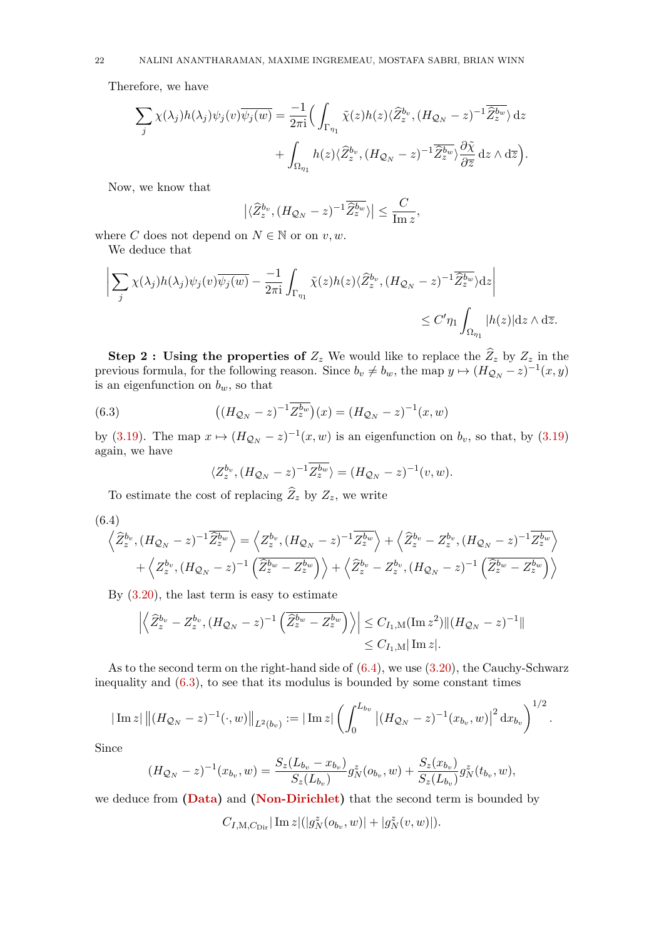Therefore, we have

$$
\sum_{j} \chi(\lambda_j) h(\lambda_j) \psi_j(v) \overline{\psi_j(w)} = \frac{-1}{2\pi i} \Big( \int_{\Gamma_{\eta_1}} \tilde{\chi}(z) h(z) \langle \widehat{Z}_z^{b_v}, (H_{\mathcal{Q}_N} - z)^{-1} \overline{\widehat{Z}_z^{b_w}} \rangle dz + \int_{\Omega_{\eta_1}} h(z) \langle \widehat{Z}_z^{b_v}, (H_{\mathcal{Q}_N} - z)^{-1} \overline{\widehat{Z}_z^{b_w}} \rangle \frac{\partial \tilde{\chi}}{\partial \overline{z}} dz \wedge d\overline{z} \Big).
$$

Now, we know that

$$
\left| \langle \widehat{Z}^{b_{v}}_{z}, (H_{\mathcal{Q}_{N}} - z)^{-1} \overline{\widehat{Z}^{b_{w}}_{z}} \rangle \right| \leq \frac{C}{\operatorname{Im} z},
$$

where C does not depend on  $N \in \mathbb{N}$  or on  $v, w$ .

We deduce that

$$
\left| \sum_{j} \chi(\lambda_j) h(\lambda_j) \psi_j(v) \overline{\psi_j(w)} - \frac{-1}{2\pi i} \int_{\Gamma_{\eta_1}} \tilde{\chi}(z) h(z) \langle \widehat{Z}_z^{b_v}, (H_{\mathcal{Q}_N} - z)^{-1} \overline{\widehat{Z}_z^{b_w}} \rangle dz \right|
$$
  
\$\leq C' \eta\_1 \int\_{\Omega\_{\eta\_1}} |h(z)| dz \wedge d\overline{z}\$.

Step 2: Using the properties of  $Z_z$  We would like to replace the  $\widehat{Z}_z$  by  $Z_z$  in the previous formula, for the following reason. Since  $b_v \neq b_w$ , the map  $y \mapsto (H_{\mathcal{Q}_N} - z)^{-1}(x, y)$ is an eigenfunction on  $b_w$ , so that

(6.3) 
$$
((H_{\mathcal{Q}_N} - z)^{-1} \overline{Z_z^{b_w}})(x) = (H_{\mathcal{Q}_N} - z)^{-1}(x, w)
$$

by [\(3.19\)](#page-12-0). The map  $x \mapsto (H_{\mathcal{Q}_N} - z)^{-1}(x, w)$  is an eigenfunction on  $b_v$ , so that, by (3.19) again, we have

<span id="page-21-1"></span>
$$
\langle Z_z^{b_v}, (H_{\mathcal{Q}_N} - z)^{-1} \overline{Z_z^{b_w}} \rangle = (H_{\mathcal{Q}_N} - z)^{-1}(v, w).
$$

To estimate the cost of replacing  $\widehat{Z}_z$  by  $Z_z$ , we write

<span id="page-21-0"></span>
$$
(6.4)
$$

$$
\left\langle \hat{Z}_{z}^{b_{v}},(H_{\mathcal{Q}_{N}}-z)^{-1}\overline{\hat{Z}_{z}^{b_{w}}}\right\rangle =\left\langle Z_{z}^{b_{v}},(H_{\mathcal{Q}_{N}}-z)^{-1}\overline{Z_{z}^{b_{w}}}\right\rangle +\left\langle \hat{Z}_{z}^{b_{v}}-Z_{z}^{b_{v}},(H_{\mathcal{Q}_{N}}-z)^{-1}\overline{Z_{z}^{b_{w}}}\right\rangle
$$

$$
+\left\langle Z_{z}^{b_{v}},(H_{\mathcal{Q}_{N}}-z)^{-1}\left(\overline{\hat{Z}_{z}^{b_{w}}-Z_{z}^{b_{w}}}\right)\right\rangle +\left\langle \hat{Z}_{z}^{b_{v}}-Z_{z}^{b_{v}},(H_{\mathcal{Q}_{N}}-z)^{-1}\left(\overline{\hat{Z}_{z}^{b_{w}}-Z_{z}^{b_{w}}}\right)\right\rangle
$$

By  $(3.20)$ , the last term is easy to estimate

$$
\left| \left\langle \widehat{Z}_{z}^{b_{v}} - Z_{z}^{b_{v}}, (H_{\mathcal{Q}_{N}} - z)^{-1} \left( \overline{\widehat{Z}_{z}^{b_{w}} - Z_{z}^{b_{w}}} \right) \right\rangle \right| \leq C_{I_{1},M}(\text{Im } z^{2}) \|(H_{\mathcal{Q}_{N}} - z)^{-1}\|
$$
  
\$\leq C\_{I\_{1},M}|\text{Im } z|.

As to the second term on the right-hand side of  $(6.4)$ , we use  $(3.20)$ , the Cauchy-Schwarz inequality and  $(6.3)$ , to see that its modulus is bounded by some constant times

$$
|\operatorname{Im} z| \left\| (H_{\mathcal{Q}_N} - z)^{-1} (\cdot, w) \right\|_{L^2(b_v)} := |\operatorname{Im} z| \left( \int_0^{L_{b_v}} \left| (H_{\mathcal{Q}_N} - z)^{-1} (x_{b_v}, w) \right|^2 \mathrm{d} x_{b_v} \right)^{1/2}.
$$

Since

$$
(H_{\mathcal{Q}_N} - z)^{-1}(x_{b_v}, w) = \frac{S_z(L_{b_v} - x_{b_v})}{S_z(L_{b_v})} g_N^z(o_{b_v}, w) + \frac{S_z(x_{b_v})}{S_z(L_{b_v})} g_N^z(t_{b_v}, w),
$$

we deduce from [\(Data\)](#page-3-2) and [\(Non-Dirichlet\)](#page-5-1) that the second term is bounded by

$$
C_{I, {\mathrm M}, C_{\mathrm{Dir}}} |\mathop{\mathrm{Im}}\nolimits z|(|g_{N}^z(o_{b_v}, w)|+|g_{N}^z(v, w)|).
$$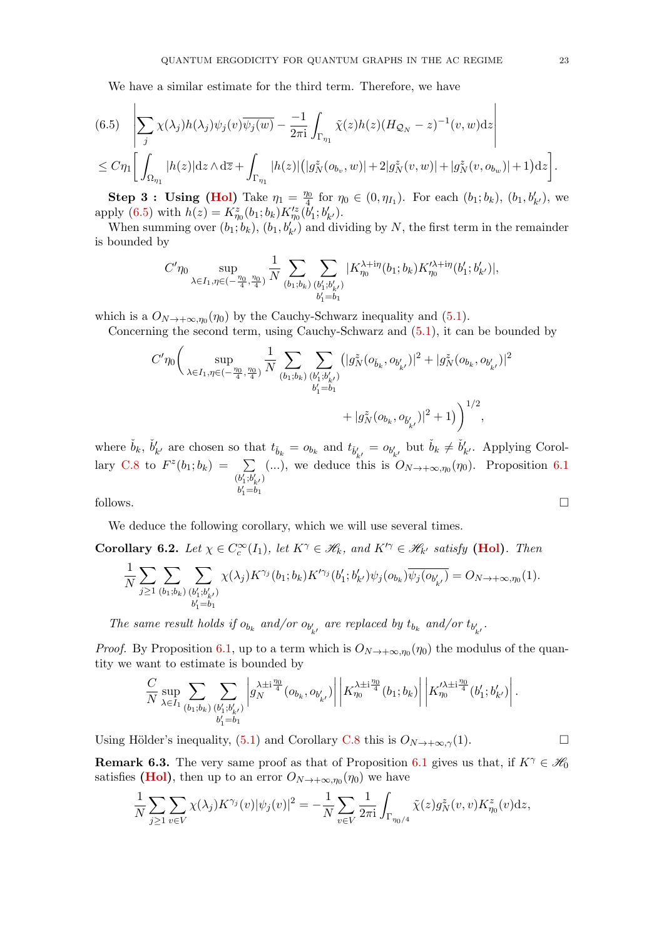We have a similar estimate for the third term. Therefore, we have

<span id="page-22-0"></span>
$$
(6.5) \left| \sum_{j} \chi(\lambda_j) h(\lambda_j) \psi_j(v) \overline{\psi_j(w)} - \frac{-1}{2\pi i} \int_{\Gamma_{\eta_1}} \tilde{\chi}(z) h(z) (H_{\mathcal{Q}_N} - z)^{-1}(v, w) dz \right|
$$
  

$$
\leq C \eta_1 \left[ \int_{\Omega_{\eta_1}} |h(z)| dz \wedge d\overline{z} + \int_{\Gamma_{\eta_1}} |h(z)| (|g_N^z(o_{b_v}, w)| + 2|g_N^z(v, w)| + |g_N^z(v, o_{b_w})| + 1) dz \right].
$$

**Step 3: Using [\(Hol\)](#page-16-3)** Take  $\eta_1 = \frac{\eta_0}{4}$  $\frac{10}{4}$  for  $\eta_0 \in (0, \eta_{I_1})$ . For each  $(b_1; b_k)$ ,  $(b_1, b'_{k'})$ , we apply [\(6.5\)](#page-22-0) with  $h(z) = K_{\eta_0}^z(b_1; b_k) K_{\eta_0}^z(\dot{b}'_1; b'_{k'})$ .

When summing over  $(b_1; b_k)$ ,  $(b_1, b'_k)$  and dividing by N, the first term in the remainder is bounded by

$$
C'\eta_0 \sup_{\lambda \in I_1, \eta \in (-\frac{\eta_0}{4},\frac{\eta_0}{4})} \frac{1}{N} \sum_{(b_1;b_k)} \sum_{(b'_1;b'_{k'}) \atop b'_1 = b_1} |K_{\eta_0}^{\lambda + i\eta}(b_1;b_k) K'^{\lambda + i\eta}_{\eta_0} (b'_1;b'_{k'})|,
$$

which is a  $O_{N\to+\infty,\eta_0}(\eta_0)$  by the Cauchy-Schwarz inequality and [\(5.1\)](#page-16-2).

Concerning the second term, using Cauchy-Schwarz and [\(5.1\)](#page-16-2), it can be bounded by

$$
C'\eta_0 \bigg(\sup_{\lambda \in I_1, \eta \in (-\frac{\eta_0}{4}, \frac{\eta_0}{4})} \frac{1}{N} \sum_{(b_1; b_k)} \sum_{(b'_1; b'_k)} (|g_N^z(o_{\tilde{b}_k}, o_{b'_{k'}})|^2 + |g_N^z(o_{b_k}, o_{b'_{k'}})|^2 + |g_N^z(o_{b_k}, o_{b'_{k'}})|^2 + |g_N^z(o_{b_k}, o_{\tilde{b}'_{k'}})|^2 + 1)\bigg)^{1/2},
$$

where  $\check{b}_k$ ,  $\check{b}'_{k'}$  are chosen so that  $t_{\check{b}_k} = o_{b_k}$  and  $t_{\check{b}'_{k'}} = o_{b'_{k'}}$  but  $\check{b}_k \neq \check{b}'_{k'}$ . Applying Corol-lary [C.8](#page-61-0) to  $F^z(b_1; b_k) = \sum$  $(b_{1}^{\prime };b_{k^{\prime }}^{\prime })$  $b'_1 = b_1$ (...), we deduce this is  $O_{N\to+\infty,\eta_0}(\eta_0)$ . Proposition [6.1](#page-20-0) follows.  $\Box$ 

We deduce the following corollary, which we will use several times.

<span id="page-22-1"></span>**Corollary 6.2.** Let  $\chi \in C_c^{\infty}(I_1)$ , let  $K^{\gamma} \in \mathcal{H}_k$ , and  $K'^{\gamma} \in \mathcal{H}_{k'}$  satisfy [\(Hol\)](#page-16-3). Then

$$
\frac{1}{N} \sum_{j \geq 1} \sum_{(b_1; b_k)} \sum_{(b'_1; b'_{k'})} \chi(\lambda_j) K^{\gamma_j}(b_1; b_k) K'^{\gamma_j}(b'_1; b'_{k'}) \psi_j(o_{b_k}) \overline{\psi_j(o_{b'_{k'}})} = O_{N \to +\infty, \eta_0}(1).
$$

The same result holds if  $o_{b_k}$  and/or  $o_{b'_{k'}}$  are replaced by  $t_{b_k}$  and/or  $t_{b'_{k'}}$ .

*Proof.* By Proposition [6.1,](#page-20-0) up to a term which is  $O_{N\to+\infty,\eta_0}(\eta_0)$  the modulus of the quantity we want to estimate is bounded by

$$
\frac{C}{N} \sup_{\lambda \in I_1} \sum_{(b_1; b_k)} \sum_{(b'_1; b'_{k'})} \left| \frac{\lambda^{\pm i \frac{\eta_0}{4}}}{g_N^{N}} (o_{b_k}, o_{b'_{k'}}) \right| \left| K_{\eta_0}^{\lambda^{\pm i \frac{\eta_0}{4}}}(b_1; b_k) \right| \left| K_{\eta_0}^{\lambda^{\pm i \frac{\eta_0}{4}}}(b'_1; b'_{k'}) \right|.
$$

Using Hölder's inequality, [\(5.1\)](#page-16-2) and Corollary [C.8](#page-61-0) this is  $O_{N\to+\infty,\gamma}(1)$ .

<span id="page-22-2"></span>**Remark 6.3.** The very same proof as that of Proposition [6.1](#page-20-0) gives us that, if  $K^{\gamma} \in \mathscr{H}_0$ satisfies [\(Hol\)](#page-16-3), then up to an error  $O_{N\to+\infty,\eta_0}(\eta_0)$  we have

$$
\frac{1}{N} \sum_{j\geq 1} \sum_{v \in V} \chi(\lambda_j) K^{\gamma_j}(v) |\psi_j(v)|^2 = -\frac{1}{N} \sum_{v \in V} \frac{1}{2\pi i} \int_{\Gamma_{\eta_0/4}} \tilde{\chi}(z) g_N^z(v, v) K_{\eta_0}^z(v) dz,
$$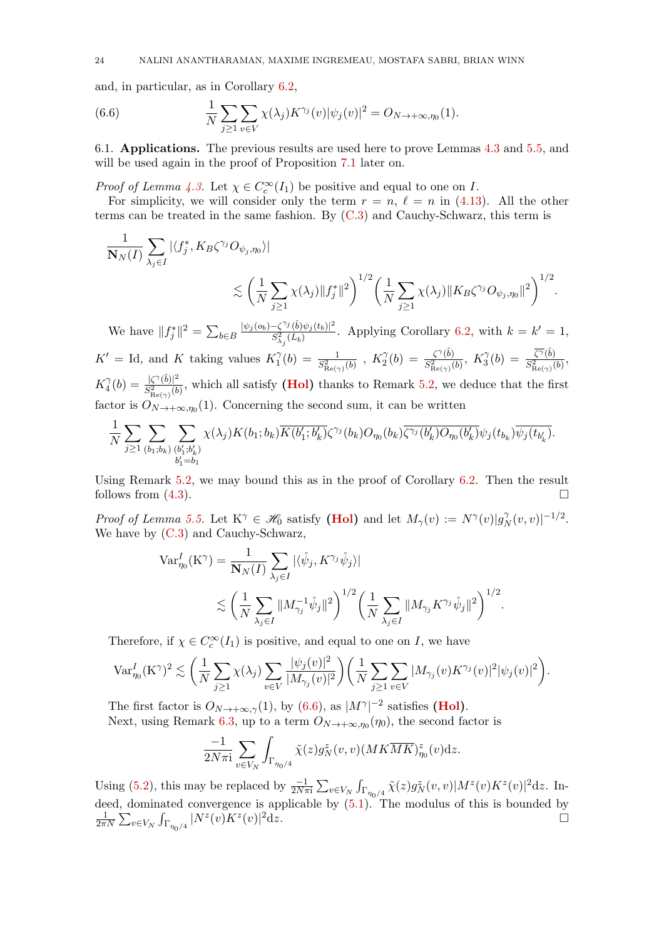and, in particular, as in Corollary [6.2,](#page-22-1)

<span id="page-23-1"></span>(6.6) 
$$
\frac{1}{N} \sum_{j \geq 1} \sum_{v \in V} \chi(\lambda_j) K^{\gamma_j}(v) |\psi_j(v)|^2 = O_{N \to +\infty, \eta_0}(1).
$$

<span id="page-23-0"></span>6.1. Applications. The previous results are used here to prove Lemmas [4.3](#page-16-6) and [5.5,](#page-18-2) and will be used again in the proof of Proposition [7.1](#page-24-1) later on.

*Proof of Lemma [4.3.](#page-16-6)* Let  $\chi \in C_c^{\infty}(I_1)$  be positive and equal to one on I.

For simplicity, we will consider only the term  $r = n$ ,  $\ell = n$  in [\(4.13\)](#page-16-7). All the other terms can be treated in the same fashion. By [\(C.3\)](#page-57-1) and Cauchy-Schwarz, this term is

$$
\frac{1}{\mathbf{N}_N(I)} \sum_{\lambda_j \in I} |\langle f_j^*, K_B \zeta^{\gamma_j} O_{\psi_j, \eta_0} \rangle|
$$
  

$$
\lesssim \left(\frac{1}{N} \sum_{j \ge 1} \chi(\lambda_j) \|f_j^*\|^2\right)^{1/2} \left(\frac{1}{N} \sum_{j \ge 1} \chi(\lambda_j) \|K_B \zeta^{\gamma_j} O_{\psi_j, \eta_0}\|^2\right)^{1/2}.
$$

We have  $||f_j^*||^2 = \sum_{b \in B}$  $|\psi_j(o_b)-\zeta^{\gamma_j}(\hat{b})\psi_j(t_b)|^2$  $\frac{-\zeta^{(3)}(b)\psi_j(t_b)|^2}{S^2_{\lambda_j}(L_b)}$ . Applying Corollary [6.2,](#page-22-1) with  $k = k' = 1$ ,  $K' =$  Id, and K taking values  $K_1^{\gamma}$  $\hat{C}_1^{\gamma}(b) = \frac{1}{S^2_{\text{Re}(\gamma)}(b)}$  ,  $K_2^{\gamma}$  $\hat{C}_2^{\gamma}(b) = \frac{\zeta^{\gamma}(\hat{b})}{S^2_{\rm B}(\cdot,\cdot)}$  $\frac{\zeta^{\gamma}(b)}{S_{\text{Re}(\gamma)}^2(b)}, K_3^{\gamma}$  $\widehat{J}_3^{\gamma}(b) \, = \, \frac{\overline{\zeta^{\gamma}}(\hat{b})}{S^2_{\rm B}(\cdot,\cdot)}$  $rac{\zeta'(b)}{S^2_{\text{Re}(\gamma)}(b)},$  $K_4^{\gamma}$  $\frac{\gamma}{4}(b) = \frac{|\zeta^{\gamma}(\hat{b})|^2}{S_{\text{B}}^2(\zeta)}$  $\frac{|S'(b)|^2}{S^2_{\text{Re}(\gamma)}(b)}$ , which all satisfy (**Hol**) thanks to Remark [5.2,](#page-16-5) we deduce that the first factor is  $O_{N\to+\infty,\eta_0}(1)$ . Concerning the second sum, it can be written

$$
\frac{1}{N}\sum_{j\geq 1}\sum_{\left(b_1;b_k\right)}\sum_{\substack{\left(b'_1;b'_k\right)\\b'_1=b_1}}\chi(\lambda_j)K(b_1;b_k)\overline{K(b'_1;b'_k)}\zeta^{\gamma_j}(b_k)O_{\eta_0}(b_k)\overline{\zeta^{\gamma_j}(b'_k)O_{\eta_0}(b'_k)}\psi_j(t_{b_k})\overline{\psi_j(t_{b'_k})}.
$$

Using Remark [5.2,](#page-16-5) we may bound this as in the proof of Corollary [6.2.](#page-22-1) Then the result follows from  $(4.3)$ .

Proof of Lemma [5.5.](#page-18-2) Let  $K^{\gamma} \in \mathcal{H}_0$  satisfy [\(Hol\)](#page-16-3) and let  $M_{\gamma}(v) := N^{\gamma}(v) |g_{\gamma}^{\gamma}|$  $|U_N^{\gamma}(v,v)|^{-1/2}.$ We have by  $(C.3)$  and Cauchy-Schwarz,

$$
\begin{split} \text{Var}^I_{\eta_0}(\mathbf{K}^{\gamma}) &= \frac{1}{\mathbf{N}_N(I)} \sum_{\lambda_j \in I} |\langle \mathring{\psi}_j, K^{\gamma_j} \mathring{\psi}_j \rangle| \\ &\lesssim \bigg( \frac{1}{N} \sum_{\lambda_j \in I} \| M_{\gamma_j}^{-1} \mathring{\psi}_j \|^2 \bigg)^{1/2} \bigg( \frac{1}{N} \sum_{\lambda_j \in I} \| M_{\gamma_j} K^{\gamma_j} \mathring{\psi}_j \|^2 \bigg)^{1/2} . \end{split}
$$

Therefore, if  $\chi \in C_c^{\infty}(I_1)$  is positive, and equal to one on I, we have

$$
\text{Var}_{\eta_0}^I (K^{\gamma})^2 \lesssim \left( \frac{1}{N} \sum_{j \geq 1} \chi(\lambda_j) \sum_{v \in V} \frac{|\psi_j(v)|^2}{|M_{\gamma_j}(v)|^2} \right) \left( \frac{1}{N} \sum_{j \geq 1} \sum_{v \in V} |M_{\gamma_j}(v) K^{\gamma_j}(v)|^2 |\psi_j(v)|^2 \right).
$$

The first factor is  $O_{N\to+\infty,\gamma}(1)$ , by [\(6.6\)](#page-23-1), as  $|M^{\gamma}|^{-2}$  satisfies [\(Hol\)](#page-16-3). Next, using Remark [6.3,](#page-22-2) up to a term  $O_{N\to+\infty,\eta_0}(\eta_0)$ , the second factor is

$$
\frac{-1}{2N\pi \mathrm{i}} \sum_{v\in V_N} \int_{\Gamma_{\eta_0/4}} \tilde{\chi}(z) g_N^z(v,v) (MK\overline{MK})^z_{\eta_0}(v) \mathrm{d} z.
$$

Using [\(5.2\)](#page-16-8), this may be replaced by  $\frac{-1}{2N\pi i} \sum_{v \in V_N} \int_{\Gamma_{\eta_0/4}} \tilde{\chi}(z) g^z_N(v,v) |M^z(v) K^z(v)|^2 dz$ . Indeed, dominated convergence is applicable by  $(5.1)$ . The modulus of this is bounded by 1  $\frac{1}{2\pi N}\sum_{v\in V_N}\int_{\Gamma_{\eta_0/4}}|N^z(v)K^z(v)|$  $2dz$ .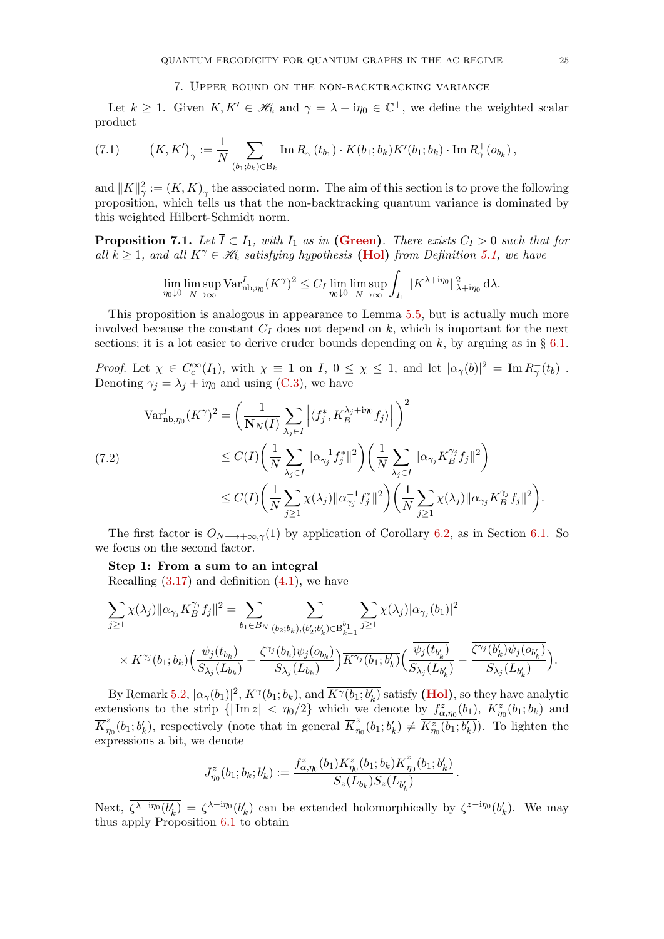#### 7. Upper bound on the non-backtracking variance

<span id="page-24-0"></span>Let  $k \geq 1$ . Given  $K, K' \in \mathcal{H}_k$  and  $\gamma = \lambda + i\eta_0 \in \mathbb{C}^+$ , we define the weighted scalar product

<span id="page-24-3"></span>(7.1) 
$$
(K, K')_{\gamma} := \frac{1}{N} \sum_{(b_1, b_k) \in B_k} \text{Im} \, R_{\gamma}^{-}(t_{b_1}) \cdot K(b_1; b_k) \overline{K'(b_1; b_k)} \cdot \text{Im} \, R_{\gamma}^{+}(o_{b_k}),
$$

and  $||K||_{\gamma}^2 := (K, K)_{\gamma}$  the associated norm. The aim of this section is to prove the following proposition, which tells us that the non-backtracking quantum variance is dominated by this weighted Hilbert-Schmidt norm.

<span id="page-24-1"></span>**Proposition 7.1.** Let  $\overline{I} \subset I_1$ , with  $I_1$  as in [\(Green\)](#page-5-0). There exists  $C_I > 0$  such that for all  $k \geq 1$ , and all  $K^{\gamma} \in \mathcal{H}_k$  satisfying hypothesis [\(Hol\)](#page-16-3) from Definition [5.1,](#page-16-4) we have

$$
\lim_{\eta_0 \downarrow 0} \limsup_{N \to \infty} \text{Var}_{\text{nb}, \eta_0}^I (K^\gamma)^2 \le C_I \lim_{\eta_0 \downarrow 0} \limsup_{N \to \infty} \int_{I_1} ||K^{\lambda + i\eta_0}||_{\lambda + i\eta_0}^2 d\lambda.
$$

This proposition is analogous in appearance to Lemma [5.5,](#page-18-2) but is actually much more involved because the constant  $C_I$  does not depend on  $k$ , which is important for the next sections; it is a lot easier to derive cruder bounds depending on  $k$ , by arguing as in § [6.1.](#page-23-0)

*Proof.* Let  $\chi \in C_c^{\infty}(I_1)$ , with  $\chi \equiv 1$  on  $I, 0 \leq \chi \leq 1$ , and let  $|\alpha_{\gamma}(b)|^2 = \text{Im} R_{\gamma}(t_b)$ . Denoting  $\gamma_i = \lambda_i + i\eta_0$  and using [\(C.3\)](#page-57-1), we have

<span id="page-24-2"></span>
$$
\begin{split} \operatorname{Var}_{\text{nb},\eta_{0}}^{I}(K^{\gamma})^{2} &= \left(\frac{1}{\mathbf{N}_{N}(I)}\sum_{\lambda_{j}\in I}\left|\langle f_{j}^{*},K_{B}^{\lambda_{j}+i\eta_{0}}f_{j}\rangle\right|\right)^{2} \\ &\leq C(I)\left(\frac{1}{N}\sum_{\lambda_{j}\in I}\|\alpha_{\gamma_{j}}^{-1}f_{j}^{*}\|^{2}\right)\left(\frac{1}{N}\sum_{\lambda_{j}\in I}\|\alpha_{\gamma_{j}}K_{B}^{\gamma_{j}}f_{j}\|^{2}\right) \\ &\leq C(I)\left(\frac{1}{N}\sum_{j\geq 1}\chi(\lambda_{j})\|\alpha_{\gamma_{j}}^{-1}f_{j}^{*}\|^{2}\right)\left(\frac{1}{N}\sum_{j\geq 1}\chi(\lambda_{j})\|\alpha_{\gamma_{j}}K_{B}^{\gamma_{j}}f_{j}\|^{2}\right). \end{split}
$$

The first factor is  $O_{N\to+\infty,\gamma}(1)$  by application of Corollary [6.2,](#page-22-1) as in Section [6.1.](#page-23-0) So we focus on the second factor.

#### Step 1: From a sum to an integral

Recalling  $(3.17)$  and definition  $(4.1)$ , we have

$$
\begin{split} & \sum_{j \geq 1} \chi(\lambda_j) \|\alpha_{\gamma_j} K_B^{\gamma_j} f_j\|^2 = \sum_{b_1 \in B_N} \sum_{(b_2; b_k), (b_2', b_k') \in \mathcal{B}_{k-1}^{b_1}} \sum_{j \geq 1} \chi(\lambda_j) |\alpha_{\gamma_j}(b_1)|^2 \\ & \times K^{\gamma_j}(b_1; b_k) \Big( \frac{\psi_j(t_{b_k})}{S_{\lambda_j}(L_{b_k})} - \frac{\zeta^{\gamma_j}(b_k) \psi_j(o_{b_k})}{S_{\lambda_j}(L_{b_k})} \Big) \overline{K^{\gamma_j}(b_1; b_k')} \Big( \frac{\overline{\psi_j(t_{b_k'})}}{S_{\lambda_j}(L_{b_k'})} - \frac{\overline{\zeta^{\gamma_j}(b_k') \psi_j(o_{b_k'})}}{S_{\lambda_j}(L_{b_k'})} \Big). \end{split}
$$

By Remark [5.2,](#page-16-5)  $|\alpha_\gamma(b_1)|^2$ ,  $K^\gamma(b_1;b_k)$ , and  $\overline{K^\gamma(b_1;b_k')}$  satisfy [\(Hol\)](#page-16-3), so they have analytic extensions to the strip  $\{|\text{Im } z| < \eta_0/2\}$  which we denote by  $f_{\alpha,\eta_0}^z(b_1)$ ,  $K_{\eta_0}^z(b_1;b_k)$  and  $\overline{K}_n^z$  $\frac{z}{\eta_0}(b_1;b'_k)$ , respectively (note that in general  $\overline{K}_{\eta}^z$  $\frac{z}{\eta_0}(b_1;b'_k) \neq \overline{K_{\eta_0}^z(b_1;b'_k)}$ . To lighten the expressions a bit, we denote

$$
J^z_{\eta_0}(b_1;b_k;b_k'):=\frac{f^z_{\alpha,\eta_0}(b_1)K^z_{\eta_0}(b_1;b_k)\overline{K}^z_{\eta_0}(b_1;b_k')}{S_z(L_{b_k})S_z(L_{b_k'})}
$$

.

Next,  $\overline{\zeta^{\lambda+i\eta_0}(b'_k)} = \zeta^{\lambda-i\eta_0}(b'_k)$  can be extended holomorphically by  $\zeta^{z-i\eta_0}(b'_k)$ . We may thus apply Proposition [6.1](#page-20-0) to obtain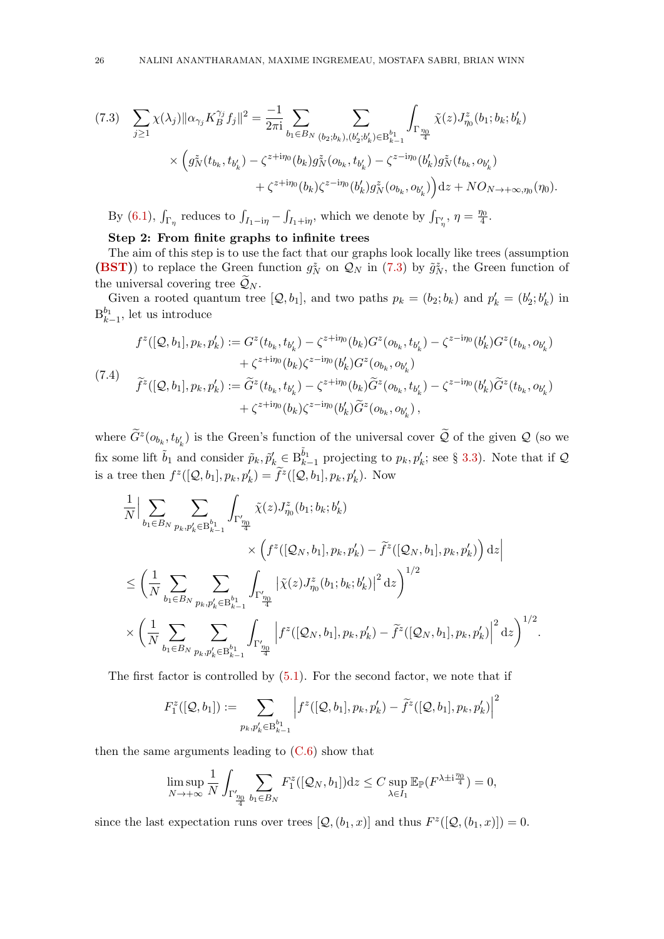<span id="page-25-0"></span>
$$
(7.3) \sum_{j\geq 1} \chi(\lambda_j) \|\alpha_{\gamma_j} K_B^{\gamma_j} f_j\|^2 = \frac{-1}{2\pi i} \sum_{b_1 \in B_N} \sum_{(b_2; b_k), (b'_2; b'_k) \in B_{k-1}^{b_1}} \int_{\Gamma_{\frac{\eta_0}{4}}} \tilde{\chi}(z) J_{\eta_0}^z(b_1; b_k; b'_k)
$$
  
\$\times \left( g\_N^z(t\_{b\_k}, t\_{b'\_k}) - \zeta^{z+i\eta\_0}(b\_k) g\_N^z(o\_{b\_k}, t\_{b'\_k}) - \zeta^{z-i\eta\_0}(b'\_k) g\_N^z(t\_{b\_k}, o\_{b'\_k}) + \zeta^{z+i\eta\_0}(b\_k) \zeta^{z-i\eta\_0}(b'\_k) g\_N^z(o\_{b\_k}, o\_{b'\_k}) \right) \mathrm{d}z + N O\_{N \to +\infty, \eta\_0}(\eta\_0).

By [\(6.1\)](#page-19-3),  $\int_{\Gamma_{\eta}}$  reduces to  $\int_{I_1-i\eta} - \int_{I_1+i\eta}$ , which we denote by  $\int_{\Gamma_{\eta}}$ ,  $\eta = \frac{\eta_0}{4}$  $\frac{\eta_0}{4}.$ 

# Step 2: From finite graphs to infinite trees

The aim of this step is to use the fact that our graphs look locally like trees (assumption [\(BST\)](#page-4-3)) to replace the Green function  $g_N^z$  on  $\mathcal{Q}_N$  in [\(7.3\)](#page-25-0) by  $\tilde{g}_N^z$ , the Green function of the universal covering tree  $\widetilde{\mathcal{Q}}_N$ .

Given a rooted quantum tree  $[Q, b_1]$ , and two paths  $p_k = (b_2; b_k)$  and  $p'_k = (b'_2; b'_k)$  in  $B_{k-1}^{b_1}$ , let us introduce

<span id="page-25-1"></span>
$$
f^{z}([\mathcal{Q}, b_{1}], p_{k}, p'_{k}) := G^{z}(t_{b_{k}}, t_{b'_{k}}) - \zeta^{z+i\eta_{0}}(b_{k})G^{z}(o_{b_{k}}, t_{b'_{k}}) - \zeta^{z-i\eta_{0}}(b'_{k})G^{z}(t_{b_{k}}, o_{b'_{k}})
$$
  
+  $\zeta^{z+i\eta_{0}}(b_{k})\zeta^{z-i\eta_{0}}(b'_{k})G^{z}(o_{b_{k}}, o_{b'_{k}})$   

$$
\tilde{f}^{z}([\mathcal{Q}, b_{1}], p_{k}, p'_{k}) := \tilde{G}^{z}(t_{b_{k}}, t_{b'_{k}}) - \zeta^{z+i\eta_{0}}(b_{k})\tilde{G}^{z}(o_{b_{k}}, t_{b'_{k}}) - \zeta^{z-i\eta_{0}}(b'_{k})\tilde{G}^{z}(t_{b_{k}}, o_{b'_{k}})
$$
  
+  $\zeta^{z+i\eta_{0}}(b_{k})\zeta^{z-i\eta_{0}}(b'_{k})\tilde{G}^{z}(o_{b_{k}}, o_{b'_{k}}),$ 

where  $\tilde{G}^z(o_{b_k}, t_{b'_k})$  is the Green's function of the universal cover  $\tilde{Q}$  of the given  $Q$  (so we fix some lift  $\tilde{b}_1$  and consider  $\tilde{p}_k, \tilde{p}'_k \in B_{k-1}^{\tilde{b}_1}$  projecting to  $p_k, p'_k$ ; see § [3.3\)](#page-11-0). Note that if  $\mathcal Q$ is a tree then  $f^z([Q, b_1], p_k, p'_k) = \tilde{f}^z([Q, b_1], p_k, p'_k)$ . Now

$$
\label{eq:3.13} \begin{split} &\frac{1}{N}\Big|\sum_{b_1\in B_N}\sum_{p_k,p'_k\in \text{B}_{k-1}^{b_1}}\int_{\Gamma_{\frac{\eta_0}{4}}^{\prime\prime}}\tilde{\chi}(z)J_{\eta_0}^z(b_1;b_k;b'_k)\\ &\qquad \qquad \times\Big(f^z([\mathcal{Q}_N,b_1],p_k,p'_k)-\tilde{f}^z([\mathcal{Q}_N,b_1],p_k,p'_k)\Big)\,\mathrm{d} z\Big|\\ \leq&\left(\frac{1}{N}\sum_{b_1\in B_N}\sum_{p_k,p'_k\in \text{B}_{k-1}^{b_1}}\int_{\Gamma_{\frac{\eta_0}{4}}^{\prime\prime}}\big|\tilde{\chi}(z)J_{\eta_0}^z(b_1;b_k;b'_k)\big|^2\,\mathrm{d} z\right)^{1/2}\\ &\qquad \qquad \times\left(\frac{1}{N}\sum_{b_1\in B_N}\sum_{p_k,p'_k\in \text{B}_{k-1}^{b_1}}\int_{\Gamma_{\frac{\eta_0}{4}}^{\prime\prime}}\Big|f^z([\mathcal{Q}_N,b_1],p_k,p'_k)-\tilde{f}^z([\mathcal{Q}_N,b_1],p_k,p'_k)\Big|^2\,\mathrm{d} z\right)^{1/2}. \end{split}
$$

The first factor is controlled by  $(5.1)$ . For the second factor, we note that if

$$
F_1^z([Q, b_1]):=\sum_{p_k, p'_k \in B^{b_1}_{k-1}} \Big|f^z([Q, b_1], p_k, p'_k) - \tilde{f}^z([Q, b_1], p_k, p'_k)\Big|^2
$$

then the same arguments leading to  $(C.6)$  show that

$$
\limsup_{N \to +\infty} \frac{1}{N} \int_{\Gamma_{\frac{\eta_0}{4}}'} \sum_{b_1 \in B_N} F_1^z([\mathcal{Q}_N, b_1]) \mathrm{d}z \le C \sup_{\lambda \in I_1} \mathbb{E}_{\mathbb{P}}(F^{\lambda \pm i \frac{\eta_0}{4}}) = 0,
$$

since the last expectation runs over trees  $[Q, (b_1, x)]$  and thus  $F^z([Q, (b_1, x)]) = 0$ .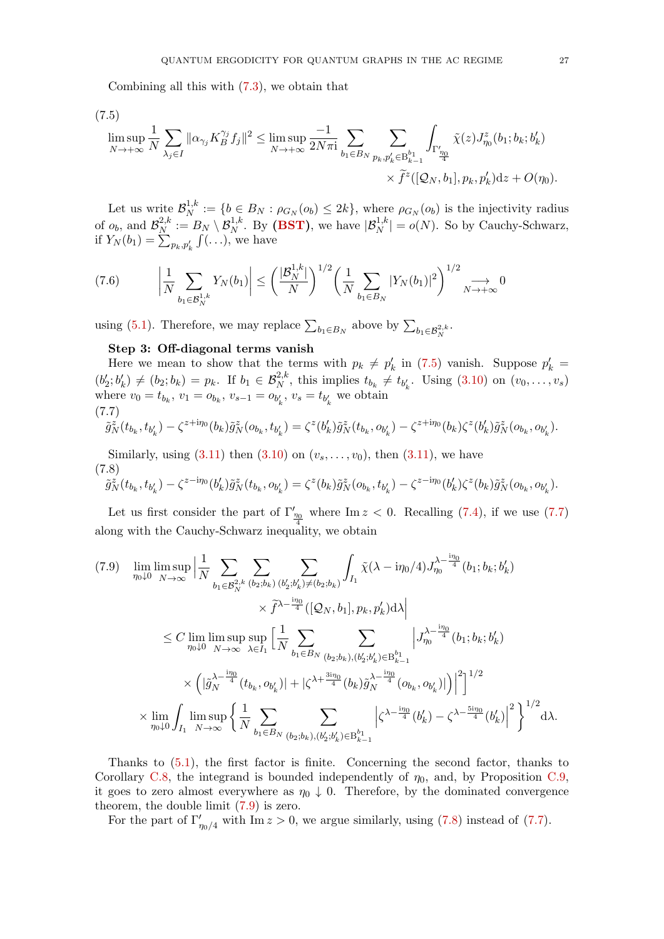Combining all this with [\(7.3\)](#page-25-0), we obtain that

<span id="page-26-0"></span>(7.5)

$$
\limsup_{N \to +\infty} \frac{1}{N} \sum_{\lambda_j \in I} \|\alpha_{\gamma_j} K_B^{\gamma_j} f_j\|^2 \leq \limsup_{N \to +\infty} \frac{-1}{2N\pi \mathbf{i}} \sum_{b_1 \in B_N} \sum_{\substack{p_k, p'_k \in \mathcal{B}_{k-1}^{b_1} \\ p_k, p'_k \in \mathcal{B}_{k-1}^{b_1}}} \int_{\Gamma_{\frac{\eta_0}{4}}} \tilde{\chi}(z) J_{\eta_0}^z(b_1; b_k; b'_k) \times \tilde{f}^z([Q_N, b_1], p_k, p'_k) \, dz + O(\eta_0).
$$

Let us write  $\mathcal{B}_N^{1,k}$  $N^{1,k} := \{b \in B_N : \rho_{G_N}(o_b) \leq 2k\},\$  where  $\rho_{G_N}(o_b)$  is the injectivity radius of  $o_b$ , and  $\mathcal{B}_N^{2,k}$  $S_N^{2,k} := B_N \setminus \mathcal{B}_N^{1,k}$ . By [\(BST\)](#page-4-3), we have  $|\mathcal{B}_N^{1,k}| = o(N)$ . So by Cauchy-Schwarz, if  $Y_N(b_1) = \sum_{p_k, p'_k} \int (\ldots),$  we have

<span id="page-26-4"></span>
$$
(7.6) \qquad \left| \frac{1}{N} \sum_{b_1 \in \mathcal{B}_N^{1,k}} Y_N(b_1) \right| \le \left( \frac{|\mathcal{B}_N^{1,k}|}{N} \right)^{1/2} \left( \frac{1}{N} \sum_{b_1 \in B_N} |Y_N(b_1)|^2 \right)^{1/2} \underset{N \to +\infty}{\longrightarrow} 0
$$

using [\(5.1\)](#page-16-2). Therefore, we may replace  $\sum_{b_1 \in B_N}$  above by  $\sum_{b_1 \in \mathcal{B}_N^{2,k}}$ .

## Step 3: Off-diagonal terms vanish

Here we mean to show that the terms with  $p_k \neq p'_k$  in [\(7.5\)](#page-26-0) vanish. Suppose  $p'_k =$ k  $(b'_2; b'_k) \neq (b_2; b_k) = p_k$ . If  $b_1 \in \mathcal{B}_N^{2,k}$ , this implies  $t_{b_k} \neq t_{b'_k}$ . Using [\(3.10\)](#page-9-0) on  $(v_0, \ldots, v_s)$ where  $v_0 = t_{b_k}, v_1 = o_{b_k}, v_{s-1} = o_{b'_k}, v_s = t_{b'_k}$  we obtain (7.7)

<span id="page-26-1"></span>
$$
\tilde{g}_N^z(t_{b_k}, t_{b'_k}) - \zeta^{z+i\eta_0}(b_k)\tilde{g}_N^z(o_{b_k}, t_{b'_k}) = \zeta^z(b'_k)\tilde{g}_N^z(t_{b_k}, o_{b'_k}) - \zeta^{z+i\eta_0}(b_k)\zeta^z(b'_k)\tilde{g}_N^z(o_{b_k}, o_{b'_k}).
$$

Similarly, using  $(3.11)$  then  $(3.10)$  on  $(v_3, \ldots, v_0)$ , then  $(3.11)$ , we have (7.8)

<span id="page-26-3"></span>
$$
\tilde{g}_N^z(t_{b_k}, t_{b'_k}) - \zeta^{z - i\eta_0} (b'_k) \tilde{g}_N^z(t_{b_k}, o_{b'_k}) = \zeta^z(b_k) \tilde{g}_N^z(o_{b_k}, t_{b'_k}) - \zeta^{z - i\eta_0} (b'_k) \zeta^z(b_k) \tilde{g}_N^z(o_{b_k}, o_{b'_k}).
$$

Let us first consider the part of  $\Gamma'_{\underline{n}_0}$  where Im  $z < 0$ . Recalling [\(7.4\)](#page-25-1), if we use [\(7.7\)](#page-26-1) along with the Cauchy-Schwarz inequality, we obtain

<span id="page-26-2"></span>
$$
(7.9) \quad \lim_{\eta_{0}\downarrow 0} \limsup_{N \to \infty} \Big| \frac{1}{N} \sum_{b_{1} \in \mathcal{B}_{N}^{2,k}} \sum_{(b_{2};b_{k})} \sum_{(b'_{2};b'_{k}) \neq (b_{2};b_{k})} \int_{I_{1}} \tilde{\chi}(\lambda - i\eta_{0}/4) J_{\eta_{0}}^{\lambda - \frac{i\eta_{0}}{4}}(b_{1};b_{k};b'_{k})
$$
  
\n
$$
\times \tilde{f}^{\lambda - \frac{i\eta_{0}}{4}}([\mathcal{Q}_{N},b_{1}],p_{k},p'_{k}) d\lambda \Big|
$$
  
\n
$$
\leq C \lim_{\eta_{0}\downarrow 0} \limsup_{N \to \infty} \sup_{\lambda \in I_{1}} \Big| \frac{1}{N} \sum_{b_{1} \in B_{N}} \sum_{(b_{2};b_{k}), (b'_{2};b'_{k}) \in \mathcal{B}_{k-1}^{b_{1}}} \Big| J_{\eta_{0}}^{\lambda - \frac{i\eta_{0}}{4}}(b_{1};b_{k};b'_{k})
$$
  
\n
$$
\times \Big( |\tilde{g}_{N}^{\lambda - \frac{i\eta_{0}}{4}}(t_{b_{k}},o_{b'_{k}})| + |\zeta^{\lambda + \frac{3i\eta_{0}}{4}}(b_{k})\tilde{g}_{N}^{\lambda - \frac{i\eta_{0}}{4}}(o_{b_{k}},o_{b'_{k}})| \Big) \Big|^{2} \Big]^{1/2}
$$
  
\n
$$
\times \lim_{\eta_{0}\downarrow 0} \int_{I_{1}} \limsup_{N \to \infty} \Big\{ \frac{1}{N} \sum_{b_{1} \in B_{N}} \sum_{(b_{2};b_{k}), (b'_{2};b'_{k}) \in \mathcal{B}_{k-1}^{b_{1}}} {|\zeta^{\lambda - \frac{i\eta_{0}}{4}}(b'_{k}) - \zeta^{\lambda - \frac{5i\eta_{0}}{4}}(b'_{k})|^{2} \Big\}^{1/2} d\lambda.
$$

Thanks to [\(5.1\)](#page-16-2), the first factor is finite. Concerning the second factor, thanks to Corollary [C.8,](#page-61-0) the integrand is bounded independently of  $\eta_0$ , and, by Proposition [C.9,](#page-62-14) it goes to zero almost everywhere as  $\eta_0 \downarrow 0$ . Therefore, by the dominated convergence theorem, the double limit [\(7.9\)](#page-26-2) is zero.

For the part of  $\Gamma'_{\eta_0/4}$  with Im  $z > 0$ , we argue similarly, using [\(7.8\)](#page-26-3) instead of [\(7.7\)](#page-26-1).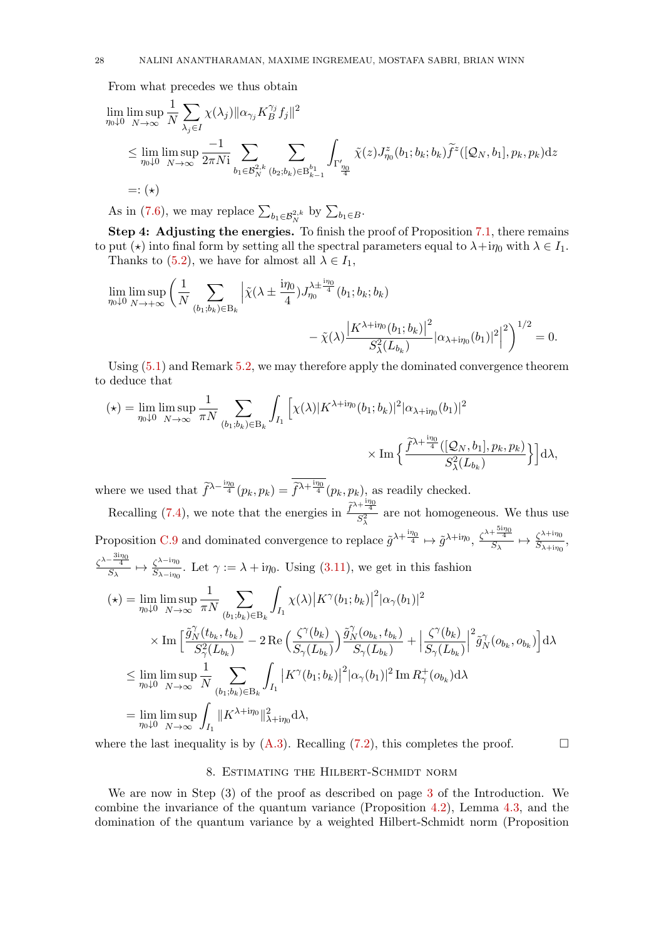From what precedes we thus obtain

$$
\lim_{\eta_0 \downarrow 0} \limsup_{N \to \infty} \frac{1}{N} \sum_{\lambda_j \in I} \chi(\lambda_j) \|\alpha_{\gamma_j} K_B^{\gamma_j} f_j\|^2
$$
\n
$$
\leq \lim_{\eta_0 \downarrow 0} \limsup_{N \to \infty} \frac{-1}{2\pi N i} \sum_{b_1 \in \mathcal{B}_N^{2,k}} \sum_{(b_2; b_k) \in B_{k-1}^{b_1}} \int_{\Gamma_{\frac{\eta_0}{4}}} \tilde{\chi}(z) J_{\eta_0}^z(b_1; b_k; b_k) \tilde{f}^z([\mathcal{Q}_N, b_1], p_k, p_k) \mathrm{d}z
$$
\n
$$
=: (\star)
$$

As in [\(7.6\)](#page-26-4), we may replace  $\sum_{b_1 \in \mathcal{B}_N^{2,k}}$  by  $\sum_{b_1 \in B}$ .

Step 4: Adjusting the energies. To finish the proof of Proposition [7.1,](#page-24-1) there remains to put ( $\star$ ) into final form by setting all the spectral parameters equal to  $\lambda + i\eta_0$  with  $\lambda \in I_1$ . Thanks to [\(5.2\)](#page-16-8), we have for almost all  $\lambda \in I_1$ ,

$$
\begin{split} \lim_{\eta_0\downarrow 0}\limsup_{N\to+\infty}\bigg(\frac{1}{N}\sum_{(b_1;b_k)\in\mathcal{B}_k}\Big|\tilde\chi(\lambda\pm\frac{\mathrm{i}\eta_0}{4})J_{\eta_0}^{\lambda\pm\frac{\mathrm{i}\eta_0}{4}}(b_1;b_k;b_k)\\ &\qquad\qquad-\tilde\chi(\lambda)\frac{\big|K^{\lambda+\mathrm{i}\eta_0}(b_1;b_k)\big|^2}{S^2_\lambda\big(L_{b_k}\big)}\big|\alpha_{\lambda+\mathrm{i}\eta_0}(b_1)\big|^2\Big|^2\bigg)^{1/2}=0. \end{split}
$$

Using [\(5.1\)](#page-16-2) and Remark [5.2,](#page-16-5) we may therefore apply the dominated convergence theorem to deduce that

$$
(\star) = \lim_{\eta_0 \downarrow 0} \limsup_{N \to \infty} \frac{1}{\pi N} \sum_{(b_1; b_k) \in B_k} \int_{I_1} \left[ \chi(\lambda) |K^{\lambda + i\eta_0}(b_1; b_k)|^2 |\alpha_{\lambda + i\eta_0}(b_1)|^2 \right. \\
\times \operatorname{Im} \left\{ \frac{\widetilde{f}^{\lambda + \frac{i\eta_0}{4}} ([\mathcal{Q}_N, b_1], p_k, p_k)}{S_{\lambda}^2 (L_{b_k})} \right\} \right] d\lambda,
$$

where we used that  $\widetilde{f}^{\lambda-\frac{i\eta_0}{4}}(p_k, p_k) = \widetilde{f}^{\lambda+\frac{i\eta_0}{4}}(p_k, p_k)$ , as readily checked. Recalling [\(7.4\)](#page-25-1), we note that the energies in  $\frac{\tilde{f}^{\lambda+\frac{i\eta_0}{4}}}{s^2}$  $\frac{\sqrt{4}}{S_{\lambda}^2}$  are not homogeneous. We thus use

Proposition [C.9](#page-62-14) and dominated convergence to replace  $\tilde{g}^{\lambda + \frac{i\eta_0}{4}} \mapsto \tilde{g}^{\lambda + i\eta_0}, \frac{\zeta^{\lambda + \frac{5i\eta_0}{4}}}{S_{\lambda}} \mapsto \frac{\zeta^{\lambda + i\eta_0}}{S_{\lambda + i\eta_0}}$  $rac{\zeta^{\lambda+1}\eta_0}{S_{\lambda+1\eta_0}},$  $rac{\zeta^{\lambda-\frac{3\mathrm{i}\eta_{0}}{4}}}{S_{\lambda}} \mapsto \frac{\zeta^{\lambda-\mathrm{i}\eta_{0}}}{S_{\lambda-\mathrm{i}\eta_{0}}}$  $\frac{\zeta^{\lambda-1}\eta_0}{S_{\lambda-1\eta_0}}$ . Let  $\gamma := \lambda + i\eta_0$ . Using [\(3.11\)](#page-9-4), we get in this fashion

$$
(\star) = \lim_{\eta_0 \downarrow 0} \limsup_{N \to \infty} \frac{1}{\pi N} \sum_{(b_1, b_k) \in B_k} \int_{I_1} \chi(\lambda) |K^{\gamma}(b_1; b_k)|^2 |\alpha_{\gamma}(b_1)|^2
$$
  

$$
\times \operatorname{Im} \left[ \frac{\tilde{g}_N^{\gamma}(t_{b_k}, t_{b_k})}{S_{\gamma}^2(L_{b_k})} - 2 \operatorname{Re} \left( \frac{\zeta^{\gamma}(b_k)}{S_{\gamma}(L_{b_k})} \right) \frac{\tilde{g}_N^{\gamma}(o_{b_k}, t_{b_k})}{S_{\gamma}(L_{b_k})} + \left| \frac{\zeta^{\gamma}(b_k)}{S_{\gamma}(L_{b_k})} \right|^2 \tilde{g}_N^{\gamma}(o_{b_k}, o_{b_k}) \right] d\lambda
$$
  

$$
\leq \lim_{\eta_0 \downarrow 0} \limsup_{N \to \infty} \frac{1}{N} \sum_{(b_1; b_k) \in B_k} \int_{I_1} |K^{\gamma}(b_1; b_k)|^2 |\alpha_{\gamma}(b_1)|^2 \operatorname{Im} R_{\gamma}^+(o_{b_k}) d\lambda
$$
  

$$
= \lim_{\eta_0 \downarrow 0} \limsup_{N \to \infty} \int_{I_1} ||K^{\lambda + i\eta_0}||_{\lambda + i\eta_0}^2 d\lambda,
$$

<span id="page-27-0"></span>where the last inequality is by  $(A.3)$ . Recalling [\(7.2\)](#page-24-2), this completes the proof.

## 8. Estimating the Hilbert-Schmidt norm

We are now in Step (3) of the proof as described on page [3](#page-2-2) of the Introduction. We combine the invariance of the quantum variance (Proposition [4.2\)](#page-16-1), Lemma [4.3,](#page-16-6) and the domination of the quantum variance by a weighted Hilbert-Schmidt norm (Proposition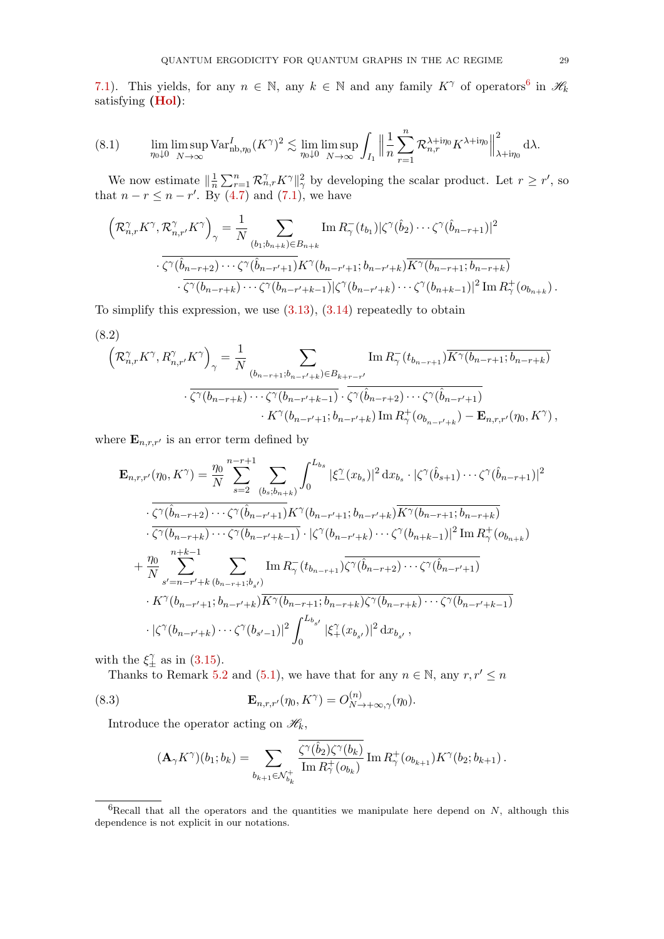[7.1\)](#page-24-1). This yields, for any  $n \in \mathbb{N}$ , any  $k \in \mathbb{N}$  and any family  $K^{\gamma}$  of operators<sup>[6](#page-28-0)</sup> in  $\mathscr{H}_k$ satisfying [\(Hol\)](#page-16-3):

<span id="page-28-2"></span>(8.1) 
$$
\lim_{\eta_0 \downarrow 0} \limsup_{N \to \infty} \text{Var}_{\text{nb}, \eta_0}^I (K^\gamma)^2 \lesssim \lim_{\eta_0 \downarrow 0} \limsup_{N \to \infty} \int_{I_1} \Big\| \frac{1}{n} \sum_{r=1}^n \mathcal{R}_{n,r}^{\lambda + i\eta_0} K^{\lambda + i\eta_0} \Big\|_{\lambda + i\eta_0}^2 d\lambda.
$$

We now estimate  $\left\| \frac{1}{n} \right\|$  $\frac{1}{n}\sum_{r=1}^n \mathcal{R}_{n,r}^{\gamma} K^{\gamma} \|_{\gamma}^2$  by developing the scalar product. Let  $r \geq r'$ , so that  $n - r \leq n - r'$ . By [\(4.7\)](#page-15-4) and [\(7.1\)](#page-24-3), we have

$$
\left(\mathcal{R}_{n,r}^{\gamma}K^{\gamma},\mathcal{R}_{n,r'}^{\gamma}K^{\gamma}\right)_{\gamma} = \frac{1}{N} \sum_{(b_1,b_{n+k}) \in B_{n+k}} \text{Im}\,R_{\gamma}^-(t_{b_1})|\zeta^{\gamma}(\hat{b}_2)\cdots\zeta^{\gamma}(\hat{b}_{n-r+1})|^2
$$

$$
\cdot \frac{\zeta^{\gamma}(\hat{b}_{n-r+2})\cdots\zeta^{\gamma}(\hat{b}_{n-r'+1})K^{\gamma}(b_{n-r'+1};b_{n-r'+k})\overline{K^{\gamma}(b_{n-r+1};b_{n-r+k})}}{\zeta^{\gamma}(b_{n-r+k})\cdots\zeta^{\gamma}(b_{n-r'+k-1})|\zeta^{\gamma}(b_{n-r'+k})\cdots\zeta^{\gamma}(b_{n+k-1})|^2 \text{Im}\,R_{\gamma}^+(b_{b_{n+k}})}.
$$

To simplify this expression, we use  $(3.13)$ ,  $(3.14)$  repeatedly to obtain

<span id="page-28-1"></span>(8.2)

$$
\left(\mathcal{R}_{n,r}^{\gamma} K^{\gamma}, R_{n,r'}^{\gamma} K^{\gamma}\right)_{\gamma} = \frac{1}{N} \sum_{(b_{n-r+1};b_{n-r'+k}) \in B_{k+r-r'}} \text{Im}\, R_{\gamma}^{-}(t_{b_{n-r+1}}) \overline{K^{\gamma}(b_{n-r+1};b_{n-r+k})} \n\cdot \overline{\zeta^{\gamma}(b_{n-r+k}) \cdots \zeta^{\gamma}(b_{n-r'+k-1})} \cdot \overline{\zeta^{\gamma}(\hat{b}_{n-r+2}) \cdots \zeta^{\gamma}(\hat{b}_{n-r'+1})} \n\cdot K^{\gamma}(b_{n-r'+1};b_{n-r'+k}) \text{Im}\, R_{\gamma}^{+}(o_{b_{n-r'+k}}) - \mathbf{E}_{n,r,r'}(\eta_{0}, K^{\gamma}),
$$

where  $\mathbf{E}_{n,r,r'}$  is an error term defined by

$$
\mathbf{E}_{n,r,r'}(\eta_0, K^{\gamma}) = \frac{\eta_0}{N} \sum_{s=2}^{n-r+1} \sum_{(b_s, b_{n+k})} \int_0^{L_{b_s}} |\xi_{-}^{\gamma}(x_{b_s})|^2 dx_{b_s} \cdot |\zeta_{-}^{\gamma}(\hat{b}_{s+1}) \cdots \zeta_{-}^{\gamma}(\hat{b}_{n-r+1})|^2 \n\cdot \frac{\zeta_{-}(\hat{b}_{n-r+2}) \cdots \zeta_{-}(\hat{b}_{n-r+1}) K^{\gamma}(b_{n-r+1}; b_{n-r+k}) K^{\gamma}(b_{n-r+1}; b_{n-r+k})}{\zeta_{-}^{\gamma}(b_{n-r+k}) \cdots \zeta_{-}^{\gamma}(b_{n-r+k-1})} \cdot |\zeta_{-}^{\gamma}(b_{n-r+k}) \cdots \zeta_{-}^{\gamma}(b_{n+k-1})|^2 \operatorname{Im} R_{\gamma}^+(b_{b_{n+k}}) \n+ \frac{\eta_0}{N} \sum_{s'=n-r'+k}^{n+k-1} \sum_{(b_{n-r+1}, b_{s'})} \operatorname{Im} R_{\gamma}^-(t_{b_{n-r+1}}) \overline{\zeta_{-}^{\gamma}(\hat{b}_{n-r+2}) \cdots \zeta_{-}^{\gamma}(\hat{b}_{n-r'+1})} \n+ K^{\gamma}(b_{n-r'+1}; b_{n-r'+k}) \overline{K^{\gamma}(b_{n-r+1}; b_{n-r+k})} \zeta_{-}^{\gamma}(b_{n-r+k}) \cdots \zeta_{-}^{\gamma}(b_{n-r'+k-1}) \n+ |\zeta_{-}^{\gamma}(b_{n-r'+k}) \cdots \zeta_{-}^{\gamma}(b_{s'-1})|^2 \int_0^{L_{b_{s'}}} |\xi_{+}^{\gamma}(x_{b_{s'}})|^2 dx_{b_{s'}},
$$

with the  $\xi_{\pm}^{\gamma}$  as in [\(3.15\)](#page-10-4).

Thanks to Remark [5.2](#page-16-5) and [\(5.1\)](#page-16-2), we have that for any  $n \in \mathbb{N}$ , any  $r, r' \leq n$ 

(8.3) 
$$
\mathbf{E}_{n,r,r'}(\eta_0, K^{\gamma}) = O_{N \to +\infty,\gamma}^{(n)}(\eta_0).
$$

Introduce the operator acting on  $\mathcal{H}_k$ ,

<span id="page-28-3"></span>
$$
(\mathbf{A}_{\gamma} K^{\gamma})(b_1; b_k) = \sum_{b_{k+1} \in \mathcal{N}_{b_k}^+} \frac{\zeta^{\gamma}(\hat{b}_2) \zeta^{\gamma}(b_k)}{\text{Im } R_{\gamma}^+(o_{b_k})} \text{Im } R_{\gamma}^+(o_{b_{k+1}}) K^{\gamma}(b_2; b_{k+1}).
$$

<span id="page-28-0"></span> ${}^{6}$ Recall that all the operators and the quantities we manipulate here depend on N, although this dependence is not explicit in our notations.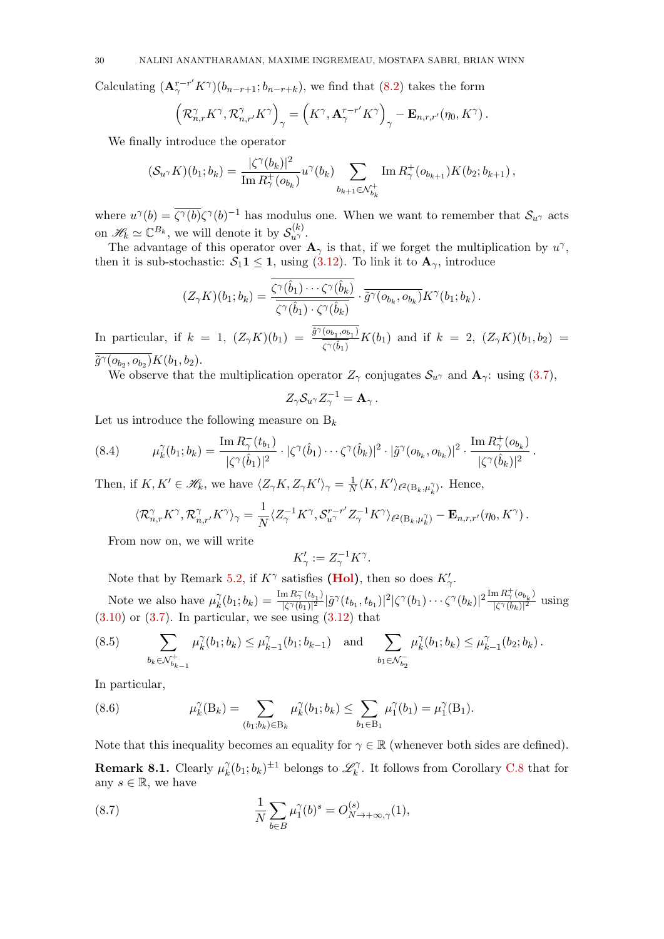Calculating  $(\mathbf{A}_{\gamma}^{r-r'} K^{\gamma})(b_{n-r+1}; b_{n-r+k}),$  we find that [\(8.2\)](#page-28-1) takes the form

$$
\left(\mathcal{R}_{n,r}^{\gamma}K^{\gamma},\mathcal{R}_{n,r'}^{\gamma}K^{\gamma}\right)_{\gamma}=\left(K^{\gamma},\mathbf{A}_{\gamma}^{r-r'}K^{\gamma}\right)_{\gamma}-\mathbf{E}_{n,r,r'}(\eta_{0},K^{\gamma}).
$$

We finally introduce the operator

$$
(\mathcal{S}_{u\gamma}K)(b_1;b_k) = \frac{|\zeta^{\gamma}(b_k)|^2}{\text{Im } R_{\gamma}^+(o_{b_k})} u^{\gamma}(b_k) \sum_{b_{k+1} \in \mathcal{N}_{b_k}^+} \text{Im } R_{\gamma}^+(o_{b_{k+1}}) K(b_2;b_{k+1}),
$$

where  $u^{\gamma}(b) = \overline{\zeta^{\gamma}(b)}\zeta^{\gamma}(b)^{-1}$  has modulus one. When we want to remember that  $S_{u^{\gamma}}$  acts on  $\mathscr{H}_k \simeq \mathbb{C}^{B_k}$ , we will denote it by  $\mathcal{S}_{u^{\gamma}}^{(k)}$ .

The advantage of this operator over  $\mathbf{A}_{\gamma}$  is that, if we forget the multiplication by  $u^{\gamma}$ , then it is sub-stochastic:  $S_1 \mathbf{1} \leq \mathbf{1}$ , using  $(3.12)$ . To link it to  $\mathbf{A}_{\gamma}$ , introduce

$$
(Z_{\gamma}K)(b_1;b_k)=\frac{\overline{\zeta^{\gamma}(\hat{b}_1)\cdots\zeta^{\gamma}(\hat{b}_k)}}{\overline{\zeta^{\gamma}(\hat{b}_1)\cdot\zeta^{\gamma}(\hat{b}_k)}}\cdot\overline{\tilde{g}^{\gamma}(o_{b_k},o_{b_k})}K^{\gamma}(b_1;b_k).
$$

In particular, if  $k = 1$ ,  $(Z_{\gamma}K)(b_1) = \frac{\tilde{g}^{\gamma}(b_1, b_1)}{\tilde{g}^{\gamma}(b_1)}$  $\frac{(b_{b_1},b_{b_1})}{\zeta^{\gamma}(\hat{b}_1)}K(b_1)$  and if  $k = 2$ ,  $(Z_{\gamma}K)(b_1,b_2) =$  $\tilde{g}^{\gamma} (o_{b_2}, o_{b_2}) K(b_1, b_2).$ 

We observe that the multiplication operator  $Z_{\gamma}$  conjugates  $S_{u^{\gamma}}$  and  $\mathbf{A}_{\gamma}$ : using [\(3.7\)](#page-9-1),

$$
Z_{\gamma} S_{u^{\gamma}} Z_{\gamma}^{-1} = \mathbf{A}_{\gamma} .
$$

Let us introduce the following measure on  $B_k$ 

$$
(8.4) \qquad \mu_k^{\gamma}(b_1;b_k) = \frac{\text{Im } R_{\gamma}^-(t_{b_1})}{|\zeta^{\gamma}(\hat{b}_1)|^2} \cdot |\zeta^{\gamma}(\hat{b}_1) \cdots \zeta^{\gamma}(\hat{b}_k)|^2 \cdot |\tilde{g}^{\gamma}(o_{b_k},o_{b_k})|^2 \cdot \frac{\text{Im } R_{\gamma}^+(o_{b_k})}{|\zeta^{\gamma}(\hat{b}_k)|^2}.
$$

Then, if  $K, K' \in \mathcal{H}_k$ , we have  $\langle Z_\gamma K, Z_\gamma K' \rangle_\gamma = \frac{1}{N}$  $\frac{1}{N} \langle K, K' \rangle_{\ell^2(B_k, \mu_k^{\gamma})}$ . Hence,

$$
\langle \mathcal{R}_{n,r}^{\gamma} K^{\gamma}, \mathcal{R}_{n,r'}^{\gamma} K^{\gamma} \rangle_{\gamma} = \frac{1}{N} \langle Z_{\gamma}^{-1} K^{\gamma}, \mathcal{S}_{u^{\gamma}}^{r-r'} Z_{\gamma}^{-1} K^{\gamma} \rangle_{\ell^2(\mathcal{B}_k, \mu_k^{\gamma})} - \mathbf{E}_{n,r,r'}(\eta_0, K^{\gamma}).
$$

From now on, we will write

$$
K'_\gamma := Z_\gamma^{-1} K^\gamma.
$$

Note that by Remark [5.2,](#page-16-5) if  $K^{\gamma}$  satisfies [\(Hol\)](#page-16-3), then so does  $K'_{\gamma}$ .

Note we also have  $\mu_k^{\gamma}$  $\chi^{\gamma}_k(b_1;b_k) = \frac{\text{Im } R_{\gamma}^-(t_{b_1})}{|\zeta^{\gamma}(b_1)|^2}$  $\frac{(\ln R_\gamma^- (t_{b_1})}{|\zeta^\gamma (b_1)|^2} |\tilde{g}^\gamma(t_{b_1},t_{b_1})|^2 |\zeta^\gamma(b_1)\cdots \zeta^\gamma(b_k)|^2 \frac{\text{Im}\, R_\gamma^+ (o_{b_k})}{|\zeta^\gamma(b_k)|^2}$  $\frac{\ln 1 \iota \gamma \left(b_{k}\right)}{|\zeta^{\gamma}(b_{k})|^{2}}$  using  $(3.10)$  or  $(3.7)$ . In particular, we see using  $(3.12)$  that

<span id="page-29-0"></span>
$$
(8.5) \qquad \sum_{b_k \in \mathcal{N}_{b_{k-1}}^+} \mu_k^{\gamma}(b_1; b_k) \le \mu_{k-1}^{\gamma}(b_1; b_{k-1}) \quad \text{and} \quad \sum_{b_1 \in \mathcal{N}_{b_2}^-} \mu_k^{\gamma}(b_1; b_k) \le \mu_{k-1}^{\gamma}(b_2; b_k).
$$

In particular,

<span id="page-29-1"></span>(8.6) 
$$
\mu_k^{\gamma}(B_k) = \sum_{(b_1;b_k)\in B_k} \mu_k^{\gamma}(b_1;b_k) \leq \sum_{b_1\in B_1} \mu_1^{\gamma}(b_1) = \mu_1^{\gamma}(B_1).
$$

<span id="page-29-2"></span>Note that this inequality becomes an equality for  $\gamma \in \mathbb{R}$  (whenever both sides are defined). **Remark 8.1.** Clearly  $\mu_k^{\gamma}$  $_{k}^{\gamma}(b_{1};b_{k})^{\pm 1}$  belongs to  $\mathscr{L}_{k}^{\gamma}$  $\mathcal{C}_{k}^{\gamma}$ . It follows from Corollary [C.8](#page-61-0) that for any  $s \in \mathbb{R}$ , we have

(8.7) 
$$
\frac{1}{N} \sum_{b \in B} \mu_1^{\gamma}(b)^s = O_{N \to +\infty, \gamma}^{(s)}(1),
$$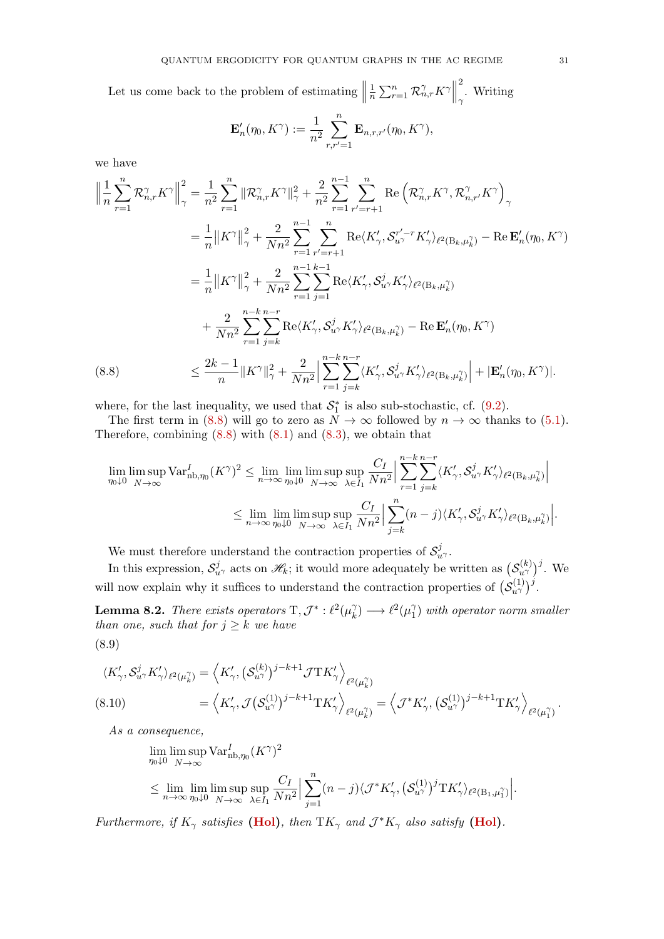Let us come back to the problem of estimating  $\parallel$ 1  $\frac{1}{n}\sum_{r=1}^n \mathcal{R}_{n,r}^{\gamma} K^{\gamma}$ 2 . Writing

$$
\mathbf{E}'_n(\eta_0, K^\gamma) := \frac{1}{n^2} \sum_{r,r'=1}^n \mathbf{E}_{n,r,r'}(\eta_0, K^\gamma),
$$

we have

$$
\left\| \frac{1}{n} \sum_{r=1}^{n} \mathcal{R}_{n,r}^{\gamma} K^{\gamma} \right\|_{\gamma}^{2} = \frac{1}{n^{2}} \sum_{r=1}^{n} \left\| \mathcal{R}_{n,r}^{\gamma} K^{\gamma} \right\|_{\gamma}^{2} + \frac{2}{n^{2}} \sum_{r=1}^{n-1} \sum_{r'=r+1}^{n} \text{Re} \left( \mathcal{R}_{n,r}^{\gamma} K^{\gamma}, \mathcal{R}_{n,r'}^{\gamma} K^{\gamma} \right)_{\gamma} \n= \frac{1}{n} \left\| K^{\gamma} \right\|_{\gamma}^{2} + \frac{2}{Nn^{2}} \sum_{r=1}^{n-1} \sum_{r'=r+1}^{n} \text{Re} \langle K_{\gamma}', \mathcal{S}_{u^{\gamma}}^{r'-r} K_{\gamma}' \rangle_{\ell^{2}(\mathcal{B}_{k}, \mu_{k}^{\gamma})} - \text{Re} \mathbf{E}_{n}'(\eta_{0}, K^{\gamma}) \n= \frac{1}{n} \left\| K^{\gamma} \right\|_{\gamma}^{2} + \frac{2}{Nn^{2}} \sum_{r=1}^{n-1} \sum_{j=1}^{k-1} \text{Re} \langle K_{\gamma}', \mathcal{S}_{u^{\gamma}}^{j} K_{\gamma}' \rangle_{\ell^{2}(\mathcal{B}_{k}, \mu_{k}^{\gamma})} \n+ \frac{2}{Nn^{2}} \sum_{r=1}^{n-k} \sum_{j=k}^{n-r} \text{Re} \langle K_{\gamma}', \mathcal{S}_{u^{\gamma}}^{j} K_{\gamma}' \rangle_{\ell^{2}(\mathcal{B}_{k}, \mu_{k}^{\gamma})} - \text{Re} \mathbf{E}_{n}'(\eta_{0}, K^{\gamma}) \n\leq \frac{2k-1}{n} \left\| K^{\gamma} \right\|_{\gamma}^{2} + \frac{2}{Nn^{2}} \left\| \sum_{r=1}^{n-k} \sum_{j=k}^{n-r} \langle K_{\gamma}', \mathcal{S}_{u^{\gamma}}^{j} K_{\gamma}' \rangle_{\ell^{2}(\mathcal{B}_{k}, \mu_{k}^{\gamma})} \right\| + \left| \mathbf{E}_{n}'(\eta_{0}, K^{\gamma}) \right|.
$$
\n(8.8)

<span id="page-30-0"></span>where, for the last inequality, we used that  $S_1^*$  is also sub-stochastic, cf. [\(9.2\)](#page-32-1).

The first term in [\(8.8\)](#page-30-0) will go to zero as  $\overline{N} \to \infty$  followed by  $n \to \infty$  thanks to [\(5.1\)](#page-16-2). Therefore, combining  $(8.8)$  with  $(8.1)$  and  $(8.3)$ , we obtain that

$$
\lim_{\eta_0 \downarrow 0} \limsup_{N \to \infty} \text{Var}_{\text{nb}, \eta_0}^I (K^\gamma)^2 \le \lim_{n \to \infty} \lim_{\eta_0 \downarrow 0} \limsup_{N \to \infty} \sup_{\lambda \in I_1} \frac{C_I}{Nn^2} \left| \sum_{r=1}^{n-k} \sum_{j=k}^{n-r} \langle K'_\gamma, \mathcal{S}_{u^\gamma}^j K'_\gamma \rangle_{\ell^2(B_k, \mu_k^\gamma)} \right|
$$
  

$$
\le \lim_{n \to \infty} \lim_{\eta_0 \downarrow 0} \limsup_{N \to \infty} \sup_{\lambda \in I_1} \frac{C_I}{Nn^2} \left| \sum_{j=k}^n (n-j) \langle K'_\gamma, \mathcal{S}_{u^\gamma}^j K'_\gamma \rangle_{\ell^2(B_k, \mu_k^\gamma)} \right|.
$$

We must therefore understand the contraction properties of  $\mathcal{S}_{u\gamma}^j$ .

In this expression,  $S_{u}^j$  acts on  $\mathscr{H}_k$ ; it would more adequately be written as  $(S_{u\gamma}^{(k)})^j$ . We will now explain why it suffices to understand the contraction properties of  $(S_{u\gamma}^{(1)})^j$ .

<span id="page-30-2"></span><span id="page-30-1"></span>**Lemma 8.2.** There exists operators  $T, \mathcal{J}^* : \ell^2(\mu_k^{\gamma})$  $\chi_k^{\gamma} \rightarrow \ell^2(\mu_1^{\gamma})$  $\binom{\gamma}{1}$  with operator norm smaller than one, such that for  $j \geq k$  we have (8.9)

$$
\langle K'_{\gamma}, \mathcal{S}_{u^{\gamma}}^{j} K'_{\gamma} \rangle_{\ell^{2}(\mu_{k}^{\gamma})} = \langle K'_{\gamma}, (\mathcal{S}_{u^{\gamma}}^{(k)})^{j-k+1} \mathcal{J} T K'_{\gamma} \rangle_{\ell^{2}(\mu_{k}^{\gamma})}
$$
  
\n
$$
(8.10) \qquad \qquad = \langle K'_{\gamma}, \mathcal{J} (\mathcal{S}_{u^{\gamma}}^{(1)})^{j-k+1} T K'_{\gamma} \rangle_{\ell^{2}(\mu_{k}^{\gamma})} = \langle \mathcal{J}^{*} K'_{\gamma}, (\mathcal{S}_{u^{\gamma}}^{(1)})^{j-k+1} T K'_{\gamma} \rangle_{\ell^{2}(\mu_{1}^{\gamma})}.
$$

As a consequence,

$$
\lim_{\eta_0 \downarrow 0} \limsup_{N \to \infty} \text{Var}_{\text{nb}, \eta_0}^I (K^\gamma)^2
$$
\n
$$
\leq \lim_{n \to \infty} \lim_{\eta_0 \downarrow 0} \limsup_{N \to \infty} \sup_{\lambda \in I_1} \frac{C_I}{Nn^2} \Big| \sum_{j=1}^n (n-j) \langle \mathcal{J}^* K'_{\gamma}, (\mathcal{S}_{u^{\gamma}}^{(1)})^j \mathcal{T} K'_{\gamma} \rangle_{\ell^2(\mathcal{B}_1, \mu_1^{\gamma})} \Big|.
$$

Furthermore, if  $K_{\gamma}$  satisfies [\(Hol\)](#page-16-3), then  $TK_{\gamma}$  and  $\mathcal{J}^*K_{\gamma}$  also satisfy (Hol).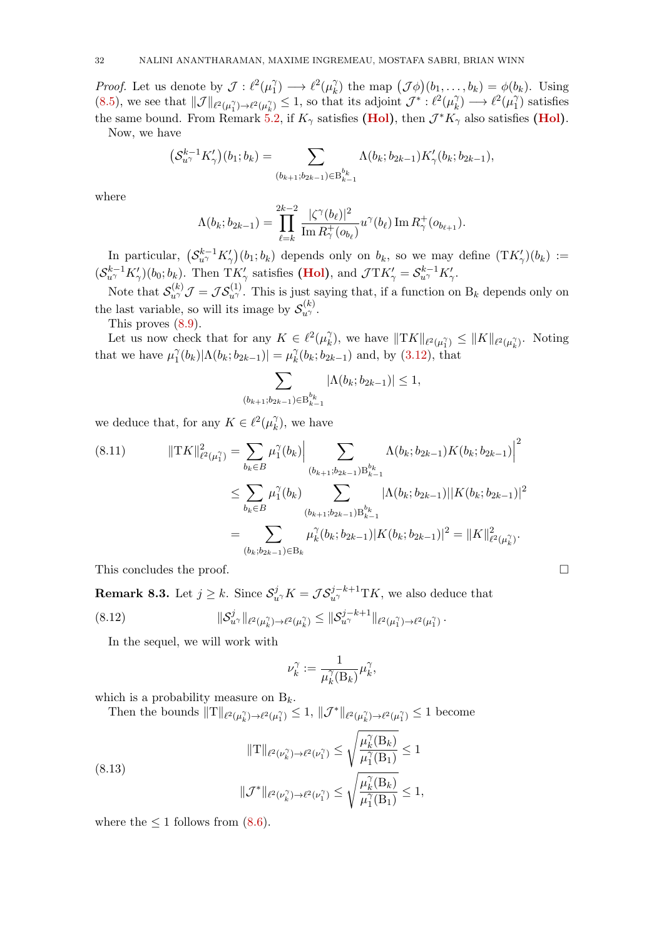*Proof.* Let us denote by  $\mathcal{J} : \ell^2(\mu)$  $\binom{\gamma}{1} \longrightarrow \ell^2(\mu_k^{\gamma})$  $\chi_k^{\gamma}$  the map  $(\mathcal{J}\phi)(b_1,\ldots,b_k) = \phi(b_k)$ . Using [\(8.5\)](#page-29-0), we see that  $\|\mathcal{J}\|_{\ell^2(\mu_1^{\gamma})\to\ell^2(\mu_k^{\gamma})}\leq 1$ , so that its adjoint  $\mathcal{J}^*: \ell^2(\mu_k^{\gamma})$  $\widehat{h}_k^{\gamma}$ )  $\longrightarrow$   $\ell^2(\mu_1^{\gamma})$  $\binom{1}{1}$  satisfies the same bound. From Remark [5.2,](#page-16-5) if  $K_{\gamma}$  satisfies [\(Hol\)](#page-16-3), then  $\mathcal{J}^*K_{\gamma}$  also satisfies (Hol). Now, we have

$$
\left(S_{u^{\gamma}}^{k-1} K'_{\gamma}\right)(b_1; b_k) = \sum_{(b_{k+1}, b_{2k-1}) \in B_{k-1}^{b_k}} \Lambda(b_k; b_{2k-1}) K'_{\gamma}(b_k; b_{2k-1}),
$$

where

$$
\Lambda(b_k; b_{2k-1}) = \prod_{\ell=k}^{2k-2} \frac{|\zeta^{\gamma}(b_{\ell})|^2}{\text{Im} \, R_{\gamma}^+(o_{b_{\ell}})} u^{\gamma}(b_{\ell}) \text{Im} \, R_{\gamma}^+(o_{b_{\ell+1}}).
$$

In particular,  $(S_{u\gamma}^{k-1} K'_{\gamma})(b_1; b_k)$  depends only on  $b_k$ , so we may define  $(TK'_{\gamma})(b_k) :=$  $(S_{u\gamma}^{k-1} K'_{\gamma})(b_0; b_k)$ . Then T $K'_{\gamma}$  satisfies [\(Hol\)](#page-16-3), and  $\mathcal{J} \mathcal{T} K'_{\gamma} = S_{u\gamma}^{k-1} K'_{\gamma}$ .

Note that  $\mathcal{S}_{u}^{(k)}\mathcal{J}=\mathcal{JS}_{u'}^{(1)}$ . This is just saying that, if a function on  $B_k$  depends only on the last variable, so will its image by  $\mathcal{S}_{u\gamma}^{(k)}$ .

This proves [\(8.9\)](#page-30-1).

Let us now check that for any  $K \in \ell^2(\mu_k^2)$  $\chi_k^{\gamma}$ , we have  $\|\mathrm{T}K\|_{\ell^2(\mu_1^{\gamma})} \leq \|K\|_{\ell^2(\mu_k^{\gamma})}$ . Noting that we have  $\mu_1^{\gamma}$  $\binom{\gamma}{1}(b_k)|\Lambda(b_k;b_{2k-1})| = \mu_k^{\gamma}$  $\chi_k^{\gamma}(b_k; b_{2k-1})$  and, by  $(3.12)$ , that

$$
\sum_{(b_{k+1};b_{2k-1})\in B_{k-1}^{b_k}} |\Lambda(b_k;b_{2k-1})| \le 1,
$$

we deduce that, for any  $K \in \ell^2(\mu_k^{\gamma})$  $\binom{\gamma}{k}$ , we have

<span id="page-31-1"></span>
$$
(8.11) \t\t ||TK||_{\ell^{2}(\mu_{1}^{\gamma})}^{2} = \sum_{b_{k} \in B} \mu_{1}^{\gamma}(b_{k}) \Big| \sum_{(b_{k+1};b_{2k-1}) \in B_{k-1}^{b_{k}}} \Lambda(b_{k};b_{2k-1})K(b_{k};b_{2k-1}) \Big|^{2}
$$
  

$$
\leq \sum_{b_{k} \in B} \mu_{1}^{\gamma}(b_{k}) \sum_{(b_{k+1};b_{2k-1}) \in B_{k-1}^{b_{k}}} |\Lambda(b_{k};b_{2k-1})||K(b_{k};b_{2k-1})|^{2}
$$
  

$$
= \sum_{(b_{k};b_{2k-1}) \in B_{k}} \mu_{k}^{\gamma}(b_{k};b_{2k-1})|K(b_{k};b_{2k-1})|^{2} = ||K||_{\ell^{2}(\mu_{k}^{\gamma})}^{2}.
$$

This concludes the proof.  $\Box$ 

**Remark 8.3.** Let  $j \geq k$ . Since  $\mathcal{S}_{u}^j$   $K = \mathcal{JS}_{u}^{j-k+1}$   $TK$ , we also deduce that  $(8.12)$  $\|v^{j}_{u^{\gamma}}\|_{\ell^{2}(\mu^{\gamma}_{k})\to \ell^{2}(\mu^{\gamma}_{k})}\leq \|\mathcal{S}_{u^{\gamma}}^{j-k+1}\|_{\ell^{2}(\mu^{\gamma}_{1})\to \ell^{2}(\mu^{\gamma}_{1})}\,.$ 

In the sequel, we will work with

<span id="page-31-0"></span>
$$
\nu_k^{\gamma}:=\frac{1}{\mu_k^{\gamma}(\mathcal{B}_k)}\mu_k^{\gamma},
$$

which is a probability measure on  $B_k$ .

Then the bounds  $||T||_{\ell^2(\mu_k^{\gamma})\to\ell^2(\mu_1^{\gamma})}\leq 1$ ,  $||\mathcal{J}^*||_{\ell^2(\mu_k^{\gamma})\to\ell^2(\mu_1^{\gamma})}\leq 1$  become

(8.13)  

$$
\|\mathbf{T}\|_{\ell^2(\nu_k^{\gamma})\to\ell^2(\nu_1^{\gamma})} \leq \sqrt{\frac{\mu_k^{\gamma}(\mathbf{B}_k)}{\mu_1^{\gamma}(\mathbf{B}_1)}} \leq 1
$$

$$
\|\mathcal{J}^*\|_{\ell^2(\nu_k^{\gamma})\to\ell^2(\nu_1^{\gamma})} \leq \sqrt{\frac{\mu_k^{\gamma}(\mathbf{B}_k)}{\mu_1^{\gamma}(\mathbf{B}_1)}} \leq 1,
$$

where the  $\leq 1$  follows from [\(8.6\)](#page-29-1).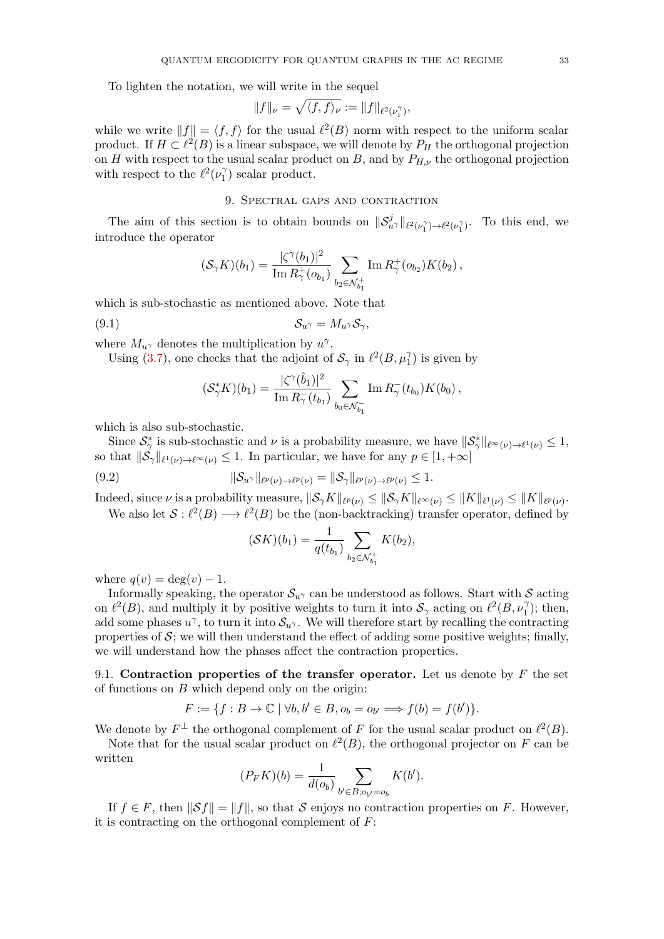To lighten the notation, we will write in the sequel

$$
||f||_{\nu} = \sqrt{\langle f, f \rangle_{\nu}} := ||f||_{\ell^2(\nu_1^{\gamma})},
$$

while we write  $||f|| = \langle f, f \rangle$  for the usual  $\ell^2(B)$  norm with respect to the uniform scalar product. If  $H \subset \ell^2(B)$  is a linear subspace, we will denote by  $P_H$  the orthogonal projection on H with respect to the usual scalar product on B, and by  $P_{H,\nu}$  the orthogonal projection with respect to the  $\ell^2(\nu_1^{\gamma})$  $\binom{\gamma}{1}$  scalar product.

## 9. Spectral gaps and contraction

<span id="page-32-0"></span>The aim of this section is to obtain bounds on  $\|\mathcal{S}_{u\gamma}^j\|_{\ell^2(\nu_1)} \to \ell^2(\nu_1)$ . To this end, we introduce the operator

$$
(\mathcal{S}_{\gamma}K)(b_1) = \frac{|\zeta^{\gamma}(b_1)|^2}{\text{Im}\, R_{\gamma}^+(o_{b_1})} \sum_{b_2 \in \mathcal{N}_{b_1}^+} \text{Im}\, R_{\gamma}^+(o_{b_2}) K(b_2),
$$

which is sub-stochastic as mentioned above. Note that

$$
(9.1) \t\t\t S_{u^{\gamma}} = M_{u^{\gamma}} S_{\gamma},
$$

where  $M_{u^{\gamma}}$  denotes the multiplication by  $u^{\gamma}$ .

Using [\(3.7\)](#page-9-1), one checks that the adjoint of  $S_\gamma$  in  $\ell^2(B, \mu_1^\gamma)$  is given by

$$
(\mathcal{S}_{\gamma}^* K)(b_1) = \frac{|\zeta^{\gamma}(\hat{b}_1)|^2}{\text{Im}\, R_{\gamma}^-(t_{b_1})} \sum_{b_0 \in \mathcal{N}_{b_1}^-} \text{Im}\, R_{\gamma}^-(t_{b_0}) K(b_0),
$$

which is also sub-stochastic.

Since  $\mathcal{S}_{\gamma}^*$  is sub-stochastic and  $\nu$  is a probability measure, we have  $\|\mathcal{S}_{\gamma}^*\|_{\ell^{\infty}(\nu)\to\ell^1(\nu)}\leq 1$ , so that  $\|\mathcal{S}_{\gamma}\|_{\ell^1(\nu)\to\ell^{\infty}(\nu)} \leq 1$ . In particular, we have for any  $p \in [1, +\infty]$ 

(9.2) 
$$
\|\mathcal{S}_{u^{\gamma}}\|_{\ell^p(\nu)\to\ell^p(\nu)}=\|\mathcal{S}_{\gamma}\|_{\ell^p(\nu)\to\ell^p(\nu)}\leq 1.
$$

Indeed, since  $\nu$  is a probability measure,  $\|\mathcal{S}_{\gamma}K\|_{\ell^p(\nu)} \leq \|\mathcal{S}_{\gamma}K\|_{\ell^{\infty}(\nu)} \leq \|K\|_{\ell^1(\nu)} \leq \|K\|_{\ell^p(\nu)}$ . We also let  $S: \ell^2(B) \longrightarrow \ell^2(B)$  be the (non-backtracking) transfer operator, defined by

<span id="page-32-1"></span>
$$
(\mathcal{S}K)(b_1) = \frac{1}{q(t_{b_1})} \sum_{b_2 \in \mathcal{N}_{b_1}^+} K(b_2),
$$

where  $q(v) = \deg(v) - 1$ .

Informally speaking, the operator  $S_{u}$  can be understood as follows. Start with S acting on  $\ell^2(B)$ , and multiply it by positive weights to turn it into  $\mathcal{S}_{\gamma}$  acting on  $\ell^2(B, \nu_1^{\gamma})$ ; then, add some phases  $u^{\gamma}$ , to turn it into  $\mathcal{S}_{u^{\gamma}}$ . We will therefore start by recalling the contracting properties of  $S$ ; we will then understand the effect of adding some positive weights; finally, we will understand how the phases affect the contraction properties.

9.1. Contraction properties of the transfer operator. Let us denote by  $F$  the set of functions on  $B$  which depend only on the origin:

$$
F := \{ f : B \to \mathbb{C} \mid \forall b, b' \in B, o_b = o_{b'} \Longrightarrow f(b) = f(b') \}.
$$

We denote by  $F^{\perp}$  the orthogonal complement of F for the usual scalar product on  $\ell^2(B)$ .

Note that for the usual scalar product on  $\ell^2(B)$ , the orthogonal projector on F can be written

$$
(P_F K)(b) = \frac{1}{d(o_b)} \sum_{b' \in B; o_{b'} = o_b} K(b').
$$

If  $f \in F$ , then  $\|\mathcal{S}f\| = \|f\|$ , so that S enjoys no contraction properties on F. However, it is contracting on the orthogonal complement of  $F$ :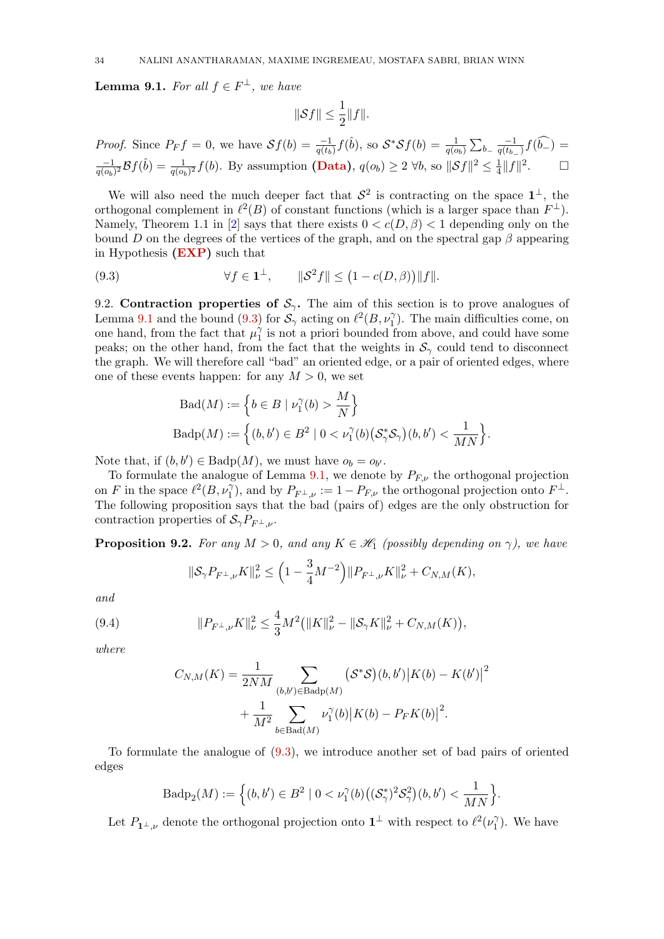<span id="page-33-0"></span>**Lemma 9.1.** For all  $f \in F^{\perp}$ , we have

$$
\|\mathcal{S}f\|\leq \frac{1}{2}\|f\|.
$$

*Proof.* Since  $P_F f = 0$ , we have  $Sf(b) = \frac{-1}{q(t_b)}f(\hat{b})$ , so  $S^*Sf(b) = \frac{1}{q(o_b)}\sum_{b} \frac{-1}{q(t_b)}$  $\frac{-1}{q(t_{b-})}f(b_{-})=$ −1  $\frac{-1}{q(o_b)^2} \mathcal{B}f(\hat{b}) = \frac{1}{q(o_b)^2} f(b)$ . By assumption [\(Data\)](#page-3-2),  $q(o_b) \ge 2 \ \forall b$ , so  $\|\mathcal{S}f\|^2 \le \frac{1}{4}$  $\frac{1}{4}||f||^2$ .  $\Box$ 

We will also need the much deeper fact that  $S^2$  is contracting on the space  $1^{\perp}$ , the orthogonal complement in  $\ell^2(B)$  of constant functions (which is a larger space than  $F^{\perp}$ ). Namely, Theorem 1.1 in [\[2\]](#page-62-16) says that there exists  $0 < c(D, \beta) < 1$  depending only on the bound D on the degrees of the vertices of the graph, and on the spectral gap  $\beta$  appearing in Hypothesis [\(EXP\)](#page-4-4) such that

<span id="page-33-1"></span>(9.3) 
$$
\forall f \in \mathbf{1}^{\perp}, \qquad \|\mathcal{S}^2 f\| \le (1 - c(D, \beta)) \|f\|.
$$

9.2. Contraction properties of  $S_\gamma$ . The aim of this section is to prove analogues of Lemma [9.1](#page-33-0) and the bound [\(9.3\)](#page-33-1) for  $S'_\gamma$  acting on  $\ell^2(B, \nu_1)$ . The main difficulties come, on one hand, from the fact that  $\mu_1^{\hat{\gamma}}$  $\gamma_1^{\gamma}$  is not a priori bounded from above, and could have some peaks; on the other hand, from the fact that the weights in  $S_\gamma$  could tend to disconnect the graph. We will therefore call "bad" an oriented edge, or a pair of oriented edges, where one of these events happen: for any  $M > 0$ , we set

$$
\begin{aligned} \text{Bad}(M) &:= \left\{ b \in B \mid \nu_1^{\gamma}(b) > \frac{M}{N} \right\} \\ \text{Badp}(M) &:= \left\{ (b, b') \in B^2 \mid 0 < \nu_1^{\gamma}(b) \big( \mathcal{S}_{\gamma}^* \mathcal{S}_{\gamma} \big)(b, b') < \frac{1}{MN} \right\} . \end{aligned}
$$

Note that, if  $(b, b') \in \text{Badp}(M)$ , we must have  $o_b = o_{b'}$ .

To formulate the analogue of Lemma [9.1,](#page-33-0) we denote by  $P_{F,\nu}$  the orthogonal projection on F in the space  $\ell^2(B, \nu_1^{\gamma})$ , and by  $P_{F^{\perp}, \nu} := 1 - P_{F, \nu}$  the orthogonal projection onto  $F^{\perp}$ . The following proposition says that the bad (pairs of) edges are the only obstruction for contraction properties of  $S_{\gamma}P_{F^{\perp} \nu}$ .

<span id="page-33-2"></span>**Proposition 9.2.** For any  $M > 0$ , and any  $K \in \mathcal{H}_1$  (possibly depending on  $\gamma$ ), we have

<span id="page-33-3"></span>
$$
\|\mathcal{S}_{\gamma} P_{F^{\perp},\nu} K\|_{\nu}^2 \le \left(1 - \frac{3}{4} M^{-2}\right) \|P_{F^{\perp},\nu} K\|_{\nu}^2 + C_{N,M}(K),
$$

and

(9.4) 
$$
||P_{F^{\perp},\nu}K||_{\nu}^{2} \leq \frac{4}{3}M^{2} (||K||_{\nu}^{2} - ||\mathcal{S}_{\gamma}K||_{\nu}^{2} + C_{N,M}(K)),
$$

where

$$
C_{N,M}(K) = \frac{1}{2NM} \sum_{(b,b') \in \text{Badp}(M)} (\mathcal{S}^* \mathcal{S})(b,b') |K(b) - K(b')|^2 + \frac{1}{M^2} \sum_{b \in \text{Bad}(M)} \nu_1^{\gamma}(b) |K(b) - P_F K(b)|^2.
$$

To formulate the analogue of [\(9.3\)](#page-33-1), we introduce another set of bad pairs of oriented edges

$$
\mathrm{Badp}_{2}(M):=\Big\{(b,b')\in B^{2}\mid 0<\nu_{1}^{\gamma}(b)\big((\mathcal{S}_{\gamma}^{*})^{2}\mathcal{S}_{\gamma}^{2}\big)(b,b')<\frac{1}{MN}\Big\}.
$$

Let  $P_{\mathbf{1}^{\perp}, \nu}$  denote the orthogonal projection onto  $\mathbf{1}^{\perp}$  with respect to  $\ell^2(\nu_1^{\gamma})$  $\binom{\gamma}{1}$ . We have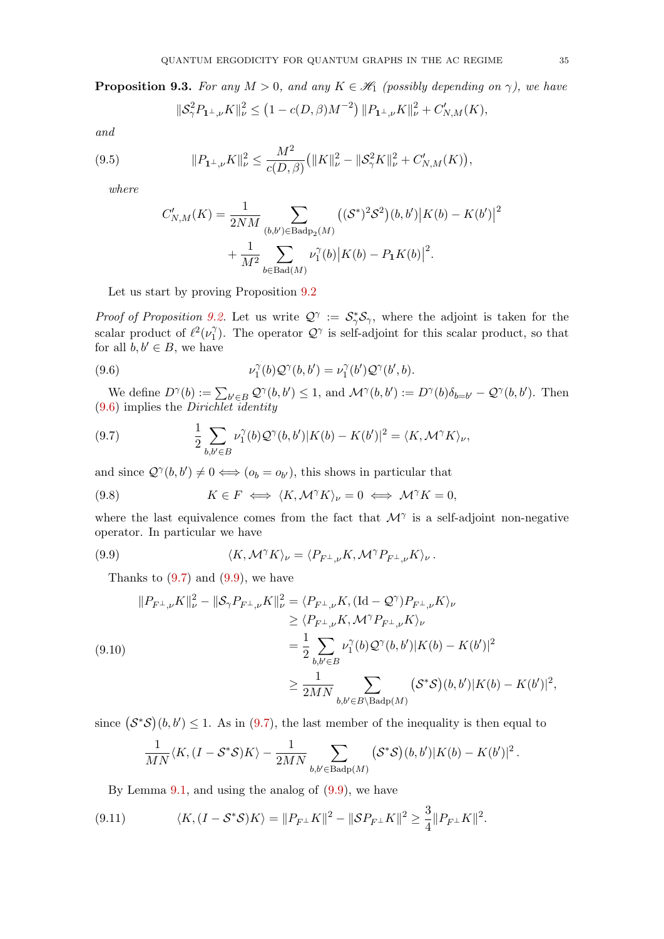<span id="page-34-5"></span>**Proposition 9.3.** For any  $M > 0$ , and any  $K \in \mathcal{H}_1$  (possibly depending on  $\gamma$ ), we have

<span id="page-34-7"></span>
$$
\|\mathcal{S}_{\gamma}^{2} P_{1\perp,\nu} K\|_{\nu}^{2} \le (1 - c(D,\beta)M^{-2}) \|P_{1\perp,\nu} K\|_{\nu}^{2} + C'_{N,M}(K),
$$

and

(9.5) 
$$
||P_{1^{\perp},\nu}K||_{\nu}^{2} \leq \frac{M^{2}}{c(D,\beta)} (||K||_{\nu}^{2} - ||\mathcal{S}_{\gamma}^{2}K||_{\nu}^{2} + C'_{N,M}(K)),
$$

where

$$
C'_{N,M}(K) = \frac{1}{2NM} \sum_{(b,b') \in \text{Badp}_2(M)} ((\mathcal{S}^*)^2 \mathcal{S}^2)(b,b')|K(b) - K(b')|^2
$$
  
+ 
$$
\frac{1}{M^2} \sum_{b \in \text{Bad}(M)} \nu_1^{\gamma}(b) |K(b) - P_1 K(b)|^2.
$$

Let us start by proving Proposition [9.2](#page-33-2)

Proof of Proposition [9.2.](#page-33-2) Let us write  $\mathcal{Q}^{\gamma} := \mathcal{S}_{\gamma}^* \mathcal{S}_{\gamma}$ , where the adjoint is taken for the scalar product of  $\ell^2(\nu_1^{\gamma})$  $\mathcal{Q}^{\gamma}$ . The operator  $\mathcal{Q}^{\gamma}$  is self-adjoint for this scalar product, so that for all  $b, b' \in B$ , we have

<span id="page-34-0"></span>(9.6) 
$$
\nu_1^{\gamma}(b) \mathcal{Q}^{\gamma}(b, b') = \nu_1^{\gamma}(b') \mathcal{Q}^{\gamma}(b', b).
$$

We define  $D^{\gamma}(b) := \sum_{b' \in B} \mathcal{Q}^{\gamma}(b, b') \leq 1$ , and  $\mathcal{M}^{\gamma}(b, b') := D^{\gamma}(b)\delta_{b=b'} - \mathcal{Q}^{\gamma}(b, b')$ . Then [\(9.6\)](#page-34-0) implies the Dirichlet identity

<span id="page-34-1"></span>(9.7) 
$$
\frac{1}{2} \sum_{b,b' \in B} \nu_1^{\gamma}(b) \mathcal{Q}^{\gamma}(b,b') |K(b) - K(b')|^2 = \langle K, \mathcal{M}^{\gamma} K \rangle_{\nu},
$$

and since  $\mathcal{Q}^{\gamma}(b, b') \neq 0 \Longleftrightarrow (o_b = o_{b'})$ , this shows in particular that

<span id="page-34-6"></span>(9.8) 
$$
K \in F \iff \langle K, \mathcal{M}^{\gamma} K \rangle_{\nu} = 0 \iff \mathcal{M}^{\gamma} K = 0,
$$

where the last equivalence comes from the fact that  $\mathcal{M}^{\gamma}$  is a self-adjoint non-negative operator. In particular we have

(9.9) 
$$
\langle K, \mathcal{M}^{\gamma} K \rangle_{\nu} = \langle P_{F^{\perp}, \nu} K, \mathcal{M}^{\gamma} P_{F^{\perp}, \nu} K \rangle_{\nu}.
$$

<span id="page-34-2"></span>Thanks to  $(9.7)$  and  $(9.9)$ , we have

<span id="page-34-3"></span>
$$
||P_{F^{\perp},\nu}K||_{\nu}^{2} - ||S_{\gamma}P_{F^{\perp},\nu}K||_{\nu}^{2} = \langle P_{F^{\perp},\nu}K, (\text{Id} - \mathcal{Q}^{\gamma})P_{F^{\perp},\nu}K \rangle_{\nu}
$$
  
\n
$$
\geq \langle P_{F^{\perp},\nu}K, \mathcal{M}^{\gamma}P_{F^{\perp},\nu}K \rangle_{\nu}
$$
  
\n
$$
= \frac{1}{2} \sum_{b,b' \in B} \nu_{1}^{\gamma}(b) \mathcal{Q}^{\gamma}(b,b')|K(b) - K(b')|^{2}
$$
  
\n
$$
\geq \frac{1}{2MN} \sum_{b,b' \in B \setminus \text{Badp}(M)} (\mathcal{S}^{*}\mathcal{S})(b,b')|K(b) - K(b')|^{2},
$$

since  $(S^*\mathcal{S})(b, b') \leq 1$ . As in [\(9.7\)](#page-34-1), the last member of the inequality is then equal to

$$
\frac{1}{MN} \langle K, (I - \mathcal{S}^* \mathcal{S}) K \rangle - \frac{1}{2MN} \sum_{b,b' \in \text{Badp}(M)} (\mathcal{S}^* \mathcal{S})(b,b') |K(b) - K(b')|^2 \,.
$$

<span id="page-34-4"></span>By Lemma  $9.1$ , and using the analog of  $(9.9)$ , we have

(9.11) 
$$
\langle K, (I - S^*S)K \rangle = ||P_{F^{\perp}}K||^2 - ||SP_{F^{\perp}}K||^2 \ge \frac{3}{4}||P_{F^{\perp}}K||^2.
$$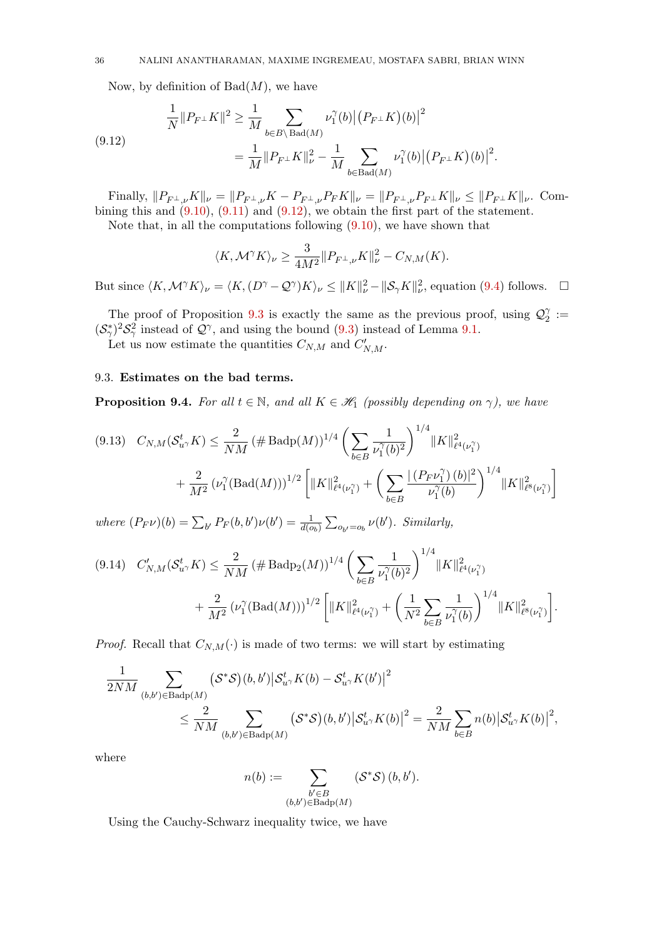Now, by definition of  $Bad(M)$ , we have

<span id="page-35-0"></span>(9.12) 
$$
\frac{1}{N} ||P_{F^{\perp}} K||^2 \ge \frac{1}{M} \sum_{b \in B \setminus \text{Bad}(M)} \nu_1^{\gamma}(b) ||(P_{F^{\perp}} K)(b)||^2 \n= \frac{1}{M} ||P_{F^{\perp}} K||^2_{\nu} - \frac{1}{M} \sum_{b \in \text{Bad}(M)} \nu_1^{\gamma}(b) ||(P_{F^{\perp}} K)(b)||^2.
$$

Finally,  $||P_{F^{\perp},\nu}K||_{\nu} = ||P_{F^{\perp},\nu}K - P_{F^{\perp},\nu}P_{F}K||_{\nu} = ||P_{F^{\perp},\nu}P_{F^{\perp}}K||_{\nu} \leq ||P_{F^{\perp}}K||_{\nu}$ . Combining this and  $(9.10)$ ,  $(9.11)$  and  $(9.12)$ , we obtain the first part of the statement. Note that, in all the computations following  $(9.10)$ , we have shown that

 $\Omega$ 

$$
\langle K, \mathcal{M}^{\gamma} K \rangle_{\nu} \ge \frac{\delta}{4M^2} \| P_{F^{\perp}, \nu} K \|_{\nu}^2 - C_{N, M}(K).
$$

But since  $\langle K, \mathcal{M}^{\gamma} K \rangle_{\nu} = \langle K, (D^{\gamma} - \mathcal{Q}^{\gamma}) K \rangle_{\nu} \leq ||K||_{\nu}^{2} - ||\mathcal{S}_{\gamma} K||_{\nu}^{2}$ , equation [\(9.4\)](#page-33-3) follows.  $\Box$ 

The proof of Proposition [9.3](#page-34-5) is exactly the same as the previous proof, using  $\mathcal{Q}_2^{\gamma}$  $\frac{\gamma}{2} :=$  $({\cal S}_{\gamma}^{*})^{2}{\cal S}_{\gamma}^{2}$  instead of  ${\cal Q}^{\gamma}$ , and using the bound [\(9.3\)](#page-33-1) instead of Lemma [9.1.](#page-33-0)

Let us now estimate the quantities  $C_{N,M}$  and  $C'_{N,M}$ .

## 9.3. Estimates on the bad terms.

**Proposition 9.4.** For all  $t \in \mathbb{N}$ , and all  $K \in \mathcal{H}_1$  (possibly depending on  $\gamma$ ), we have

<span id="page-35-1"></span>
$$
(9.13) \quad C_{N,M}(\mathcal{S}_{u\gamma}^t K) \leq \frac{2}{NM} \left(\# \text{Badp}(M)\right)^{1/4} \left(\sum_{b \in B} \frac{1}{\nu_1^{\gamma}(b)^2}\right)^{1/4} \|K\|_{\ell^4(\nu_1^{\gamma})}^2 + \frac{2}{M^2} \left(\nu_1^{\gamma} \left(\text{Bad}(M)\right)\right)^{1/2} \left[\|K\|_{\ell^4(\nu_1^{\gamma})}^2 + \left(\sum_{b \in B} \frac{\left|\left(P_F \nu_1^{\gamma}\right)(b)\right|^2}{\nu_1^{\gamma}(b)}\right)^{1/4} \|K\|_{\ell^8(\nu_1^{\gamma})}^2\right]
$$

where  $(P_F \nu)(b) = \sum_{b'} P_F(b, b')\nu(b') = \frac{1}{d(o_b)} \sum_{o_{b'}=o_b} \nu(b')$ . Similarly,

<span id="page-35-2"></span>
$$
(9.14) \quad C'_{N,M}(\mathcal{S}_{u}^t, K) \leq \frac{2}{NM} \left( \# \text{Badp}_2(M) \right)^{1/4} \left( \sum_{b \in B} \frac{1}{\nu_1^{\gamma}(b)^2} \right)^{1/4} \|K\|_{\ell^4(\nu_1^{\gamma})}^2 + \frac{2}{M^2} \left( \nu_1^{\gamma} (\text{Bad}(M)) \right)^{1/2} \left[ \|K\|_{\ell^4(\nu_1^{\gamma})}^2 + \left( \frac{1}{N^2} \sum_{b \in B} \frac{1}{\nu_1^{\gamma}(b)} \right)^{1/4} \|K\|_{\ell^8(\nu_1^{\gamma})}^2 \right].
$$

*Proof.* Recall that  $C_{N,M}(\cdot)$  is made of two terms: we will start by estimating

$$
\frac{1}{2NM} \sum_{(b,b') \in \text{Badp}(M)} (\mathcal{S}^* \mathcal{S})(b,b') \big| \mathcal{S}_{u\gamma}^t K(b) - \mathcal{S}_{u\gamma}^t K(b') \big|^2
$$
\n
$$
\leq \frac{2}{NM} \sum_{(b,b') \in \text{Badp}(M)} (\mathcal{S}^* \mathcal{S})(b,b') \big| \mathcal{S}_{u\gamma}^t K(b) \big|^2 = \frac{2}{NM} \sum_{b \in B} n(b) \big| \mathcal{S}_{u\gamma}^t K(b) \big|^2,
$$

where

$$
n(b) := \sum_{\substack{b' \in B \\ (b,b') \in \text{Badp}(M)}} (\mathcal{S}^* \mathcal{S}) (b, b').
$$

Using the Cauchy-Schwarz inequality twice, we have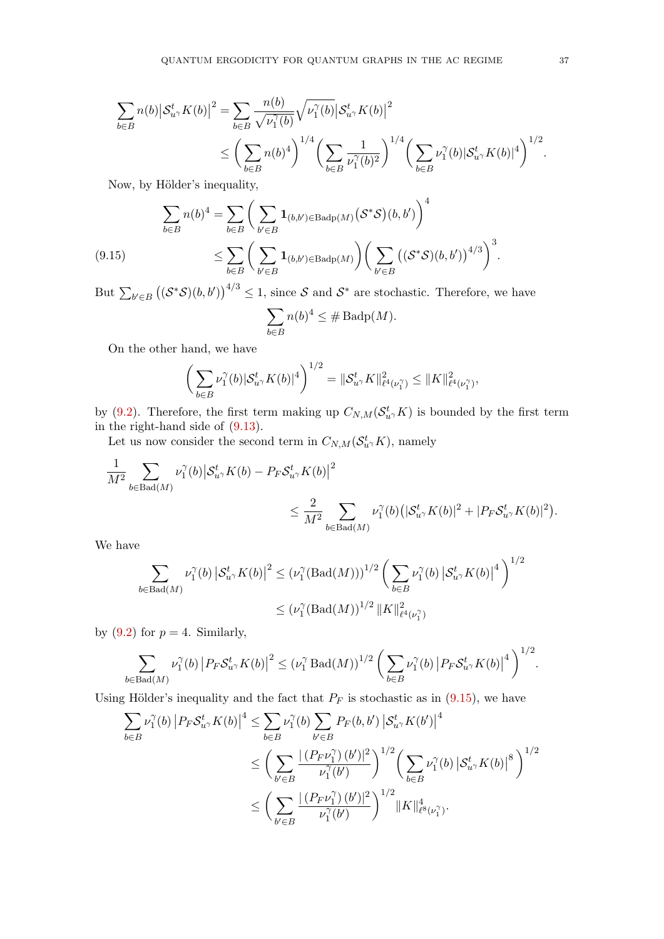$$
\sum_{b \in B} n(b) \left| \mathcal{S}_{u}^t K(b) \right|^2 = \sum_{b \in B} \frac{n(b)}{\sqrt{\nu_1^{\gamma}(b)}} \sqrt{\nu_1^{\gamma}(b)} \left| \mathcal{S}_{u}^t K(b) \right|^2
$$
\n
$$
\leq \left( \sum_{b \in B} n(b)^4 \right)^{1/4} \left( \sum_{b \in B} \frac{1}{\nu_1^{\gamma}(b)^2} \right)^{1/4} \left( \sum_{b \in B} \nu_1^{\gamma}(b) \left| \mathcal{S}_{u}^t K(b) \right|^4 \right)^{1/2}.
$$

Now, by Hölder's inequality,

<span id="page-36-0"></span>
$$
\sum_{b \in B} n(b)^4 = \sum_{b \in B} \left( \sum_{b' \in B} \mathbf{1}_{(b,b') \in \text{Badp}(M)} (\mathcal{S}^* \mathcal{S})(b,b') \right)^4
$$
\n
$$
\leq \sum_{b \in B} \left( \sum_{b' \in B} \mathbf{1}_{(b,b') \in \text{Badp}(M)} \right) \left( \sum_{b' \in B} \left( (\mathcal{S}^* \mathcal{S})(b,b') \right)^{4/3} \right)^3.
$$

But  $\sum_{b' \in B} ((S^*S)(b, b'))^{4/3} \leq 1$ , since S and S<sup>\*</sup> are stochastic. Therefore, we have

$$
\sum_{b \in B} n(b)^4 \leq \# \operatorname{Badp}(M).
$$

On the other hand, we have

$$
\left(\sum_{b\in B} \nu_1^{\gamma}(b) |S_{u^{\gamma}}^t K(b)|^4\right)^{1/2} = \|\mathcal{S}_{u^{\gamma}}^t K\|_{\ell^4(\nu_1^{\gamma})}^2 \leq \|K\|_{\ell^4(\nu_1^{\gamma})}^2,
$$

by [\(9.2\)](#page-32-1). Therefore, the first term making up  $C_{N,M}(\mathcal{S}^t_{u\gamma}K)$  is bounded by the first term in the right-hand side of [\(9.13\)](#page-35-1).

Let us now consider the second term in  $C_{N,M}(\mathcal{S}_{u}^{t} K)$ , namely

$$
\label{eq:2.1} \begin{split} \frac{1}{M^2}\sum_{b\in\mathrm{Bad}(M)}\nu_1^{\gamma}(b)\big|\mathcal{S}_{u^{\gamma}}^tK(b)-P_F\mathcal{S}_{u^{\gamma}}^tK(b)\big|^2\\ &\leq \frac{2}{M^2}\sum_{b\in\mathrm{Bad}(M)}\nu_1^{\gamma}(b)\big(|\mathcal{S}_{u^{\gamma}}^tK(b)|^2+|P_F\mathcal{S}_{u^{\gamma}}^tK(b)|^2\big). \end{split}
$$

We have

$$
\sum_{b \in \text{Bad}(M)} \nu_1^{\gamma}(b) \left| \mathcal{S}_{u^{\gamma}}^t K(b) \right|^2 \leq \left( \nu_1^{\gamma}(\text{Bad}(M)) \right)^{1/2} \left( \sum_{b \in B} \nu_1^{\gamma}(b) \left| \mathcal{S}_{u^{\gamma}}^t K(b) \right|^4 \right)^{1/2}
$$

$$
\leq \left( \nu_1^{\gamma}(\text{Bad}(M))^{1/2} \left| |K| \right|_{\ell^4(\nu_1^{\gamma})}^{2}
$$

by  $(9.2)$  for  $p = 4$ . Similarly,

$$
\sum_{b\in \text{Bad}(M)}\nu_1^{\gamma}(b)\left|P_F\mathcal{S}_{u^{\gamma}}^tK(b)\right|^2\leq \left(\nu_1^{\gamma}\text{Bad}(M)\right)^{1/2}\left(\sum_{b\in B}\nu_1^{\gamma}(b)\left|P_F\mathcal{S}_{u^{\gamma}}^tK(b)\right|^4\right)^{1/2}.
$$

Using Hölder's inequality and the fact that  $P_F$  is stochastic as in [\(9.15\)](#page-36-0), we have

$$
\sum_{b \in B} \nu_1^{\gamma}(b) \left| P_F \mathcal{S}_{u^{\gamma}}^t K(b) \right|^4 \leq \sum_{b \in B} \nu_1^{\gamma}(b) \sum_{b' \in B} P_F(b, b') \left| \mathcal{S}_{u^{\gamma}}^t K(b') \right|^4
$$
  

$$
\leq \left( \sum_{b' \in B} \frac{|(P_F \nu_1^{\gamma})(b')|^2}{\nu_1^{\gamma}(b')} \right)^{1/2} \left( \sum_{b \in B} \nu_1^{\gamma}(b) \left| \mathcal{S}_{u^{\gamma}}^t K(b) \right|^8 \right)^{1/2}
$$
  

$$
\leq \left( \sum_{b' \in B} \frac{|(P_F \nu_1^{\gamma})(b')|^2}{\nu_1^{\gamma}(b')} \right)^{1/2} \| K \|_{\ell^8(\nu_1^{\gamma})}^4.
$$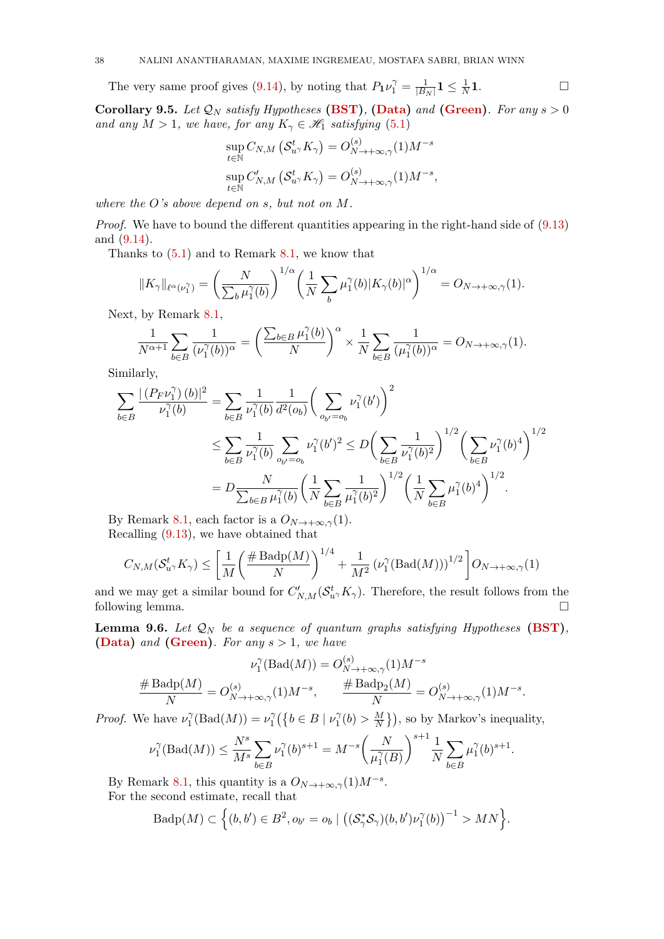The very same proof gives [\(9.14\)](#page-35-2), by noting that  $P_1\nu_1^{\gamma} = \frac{1}{|B|}$  $\frac{1}{|B_N|}\mathbf{1} \leq \frac{1}{N}$  $\frac{1}{N}$ 1.

<span id="page-37-0"></span>Corollary 9.5. Let  $\mathcal{Q}_N$  satisfy Hypotheses [\(BST\)](#page-4-3), [\(Data\)](#page-3-2) and [\(Green\)](#page-5-0). For any  $s > 0$ and any  $M > 1$ , we have, for any  $K_{\gamma} \in \mathscr{H}_1$  satisfying [\(5.1\)](#page-16-2)

$$
\sup_{t \in \mathbb{N}} C_{N,M} \left( \mathcal{S}_{u\gamma}^{t} K_{\gamma} \right) = O_{N \to +\infty,\gamma}^{(s)}(1) M^{-s}
$$

$$
\sup_{t \in \mathbb{N}} C'_{N,M} \left( \mathcal{S}_{u\gamma}^{t} K_{\gamma} \right) = O_{N \to +\infty,\gamma}^{(s)}(1) M^{-s},
$$

where the O's above depend on s, but not on M.

Proof. We have to bound the different quantities appearing in the right-hand side of  $(9.13)$ and [\(9.14\)](#page-35-2).

Thanks to  $(5.1)$  and to Remark [8.1,](#page-29-2) we know that

$$
||K_{\gamma}||_{\ell^{\alpha}(\nu_{1}^{\gamma})} = \left(\frac{N}{\sum_{b} \mu_{1}^{\gamma}(b)}\right)^{1/\alpha} \left(\frac{1}{N} \sum_{b} \mu_{1}^{\gamma}(b) |K_{\gamma}(b)|^{\alpha}\right)^{1/\alpha} = O_{N \to +\infty, \gamma}(1).
$$

Next, by Remark [8.1,](#page-29-2)

$$
\frac{1}{N^{\alpha+1}}\sum_{b\in B}\frac{1}{(\nu_1^{\gamma}(b))^{\alpha}}=\left(\frac{\sum_{b\in B}\mu_1^{\gamma}(b)}{N}\right)^{\alpha}\times\frac{1}{N}\sum_{b\in B}\frac{1}{(\mu_1^{\gamma}(b))^{\alpha}}=O_{N\to+\infty,\gamma}(1).
$$

Similarly,

$$
\sum_{b \in B} \frac{|(P_F \nu_1^{\gamma})(b)|^2}{\nu_1^{\gamma}(b)} = \sum_{b \in B} \frac{1}{\nu_1^{\gamma}(b)} \frac{1}{d^2(o_b)} \left(\sum_{o_{b'}=o_b} \nu_1^{\gamma}(b')\right)^2
$$
\n
$$
\leq \sum_{b \in B} \frac{1}{\nu_1^{\gamma}(b)} \sum_{o_{b'}=o_b} \nu_1^{\gamma}(b')^2 \leq D \left(\sum_{b \in B} \frac{1}{\nu_1^{\gamma}(b)^2}\right)^{1/2} \left(\sum_{b \in B} \nu_1^{\gamma}(b)^4\right)^{1/2}
$$
\n
$$
= D \frac{N}{\sum_{b \in B} \mu_1^{\gamma}(b)} \left(\frac{1}{N} \sum_{b \in B} \frac{1}{\mu_1^{\gamma}(b)^2}\right)^{1/2} \left(\frac{1}{N} \sum_{b \in B} \mu_1^{\gamma}(b)^4\right)^{1/2}.
$$

By Remark [8.1,](#page-29-2) each factor is a  $O_{N\to+\infty,\gamma}(1)$ . Recalling [\(9.13\)](#page-35-1), we have obtained that

$$
C_{N,M}(\mathcal{S}_{u\gamma}^t K_{\gamma}) \le \left[ \frac{1}{M} \left( \frac{\# \text{Badp}(M)}{N} \right)^{1/4} + \frac{1}{M^2} \left( \nu_1^{\gamma} (\text{Bad}(M)) \right)^{1/2} \right] O_{N \to +\infty, \gamma}(1)
$$

and we may get a similar bound for  $C'_{N,M}(\mathcal{S}_{u}^t, K_\gamma)$ . Therefore, the result follows from the following lemma.  $\square$ 

**Lemma 9.6.** Let  $\mathcal{Q}_N$  be a sequence of quantum graphs satisfying Hypotheses [\(BST\)](#page-4-3), [\(Data\)](#page-3-2) and [\(Green\)](#page-5-0). For any  $s > 1$ , we have

$$
\nu_1^{\gamma}(\text{Bad}(M)) = O_{N \to +\infty,\gamma}^{(s)}(1)M^{-s}
$$

$$
\frac{\# \text{Badp}(M)}{N} = O_{N \to +\infty,\gamma}^{(s)}(1)M^{-s}, \qquad \frac{\# \text{Badp}_2(M)}{N} = O_{N \to +\infty,\gamma}^{(s)}(1)M^{-s}.
$$

*Proof.* We have  $\nu_1^{\gamma}$  $\nu_1^{\gamma}(\text{Bad}(M)) = \nu_1^{\gamma}$  $b_1^{\gamma}(\{b \in B \mid \nu_1^{\gamma}\})$  $b_1^{\gamma}(b) > \frac{M}{N}$  $\frac{M}{N}$ }), so by Markov's inequality,

$$
\nu_1^{\gamma}(\text{Bad}(M)) \le \frac{N^s}{M^s} \sum_{b \in B} \nu_1^{\gamma}(b)^{s+1} = M^{-s} \left(\frac{N}{\mu_1^{\gamma}(B)}\right)^{s+1} \frac{1}{N} \sum_{b \in B} \mu_1^{\gamma}(b)^{s+1}.
$$

By Remark [8.1,](#page-29-2) this quantity is a  $O_{N\to+\infty,\gamma}(1)M^{-s}$ . For the second estimate, recall that

$$
\mathrm{Badp}(M) \subset \Big\{(b,b') \in B^2, o_{b'} = o_b \mid \big((\mathcal{S}_{\gamma}^*\mathcal{S}_{\gamma})(b,b')\nu_1^{\gamma}(b)\big)^{-1} > MN \Big\}.
$$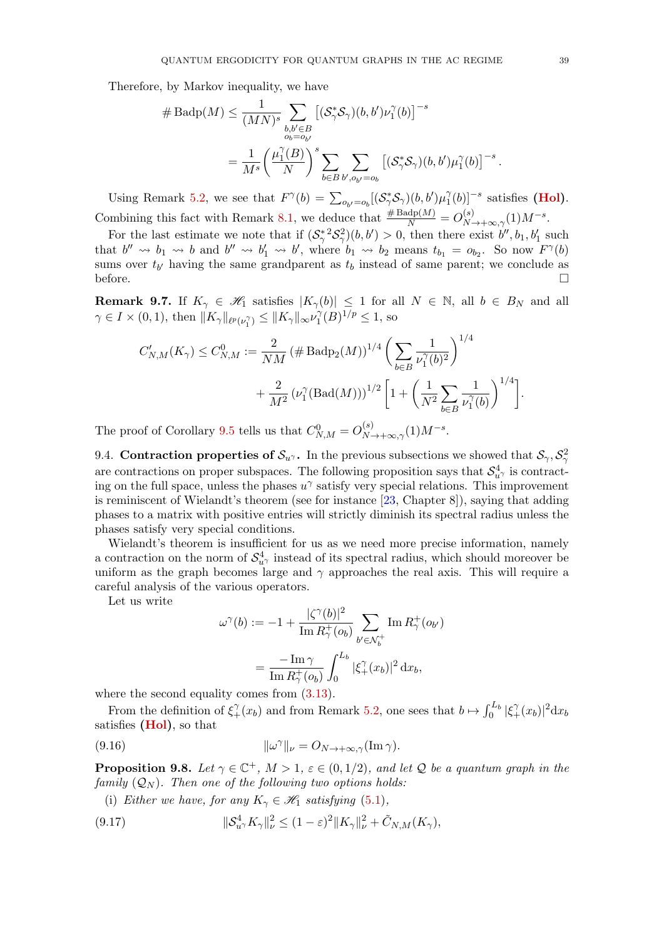Therefore, by Markov inequality, we have

$$
\# \operatorname{Badp}(M) \leq \frac{1}{(MN)^s} \sum_{\substack{b,b' \in B \\ o_b = o_{b'}}} \left[ (\mathcal{S}_{\gamma}^* \mathcal{S}_{\gamma})(b,b') \nu_1^{\gamma}(b) \right]^{-s}
$$

$$
= \frac{1}{M^s} \left( \frac{\mu_1^{\gamma}(B)}{N} \right)^s \sum_{b \in B} \sum_{b', o_{b'} = o_b} \left[ (\mathcal{S}_{\gamma}^* \mathcal{S}_{\gamma})(b,b') \mu_1^{\gamma}(b) \right]^{-s}
$$

Using Remark [5.2,](#page-16-5) we see that  $F^{\gamma}(b) = \sum_{o_{b'}=o_b} [(\mathcal{S}_{\gamma}^*\mathcal{S}_{\gamma})(b, b')\mu_1^{\gamma}]$  $\int_1^{\gamma}(b)$ ]<sup>-s</sup> satisfies (**Hol**). Combining this fact with Remark [8.1,](#page-29-2) we deduce that  $\frac{\# \text{Badp}(M)}{N} = O_{N \to +\infty,\gamma}^{(s)}(1)M^{-s}$ .

For the last estimate we note that if  $(S_\gamma^*{}^2S_\gamma^2)(b, b') > 0$ , then there exist  $b'', b_1, b'_1$  such that  $b'' \leadsto b_1 \leadsto b$  and  $b'' \leadsto b'_1 \leadsto b'$ , where  $b_1 \leadsto b_2$  means  $t_{b_1} = o_{b_2}$ . So now  $F^{\gamma}(b)$ sums over  $t_{b'}$  having the same grandparent as  $t_b$  instead of same parent; we conclude as before.  $\Box$ 

<span id="page-38-0"></span>**Remark 9.7.** If  $K_\gamma \in \mathcal{H}_1$  satisfies  $|K_\gamma(b)| \leq 1$  for all  $N \in \mathbb{N}$ , all  $b \in B_N$  and all  $\gamma \in I \times (0,1)$ , then  $||K_{\gamma}||_{\ell^{p}(\nu_{1}^{\gamma})} \leq ||K_{\gamma}||_{\infty}\nu_{1}^{\gamma}$  $C_1^{\gamma}(B)^{1/p} \leq 1$ , so

$$
C'_{N,M}(K_{\gamma}) \leq C^0_{N,M} := \frac{2}{NM} \left( \# \text{Badp}_2(M) \right)^{1/4} \left( \sum_{b \in B} \frac{1}{\nu_1^{\gamma}(b)^2} \right)^{1/4} + \frac{2}{M^2} \left( \nu_1^{\gamma}(\text{Bad}(M)) \right)^{1/2} \left[ 1 + \left( \frac{1}{N^2} \sum_{b \in B} \frac{1}{\nu_1^{\gamma}(b)} \right)^{1/4} \right].
$$

The proof of Corollary [9.5](#page-37-0) tells us that  $C_{N,M}^0 = O_{N \to +\infty,\gamma}^{(s)}(1) M^{-s}$ .

9.4. Contraction properties of  $S_{u}$ . In the previous subsections we showed that  $S_{\gamma}$ ,  $S_{\gamma}^2$ are contractions on proper subspaces. The following proposition says that  $\mathcal{S}^4_{u\gamma}$  is contracting on the full space, unless the phases  $u^{\gamma}$  satisfy very special relations. This improvement is reminiscent of Wielandt's theorem (see for instance [\[23,](#page-63-10) Chapter 8]), saying that adding phases to a matrix with positive entries will strictly diminish its spectral radius unless the phases satisfy very special conditions.

Wielandt's theorem is insufficient for us as we need more precise information, namely a contraction on the norm of  $\mathcal{S}^4_{u\gamma}$  instead of its spectral radius, which should moreover be uniform as the graph becomes large and  $\gamma$  approaches the real axis. This will require a careful analysis of the various operators.

Let us write

<span id="page-38-3"></span>
$$
\omega^{\gamma}(b) := -1 + \frac{|\zeta^{\gamma}(b)|^2}{\text{Im } R_{\gamma}^+(o_b)} \sum_{b' \in \mathcal{N}_b^+} \text{Im } R_{\gamma}^+(o_{b'})
$$

$$
= \frac{-\text{Im }\gamma}{\text{Im } R_{\gamma}^+(o_b)} \int_0^{L_b} |\xi^{\gamma}_+(x_b)|^2 \, \mathrm{d}x_b,
$$

where the second equality comes from  $(3.13)$ .

From the definition of  $\xi_+^{\gamma}(x_b)$  and from Remark [5.2,](#page-16-5) one sees that  $b \mapsto \int_0^{L_b} |\xi_+^{\gamma}(x_b)|^2 dx_b$ satisfies [\(Hol\)](#page-16-3), so that

(9.16) 
$$
\|\omega^{\gamma}\|_{\nu} = O_{N \to +\infty, \gamma}(\text{Im }\gamma).
$$

<span id="page-38-2"></span>**Proposition 9.8.** Let  $\gamma \in \mathbb{C}^+$ ,  $M > 1$ ,  $\varepsilon \in (0, 1/2)$ , and let Q be a quantum graph in the family  $(Q_N)$ . Then one of the following two options holds:

<span id="page-38-1"></span>(i) Either we have, for any  $K_{\gamma} \in \mathcal{H}_1$  satisfying [\(5.1\)](#page-16-2),

(9.17) 
$$
\|\mathcal{S}_{u^{\gamma}}^4 K_{\gamma}\|_{\nu}^2 \le (1-\varepsilon)^2 \|K_{\gamma}\|_{\nu}^2 + \tilde{C}_{N,M}(K_{\gamma}),
$$

.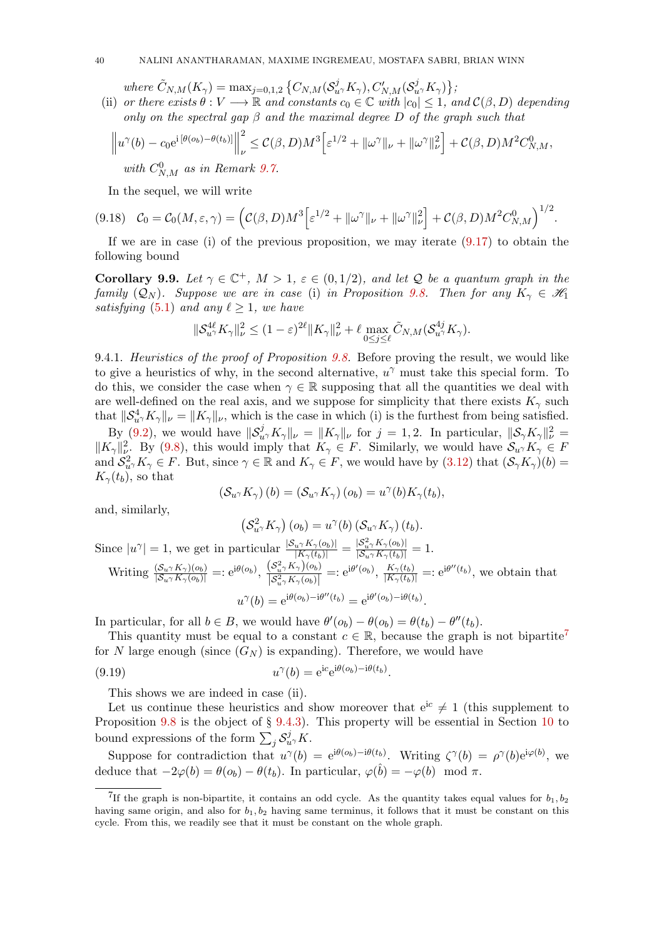where  $\tilde{C}_{N,M}(K_{\gamma}) = \max_{j=0,1,2}\left\{C_{N,M}(\mathcal{S}_{u^{\gamma}}^{j}K_{\gamma}), C_{N,M}'(\mathcal{S}_{u^{\gamma}}^{j}K_{\gamma})\right\},$ 

(ii) or there exists  $\theta : V \longrightarrow \mathbb{R}$  and constants  $c_0 \in \mathbb{C}$  with  $|c_0| \leq 1$ , and  $\mathcal{C}(\beta, D)$  depending only on the spectral gap  $\beta$  and the maximal degree D of the graph such that

$$
\left\|u^{\gamma}(b) - c_0 e^{i\left[\theta(o_b) - \theta(t_b)\right]}\right\|_{\nu}^2 \leq \mathcal{C}(\beta, D)M^3 \Big[\varepsilon^{1/2} + \|\omega^{\gamma}\|_{\nu} + \|\omega^{\gamma}\|_{\nu}^2\Big] + \mathcal{C}(\beta, D)M^2 C_{N,M}^0,
$$
  
with  $C_{N,M}^0$  as in Remark 9.7.

<span id="page-39-1"></span>In the sequel, we will write

$$
(9.18) \quad \mathcal{C}_0 = \mathcal{C}_0(M,\varepsilon,\gamma) = \left( \mathcal{C}(\beta,D)M^3 \Big[ \varepsilon^{1/2} + ||\omega^{\gamma}||_{\nu} + ||\omega^{\gamma}||_{\nu}^2 \Big] + \mathcal{C}(\beta,D)M^2 C_{N,M}^0 \right)^{1/2}.
$$

If we are in case (i) of the previous proposition, we may iterate  $(9.17)$  to obtain the following bound

<span id="page-39-2"></span>Corollary 9.9. Let  $\gamma \in \mathbb{C}^+$ ,  $M > 1$ ,  $\varepsilon \in (0, 1/2)$ , and let Q be a quantum graph in the family  $(Q_N)$ . Suppose we are in case (i) in Proposition [9.8.](#page-38-2) Then for any  $K_\gamma \in \mathcal{H}_1$ satisfying [\(5.1\)](#page-16-2) and any  $\ell \geq 1$ , we have

$$
\|\mathcal{S}_{u^{\gamma}}^{\mathcal{A}\ell}K_{\gamma}\|_{\nu}^2 \le (1-\varepsilon)^{2\ell} \|K_{\gamma}\|_{\nu}^2 + \ell \max_{0 \le j \le \ell} \tilde{C}_{N,M}(\mathcal{S}_{u^{\gamma}}^{\mathcal{A}j}K_{\gamma}).
$$

9.4.1. Heuristics of the proof of Proposition [9.8.](#page-38-2) Before proving the result, we would like to give a heuristics of why, in the second alternative,  $u^{\gamma}$  must take this special form. To do this, we consider the case when  $\gamma \in \mathbb{R}$  supposing that all the quantities we deal with are well-defined on the real axis, and we suppose for simplicity that there exists  $K_{\gamma}$  such that  $||\mathcal{S}_{u}^4 \times \mathcal{K}_{\gamma}||_{\nu} = ||\mathcal{K}_{\gamma}||_{\nu}$ , which is the case in which (i) is the furthest from being satisfied.

By [\(9.2\)](#page-32-1), we would have  $\|\mathcal{S}_{u\gamma}^{j}K_{\gamma}\|_{\nu} = \|K_{\gamma}\|_{\nu}$  for  $j = 1, 2$ . In particular,  $\|\mathcal{S}_{\gamma}K_{\gamma}\|_{\nu}^{2} =$  $||K_{\gamma}||_{\nu_{\gamma}}^2$ . By [\(9.8\)](#page-34-6), this would imply that  $K_{\gamma} \in F$ . Similarly, we would have  $\mathcal{S}_{u^{\gamma}}K_{\gamma} \in F$ and  $S_{u}^2 K_\gamma \in F$ . But, since  $\gamma \in \mathbb{R}$  and  $K_\gamma \in F$ , we would have by  $(3.12)$  that  $(S_\gamma K_\gamma)(b)$  $K_{\gamma}(t_b)$ , so that

$$
\left(\mathcal{S}_{u\gamma}K_{\gamma}\right)(b)=\left(\mathcal{S}_{u\gamma}K_{\gamma}\right)(o_b)=u^{\gamma}(b)K_{\gamma}(t_b),
$$

and, similarly,

$$
\left(S_{u\gamma}^2 K_{\gamma}\right)(o_b) = u^{\gamma}(b) \left(S_{u\gamma} K_{\gamma}\right)(t_b).
$$

Since  $|u^{\gamma}| = 1$ , we get in particular  $\frac{|S_{u^{\gamma}} K_{\gamma}(o_b)|}{|K_{\gamma}(t_b)|} = \frac{|S_{u^{\gamma}}^2 K_{\gamma}(o_b)|}{|S_{u^{\gamma}} K_{\gamma}(t_b)|} = 1$ . Writing  $\frac{(S_{u\gamma}K_{\gamma})(o_b)}{|S_{u\gamma}K_{\gamma}(o_b)|}=:e^{i\theta(o_b)}, \frac{(S_{u\gamma}^2K_{\gamma})(o_b)}{|S_{u\gamma}^2K_{\gamma}(o_b)|}$  $\frac{(S_u^2 \gamma K_\gamma)(o_b)}{|S_u^2 \gamma K_\gamma(o_b)|} =: e^{i\theta'(o_b)}, \frac{K_\gamma(t_b)}{|K_\gamma(t_b)|} =: e^{i\theta''(t_b)},$  we obtain that  $u^{\gamma}(b) = e^{i\theta(o_b) - i\theta''(t_b)} = e^{i\theta'(o_b) - i\theta(t_b)}$ .

In particular, for all  $b \in B$ , we would have  $\theta'(o_b) - \theta(o_b) = \theta(t_b) - \theta''(t_b)$ .

This quantity must be equal to a constant  $c \in \mathbb{R}$ , because the graph is not bipartite<sup>[7](#page-39-0)</sup> for N large enough (since  $(G_N)$ ) is expanding). Therefore, we would have

(9.19) 
$$
u^{\gamma}(b) = e^{ic}e^{i\theta(o_b)-i\theta(t_b)}.
$$

This shows we are indeed in case (ii).

Let us continue these heuristics and show moreover that  $e^{ic} \neq 1$  (this supplement to Proposition [9.8](#page-38-2) is the object of  $\S$  [9.4.3\)](#page-42-0). This property will be essential in Section [10](#page-44-0) to bound expressions of the form  $\sum_j \mathcal{S}_{u}^j K$ .

Suppose for contradiction that  $u^{\gamma}(b) = e^{i\theta(o_b) - i\theta(t_b)}$ . Writing  $\zeta^{\gamma}(b) = \rho^{\gamma}(b)e^{i\varphi(b)}$ , we deduce that  $-2\varphi(b) = \theta(o_b) - \theta(t_b)$ . In particular,  $\varphi(\hat{b}) = -\varphi(b) \mod \pi$ .

<span id="page-39-0"></span><sup>&</sup>lt;sup>7</sup>If the graph is non-bipartite, it contains an odd cycle. As the quantity takes equal values for  $b_1, b_2$ having same origin, and also for  $b_1, b_2$  having same terminus, it follows that it must be constant on this cycle. From this, we readily see that it must be constant on the whole graph.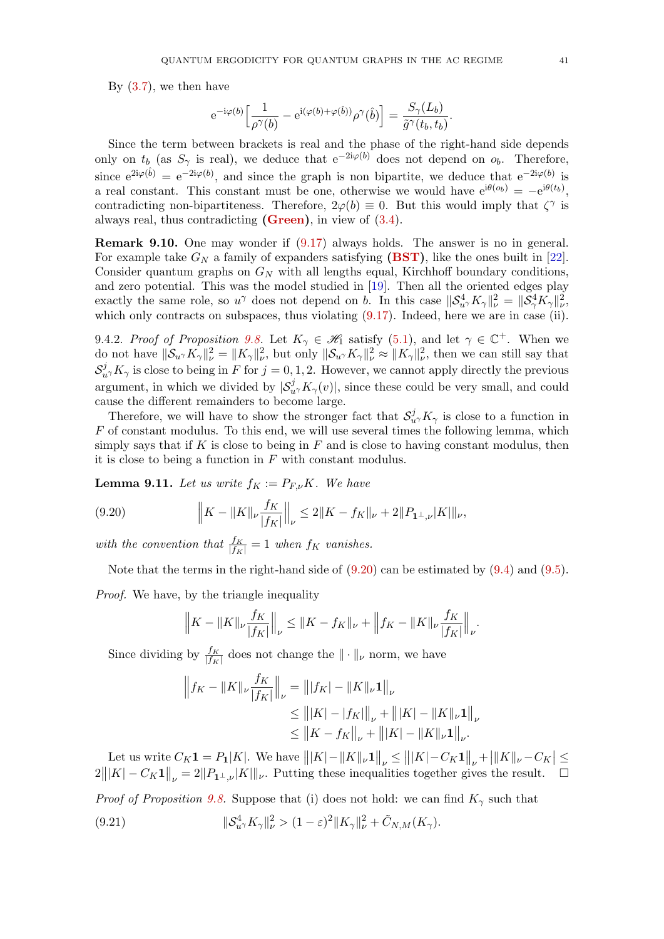By  $(3.7)$ , we then have

$$
{\rm e}^{-{\rm i} \varphi(b)}\Bigl[\frac{1}{\rho^\gamma(b)}-{\rm e}^{{\rm i} (\varphi(b)+\varphi(\hat{b}))}\rho^\gamma(\hat{b})\Bigr]=\frac{S_\gamma(L_b)}{\tilde{g}^\gamma(t_b,t_b)}.
$$

Since the term between brackets is real and the phase of the right-hand side depends only on  $t_b$  (as  $S_\gamma$  is real), we deduce that  $e^{-2i\varphi(b)}$  does not depend on  $o_b$ . Therefore, since  $e^{2i\varphi(\hat{b})} = e^{-2i\varphi(b)}$ , and since the graph is non bipartite, we deduce that  $e^{-2i\varphi(b)}$  is a real constant. This constant must be one, otherwise we would have  $e^{i\theta(o_b)} = -e^{i\theta(t_b)}$ , contradicting non-bipartiteness. Therefore,  $2\varphi(b) \equiv 0$ . But this would imply that  $\zeta^{\gamma}$  is always real, thus contradicting  $(Green)$ , in view of  $(3.4)$ .

Remark 9.10. One may wonder if [\(9.17\)](#page-38-1) always holds. The answer is no in general. For example take  $G_N$  a family of expanders satisfying [\(BST\)](#page-4-3), like the ones built in [\[22\]](#page-63-11). Consider quantum graphs on  $G_N$  with all lengths equal, Kirchhoff boundary conditions, and zero potential. This was the model studied in [\[19\]](#page-63-5). Then all the oriented edges play exactly the same role, so  $u^{\gamma}$  does not depend on b. In this case  $||S_{u^{\gamma}}^4 K_{\gamma}||_{\nu}^2 = ||S_{\gamma}^4 K_{\gamma}||_{\nu}^2$ , which only contracts on subspaces, thus violating  $(9.17)$ . Indeed, here we are in case (ii).

9.4.2. Proof of Proposition [9.8.](#page-38-2) Let  $K_{\gamma} \in \mathcal{H}_1$  satisfy [\(5.1\)](#page-16-2), and let  $\gamma \in \mathbb{C}^+$ . When we do not have  $\|\mathcal{S}_{u\gamma}K_{\gamma}\|_{\nu}^2 = \|K_{\gamma}\|_{\nu}^2$ , but only  $\|\mathcal{S}_{u\gamma}K_{\gamma}\|_{\nu}^2 \approx \|K_{\gamma}\|_{\nu}^2$ , then we can still say that  $S^j_{u\gamma}K_{\gamma}$  is close to being in F for  $j=0,1,2$ . However, we cannot apply directly the previous argument, in which we divided by  $|\mathcal{S}_{u}^{j} K_{\gamma}(v)|$ , since these could be very small, and could cause the different remainders to become large.

Therefore, we will have to show the stronger fact that  $\mathcal{S}_{u}^j$ ,  $K_\gamma$  is close to a function in  $F$  of constant modulus. To this end, we will use several times the following lemma, which simply says that if K is close to being in  $F$  and is close to having constant modulus, then it is close to being a function in  $F$  with constant modulus.

<span id="page-40-2"></span>**Lemma 9.11.** Let us write  $f_K := P_{F,\nu}K$ . We have

<span id="page-40-0"></span>(9.20) 
$$
\left\|K - \|K\|_{\nu} \frac{f_K}{|f_K|}\right\|_{\nu} \le 2\|K - f_K\|_{\nu} + 2\|P_{\mathbf{1}^{\perp},\nu}|K|\|_{\nu},
$$

with the convention that  $\frac{f_K}{|f_K|} = 1$  when  $f_K$  vanishes.

Note that the terms in the right-hand side of  $(9.20)$  can be estimated by  $(9.4)$  and  $(9.5)$ .

Proof. We have, by the triangle inequality

$$
\left\|K - \|K\|_{\nu} \frac{f_K}{|f_K|}\right\|_{\nu} \le \|K - f_K\|_{\nu} + \left\|f_K - \|K\|_{\nu} \frac{f_K}{|f_K|}\right\|_{\nu}.
$$

Since dividing by  $\frac{f_K}{|f_K|}$  does not change the  $\|\cdot\|_{\nu}$  norm, we have

$$
\left\| f_K - \|K\|_{\nu} \frac{f_K}{|f_K|} \right\|_{\nu} = \| |f_K| - \|K\|_{\nu} \mathbf{1} \|_{\nu}
$$
  
\n
$$
\leq \| |K| - |f_K| \|_{\nu} + \| |K| - \|K\|_{\nu} \mathbf{1} \|_{\nu}
$$
  
\n
$$
\leq \| K - f_K \|_{\nu} + \| |K| - \|K\|_{\nu} \mathbf{1} \|_{\nu}.
$$

<span id="page-40-1"></span>Let us write  $C_K \mathbf{1} = P_1|K|$ . We have  $|||K| - ||K||_{\nu} \mathbf{1}||_{\nu} \le |||K| - C_K \mathbf{1}||_{\nu} + |||K||_{\nu} - C_K| \le$  $2|||K| - C_K 1||_{\nu} = 2||P_{1^{\perp},\nu}|K||_{\nu}$ . Putting these inequalities together gives the result.  $\square$ *Proof of Proposition [9.8.](#page-38-2)* Suppose that (i) does not hold: we can find  $K_{\gamma}$  such that  $(9.21)$  $\frac{d_4}{u^{\gamma}} K_{\gamma} \|_{\nu}^2 > (1 - \varepsilon)^2 \| K_{\gamma} \|_{\nu}^2 + \tilde{C}_{N,M}(K_{\gamma}).$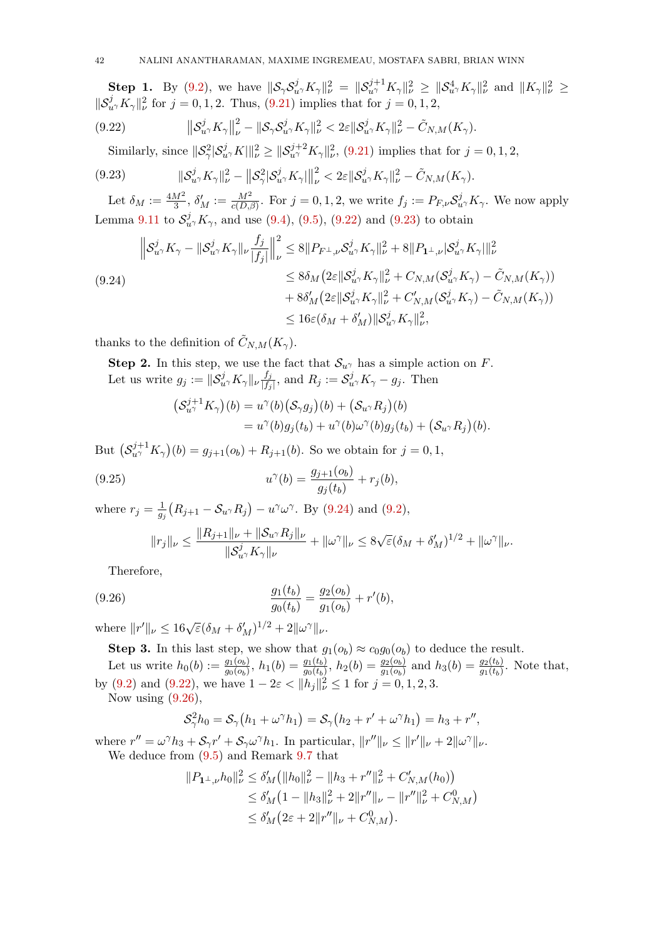Step 1. By [\(9.2\)](#page-32-1), we have  $\|\mathcal{S}_{\gamma}\mathcal{S}_{u\gamma}^{j}K_{\gamma}\|_{\nu}^{2} = \|\mathcal{S}_{u\gamma}^{j+1}K_{\gamma}\|_{\nu}^{2} \geq \|\mathcal{S}_{u\gamma}^{4}K_{\gamma}\|_{\nu}^{2}$  and  $\|K_{\gamma}\|_{\nu}^{2} \geq$  $||S_{u}^{j}K_{\gamma}||_{\nu}^{2}$  for  $j = 0, 1, 2$ . Thus, [\(9.21\)](#page-40-1) implies that for  $j = 0, 1, 2$ ,

(9.22) 
$$
\|\mathcal{S}_{u\gamma}^j K_{\gamma}\|_{\nu}^2 - \|\mathcal{S}_{\gamma} \mathcal{S}_{u\gamma}^j K_{\gamma}\|_{\nu}^2 < 2\varepsilon \|\mathcal{S}_{u\gamma}^j K_{\gamma}\|_{\nu}^2 - \tilde{C}_{N,M}(K_{\gamma}).
$$

<span id="page-41-1"></span><span id="page-41-0"></span>Similarly, since  $||\mathcal{S}_{\gamma}^2|\mathcal{S}_{u\gamma}^j K||_{\nu}^2 \ge ||\mathcal{S}_{u\gamma}^{j+2}K_{\gamma}||_{\nu}^2$ , [\(9.21\)](#page-40-1) implies that for  $j = 0, 1, 2$ ,

$$
(9.23) \t\t\t||S_{u\gamma}^j K_{\gamma}||_{\nu}^2 - \|S_{\gamma}^2 |S_{u\gamma}^j K_{\gamma}|\|_{\nu}^2 < 2\varepsilon \|S_{u\gamma}^j K_{\gamma}\|_{\nu}^2 - \tilde{C}_{N,M}(K_{\gamma}).
$$

Let  $\delta_M := \frac{4M^2}{3}$ ,  $\delta'_M := \frac{M^2}{c(D,\beta)}$ . For  $j = 0, 1, 2$ , we write  $f_j := P_{F,\nu} S^j_{u^{\gamma}} K_{\gamma}$ . We now apply Lemma [9.11](#page-40-2) to  $S_{u}^{j}K_{\gamma}$ , and use [\(9.4\)](#page-33-3), [\(9.5\)](#page-34-7), [\(9.22\)](#page-41-0) and [\(9.23\)](#page-41-1) to obtain

<span id="page-41-2"></span>
$$
\|S_{u^{\gamma}}^{j} K_{\gamma} - \|S_{u^{\gamma}}^{j} K_{\gamma}\|_{\nu} \frac{f_{j}}{|f_{j}|} \Big\|_{\nu}^{2} \leq 8 \|P_{F^{\perp},\nu} S_{u^{\gamma}}^{j} K_{\gamma}\|_{\nu}^{2} + 8 \|P_{\mathbf{1}^{\perp},\nu} |S_{u^{\gamma}}^{j} K_{\gamma}\|_{\nu}^{2}
$$
  
\n
$$
\leq 8\delta_{M} (2\varepsilon \|S_{u^{\gamma}}^{j} K_{\gamma}\|_{\nu}^{2} + C_{N,M} (S_{u^{\gamma}}^{j} K_{\gamma}) - \tilde{C}_{N,M}(K_{\gamma}))
$$
  
\n
$$
+ 8\delta'_{M} (2\varepsilon \|S_{u^{\gamma}}^{j} K_{\gamma}\|_{\nu}^{2} + C'_{N,M} (S_{u^{\gamma}}^{j} K_{\gamma}) - \tilde{C}_{N,M}(K_{\gamma}))
$$
  
\n
$$
\leq 16\varepsilon (\delta_{M} + \delta'_{M}) \|S_{u^{\gamma}}^{j} K_{\gamma}\|_{\nu}^{2},
$$

thanks to the definition of  $\tilde{C}_{N,M}(K_{\gamma}).$ 

Step 2. In this step, we use the fact that  $S_{u\gamma}$  has a simple action on F. Let us write  $g_j := \|\mathcal{S}_{u}^j K_\gamma\|_{\nu} \frac{f_j}{|f_j|}$  $\frac{f_j}{|f_j|}$ , and  $R_j := \mathcal{S}_{u}^j K_\gamma - g_j$ . Then

$$
\begin{aligned} \left(\mathcal{S}_{u\gamma}^{j+1} K_{\gamma}\right)(b) &= u^{\gamma}(b) \left(\mathcal{S}_{\gamma} g_j\right)(b) + \left(\mathcal{S}_{u\gamma} R_j\right)(b) \\ &= u^{\gamma}(b) g_j(t_b) + u^{\gamma}(b) \omega^{\gamma}(b) g_j(t_b) + \left(\mathcal{S}_{u\gamma} R_j\right)(b). \end{aligned}
$$

But  $(S_{u}^{j+1}K_{\gamma})(b) = g_{j+1}(o_b) + R_{j+1}(b)$ . So we obtain for  $j = 0, 1$ ,

(9.25) 
$$
u^{\gamma}(b) = \frac{g_{j+1}(o_b)}{g_j(t_b)} + r_j(b),
$$

where  $r_j = \frac{1}{a_j}$  $\frac{1}{g_j}(R_{j+1}-\mathcal{S}_u \gamma R_j) - u^{\gamma}\omega^{\gamma}$ . By [\(9.24\)](#page-41-2) and [\(9.2\)](#page-32-1),

<span id="page-41-3"></span>
$$
||r_j||_{\nu} \le \frac{||R_{j+1}||_{\nu} + ||S_{u\gamma}R_j||_{\nu}}{||S_{u\gamma}^j K_{\gamma}||_{\nu}} + ||\omega^{\gamma}||_{\nu} \le 8\sqrt{\varepsilon}(\delta_M + \delta_M')^{1/2} + ||\omega^{\gamma}||_{\nu}.
$$

Therefore,

(9.26) 
$$
\frac{g_1(t_b)}{g_0(t_b)} = \frac{g_2(o_b)}{g_1(o_b)} + r'(b),
$$

where  $||r'||_{\nu} \leq 16\sqrt{\varepsilon}(\delta_M + \delta_M')^{1/2} + 2||\omega^{\gamma}||_{\nu}$ .

**Step 3.** In this last step, we show that  $g_1(o_b) \approx c_0 g_0(o_b)$  to deduce the result.

Let us write  $h_0(b) := \frac{g_1(b_b)}{g_0(b_b)}$ ,  $h_1(b) = \frac{g_1(t_b)}{g_0(t_b)}$ ,  $h_2(b) = \frac{g_2(b_b)}{g_1(b_b)}$  and  $h_3(b) = \frac{g_2(t_b)}{g_1(t_b)}$ . Note that, by [\(9.2\)](#page-32-1) and [\(9.22\)](#page-41-0), we have  $1 - 2\varepsilon < ||h_j||_{\nu}^2 \le 1$  for  $j = 0, 1, 2, 3$ . Now using  $(9.26)$ ,

$$
\mathcal{S}_{\gamma}^2 h_0 = \mathcal{S}_{\gamma} (h_1 + \omega^{\gamma} h_1) = \mathcal{S}_{\gamma} (h_2 + r' + \omega^{\gamma} h_1) = h_3 + r'',
$$

where  $r'' = \omega^{\gamma} h_3 + \mathcal{S}_{\gamma} r' + \mathcal{S}_{\gamma} \omega^{\gamma} h_1$ . In particular,  $||r''||_{\nu} \le ||r'||_{\nu} + 2||\omega^{\gamma}||_{\nu}$ . We deduce from [\(9.5\)](#page-34-7) and Remark [9.7](#page-38-0) that

$$
||P_{1^{\perp},\nu}h_0||_{\nu}^2 \le \delta'_M \big(||h_0||_{\nu}^2 - ||h_3 + r''||_{\nu}^2 + C'_{N,M}(h_0)\big) \le \delta'_M \big(1 - ||h_3||_{\nu}^2 + 2||r''||_{\nu} - ||r''||_{\nu}^2 + C^0_{N,M}\big) \le \delta'_M \big(2\varepsilon + 2||r''||_{\nu} + C^0_{N,M}\big).
$$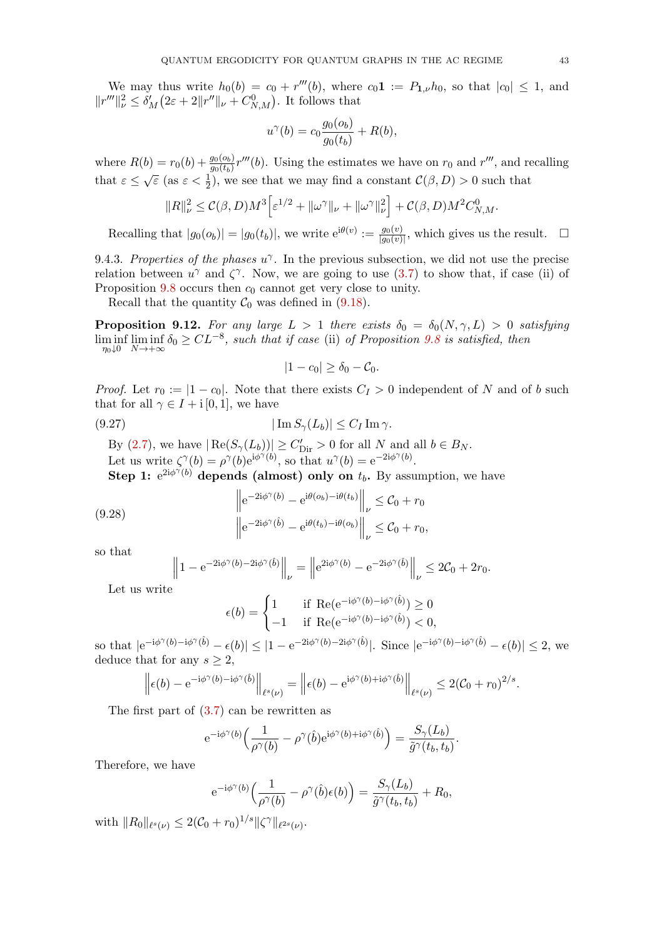We may thus write  $h_0(b) = c_0 + r'''(b)$ , where  $c_0 \mathbf{1} := P_{\mathbf{1},\nu} h_0$ , so that  $|c_0| \leq 1$ , and  $||r'''||^2_{\nu} \leq \delta'_{M}(2\varepsilon + 2||r''||_{\nu} + C_{N,M}^{0}).$  It follows that

$$
u^{\gamma}(b) = c_0 \frac{g_0(o_b)}{g_0(t_b)} + R(b),
$$

where  $R(b) = r_0(b) + \frac{g_0(o_b)}{g_0(t_b)}r'''(b)$ . Using the estimates we have on  $r_0$  and  $r'''$ , and recalling that  $\varepsilon \leq \sqrt{\varepsilon}$  (as  $\varepsilon < \frac{1}{2}$ ), we see that we may find a constant  $\mathcal{C}(\beta, D) > 0$  such that

$$
||R||_{\nu}^2 \leq \mathcal{C}(\beta, D)M^3 \Big[\varepsilon^{1/2} + ||\omega^{\gamma}||_{\nu} + ||\omega^{\gamma}||_{\nu}^2\Big] + \mathcal{C}(\beta, D)M^2 C_{N,M}^0.
$$

Recalling that  $|g_0(o_b)| = |g_0(t_b)|$ , we write  $e^{i\theta(v)} := \frac{g_0(v)}{|g_0(v)|}$  $\frac{g_0(v)}{|g_0(v)|}$ , which gives us the result.  $\square$ 

<span id="page-42-0"></span>9.4.3. Properties of the phases  $u^{\gamma}$ . In the previous subsection, we did not use the precise relation between  $u^{\gamma}$  and  $\zeta^{\gamma}$ . Now, we are going to use [\(3.7\)](#page-9-1) to show that, if case (ii) of Proposition  $9.8$  occurs then  $c_0$  cannot get very close to unity.

Recall that the quantity  $C_0$  was defined in [\(9.18\)](#page-39-1).

<span id="page-42-3"></span>**Proposition 9.12.** For any large  $L > 1$  there exists  $\delta_0 = \delta_0(N, \gamma, L) > 0$  satisfying  $\liminf_{\eta_0 \downarrow 0} \liminf_{N \to +\infty} \delta_0 \geq CL^{-8}$ , such that if case (ii) of Proposition [9.8](#page-38-2) is satisfied, then

<span id="page-42-1"></span>
$$
|1-c_0|\geq \delta_0-\mathcal{C}_0.
$$

*Proof.* Let  $r_0 := |1 - c_0|$ . Note that there exists  $C_I > 0$  independent of N and of b such that for all  $\gamma \in I + i[0,1]$ , we have

$$
(9.27) \t\t\t |\operatorname{Im} S_{\gamma}(L_b)| \le C_I \operatorname{Im} \gamma.
$$

By [\(2.7\)](#page-5-3), we have  $|\operatorname{Re}(S_{\gamma}(L_b))| \geq C'_{\text{Dir}} > 0$  for all N and all  $b \in B_N$ . Let us write  $\zeta^{\gamma}(b) = \rho^{\gamma}(b) e^{i\phi^{\gamma}(b)}$ , so that  $u^{\gamma}(b) = e^{-2i\phi^{\gamma}(b)}$ .

Step 1:  $e^{2i\phi^{\gamma}(b)}$  depends (almost) only on  $t_b$ . By assumption, we have

(9.28) 
$$
\left\| e^{-2i\phi^{\gamma}(b)} - e^{i\theta(o_b) - i\theta(t_b)} \right\|_{\nu} \leq C_0 + r_0
$$

$$
\left\| e^{-2i\phi^{\gamma}(\hat{b})} - e^{i\theta(t_b) - i\theta(o_b)} \right\|_{\nu} \leq C_0 + r_0,
$$

so that

<span id="page-42-2"></span>
$$
\left\|1 - e^{-2i\phi^{\gamma}(b) - 2i\phi^{\gamma}(\hat{b})}\right\|_{\nu} = \left\|e^{2i\phi^{\gamma}(b)} - e^{-2i\phi^{\gamma}(\hat{b})}\right\|_{\nu} \le 2\mathcal{C}_0 + 2r_0.
$$

Let us write

$$
\epsilon(b) = \begin{cases} 1 & \text{if } \operatorname{Re}(e^{-i\phi^{\gamma}(b) - i\phi^{\gamma}(\hat{b})}) \ge 0 \\ -1 & \text{if } \operatorname{Re}(e^{-i\phi^{\gamma}(b) - i\phi^{\gamma}(\hat{b})}) < 0, \end{cases}
$$

so that  $|e^{-i\phi^{\gamma}(b)-i\phi^{\gamma}(\hat{b})}-\epsilon(b)| \leq |1-e^{-2i\phi^{\gamma}(b)-2i\phi^{\gamma}(\hat{b})}|$ . Since  $|e^{-i\phi^{\gamma}(b)-i\phi^{\gamma}(\hat{b})}-\epsilon(b)| \leq 2$ , we deduce that for any  $s \geq 2$ ,

$$
\left\|\epsilon(b) - e^{-i\phi^{\gamma}(b) - i\phi^{\gamma}(\hat{b})}\right\|_{\ell^{s}(\nu)} = \left\|\epsilon(b) - e^{i\phi^{\gamma}(b) + i\phi^{\gamma}(\hat{b})}\right\|_{\ell^{s}(\nu)} \leq 2(C_0 + r_0)^{2/s}.
$$

The first part of [\(3.7\)](#page-9-1) can be rewritten as

$$
e^{-i\phi^{\gamma}(b)}\Big(\frac{1}{\rho^{\gamma}(b)}-\rho^{\gamma}(\hat{b})e^{i\phi^{\gamma}(b)+i\phi^{\gamma}(\hat{b})}\Big)=\frac{S_{\gamma}(L_b)}{\tilde{g}^{\gamma}(t_b,t_b)}.
$$

Therefore, we have

$$
e^{-i\phi^{\gamma}(b)}\Big(\frac{1}{\rho^{\gamma}(b)}-\rho^{\gamma}(\hat{b})\epsilon(b)\Big)=\frac{S_{\gamma}(L_b)}{\tilde{g}^{\gamma}(t_b,t_b)}+R_0,
$$

with  $||R_0||_{\ell^s(\nu)} \leq 2(\mathcal{C}_0 + r_0)^{1/s} ||\zeta^{\gamma}||_{\ell^{2s}(\nu)}.$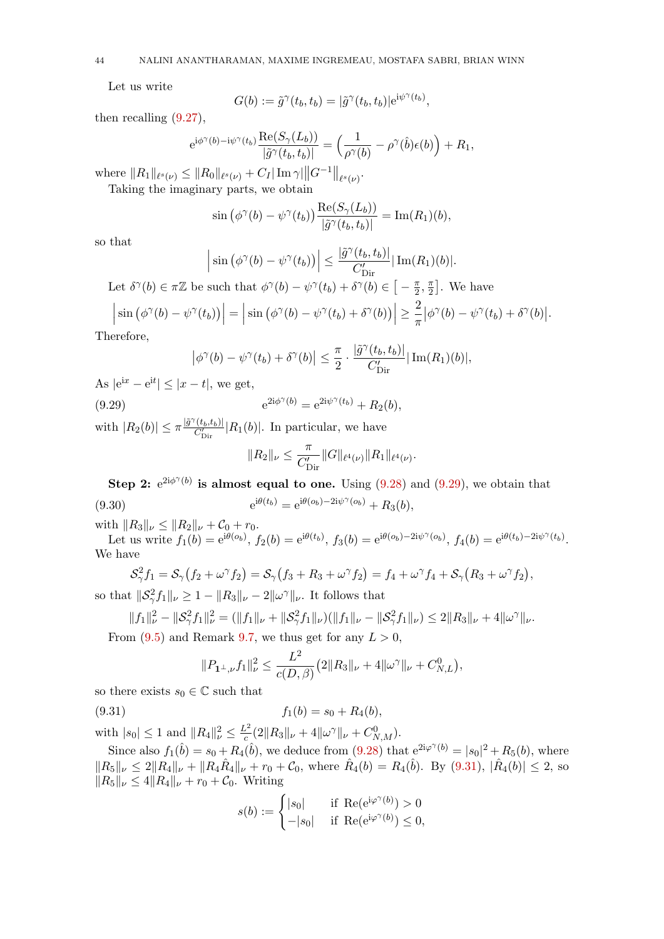Let us write

$$
G(b) := \tilde{g}^{\gamma}(t_b, t_b) = |\tilde{g}^{\gamma}(t_b, t_b)| e^{i\psi^{\gamma}(t_b)},
$$

then recalling [\(9.27\)](#page-42-1),

$$
e^{i\phi^{\gamma}(b)-i\psi^{\gamma}(t_b)}\frac{\text{Re}(S_{\gamma}(L_b))}{|\tilde{g}^{\gamma}(t_b,t_b)|}=\Big(\frac{1}{\rho^{\gamma}(b)}-\rho^{\gamma}(\hat{b})\epsilon(b)\Big)+R_1,
$$

where  $||R_1||_{\ell^s(\nu)} \leq ||R_0||_{\ell^s(\nu)} + C_I |\operatorname{Im} \gamma| ||G^{-1}||_{\ell^s(\nu)}$ .

Taking the imaginary parts, we obtain

$$
\sin\left(\phi^{\gamma}(b)-\psi^{\gamma}(t_b)\right)\frac{\text{Re}(S_{\gamma}(L_b))}{|\tilde{g}^{\gamma}(t_b,t_b)|}=\text{Im}(R_1)(b),
$$

so that

$$
\left|\sin\left(\phi^{\gamma}(b)-\psi^{\gamma}(t_b)\right)\right| \leq \frac{|\tilde{g}^{\gamma}(t_b,t_b)|}{C'_{\text{Dir}}}|\operatorname{Im}(R_1)(b)|.
$$

Let  $\delta^{\gamma}(b) \in \pi \mathbb{Z}$  be such that  $\phi^{\gamma}(b) - \psi^{\gamma}(t_b) + \delta^{\gamma}(b) \in \left[-\frac{\pi}{2}\right]$  $\frac{\pi}{2}, \frac{\pi}{2}$  $\frac{\pi}{2}$ . We have

$$
\left|\sin\left(\phi^{\gamma}(b)-\psi^{\gamma}(t_b)\right)\right|=\left|\sin\left(\phi^{\gamma}(b)-\psi^{\gamma}(t_b)+\delta^{\gamma}(b)\right)\right|\geq \frac{2}{\pi}|\phi^{\gamma}(b)-\psi^{\gamma}(t_b)+\delta^{\gamma}(b)|.
$$

Therefore,

$$
\left|\phi^{\gamma}(b) - \psi^{\gamma}(t_b) + \delta^{\gamma}(b)\right| \leq \frac{\pi}{2} \cdot \frac{|\tilde{g}^{\gamma}(t_b, t_b)|}{C'_{\text{Dir}}} |\operatorname{Im}(R_1)(b)|,
$$

As  $|e^{ix} - e^{it}| \le |x - t|$ , we get,

(9.29) 
$$
e^{2i\phi^{\gamma}(b)} = e^{2i\psi^{\gamma}(t_b)} + R_2(b),
$$

with  $|R_2(b)| \leq \pi \frac{|\tilde{g}^{\gamma}(t_b,t_b)|}{C_2'}$  $\frac{(b_b, b_b)}{C'_{\text{Dir}}}$  |  $R_1(b)$ |. In particular, we have

<span id="page-43-0"></span>
$$
||R_2||_{\nu} \leq \frac{\pi}{C'_{\text{Dir}}} ||G||_{\ell^4(\nu)} ||R_1||_{\ell^4(\nu)}.
$$

Step 2:  $e^{2i\phi^{\gamma}(b)}$  is almost equal to one. Using [\(9.28\)](#page-42-2) and [\(9.29\)](#page-43-0), we obtain that (9.30)  $e^{i\theta(t_b)} = e^{i\theta(o_b) - 2i\psi^{\gamma}(o_b)} + R_3(b),$ 

with  $||R_3||_{\nu} \leq ||R_2||_{\nu} + C_0 + r_0.$ 

Let us write  $f_1(b) = e^{i\theta(o_b)}$ ,  $f_2(b) = e^{i\theta(t_b)}$ ,  $f_3(b) = e^{i\theta(o_b) - 2i\psi^{\gamma}(o_b)}$ ,  $f_4(b) = e^{i\theta(t_b) - 2i\psi^{\gamma}(t_b)}$ . We have

$$
\mathcal{S}_{\gamma}^2 f_1 = \mathcal{S}_{\gamma} (f_2 + \omega^{\gamma} f_2) = \mathcal{S}_{\gamma} (f_3 + R_3 + \omega^{\gamma} f_2) = f_4 + \omega^{\gamma} f_4 + \mathcal{S}_{\gamma} (R_3 + \omega^{\gamma} f_2),
$$

so that  $\|S_\gamma^2 f_1\|_\nu \geq 1 - \|R_3\|_\nu - 2\|\omega^\gamma\|_\nu$ . It follows that

$$
||f_1||_{\nu}^2 - ||\mathcal{S}_{\gamma}^2 f_1||_{\nu}^2 = (||f_1||_{\nu} + ||\mathcal{S}_{\gamma}^2 f_1||_{\nu})(||f_1||_{\nu} - ||\mathcal{S}_{\gamma}^2 f_1||_{\nu}) \le 2||R_3||_{\nu} + 4||\omega^{\gamma}||_{\nu}.
$$

From  $(9.5)$  and Remark [9.7,](#page-38-0) we thus get for any  $L > 0$ ,

<span id="page-43-1"></span>
$$
||P_{1^{\perp},\nu}f_1||_{\nu}^2 \le \frac{L^2}{c(D,\beta)} \left(2||R_3||_{\nu} + 4||\omega^{\gamma}||_{\nu} + C_{N,L}^0\right),
$$

so there exists  $s_0 \in \mathbb{C}$  such that

(9.31) 
$$
f_1(b) = s_0 + R_4(b),
$$

with  $|s_0| \leq 1$  and  $||R_4||^2_{\nu} \leq \frac{L^2}{c}$  $\frac{C^2}{c}(2\|R_3\|_{\nu}+4\|\omega^{\gamma}\|_{\nu}+C^0_{N,M}).$ 

Since also  $f_1(\hat{b}) = s_0 + R_4(\hat{b})$ , we deduce from  $(9.28)$  that  $e^{2i\varphi^{\gamma}(b)} = |s_0|^2 + R_5(b)$ , where  $||R_5||_\nu \leq 2||R_4||_\nu + ||R_4\hat{R}_4||_\nu + r_0 + C_0$ , where  $\hat{R}_4(b) = R_4(\hat{b})$ . By  $(9.31)$ ,  $|\hat{R}_4(b)| \leq 2$ , so  $||R_5||_{\nu} \leq 4||R_4||_{\nu} + r_0 + C_0$ . Writing

$$
s(b) := \begin{cases} |s_0| & \text{if } \operatorname{Re}(\mathrm{e}^{\mathrm{i}\varphi^\gamma(b)}) > 0 \\ -|s_0| & \text{if } \operatorname{Re}(\mathrm{e}^{\mathrm{i}\varphi^\gamma(b)}) \le 0, \end{cases}
$$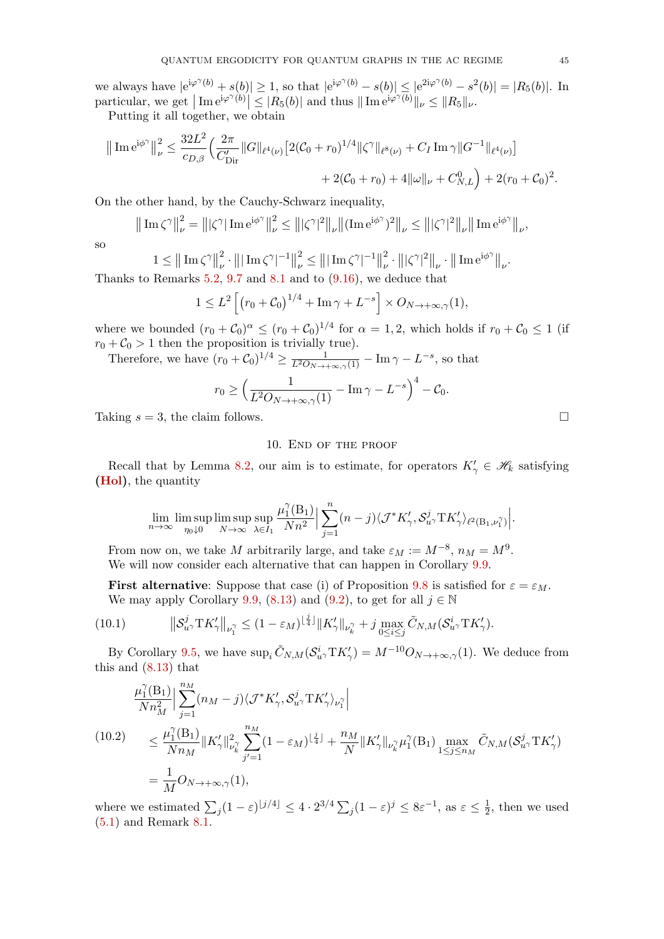we always have  $|e^{i\varphi^{\gamma}(b)} + s(b)| \ge 1$ , so that  $|e^{i\varphi^{\gamma}(b)} - s(b)| \le |e^{2i\varphi^{\gamma}(b)} - s^{2}(b)| = |R_5(b)|$ . In particular, we get  $|\text{Im} e^{i\varphi^{\gamma}(b)}| \leq |R_5(b)|$  and thus  $||\text{Im} e^{i\varphi^{\gamma}(b)}||_{\nu} \leq ||R_5||_{\nu}$ .

Putting it all together, we obtain

$$
\|\operatorname{Im} e^{i\phi^{\gamma}}\|_{\nu}^{2} \leq \frac{32L^{2}}{c_{D,\beta}} \Big(\frac{2\pi}{C'_{\text{Dir}}} \|G\|_{\ell^{4}(\nu)} \Big[2(C_{0}+r_{0})^{1/4} \|\zeta^{\gamma}\|_{\ell^{8}(\nu)} + C_{I} \operatorname{Im} \gamma \|G^{-1}\|_{\ell^{4}(\nu)}\Big] + 2(C_{0}+r_{0}) + 4\|\omega\|_{\nu} + C_{N,L}^{0}\Big) + 2(r_{0}+C_{0})^{2}.
$$

On the other hand, by the Cauchy-Schwarz inequality,

$$
\left\|\left[\text{Im}\,\zeta^{\gamma}\right]\right\|_{\nu}^{2} = \left\||\zeta^{\gamma}\right|\text{Im}\,\mathrm{e}^{\mathrm{i}\phi^{\gamma}}\right\|_{\nu}^{2} \leq \left\||\zeta^{\gamma}|^{2}\right\|_{\nu}\left\|\left(\text{Im}\,\mathrm{e}^{\mathrm{i}\phi^{\gamma}}\right)^{2}\right\|_{\nu} \leq \left\||\zeta^{\gamma}|^{2}\right\|_{\nu}\left\|\left[\text{Im}\,\mathrm{e}^{\mathrm{i}\phi^{\gamma}}\right]\right\|_{\nu},
$$

so

$$
1 \leq ||\text{Im }\zeta^{\gamma}||_{\nu}^{2} \cdot |||\text{Im }\zeta^{\gamma}|^{-1}||_{\nu}^{2} \leq |||\text{Im }\zeta^{\gamma}|^{-1}||_{\nu}^{2} \cdot |||\zeta^{\gamma}|^{2}||_{\nu} \cdot ||\text{Im }e^{i\phi^{\gamma}}||_{\nu}.
$$
  
Remarks 5.2, 9.7 and 8.1 and to (9.16), we deduce that

Thanks to Remarks [5.2,](#page-16-5) [9.7](#page-38-0) and [8.1](#page-29-2) and to [\(9.16\)](#page-38-3), we deduce that

$$
1 \leq L^2 \left[ \left( r_0 + C_0 \right)^{1/4} + \operatorname{Im} \gamma + L^{-s} \right] \times O_{N \to +\infty, \gamma}(1),
$$

where we bounded  $(r_0 + C_0)^{\alpha} \le (r_0 + C_0)^{1/4}$  for  $\alpha = 1, 2$ , which holds if  $r_0 + C_0 \le 1$  (if  $r_0 + C_0 > 1$  then the proposition is trivially true).

Therefore, we have  $(r_0 + C_0)^{1/4} \ge \frac{1}{L^2O_{N \to +\infty,\gamma}(1)} - \text{Im}\,\gamma - L^{-s}$ , so that

$$
r_0 \ge \left(\frac{1}{L^2 O_{N\to +\infty,\gamma}(1)} - \operatorname{Im}\gamma - L^{-s}\right)^4 - C_0.
$$

Taking  $s = 3$ , the claim follows.

## 10. End of the proof

<span id="page-44-0"></span>Recall that by Lemma [8.2,](#page-30-2) our aim is to estimate, for operators  $K'_{\gamma} \in \mathscr{H}_k$  satisfying [\(Hol\)](#page-16-3), the quantity

$$
\lim_{n\to\infty}\limsup_{\eta_0\downarrow 0}\limsup_{N\to\infty}\sup_{\lambda\in I_1}\frac{\mu_1^{\gamma}(\mathbf{B}_1)}{Nn^2}\Big|\sum_{j=1}^n(n-j)\langle \mathcal{J}^*K'_{\gamma},\mathcal{S}_{u^{\gamma}}^j\mathbf{T}K'_{\gamma}\rangle_{\ell^2(\mathbf{B}_1,\nu_1^{\gamma})}\Big|.
$$

From now on, we take M arbitrarily large, and take  $\varepsilon_M := M^{-8}$ ,  $n_M = M^9$ . We will now consider each alternative that can happen in Corollary [9.9.](#page-39-2)

<span id="page-44-1"></span>**First alternative:** Suppose that case (i) of Proposition [9.8](#page-38-2) is satisfied for  $\varepsilon = \varepsilon_M$ . We may apply Corollary [9.9,](#page-39-2) [\(8.13\)](#page-31-0) and [\(9.2\)](#page-32-1), to get for all  $j \in \mathbb{N}$ 

(10.1) 
$$
\|\mathcal{S}_{u\gamma}^j \mathrm{T} K'_{\gamma}\|_{\nu_1^{\gamma}} \leq (1 - \varepsilon_M)^{\lfloor \frac{j}{4} \rfloor} \|K'_{\gamma}\|_{\nu_k^{\gamma}} + j \max_{0 \leq i \leq j} \tilde{C}_{N,M}(\mathcal{S}_{u\gamma}^i \mathrm{T} K'_{\gamma}).
$$

By Corollary [9.5,](#page-37-0) we have  $\sup_i \tilde{C}_{N,M} (\mathcal{S}_{u}^i T K_\gamma') = M^{-10} O_{N \to +\infty,\gamma}(1)$ . We deduce from this and [\(8.13\)](#page-31-0) that

<span id="page-44-2"></span>
$$
\frac{\mu_1^{\gamma}(\mathbf{B}_1)}{N n_M^2} \Big| \sum_{j=1}^{n_M} (n_M - j) \langle \mathcal{J}^* K'_{\gamma}, \mathcal{S}_{u^{\gamma}}^j \mathbf{T} K'_{\gamma} \rangle_{\nu_1^{\gamma}} \Big|
$$
\n
$$
(10.2) \leq \frac{\mu_1^{\gamma}(\mathbf{B}_1)}{N n_M} \|K'_{\gamma}\|_{\nu_k^{\gamma}}^2 \sum_{j'=1}^{n_M} (1 - \varepsilon_M)^{\lfloor \frac{j}{4} \rfloor} + \frac{n_M}{N} \|K'_{\gamma}\|_{\nu_k^{\gamma}} \mu_1^{\gamma}(\mathbf{B}_1) \max_{1 \leq j \leq n_M} \tilde{C}_{N,M}(\mathcal{S}_{u^{\gamma}}^j \mathbf{T} K'_{\gamma})
$$
\n
$$
= \frac{1}{M} O_{N \to +\infty, \gamma}(1),
$$

where we estimated  $\sum_j (1 - \varepsilon)^{\lfloor j/4 \rfloor} \leq 4 \cdot 2^{3/4} \sum_j (1 - \varepsilon)^j \leq 8\varepsilon^{-1}$ , as  $\varepsilon \leq \frac{1}{2}$  $\frac{1}{2}$ , then we used [\(5.1\)](#page-16-2) and Remark [8.1.](#page-29-2)

$$
\Box
$$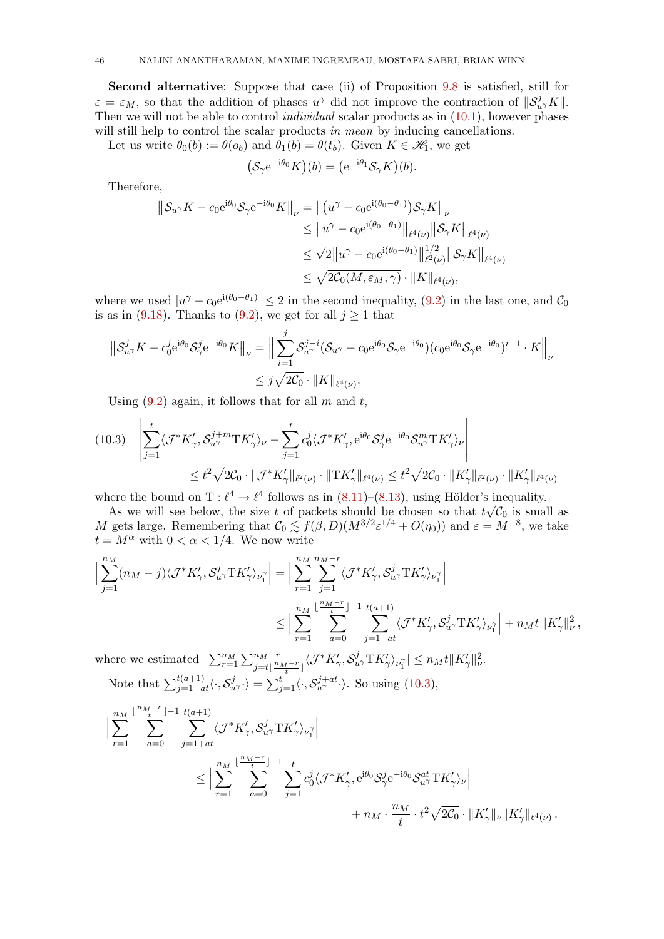Second alternative: Suppose that case (ii) of Proposition [9.8](#page-38-2) is satisfied, still for  $\varepsilon = \varepsilon_M$ , so that the addition of phases  $u^{\gamma}$  did not improve the contraction of  $||\mathcal{S}_{u^{\gamma}}^j K||$ . Then we will not be able to control *individual* scalar products as in  $(10.1)$ , however phases will still help to control the scalar products in mean by inducing cancellations.

Let us write  $\theta_0(b) := \theta(o_b)$  and  $\theta_1(b) = \theta(t_b)$ . Given  $K \in \mathcal{H}_1$ , we get

$$
(\mathcal{S}_{\gamma}e^{-i\theta_0}K)(b) = (e^{-i\theta_1}\mathcal{S}_{\gamma}K)(b).
$$

Therefore,

$$
\|S_{u\gamma}K - c_0e^{i\theta_0}S_{\gamma}e^{-i\theta_0}K\|_{\nu} = \left\|(u^{\gamma} - c_0e^{i(\theta_0 - \theta_1)})S_{\gamma}K\right\|_{\nu}
$$
  
\n
$$
\leq \|u^{\gamma} - c_0e^{i(\theta_0 - \theta_1)}\|_{\ell^4(\nu)}\|S_{\gamma}K\|_{\ell^4(\nu)}
$$
  
\n
$$
\leq \sqrt{2}\|u^{\gamma} - c_0e^{i(\theta_0 - \theta_1)}\|_{\ell^2(\nu)}^{1/2}\|S_{\gamma}K\|_{\ell^4(\nu)}
$$
  
\n
$$
\leq \sqrt{2C_0(M, \varepsilon_M, \gamma)} \cdot \|K\|_{\ell^4(\nu)},
$$

where we used  $|u^{\gamma} - c_0 e^{i(\theta_0 - \theta_1)}| \leq 2$  in the second inequality, [\(9.2\)](#page-32-1) in the last one, and  $\mathcal{C}_0$ is as in [\(9.18\)](#page-39-1). Thanks to [\(9.2\)](#page-32-1), we get for all  $j \ge 1$  that

$$
\|\mathcal{S}_{u\gamma}^j K - c_0^j e^{i\theta_0} \mathcal{S}_{\gamma}^j e^{-i\theta_0} K\|_{\nu} = \Big\|\sum_{i=1}^j \mathcal{S}_{u\gamma}^{j-i} (\mathcal{S}_{u\gamma} - c_0 e^{i\theta_0} \mathcal{S}_{\gamma} e^{-i\theta_0}) (c_0 e^{i\theta_0} \mathcal{S}_{\gamma} e^{-i\theta_0})^{i-1} \cdot K\Big\|_{\nu}
$$
  

$$
\leq j\sqrt{2\mathcal{C}_0} \cdot \|K\|_{\ell^4(\nu)}.
$$

Using  $(9.2)$  again, it follows that for all m and t,

<span id="page-45-0"></span>
$$
(10.3) \quad \left| \sum_{j=1}^{t} \langle \mathcal{J}^* K'_{\gamma}, \mathcal{S}_{u\gamma}^{j+m} \mathcal{I} K'_{\gamma} \rangle_{\nu} - \sum_{j=1}^{t} c_0^j \langle \mathcal{J}^* K'_{\gamma}, e^{i\theta_0} \mathcal{S}_{\gamma}^j e^{-i\theta_0} \mathcal{S}_{u\gamma}^m \mathcal{I} K'_{\gamma} \rangle_{\nu} \right|
$$
  

$$
\leq t^2 \sqrt{2C_0} \cdot \|\mathcal{J}^* K'_{\gamma}\|_{\ell^2(\nu)} \cdot \|\mathcal{T} K'_{\gamma}\|_{\ell^4(\nu)} \leq t^2 \sqrt{2C_0} \cdot \|K'_{\gamma}\|_{\ell^2(\nu)} \cdot \|K'_{\gamma}\|_{\ell^4(\nu)}
$$

where the bound on  $T : \ell^4 \to \ell^4$  follows as in  $(8.11)–(8.13)$  $(8.11)–(8.13)$ , using Hölder's inequality.

As we will see below, the size t of packets should be chosen so that  $t\sqrt{\mathcal{C}_0}$  is small as M gets large. Remembering that  $C_0 \lesssim f(\beta, D)(M^{3/2} \varepsilon^{1/4} + O(\eta_0))$  and  $\varepsilon = M^{-8}$ , we take  $t = M^{\alpha}$  with  $0 < \alpha < 1/4$ . We now write

$$
\Big|\sum_{j=1}^{n_M} (n_M - j) \langle \mathcal{J}^* K'_{\gamma}, \mathcal{S}_{u^{\gamma}}^j \mathcal{T} K'_{\gamma} \rangle_{\nu_1^{\gamma}} \Big| = \Big| \sum_{r=1}^{n_M} \sum_{j=1}^{n_M - r} \langle \mathcal{J}^* K'_{\gamma}, \mathcal{S}_{u^{\gamma}}^j \mathcal{T} K'_{\gamma} \rangle_{\nu_1^{\gamma}} \Big|
$$
  

$$
\leq \Big| \sum_{r=1}^{n_M} \sum_{a=0}^{\lfloor \frac{n_M - r}{t} \rfloor - 1} \sum_{j=1+at}^{t(a+1)} \langle \mathcal{J}^* K'_{\gamma}, \mathcal{S}_{u^{\gamma}}^j \mathcal{T} K'_{\gamma} \rangle_{\nu_1^{\gamma}} \Big| + n_M t \, \|K'_{\gamma}\|_{\nu}^2,
$$

where we estimated  $|\sum_{r=1}^{n_M} \sum_{j=t}^{n_M-r} \sum_{\frac{i}{t}}^{n_M-r} \langle \mathcal{J}^* K'_{\gamma}, \mathcal{S}_{u}^j \mathcal{T} K'_{\gamma} \rangle_{\nu_1^{\gamma}}| \leq n_M t \|K'_{\gamma}\|_{\nu}^2$ . Note that  $\sum_{j=1+at}^{t(a+1)} \langle \cdot, \mathcal{S}_{u\gamma}^j \cdot \rangle = \sum_{j=1}^t \langle \cdot, \mathcal{S}_{u\gamma}^{j+at} \cdot \rangle$ . So using [\(10.3\)](#page-45-0),

 XnM r=1 b nM−r tX c−1 a=0 t( Xa+1) j=1+at hJ <sup>∗</sup>K<sup>0</sup> γ , S j uγTK<sup>0</sup> γ iν γ 1 ≤ XnM r=1 b nM−r tX c−1 a=0 X t j=1 c j 0 hJ <sup>∗</sup>K<sup>0</sup> γ , e <sup>i</sup>θ<sup>0</sup> S j γ e <sup>−</sup>iθ<sup>0</sup> S at uγTK<sup>0</sup> γ iν + n<sup>M</sup> · n<sup>M</sup> t · t 2 p 2C<sup>0</sup> · kK<sup>0</sup> γkνkK<sup>0</sup> <sup>γ</sup>k` <sup>4</sup>(ν) .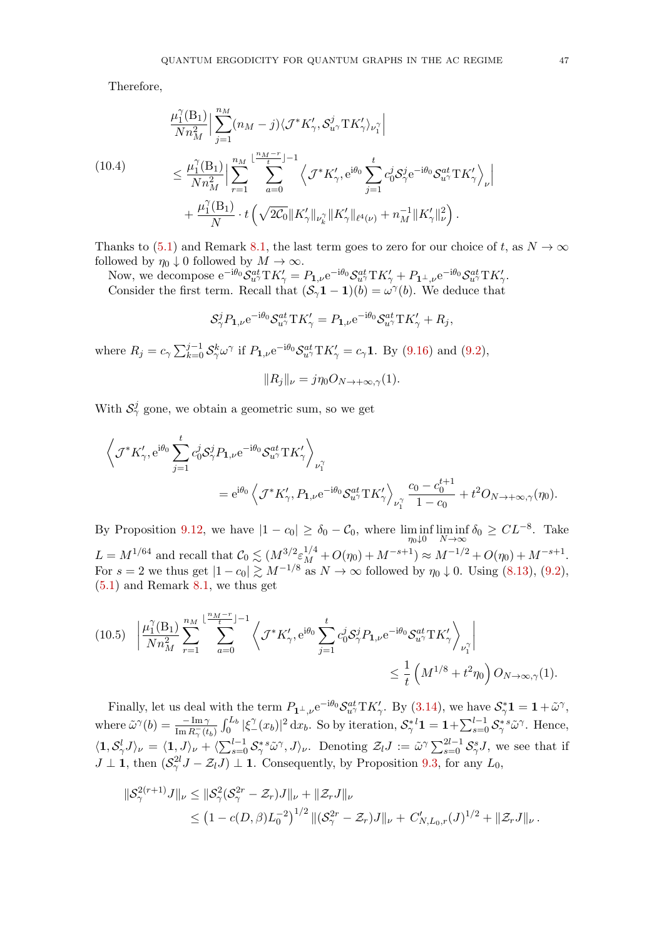Therefore,

<span id="page-46-0"></span>
$$
\frac{\mu_1^{\gamma}(\mathbf{B}_1)}{Nn_M^2} \Big| \sum_{j=1}^{n_M} (n_M - j) \langle \mathcal{J}^* K'_{\gamma}, \mathcal{S}_{u}^j \mathcal{T} K'_{\gamma} \rangle_{\nu_1^{\gamma}} \Big|
$$
\n
$$
\leq \frac{\mu_1^{\gamma}(\mathbf{B}_1)}{Nn_M^2} \Big| \sum_{r=1}^{n_M} \sum_{a=0}^{\lfloor \frac{n_M - r}{t} \rfloor - 1} \left\langle \mathcal{J}^* K'_{\gamma}, e^{i\theta_0} \sum_{j=1}^t c_0^j \mathcal{S}_{\gamma}^j e^{-i\theta_0} \mathcal{S}_{u^{\gamma}}^{at} \mathcal{T} K'_{\gamma} \right\rangle_{\nu} \Big|
$$
\n
$$
+ \frac{\mu_1^{\gamma}(\mathbf{B}_1)}{N} \cdot t \left( \sqrt{2c_0} \|K'_{\gamma}\|_{\nu_k^{\gamma}} \|K'_{\gamma}\|_{\ell^4(\nu)} + n_M^{-1} \|K'_{\gamma}\|_{\nu}^2 \right).
$$

Thanks to [\(5.1\)](#page-16-2) and Remark [8.1,](#page-29-2) the last term goes to zero for our choice of t, as  $N \to \infty$ followed by  $\eta_0 \downarrow 0$  followed by  $M \to \infty$ .

Now, we decompose  $e^{-i\theta_0} \mathcal{S}_{u}^{at} \mathrm{T} K_{\gamma}' = P_{1,\nu} e^{-i\theta_0} \mathcal{S}_{u}^{at} \mathrm{T} K_{\gamma}' + P_{1^{\perp},\nu} e^{-i\theta_0} \mathcal{S}_{u}^{at} \mathrm{T} K_{\gamma}'.$ Consider the first term. Recall that  $(S_\gamma \mathbf{1} - \mathbf{1})(b) = \omega^\gamma(b)$ . We deduce that

$$
\mathcal{S}_{\gamma}^{j} P_{1,\nu} e^{-i\theta_0} \mathcal{S}_{u\gamma}^{at} \mathrm{T} K_{\gamma}' = P_{1,\nu} e^{-i\theta_0} \mathcal{S}_{u\gamma}^{at} \mathrm{T} K_{\gamma}' + R_j,
$$

where  $R_j = c_\gamma \sum_{k=0}^{j-1} S_\gamma^k \omega^\gamma$  if  $P_{1,\nu} e^{-i\theta_0} S_{u^\gamma}^{at} T K_\gamma' = c_\gamma 1$ . By [\(9.16\)](#page-38-3) and [\(9.2\)](#page-32-1),

$$
||R_j||_{\nu} = j\eta_0 O_{N \to +\infty, \gamma}(1).
$$

With  $S^j_\gamma$  gone, we obtain a geometric sum, so we get

$$
\left\langle \mathcal{J}^* K'_{\gamma}, e^{i\theta_0} \sum_{j=1}^t c_0^j S_{\gamma}^j P_{1,\nu} e^{-i\theta_0} S_{u^{\gamma}}^{at} \text{T} K'_{\gamma} \right\rangle_{\nu_1^{\gamma}} \n= e^{i\theta_0} \left\langle \mathcal{J}^* K'_{\gamma}, P_{1,\nu} e^{-i\theta_0} S_{u^{\gamma}}^{at} \text{T} K'_{\gamma} \right\rangle_{\nu_1^{\gamma}} \frac{c_0 - c_0^{t+1}}{1 - c_0} + t^2 O_{N \to +\infty, \gamma}(\eta_0).
$$

By Proposition [9.12,](#page-42-3) we have  $|1 - c_0| \ge \delta_0 - C_0$ , where  $\liminf_{\eta \downarrow 0} \liminf_{N \to \infty} \delta_0 \ge CL^{-8}$ . Take  $L = M^{1/64}$  and recall that  $C_0 \lesssim (M^{3/2} \varepsilon_M^{1/4} + O(\eta_0) + M^{-s+1}) \approx M^{-1/2} + O(\eta_0) + M^{-s+1}$ . For  $s = 2$  we thus get  $|1 - c_0| \gtrsim M^{-1/8}$  as  $N \to \infty$  followed by  $\eta_0 \downarrow 0$ . Using  $(8.13)$ ,  $(9.2)$ , [\(5.1\)](#page-16-2) and Remark [8.1,](#page-29-2) we thus get

<span id="page-46-1"></span>
$$
(10.5) \quad \left| \frac{\mu_1^{\gamma}(\mathbf{B}_1)}{N n_M^2} \sum_{r=1}^{n_M} \sum_{a=0}^{\lfloor \frac{n_M - r}{t} \rfloor - 1} \left\langle \mathcal{J}^* K'_{\gamma}, e^{i\theta_0} \sum_{j=1}^t c_0^j S_{\gamma}^j P_{1,\nu} e^{-i\theta_0} S_{u^{\gamma}}^{at} \mathcal{T} K'_{\gamma} \right\rangle_{\nu_1^{\gamma}} \right|
$$
  

$$
\leq \frac{1}{t} \left( M^{1/8} + t^2 \eta_0 \right) O_{N \to \infty, \gamma}(1).
$$

Finally, let us deal with the term  $P_{\mathbf{1}^{\perp},\nu}e^{-i\theta_0} \mathcal{S}_{u\gamma}^{at} T K_{\gamma}'$ . By [\(3.14\)](#page-10-3), we have  $\mathcal{S}_{\gamma}^{*} \mathbf{1} = \mathbf{1} + \tilde{\omega}^{\gamma}$ , where  $\tilde{\omega}^{\gamma}(b) = \frac{-\operatorname{Im}\gamma}{\operatorname{Im} R_{\gamma}^{-}(t_b)} \int_0^{L_b} |\xi_{-}^{\gamma}(x_b)|^2 dx_b$ . So by iteration,  $\mathcal{S}_{\gamma}^{*l} \mathbf{1} = \mathbf{1} + \sum_{s=0}^{l-1} \mathcal{S}_{\gamma}^{*s} \tilde{\omega}^{\gamma}$ . Hence,  $\langle 1, \mathcal{S}_{\gamma}^{l} J \rangle_{\nu} = \langle 1, J \rangle_{\nu} + \langle \sum_{s=0}^{l-1} \mathcal{S}_{\gamma}^{s} \tilde{\omega}^{\gamma}, J \rangle_{\nu}$ . Denoting  $\mathcal{Z}_{l} J := \tilde{\omega}^{\gamma} \sum_{s=0}^{2l-1} \mathcal{S}_{\gamma}^{s} J$ , we see that if  $J \perp \mathbf{1}$ , then  $(\mathcal{S}^{2l}_\gamma J - \mathcal{Z}_l J) \perp \mathbf{1}$ . Consequently, by Proposition [9.3,](#page-34-5) for any  $L_0$ ,

$$
\|\mathcal{S}_{\gamma}^{2(r+1)}J\|_{\nu} \leq \|\mathcal{S}_{\gamma}^{2}(\mathcal{S}_{\gamma}^{2r} - \mathcal{Z}_{r})J\|_{\nu} + \|\mathcal{Z}_{r}J\|_{\nu}
$$
  
\$\leq (1 - c(D,\beta)L\_{0}^{-2})^{1/2} \|(\mathcal{S}\_{\gamma}^{2r} - \mathcal{Z}\_{r})J\|\_{\nu} + C'\_{N,L\_{0},r}(J)^{1/2} + \|\mathcal{Z}\_{r}J\|\_{\nu}\$.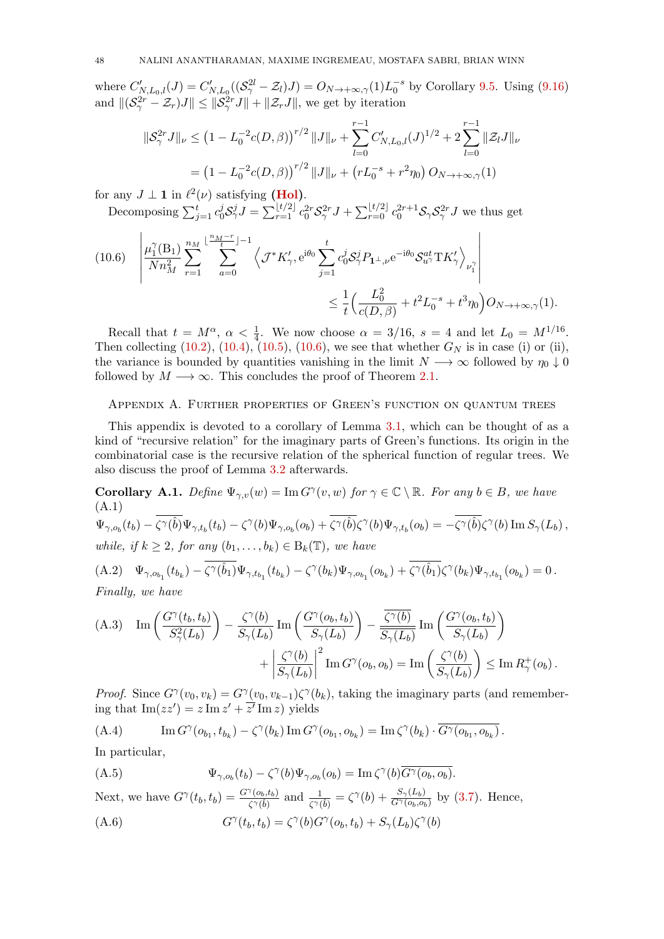where  $C'_{N,L_0,l}(J) = C'_{N,L_0}((\mathcal{S}_\gamma^{2l} - \mathcal{Z}_l)J) = O_{N \to +\infty,\gamma}(1)L_0^{-s}$  by Corollary [9.5.](#page-37-0) Using [\(9.16\)](#page-38-3) and  $||(S^{2r}_{\gamma} - \mathcal{Z}_r)J|| \le ||S^{2r}_{\gamma}J|| + ||\mathcal{Z}_rJ||$ , we get by iteration

$$
\|\mathcal{S}_{\gamma}^{2r} J\|_{\nu} \le (1 - L_0^{-2}c(D,\beta))^{r/2} \|J\|_{\nu} + \sum_{l=0}^{r-1} C'_{N,L_0,l}(J)^{1/2} + 2 \sum_{l=0}^{r-1} \|\mathcal{Z}_l J\|_{\nu}
$$
  
=  $(1 - L_0^{-2}c(D,\beta))^{r/2} \|J\|_{\nu} + (rL_0^{-s} + r^2 \eta_0) O_{N \to +\infty,\gamma}(1)$ 

for any  $J \perp \mathbf{1}$  in  $\ell^2(\nu)$  satisfying [\(Hol\)](#page-16-3).

Decomposing  $\sum_{j=1}^t c_0^j S_\gamma^j J = \sum_{r=1}^{\lfloor t/2 \rfloor} c_0^{2r} S_\gamma^{2r} J + \sum_{r=0}^{\lfloor t/2 \rfloor} c_0^{2r+1} S_\gamma S_\gamma^{2r} J$  we thus get

<span id="page-47-2"></span>
$$
(10.6) \quad \left| \frac{\mu_1^{\gamma}(\mathbf{B}_1)}{N n_M^2} \sum_{r=1}^{n_M} \sum_{a=0}^{\lfloor \frac{n_M - r}{t} \rfloor - 1} \left\langle \mathcal{J}^* K'_{\gamma}, e^{i\theta_0} \sum_{j=1}^t c_0^j \mathcal{S}_{\gamma}^j P_{\mathbf{1}^{\perp}, \nu} e^{-i\theta_0} \mathcal{S}_{u^{\gamma}}^{at} \mathbf{T} K'_{\gamma} \right\rangle_{\nu_1^{\gamma}} \right|
$$
  

$$
\leq \frac{1}{t} \left( \frac{L_0^2}{c(D, \beta)} + t^2 L_0^{-s} + t^3 \eta_0 \right) O_{N \to +\infty, \gamma}(1).
$$

Recall that  $t = M^{\alpha}$ ,  $\alpha < \frac{1}{4}$ . We now choose  $\alpha = 3/16$ ,  $s = 4$  and let  $L_0 = M^{1/16}$ . Then collecting [\(10.2\)](#page-44-2), [\(10.4\)](#page-46-0), [\(10.5\)](#page-46-1), [\(10.6\)](#page-47-2), we see that whether  $G_N$  is in case (i) or (ii), the variance is bounded by quantities vanishing in the limit  $N \longrightarrow \infty$  followed by  $\eta_0 \downarrow 0$ followed by  $M \longrightarrow \infty$ . This concludes the proof of Theorem [2.1.](#page-5-2)

## <span id="page-47-0"></span>Appendix A. Further properties of Green's function on quantum trees

This appendix is devoted to a corollary of Lemma [3.1,](#page-9-7) which can be thought of as a kind of "recursive relation" for the imaginary parts of Green's functions. Its origin in the combinatorial case is the recursive relation of the spherical function of regular trees. We also discuss the proof of Lemma [3.2](#page-9-8) afterwards.

<span id="page-47-5"></span>**Corollary A.1.** Define  $\Psi_{\gamma,v}(w) = \text{Im } G^{\gamma}(v, w)$  for  $\gamma \in \mathbb{C} \setminus \mathbb{R}$ . For any  $b \in B$ , we have (A.1)  $\Psi_{\gamma,o_b}(t_b) - \zeta^\gamma(\hat{b}) \Psi_{\gamma,t_b}(t_b) - \zeta^\gamma(b) \Psi_{\gamma,o_b}(o_b) + \zeta^\gamma(\hat{b}) \zeta^\gamma(b) \Psi_{\gamma,t_b}(o_b) = -\zeta^\gamma(\hat{b}) \zeta^\gamma(b) \operatorname{Im} S_\gamma(L_b)\,,$ while, if  $k \geq 2$ , for any  $(b_1, \ldots, b_k) \in B_k(\mathbb{T})$ , we have

<span id="page-47-7"></span>(A.2) 
$$
\Psi_{\gamma, o_{b_1}}(t_{b_k}) - \zeta^{\gamma}(\hat{b}_1) \Psi_{\gamma, t_{b_1}}(t_{b_k}) - \zeta^{\gamma}(b_k) \Psi_{\gamma, o_{b_1}}(o_{b_k}) + \zeta^{\gamma}(\hat{b}_1) \zeta^{\gamma}(b_k) \Psi_{\gamma, t_{b_1}}(o_{b_k}) = 0.
$$
  
Finally, we have

<span id="page-47-1"></span>(A.3) Im 
$$
\left(\frac{G^{\gamma}(t_b, t_b)}{S_{\gamma}^2(L_b)}\right) - \frac{\zeta^{\gamma}(b)}{S_{\gamma}(L_b)}Im\left(\frac{G^{\gamma}(o_b, t_b)}{S_{\gamma}(L_b)}\right) - \frac{\overline{\zeta^{\gamma}(b)}}{S_{\gamma}(L_b)}Im\left(\frac{G^{\gamma}(o_b, t_b)}{S_{\gamma}(L_b)}\right)
$$
  
+  $\left|\frac{\zeta^{\gamma}(b)}{S_{\gamma}(L_b)}\right|^2 Im G^{\gamma}(o_b, o_b) = Im \left(\frac{\zeta^{\gamma}(b)}{S_{\gamma}(L_b)}\right) \le Im R_{\gamma}^+(o_b).$ 

*Proof.* Since  $G^{\gamma}(v_0, v_k) = G^{\gamma}(v_0, v_{k-1})\zeta^{\gamma}(b_k)$ , taking the imaginary parts (and remembering that  $\text{Im}(zz') = z \text{Im} z' + \overline{z'} \text{Im} z$ ) yields

<span id="page-47-6"></span>(A.4) 
$$
\operatorname{Im} G^{\gamma}(o_{b_1}, t_{b_k}) - \zeta^{\gamma}(b_k) \operatorname{Im} G^{\gamma}(o_{b_1}, o_{b_k}) = \operatorname{Im} \zeta^{\gamma}(b_k) \cdot \overline{G^{\gamma}(o_{b_1}, o_{b_k})}.
$$

In particular,

<span id="page-47-4"></span>
$$
(A.5) \t\t \Psi_{\gamma,o_b}(t_b) - \zeta^{\gamma}(b)\Psi_{\gamma,o_b}(o_b) = \text{Im}\,\zeta^{\gamma}(b)\overline{G^{\gamma}(o_b,o_b)}.
$$

Next, we have  $G^{\gamma}(t_b, t_b) = \frac{G^{\gamma}(o_b, t_b)}{\zeta^{\gamma}(\hat{b})}$  and  $\frac{1}{\zeta^{\gamma}(\hat{b})} = \zeta^{\gamma}(b) + \frac{S_{\gamma}(L_b)}{G^{\gamma}(o_b, o_b)}$  by [\(3.7\)](#page-9-1). Hence, γ γ γ γ

<span id="page-47-3"></span>
$$
(A.6) \tG^{\gamma}(t_b, t_b) = \zeta^{\gamma}(b)G^{\gamma}(o_b, t_b) + S_{\gamma}(L_b)\zeta^{\gamma}(b)
$$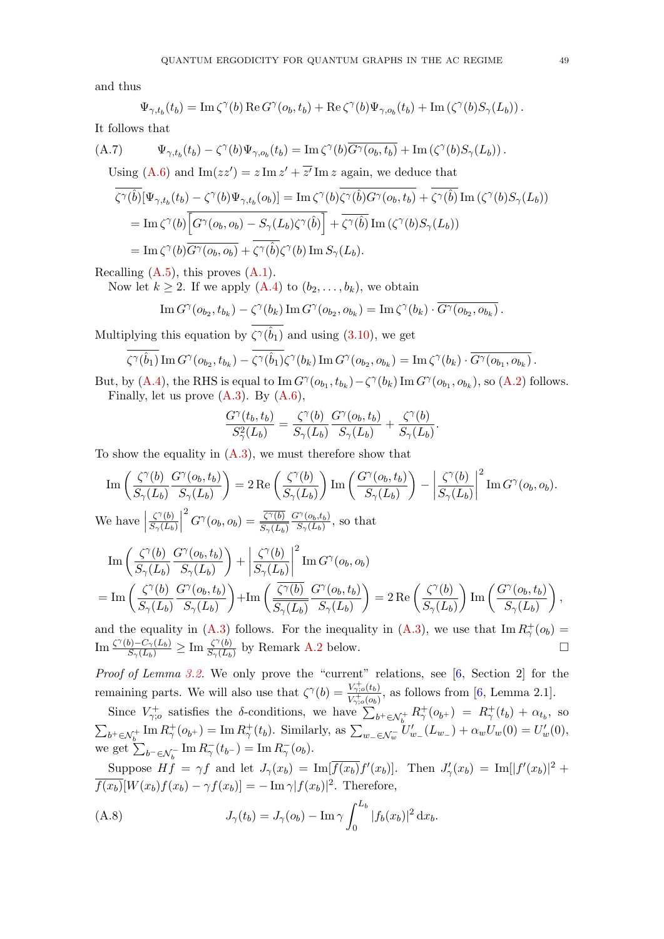and thus

$$
\Psi_{\gamma,t_b}(t_b) = \operatorname{Im} \zeta^{\gamma}(b) \operatorname{Re} G^{\gamma}(o_b,t_b) + \operatorname{Re} \zeta^{\gamma}(b) \Psi_{\gamma,o_b}(t_b) + \operatorname{Im} (\zeta^{\gamma}(b) S_{\gamma}(L_b)).
$$

It follows that

(A.7) 
$$
\Psi_{\gamma,t_b}(t_b) - \zeta^{\gamma}(b)\Psi_{\gamma,o_b}(t_b) = \text{Im}\,\zeta^{\gamma}(b)\overline{G^{\gamma}(o_b,t_b)} + \text{Im}\left(\zeta^{\gamma}(b)S_{\gamma}(L_b)\right).
$$
  
Using (A.6) and 
$$
\text{Im}(zz') = z \text{ Im}\,z' + \overline{z'} \text{ Im}\,z \text{ again, we deduce that}
$$

$$
\zeta^{\gamma}(\hat{b})[\Psi_{\gamma,t_b}(t_b) - \zeta^{\gamma}(b)\Psi_{\gamma,t_b}(o_b)] = \text{Im}\,\zeta^{\gamma}(b)\zeta^{\gamma}(\hat{b})G^{\gamma}(o_b, t_b) + \zeta^{\gamma}(\hat{b})\text{Im}\,(\zeta^{\gamma}(b)S_{\gamma}(L_b))
$$
  
= 
$$
\text{Im}\,\zeta^{\gamma}(b)\overline{\left[G^{\gamma}(o_b, o_b) - S_{\gamma}(L_b)\zeta^{\gamma}(\hat{b})\right]} + \overline{\zeta^{\gamma}(\hat{b})}\text{Im}\,(\zeta^{\gamma}(b)S_{\gamma}(L_b))
$$
  
= 
$$
\text{Im}\,\zeta^{\gamma}(b)\overline{G^{\gamma}(o_b, o_b)} + \overline{\zeta^{\gamma}(\hat{b})}\zeta^{\gamma}(b)\text{Im}\,S_{\gamma}(L_b).
$$

Recalling  $(A.5)$ , this proves  $(A.1)$ .

Now let  $k \geq 2$ . If we apply  $(A.4)$  to  $(b_2, \ldots, b_k)$ , we obtain

$$
\operatorname{Im} G^{\gamma}(o_{b_2}, t_{b_k}) - \zeta^{\gamma}(b_k) \operatorname{Im} G^{\gamma}(o_{b_2}, o_{b_k}) = \operatorname{Im} \zeta^{\gamma}(b_k) \cdot \overline{G^{\gamma}(o_{b_2}, o_{b_k})}.
$$

Multiplying this equation by  $\zeta^{\gamma}(\hat{b}_1)$  and using  $(3.10)$ , we get

$$
\zeta^{\gamma}(\hat{b}_1) \operatorname{Im} G^{\gamma}(o_{b_2}, t_{b_k}) - \zeta^{\gamma}(\hat{b}_1) \zeta^{\gamma}(b_k) \operatorname{Im} G^{\gamma}(o_{b_2}, o_{b_k}) = \operatorname{Im} \zeta^{\gamma}(b_k) \cdot \overline{G^{\gamma}(o_{b_1}, o_{b_k})}.
$$

But, by [\(A.4\)](#page-47-6), the RHS is equal to  $\text{Im } G^{\gamma}(o_{b_1}, t_{b_k}) - \zeta^{\gamma}(b_k) \text{Im } G^{\gamma}(o_{b_1}, o_{b_k})$ , so [\(A.2\)](#page-47-7) follows. Finally, let us prove  $(A.3)$ . By  $(A.6)$ ,

$$
\frac{G^{\gamma}(t_b, t_b)}{S^2_{\gamma}(L_b)} = \frac{\zeta^{\gamma}(b)}{S_{\gamma}(L_b)} \frac{G^{\gamma}(o_b, t_b)}{S_{\gamma}(L_b)} + \frac{\zeta^{\gamma}(b)}{S_{\gamma}(L_b)}.
$$

To show the equality in  $(A.3)$ , we must therefore show that

$$
\operatorname{Im}\left(\frac{\zeta^{\gamma}(b)}{S_{\gamma}(L_{b})}\frac{G^{\gamma}(o_{b},t_{b})}{S_{\gamma}(L_{b})}\right) = 2 \operatorname{Re}\left(\frac{\zeta^{\gamma}(b)}{S_{\gamma}(L_{b})}\right) \operatorname{Im}\left(\frac{G^{\gamma}(o_{b},t_{b})}{S_{\gamma}(L_{b})}\right) - \left|\frac{\zeta^{\gamma}(b)}{S_{\gamma}(L_{b})}\right|^{2} \operatorname{Im} G^{\gamma}(o_{b},o_{b}).
$$
  
We have  $\left|\frac{\zeta^{\gamma}(b)}{S_{\gamma}(L_{b})}\right|^{2} G^{\gamma}(o_{b},o_{b}) = \frac{\overline{\zeta^{\gamma}(b)}}{S_{\gamma}(L_{b})}\frac{G^{\gamma}(o_{b},t_{b})}{S_{\gamma}(L_{b})},$  so that

$$
\begin{split} & \operatorname{Im} \left( \frac{\zeta^{\gamma}(b)}{S_{\gamma}(L_{b})} \frac{G^{\gamma}(o_{b}, t_{b})}{S_{\gamma}(L_{b})} \right) + \left| \frac{\zeta^{\gamma}(b)}{S_{\gamma}(L_{b})} \right|^{2} \operatorname{Im} G^{\gamma}(o_{b}, o_{b}) \\ & = \operatorname{Im} \left( \frac{\zeta^{\gamma}(b)}{S_{\gamma}(L_{b})} \frac{G^{\gamma}(o_{b}, t_{b})}{S_{\gamma}(L_{b})} \right) + \operatorname{Im} \left( \frac{\overline{\zeta^{\gamma}(b)}}{S_{\gamma}(L_{b})} \frac{G^{\gamma}(o_{b}, t_{b})}{S_{\gamma}(L_{b})} \right) = 2 \operatorname{Re} \left( \frac{\zeta^{\gamma}(b)}{S_{\gamma}(L_{b})} \right) \operatorname{Im} \left( \frac{G^{\gamma}(o_{b}, t_{b})}{S_{\gamma}(L_{b})} \right), \end{split}
$$

and the equality in [\(A.3\)](#page-47-1) follows. For the inequality in (A.3), we use that  $\text{Im } R^+_{\gamma}(o_b) =$  $\text{Im}\frac{\zeta^{\gamma}(b)-C_{\gamma}(L_b)}{S_{\gamma}(L_b)}\geq \text{Im}\frac{\zeta^{\gamma}(b)}{S_{\gamma}(L_b)}$  $\frac{\zeta^{\gamma}(b)}{S_{\gamma}(L_b)}$  by Remark [A.2](#page-49-1) below.

Proof of Lemma [3.2.](#page-9-8) We only prove the "current" relations, see [\[6,](#page-62-9) Section 2] for the remaining parts. We will also use that  $\zeta^{\gamma}(b) = \frac{V_{\gamma;o}^{+}(t_b)}{V_{\gamma}^{+}(t_b)}$  $\frac{V_{\gamma,o}(t_b)}{V_{\gamma,o}^+(o_b)}$ , as follows from [\[6,](#page-62-9) Lemma 2.1].

Since  $V_{\gamma,o}^+$  satisfies the δ-conditions, we have  $\sum_{b^+\in\mathcal{N}_b^+} R_{\gamma}^+(o_{b^+}) = R_{\gamma}^+(t_b) + \alpha_{t_b}$ , so  $\sum_{b^+\in\mathcal{N}_{b}^+}\text{Im}\,R_{\gamma}^+(o_{b^+})=\text{Im}\,R_{\gamma}^+(t_b)$ . Similarly, as  $\sum_{w_-\in\mathcal{N}_{w}^-}U'_{w_-}(L_{w_-})+\alpha_wU_w(0)=U'_w(0)$ , we get  $\sum_{b^-\in\mathcal{N}_b^-} \text{Im}\, R_{\gamma}^-(t_{b^-}) = \text{Im}\, R_{\gamma}^-(o_b)$ .

Suppose  $Hf = \gamma f$  and let  $J_{\gamma}(x_b) = \text{Im}[\overline{f(x_b)}f'(x_b)]$ . Then  $J'_{\gamma}(x_b) = \text{Im}[|f'(x_b)|^2 +$  $\overline{f(x_b)}[W(x_b)f(x_b)-\gamma f(x_b)]=-{\rm Im}\,\gamma |f(x_b)|^2$ . Therefore,

<span id="page-48-0"></span>(A.8) 
$$
J_{\gamma}(t_b) = J_{\gamma}(o_b) - \text{Im}\,\gamma \int_0^{L_b} |f_b(x_b)|^2 dx_b.
$$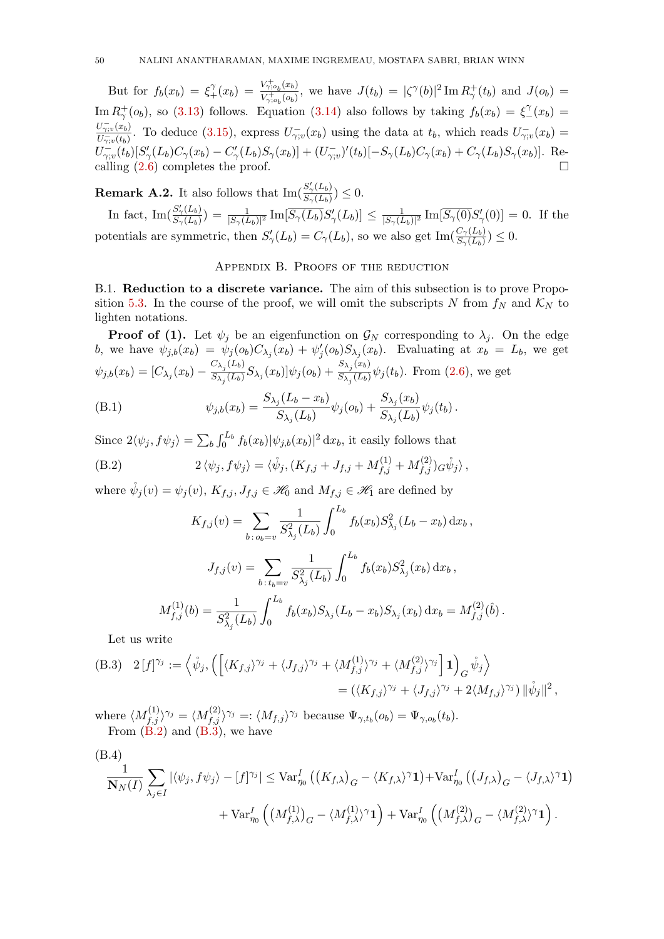But for  $f_b(x_b) = \xi_+^{\gamma}(x_b) = \frac{V_{\gamma;o_b}^+(x_b)}{V_{\gamma;o_b}^+(o_b)}$  $V_{\gamma;o_b}(x_b) \over V_{\gamma;o_b}(o_b)$ , we have  $J(t_b) = |\zeta^{\gamma}(b)|^2 \operatorname{Im} R_{\gamma}^+(t_b)$  and  $J(o_b) =$ Im  $R^+_\gamma(o_b)$ , so [\(3.13\)](#page-10-2) follows. Equation [\(3.14\)](#page-10-3) also follows by taking  $f_b(x_b) = \xi^{\gamma}(x_b) =$  $\overline{U_{\gamma;v}^{-}(x_b)}$  $\frac{U_{\gamma;v}(x_b)}{U_{\gamma;v}^-(t_b)}$ . To deduce [\(3.15\)](#page-10-4), express  $U_{\gamma;v}^-(x_b)$  using the data at  $t_b$ , which reads  $U_{\gamma;v}^-(x_b) =$  $U^-_{\gamma;v}(t_b)[S'_{\gamma}(L_b)C_{\gamma}(x_b) - C'_{\gamma}(L_b)S_{\gamma}(x_b)] + (U^-_{\gamma;v})'(t_b)[-S_{\gamma}(L_b)C_{\gamma}(x_b) + C_{\gamma}(L_b)S_{\gamma}(x_b)].$  Recalling [\(2.6\)](#page-4-0) completes the proof.

<span id="page-49-1"></span>**Remark A.2.** It also follows that  $\text{Im}(\frac{S'_{\gamma}(L_b)}{S'(L_b)})$  $\frac{S_{\gamma}(L_b)}{S_{\gamma}(L_b)}$ )  $\leq 0$ .

In fact,  $\text{Im}(\frac{S'_\gamma(L_b)}{S_-(L_b)})$  $\frac{S_{\gamma}(L_b)}{S_{\gamma}(L_b)})=\frac{1}{|S_{\gamma}(L_b)|^2}\,\text{Im}[\overline{S_{\gamma}(L_b)}S_{\gamma}'(L_b)]\leq \frac{1}{|S_{\gamma}(L_b)|^2}$  $\frac{1}{|S_{\gamma}(L_b)|^2}$  Im $[\overline{S_{\gamma}(0)}S_{\gamma}'(0)] = 0$ . If the potentials are symmetric, then  $S'_{\gamma}(L_b) = C_{\gamma}(L_b)$ , so we also get  $\text{Im}(\frac{C_{\gamma}(L_b)}{S_{\gamma}(L_b)}) \leq 0$ .

# Appendix B. Proofs of the reduction

<span id="page-49-0"></span>B.1. Reduction to a discrete variance. The aim of this subsection is to prove Propo-sition [5.3.](#page-17-0) In the course of the proof, we will omit the subscripts N from  $f_N$  and  $\mathcal{K}_N$  to lighten notations.

**Proof of (1).** Let  $\psi_j$  be an eigenfunction on  $\mathcal{G}_N$  corresponding to  $\lambda_j$ . On the edge b, we have  $\psi_{j,b}(x_b) = \psi_j(o_b)C_{\lambda_j}(x_b) + \psi'_j(o_b)S_{\lambda_j}(x_b)$ . Evaluating at  $x_b = L_b$ , we get  $\psi_{j,b}(x_b) = [C_{\lambda_j}(x_b) - \frac{C_{\lambda_j}(L_b)}{S_{\lambda_j}(L_b)}]$  $\frac{C_{\lambda_j}(L_b)}{S_{\lambda_j}(L_b)}S_{\lambda_j}(x_b)]\psi_j(o_b)+\frac{S_{\lambda_j}(x_b)}{S_{\lambda_j}(L_b)}$  $\frac{\sum_{j}^{S}S_{ij}(E_b)}{\sum_{j}(L_b)}\psi_j(t_b)$ . From [\(2.6\)](#page-4-0), we get

(B.1) 
$$
\psi_{j,b}(x_b) = \frac{S_{\lambda_j}(L_b - x_b)}{S_{\lambda_j}(L_b)} \psi_j(o_b) + \frac{S_{\lambda_j}(x_b)}{S_{\lambda_j}(L_b)} \psi_j(t_b).
$$

Since  $2\langle \psi_j, f\psi_j \rangle = \sum_b \int_0^{L_b} f_b(x_b) |\psi_{j,b}(x_b)|^2 dx_b$ , it easily follows that

(B.2) 
$$
2 \langle \psi_j, f \psi_j \rangle = \langle \mathring{\psi}_j, (K_{f,j} + J_{f,j} + M_{f,j}^{(1)} + M_{f,j}^{(2)}) G \mathring{\psi}_j \rangle,
$$

where  $\psi_j(v) = \psi_j(v)$ ,  $K_{f,j}$ ,  $J_{f,j} \in \mathcal{H}_0$  and  $M_{f,j} \in \mathcal{H}_1$  are defined by

<span id="page-49-2"></span>
$$
K_{f,j}(v) = \sum_{b \,:\, o_b=v} \frac{1}{S_{\lambda_j}^2(L_b)} \int_0^{L_b} f_b(x_b) S_{\lambda_j}^2(L_b - x_b) \,dx_b,
$$

$$
J_{f,j}(v) = \sum_{b \,:\, t_b=v} \frac{1}{S_{\lambda_j}^2(L_b)} \int_0^{L_b} f_b(x_b) S_{\lambda_j}^2(x_b) \,dx_b,
$$

$$
M_{f,j}^{(1)}(b) = \frac{1}{S_{\lambda_j}^2(L_b)} \int_0^{L_b} f_b(x_b) S_{\lambda_j}(L_b - x_b) S_{\lambda_j}(x_b) \,dx_b = M_{f,j}^{(2)}(\hat{b}).
$$

Let us write

<span id="page-49-3"></span>(B.3) 
$$
2[f]^{\gamma_j} := \left\langle \psi_j, \left( \left[ \langle K_{f,j} \rangle^{\gamma_j} + \langle J_{f,j} \rangle^{\gamma_j} + \langle M_{f,j}^{(1)} \rangle^{\gamma_j} + \langle M_{f,j}^{(2)} \rangle^{\gamma_j} \right] \mathbf{1} \right)_{G} \psi_j \right\rangle
$$
  
= 
$$
(\langle K_{f,j} \rangle^{\gamma_j} + \langle J_{f,j} \rangle^{\gamma_j} + 2 \langle M_{f,j} \rangle^{\gamma_j}) ||\psi_j||^2,
$$

where  $\langle M_{f,j}^{(1)} \rangle^{\gamma_j} = \langle M_{f,j}^{(2)} \rangle^{\gamma_j} =: \langle M_{f,j} \rangle^{\gamma_j}$  because  $\Psi_{\gamma,t_b}(o_b) = \Psi_{\gamma,o_b}(t_b)$ . From  $(B.2)$  and  $(B.3)$ , we have

<span id="page-49-4"></span>(B.4)  
\n
$$
\frac{1}{\mathbf{N}_{N}(I)}\sum_{\lambda_{j}\in I} |\langle \psi_{j}, f\psi_{j}\rangle - [f]^{\gamma_{j}}| \leq \text{Var}_{\eta_{0}}^{I} ((K_{f,\lambda})_{G} - \langle K_{f,\lambda}\rangle^{\gamma} \mathbf{1}) + \text{Var}_{\eta_{0}}^{I} ((J_{f,\lambda})_{G} - \langle J_{f,\lambda}\rangle^{\gamma} \mathbf{1}) + \text{Var}_{\eta_{0}}^{I} ((M_{f,\lambda})_{G} - \langle M_{f,\lambda}\rangle^{\gamma} \mathbf{1}) + \text{Var}_{\eta_{0}}^{I} ((M_{f,\lambda})_{G} - \langle M_{f,\lambda}\rangle^{\gamma} \mathbf{1}).
$$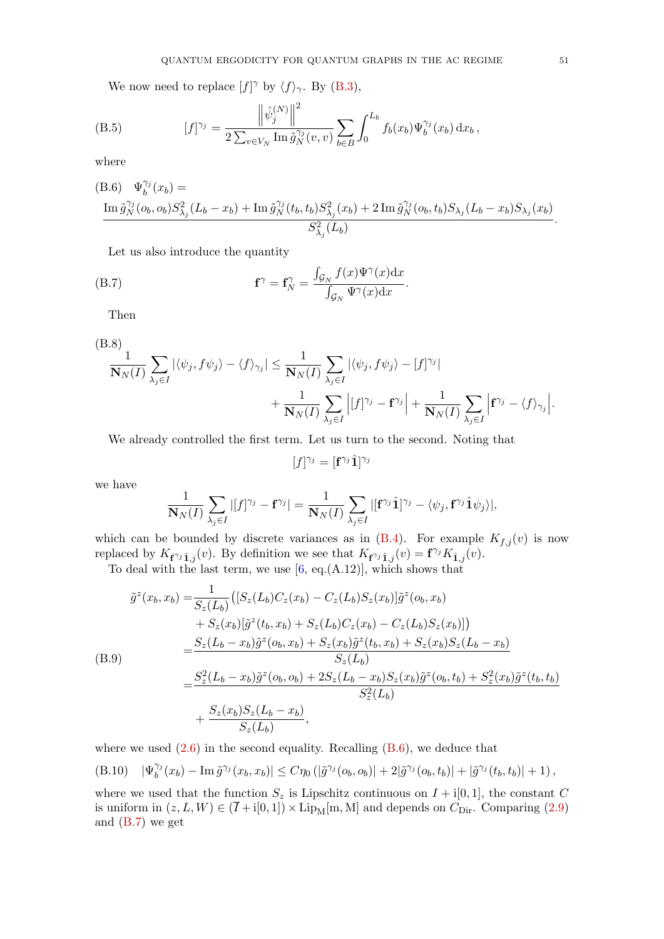We now need to replace  $[f]^{\gamma}$  by  $\langle f \rangle_{\gamma}$ . By [\(B.3\)](#page-49-3),

(B.5) 
$$
[f]^{\gamma_j} = \frac{\left\| \mathring{\psi}_j^{(N)} \right\|^2}{2 \sum_{v \in V_N} \text{Im} \, \tilde{g}_N^{\gamma_j}(v, v)} \sum_{b \in B} \int_0^{L_b} f_b(x_b) \Psi_b^{\gamma_j}(x_b) \, dx_b,
$$

where

<span id="page-50-0"></span>(B.6) 
$$
\Psi_b^{\gamma_j}(x_b) =
$$
  
\n
$$
\frac{\text{Im } \tilde{g}_N^{\gamma_j}(o_b, o_b) S_{\lambda_j}^2(L_b - x_b) + \text{Im } \tilde{g}_N^{\gamma_j}(t_b, t_b) S_{\lambda_j}^2(x_b) + 2 \text{Im } \tilde{g}_N^{\gamma_j}(o_b, t_b) S_{\lambda_j}(L_b - x_b) S_{\lambda_j}(x_b)}{S_{\lambda_j}^2(L_b)}.
$$

<span id="page-50-1"></span>Let us also introduce the quantity

(B.7) 
$$
\mathbf{f}^{\gamma} = \mathbf{f}_N^{\gamma} = \frac{\int_{\mathcal{G}_N} f(x) \Psi^{\gamma}(x) dx}{\int_{\mathcal{G}_N} \Psi^{\gamma}(x) dx}.
$$

Then

<span id="page-50-3"></span>(B.8)  
\n
$$
\frac{1}{\mathbf{N}_{N}(I)}\sum_{\lambda_{j}\in I} |\langle \psi_{j}, f\psi_{j}\rangle - \langle f \rangle_{\gamma_{j}}| \leq \frac{1}{\mathbf{N}_{N}(I)}\sum_{\lambda_{j}\in I} |\langle \psi_{j}, f\psi_{j}\rangle - [f]^{\gamma_{j}}| + \frac{1}{\mathbf{N}_{N}(I)}\sum_{\lambda_{j}\in I} |f^{\gamma_{j}} - f^{\gamma_{j}}| + \frac{1}{\mathbf{N}_{N}(I)}\sum_{\lambda_{j}\in I} |f^{\gamma_{j}} - \langle f \rangle_{\gamma_{j}}|.
$$

We already controlled the first term. Let us turn to the second. Noting that

$$
[f]^{\gamma_j} = [\mathbf{f}^{\gamma_j}\hat{\mathbf{1}}]^{\gamma_j}
$$

we have

$$
\frac{1}{\mathbf{N}_N(I)}\sum_{\lambda_j\in I}|[f]^{\gamma_j}-\mathbf{f}^{\gamma_j}|=\frac{1}{\mathbf{N}_N(I)}\sum_{\lambda_j\in I}|[\mathbf{f}^{\gamma_j}\hat{\mathbf{1}}]^{\gamma_j}-\langle\psi_j,\mathbf{f}^{\gamma_j}\hat{\mathbf{1}}\psi_j\rangle|,
$$

which can be bounded by discrete variances as in  $(B.4)$ . For example  $K_{f,j}(v)$  is now replaced by  $K_{f^{\gamma_j}\hat{1},j}(v)$ . By definition we see that  $K_{f^{\gamma_j}\hat{1},j}(v) = f^{\gamma_j}K_{\hat{1},j}(v)$ .

To deal with the last term, we use  $[6, \text{eq.}(A.12)],$  which shows that

$$
\tilde{g}^{z}(x_{b}, x_{b}) = \frac{1}{S_{z}(L_{b})} ([S_{z}(L_{b})C_{z}(x_{b}) - C_{z}(L_{b})S_{z}(x_{b})]\tilde{g}^{z}(o_{b}, x_{b}) \n+ S_{z}(x_{b})[\tilde{g}^{z}(t_{b}, x_{b}) + S_{z}(L_{b})C_{z}(x_{b}) - C_{z}(L_{b})S_{z}(x_{b})]) \n= \frac{S_{z}(L_{b} - x_{b})\tilde{g}^{z}(o_{b}, x_{b}) + S_{z}(x_{b})\tilde{g}^{z}(t_{b}, x_{b}) + S_{z}(x_{b})S_{z}(L_{b} - x_{b}) \nS_{z}(L_{b}) \n= \frac{S_{z}^{2}(L_{b} - x_{b})\tilde{g}^{z}(o_{b}, o_{b}) + 2S_{z}(L_{b} - x_{b})S_{z}(x_{b})\tilde{g}^{z}(o_{b}, t_{b}) + S_{z}^{2}(x_{b})\tilde{g}^{z}(t_{b}, t_{b}) \n+ \frac{S_{z}(x_{b})S_{z}(L_{b} - x_{b})}{S_{z}(L_{b})},
$$

where we used  $(2.6)$  in the second equality. Recalling  $(B.6)$ , we deduce that

<span id="page-50-2"></span>
$$
(B.10)\quad |\Psi_b^{\gamma_j}(x_b) - \operatorname{Im} \tilde{g}^{\gamma_j}(x_b, x_b)| \leq C\eta_0\left(|\tilde{g}^{\gamma_j}(o_b, o_b)| + 2|\tilde{g}^{\gamma_j}(o_b, t_b)| + |\tilde{g}^{\gamma_j}(t_b, t_b)| + 1\right),
$$

where we used that the function  $S_z$  is Lipschitz continuous on  $I + i[0, 1]$ , the constant C is uniform in  $(z, L, W) \in (\overline{I} + i[0, 1]) \times Lip_M[m, M]$  and depends on  $C_{\text{Dir}}$ . Comparing [\(2.9\)](#page-6-0) and  $(B.7)$  we get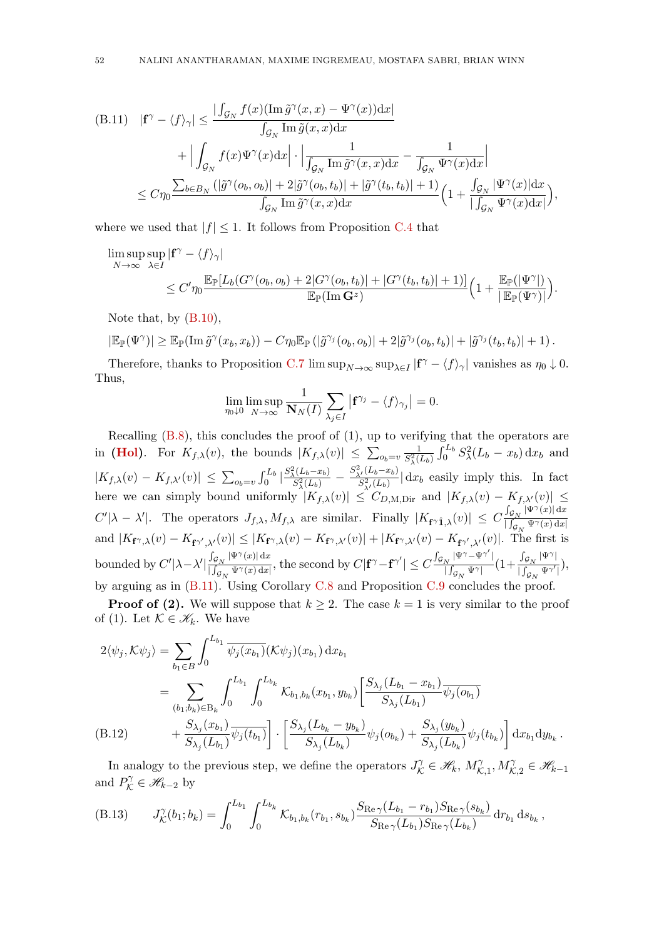<span id="page-51-0"></span>
$$
\begin{split} \text{(B.11)} \quad & | \mathbf{f}^{\gamma} - \langle f \rangle_{\gamma} | \leq \frac{|\int_{\mathcal{G}_N} f(x) (\operatorname{Im} \tilde{g}^{\gamma}(x,x) - \Psi^{\gamma}(x)) \mathrm{d}x|}{\int_{\mathcal{G}_N} \operatorname{Im} \tilde{g}(x,x) \mathrm{d}x} \\ & + \Big| \int_{\mathcal{G}_N} f(x) \Psi^{\gamma}(x) \mathrm{d}x \Big| \cdot \Big| \frac{1}{\int_{\mathcal{G}_N} \operatorname{Im} \tilde{g}^{\gamma}(x,x) \mathrm{d}x} - \frac{1}{\int_{\mathcal{G}_N} \Psi^{\gamma}(x) \mathrm{d}x} \Big| \\ & \leq C \eta_0 \frac{\sum_{b \in B_N} \left( |\tilde{g}^{\gamma}(o_b, o_b)| + 2|\tilde{g}^{\gamma}(o_b, t_b)| + |\tilde{g}^{\gamma}(t_b, t_b)| + 1 \right)}{\int_{\mathcal{G}_N} \operatorname{Im} \tilde{g}^{\gamma}(x,x) \mathrm{d}x} \Big( 1 + \frac{\int_{\mathcal{G}_N} |\Psi^{\gamma}(x)| \mathrm{d}x}{|\int_{\mathcal{G}_N} \Psi^{\gamma}(x) \mathrm{d}x|} \Big), \end{split}
$$

where we used that  $|f| \leq 1$ . It follows from Proposition [C.4](#page-59-2) that

$$
\limsup_{N \to \infty} \sup_{\lambda \in I} |\mathbf{f}^{\gamma} - \langle f \rangle_{\gamma}|
$$
\n
$$
\leq C' \eta_0 \frac{\mathbb{E}_{\mathbb{P}}[L_b(G^{\gamma}(o_b, o_b) + 2|G^{\gamma}(o_b, t_b)| + |G^{\gamma}(t_b, t_b)| + 1)]}{\mathbb{E}_{\mathbb{P}}(\text{Im } \mathbf{G}^z)} \Big( 1 + \frac{\mathbb{E}_{\mathbb{P}}(|\Psi^{\gamma}|)}{|\mathbb{E}_{\mathbb{P}}(\Psi^{\gamma})|} \Big).
$$

Note that, by [\(B.10\)](#page-50-2),

$$
|\mathbb{E}_{\mathbb{P}}(\Psi^{\gamma})| \geq \mathbb{E}_{\mathbb{P}}(\operatorname{Im} \tilde{g}^{\gamma}(x_b,x_b)) - C\eta_0 \mathbb{E}_{\mathbb{P}}(|\tilde{g}^{\gamma_j}(o_b,o_b)| + 2|\tilde{g}^{\gamma_j}(o_b,t_b)| + |\tilde{g}^{\gamma_j}(t_b,t_b)| + 1).
$$

Therefore, thanks to Proposition [C.7](#page-61-1)  $\limsup_{N\to\infty} \sup_{\lambda \in I} |f^{\gamma} - \langle f \rangle_{\gamma}|$  vanishes as  $\eta_0 \downarrow 0$ . Thus,

$$
\lim_{\eta_0\downarrow 0}\limsup_{N\to\infty}\frac{1}{\mathbf{N}_N(I)}\sum_{\lambda_j\in I}\left|\mathbf{f}^{\gamma_j}-\langle f\rangle_{\gamma_j}\right|=0.
$$

Recalling  $(B.8)$ , this concludes the proof of  $(1)$ , up to verifying that the operators are in [\(Hol\)](#page-16-3). For  $K_{f,\lambda}(v)$ , the bounds  $|K_{f,\lambda}(v)| \leq \sum_{o_b=v} \frac{1}{S_3^2(l)}$  $\frac{1}{S_{\lambda}^{2}(L_{b})} \int_{0}^{L_{b}} S_{\lambda}^{2}(L_{b} - x_{b}) dx_{b}$  and  $|K_{f,\lambda}(v) - K_{f,\lambda'}(v)| \leq \sum_{o_b=v} \int_0^{L_b} \left| \frac{S_\lambda^2(L_b-x_b)}{S_\lambda^2(L_b)} \right|$  $\frac{S^2_\lambda(L_b-x_b)}{S^2_\lambda(L_b)}-\frac{S^2_{\lambda'}(L_b-x_b)}{S^2_{\lambda'}(L_b)}$  $\frac{\Delta^{(16b-2b)}}{S_{\lambda'}^2(L_b)}$  dx<sub>b</sub> easily imply this. In fact here we can simply bound uniformly  $|K_{f,\lambda}(v)| \leq C_{D,M,\text{Dir}}$  and  $|K_{f,\lambda}(v) - K_{f,\lambda'}(v)| \leq C_{M,M,\text{Dir}}$  $C'|\lambda - \lambda'|$ . The operators  $J_{f,\lambda}, M_{f,\lambda}$  are similar. Finally  $|K_{f\gamma \hat{1},\lambda}(v)| \leq C \frac{\int_{\mathcal{G}_N} |\Psi^{\gamma}(x)| \,dx}{\int_{\mathcal{G}_N} |\Psi^{\gamma}(x)| \,dx}$  $\lceil \int_{\mathcal{G}_N} \Psi^\gamma(x) \,\mathrm{d} x \rceil$ and  $|K_{\mathbf{f}^{\gamma},\lambda}(v) - K_{\mathbf{f}^{\gamma'},\lambda'}(v)| \leq |K_{\mathbf{f}^{\gamma},\lambda}(v) - K_{\mathbf{f}^{\gamma},\lambda'}(v)| + |K_{\mathbf{f}^{\gamma},\lambda'}(v) - K_{\mathbf{f}^{\gamma'},\lambda'}(v)|$ . The first is bounded by  $C'|\lambda-\lambda'|\frac{\int_{\mathcal{G}_N}|\Psi^{\gamma}(x)|\,\mathrm{d}x}{\int_{\mathcal{G}}\Psi^{\gamma}(x)\,\mathrm{d}x}$  $\frac{\int_{\mathcal{G}_N} |\Psi^\gamma(x)|\,\mathrm{d} x}{|\int_{\mathcal{G}_N} \Psi^\gamma(x)\,\mathrm{d} x|}, \text{ the second by } C|\mathbf{f}^\gamma-\mathbf{f}^{\gamma'}|\leq C\frac{\int_{\mathcal{G}_N} |\Psi^\gamma-\Psi^{\gamma'}|}{|\int_{\mathcal{G}_N} \Psi^\gamma|}$  $\frac{1}{\| \int_{{\cal G}_N} \Psi^{\gamma} |} (1 + \frac{\int_{{\cal G}_N} |\Psi^{\gamma}|}{\int_{{\cal G}_N} \Psi^{\gamma} |}$  $\frac{\int_{\mathcal{G}_N} \mathcal{G}_N}{\int_{\mathcal{G}_N} \Psi^{\gamma'}}$ ), by arguing as in [\(B.11\)](#page-51-0). Using Corollary [C.8](#page-61-0) and Proposition [C.9](#page-62-14) concludes the proof.

**Proof of (2).** We will suppose that  $k \geq 2$ . The case  $k = 1$  is very similar to the proof of (1). Let  $\mathcal{K} \in \mathscr{K}_k$ . We have

$$
2\langle \psi_j, \mathcal{K}\psi_j \rangle = \sum_{b_1 \in B} \int_0^{L_{b_1}} \overline{\psi_j(x_{b_1})}(\mathcal{K}\psi_j)(x_{b_1}) dx_{b_1}
$$
  
\n
$$
= \sum_{(b_1; b_k) \in B_k} \int_0^{L_{b_1}} \int_0^{L_{b_k}} \mathcal{K}_{b_1, b_k}(x_{b_1}, y_{b_k}) \left[ \frac{S_{\lambda_j}(L_{b_1} - x_{b_1})}{S_{\lambda_j}(L_{b_1})} \overline{\psi_j(o_{b_1})} + \frac{S_{\lambda_j}(x_{b_1})}{S_{\lambda_j}(L_{b_1})} \overline{\psi_j(b_1)} \right] \cdot \left[ \frac{S_{\lambda_j}(L_{b_k} - y_{b_k})}{S_{\lambda_j}(L_{b_k})} \psi_j(o_{b_k}) + \frac{S_{\lambda_j}(y_{b_k})}{S_{\lambda_j}(L_{b_k})} \psi_j(b_{b_k}) \right] dx_{b_1} dy_{b_k}.
$$

<span id="page-51-1"></span>In analogy to the previous step, we define the operators  $J_{\mathcal{K}}^{\gamma} \in \mathcal{H}_k$ ,  $M_{\mathcal{K}}^{\gamma}$  $\chi^2_{\mathcal{K},1}, M_{\mathcal{K},2}^{\gamma} \in \mathscr{H}_{k-1}$ and  $P_{\mathcal{K}}^{\gamma} \in \mathcal{H}_{k-2}$  by

$$
(B.13) \tJ_{\mathcal{K}}^{\gamma}(b_1;b_k) = \int_0^{L_{b_1}} \int_0^{L_{b_k}} \mathcal{K}_{b_1,b_k}(r_{b_1},s_{b_k}) \frac{S_{\text{Re}\,\gamma}(L_{b_1}-r_{b_1})S_{\text{Re}\,\gamma}(s_{b_k})}{S_{\text{Re}\,\gamma}(L_{b_1})S_{\text{Re}\,\gamma}(L_{b_k})} dr_{b_1} ds_{b_k},
$$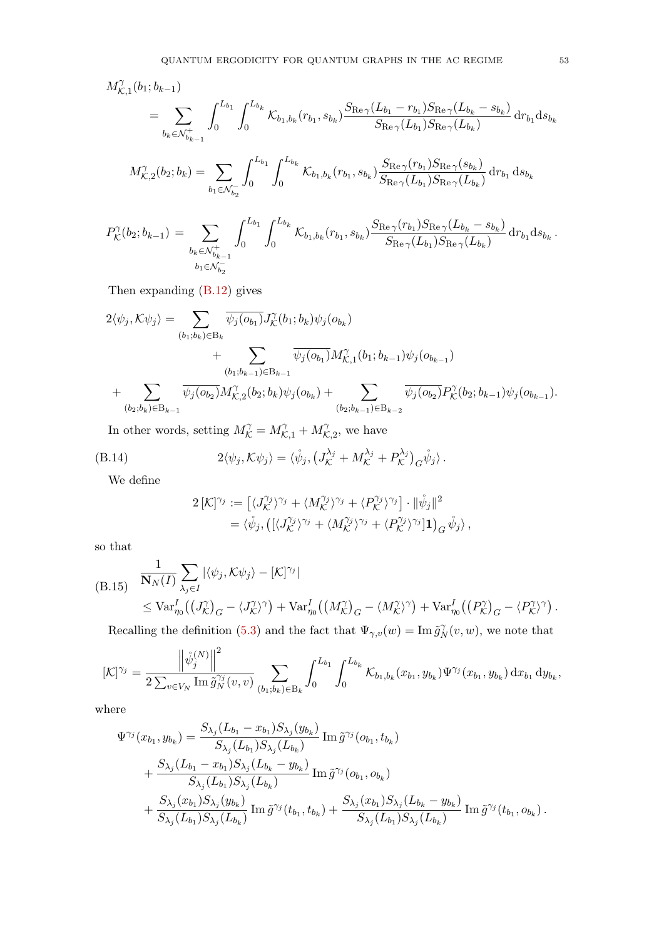$$
M_{\mathcal{K},1}^{\gamma}(b_{1};b_{k-1}) = \sum_{b_{k} \in \mathcal{N}_{b_{k-1}}^{+}} \int_{0}^{L_{b_{1}}} \int_{0}^{L_{b_{k}}} \mathcal{K}_{b_{1},b_{k}}(r_{b_{1}},s_{b_{k}}) \frac{S_{\text{Re}\,\gamma}(L_{b_{1}}-r_{b_{1}})S_{\text{Re}\,\gamma}(L_{b_{k}}-s_{b_{k}})}{S_{\text{Re}\,\gamma}(L_{b_{1}})S_{\text{Re}\,\gamma}(L_{b_{k}})} dr_{b_{1}} ds_{b_{k}}
$$
  

$$
M_{\mathcal{K},2}^{\gamma}(b_{2};b_{k}) = \sum_{b_{1} \in \mathcal{N}_{b_{2}}^{-}} \int_{0}^{L_{b_{1}}} \int_{0}^{L_{b_{k}}} \mathcal{K}_{b_{1},b_{k}}(r_{b_{1}},s_{b_{k}}) \frac{S_{\text{Re}\,\gamma}(r_{b_{1}})S_{\text{Re}\,\gamma}(s_{b_{k}})}{S_{\text{Re}\,\gamma}(L_{b_{1}})S_{\text{Re}\,\gamma}(L_{b_{k}})} dr_{b_{1}} ds_{b_{k}}
$$
  

$$
P_{\mathcal{K}}^{\gamma}(b_{2};b_{k-1}) = \sum_{b_{k} \in \mathcal{N}_{b_{k-1}}^{+}} \int_{0}^{L_{b_{1}}} \int_{0}^{L_{b_{k}}} \mathcal{K}_{b_{1},b_{k}}(r_{b_{1}},s_{b_{k}}) \frac{S_{\text{Re}\,\gamma}(r_{b_{1}})S_{\text{Re}\,\gamma}(L_{b_{k}}-s_{b_{k}})}{S_{\text{Re}\,\gamma}(L_{b_{1}})S_{\text{Re}\,\gamma}(L_{b_{k}})} dr_{b_{1}} ds_{b_{k}}.
$$

Then expanding [\(B.12\)](#page-51-1) gives

$$
2\langle \psi_j, \mathcal{K}\psi_j \rangle = \sum_{(b_1; b_k) \in B_k} \overline{\psi_j(o_{b_1})} J_{\mathcal{K}}^{\gamma}(b_1; b_k) \psi_j(o_{b_k}) + \sum_{(b_1; b_{k-1}) \in B_{k-1}} \overline{\psi_j(o_{b_1})} M_{\mathcal{K},1}^{\gamma}(b_1; b_{k-1}) \psi_j(o_{b_{k-1}}) + \sum_{(b_2; b_k) \in B_{k-1}} \overline{\psi_j(o_{b_2})} M_{\mathcal{K},2}^{\gamma}(b_2; b_k) \psi_j(o_{b_k}) + \sum_{(b_2; b_{k-1}) \in B_{k-2}} \overline{\psi_j(o_{b_2})} P_{\mathcal{K}}^{\gamma}(b_2; b_{k-1}) \psi_j(o_{b_{k-1}}).
$$

In other words, setting  $M_{\mathcal{K}}^{\gamma} = M_{\mathcal{K},1}^{\gamma} + M_{\mathcal{K}}^{\gamma}$  $\hat{\mathcal{K}}_{,2}$ , we have

(B.14) 
$$
2\langle \psi_j, \mathcal{K}\psi_j \rangle = \langle \mathring{\psi}_j, \left( J_{\mathcal{K}}^{\lambda_j} + M_{\mathcal{K}}^{\lambda_j} + P_{\mathcal{K}}^{\lambda_j} \right)_{\mathcal{G}} \mathring{\psi}_j \rangle.
$$

We define

$$
2\left[\mathcal{K}\right]^{\gamma_j} := \left[\langle J_{\mathcal{K}}^{\gamma_j} \rangle^{\gamma_j} + \langle M_{\mathcal{K}}^{\gamma_j} \rangle^{\gamma_j} + \langle P_{\mathcal{K}}^{\gamma_j} \rangle^{\gamma_j}\right] \cdot \|\mathring{\psi}_j\|^2
$$
  
=  $\langle \mathring{\psi}_j, \left(\left[\langle J_{\mathcal{K}}^{\gamma_j} \rangle^{\gamma_j} + \langle M_{\mathcal{K}}^{\gamma_j} \rangle^{\gamma_j} + \langle P_{\mathcal{K}}^{\gamma_j} \rangle^{\gamma_j}\right] \mathbf{1}\right)_{G} \mathring{\psi}_j \rangle$ ,

so that

<span id="page-52-0"></span>
$$
(B.15) \frac{1}{N_N(I)} \sum_{\lambda_j \in I} |\langle \psi_j, K\psi_j \rangle - [\mathcal{K}]^{\gamma_j}|
$$
  
\n
$$
\leq \text{Var}_{\eta_0}^I \left( \left( J_{\mathcal{K}}^{\gamma} \right)_{G} - \langle J_{\mathcal{K}}^{\gamma} \rangle^{\gamma} \right) + \text{Var}_{\eta_0}^I \left( \left( M_{\mathcal{K}}^{\gamma} \right)_{G} - \langle M_{\mathcal{K}}^{\gamma} \rangle^{\gamma} \right) + \text{Var}_{\eta_0}^I \left( \left( P_{\mathcal{K}}^{\gamma} \right)_{G} - \langle P_{\mathcal{K}}^{\gamma} \rangle^{\gamma} \right).
$$

Recalling the definition [\(5.3\)](#page-17-1) and the fact that  $\Psi_{\gamma,v}(w) = \text{Im} \,\tilde{g}_{N}^{\gamma}$  $\gamma_N^{\gamma}(v, w)$ , we note that

$$
[\mathcal{K}]^{\gamma_j} = \frac{\left\| \dot{\psi}_j^{(N)} \right\|^2}{2 \sum_{v \in V_N} \text{Im} \,\tilde{g}_N^{\gamma_j}(v,v)} \sum_{(b_1; b_k) \in B_k} \int_0^{L_{b_1}} \int_0^{L_{b_k}} \mathcal{K}_{b_1, b_k}(x_{b_1}, y_{b_k}) \Psi^{\gamma_j}(x_{b_1}, y_{b_k}) dx_{b_1} dy_{b_k},
$$

where

$$
\Psi^{\gamma_j}(x_{b_1}, y_{b_k}) = \frac{S_{\lambda_j}(L_{b_1} - x_{b_1})S_{\lambda_j}(y_{b_k})}{S_{\lambda_j}(L_{b_1})S_{\lambda_j}(L_{b_k})} \operatorname{Im} \tilde{g}^{\gamma_j}(o_{b_1}, t_{b_k}) \n+ \frac{S_{\lambda_j}(L_{b_1} - x_{b_1})S_{\lambda_j}(L_{b_k} - y_{b_k})}{S_{\lambda_j}(L_{b_1})S_{\lambda_j}(L_{b_k})} \operatorname{Im} \tilde{g}^{\gamma_j}(o_{b_1}, o_{b_k}) \n+ \frac{S_{\lambda_j}(x_{b_1})S_{\lambda_j}(y_{b_k})}{S_{\lambda_j}(L_{b_1})S_{\lambda_j}(L_{b_k})} \operatorname{Im} \tilde{g}^{\gamma_j}(t_{b_1}, t_{b_k}) + \frac{S_{\lambda_j}(x_{b_1})S_{\lambda_j}(L_{b_k} - y_{b_k})}{S_{\lambda_j}(L_{b_1})S_{\lambda_j}(L_{b_k})} \operatorname{Im} \tilde{g}^{\gamma_j}(t_{b_1}, o_{b_k}).
$$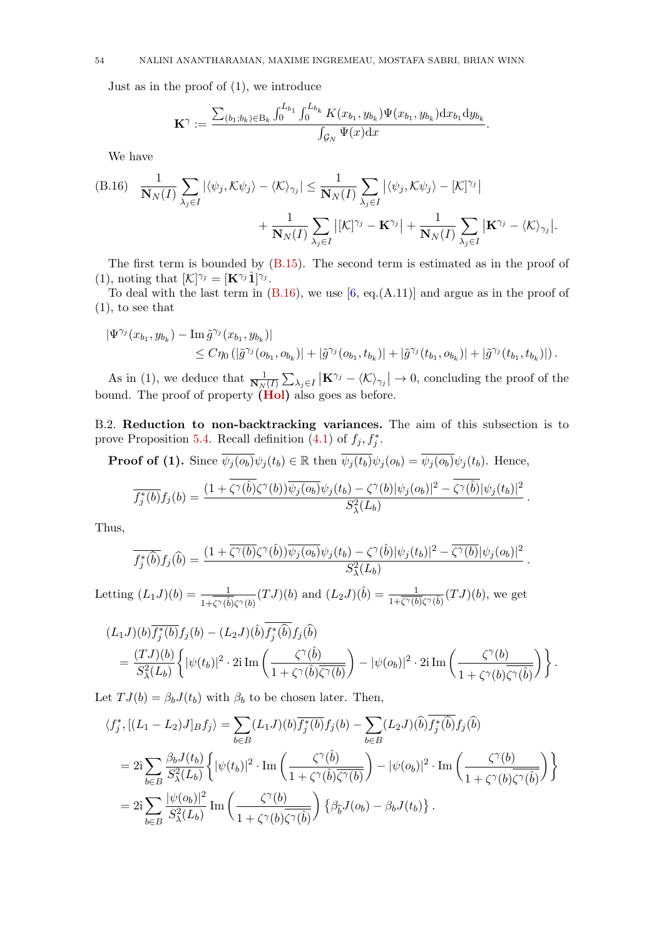### 54 NALINI ANANTHARAMAN, MAXIME INGREMEAU, MOSTAFA SABRI, BRIAN WINN

Just as in the proof of (1), we introduce

$$
\mathbf{K}^{\gamma} := \frac{\sum_{(b_1; b_k) \in B_k} \int_0^{L_{b_1}} \int_0^{L_{b_k}} K(x_{b_1}, y_{b_k}) \Psi(x_{b_1}, y_{b_k}) dx_{b_1} dy_{b_k}}{\int_{\mathcal{G}_N} \Psi(x) dx}.
$$

We have

<span id="page-53-1"></span>(B.16) 
$$
\frac{1}{\mathbf{N}_{N}(I)} \sum_{\lambda_{j} \in I} |\langle \psi_{j}, \mathcal{K} \psi_{j} \rangle - \langle \mathcal{K} \rangle_{\gamma_{j}}| \leq \frac{1}{\mathbf{N}_{N}(I)} \sum_{\lambda_{j} \in I} |\langle \psi_{j}, \mathcal{K} \psi_{j} \rangle - [\mathcal{K}]^{\gamma_{j}}| + \frac{1}{\mathbf{N}_{N}(I)} \sum_{\lambda_{j} \in I} |[\mathcal{K}]^{\gamma_{j}} - \mathbf{K}^{\gamma_{j}}| + \frac{1}{\mathbf{N}_{N}(I)} \sum_{\lambda_{j} \in I} |\mathbf{K}^{\gamma_{j}} - \langle \mathcal{K} \rangle_{\gamma_{j}}|.
$$

The first term is bounded by [\(B.15\)](#page-52-0). The second term is estimated as in the proof of (1), noting that  $[\mathcal{K}]^{\gamma_j} = [\mathbf{K}^{\gamma_j} \hat{\mathbf{1}}]^{\gamma_j}.$ 

To deal with the last term in  $(B.16)$ , we use  $[6, eq.(\text{A.11})]$  and argue as in the proof of (1), to see that

$$
\begin{aligned} |\Psi^{\gamma_j}(x_{b_1}, y_{b_k}) - \text{Im}\,\tilde{g}^{\gamma_j}(x_{b_1}, y_{b_k})| \\ &\leq C \eta_0\left(|\tilde{g}^{\gamma_j}(o_{b_1}, o_{b_k})| + |\tilde{g}^{\gamma_j}(o_{b_1}, t_{b_k})| + |\tilde{g}^{\gamma_j}(t_{b_1}, o_{b_k})| + |\tilde{g}^{\gamma_j}(t_{b_1}, t_{b_k})|\right). \end{aligned}
$$

As in (1), we deduce that  $\frac{1}{N_N(I)}\sum_{\lambda_j\in I} |\mathbf{K}^{\gamma_j} - \langle \mathcal{K} \rangle_{\gamma_j}| \to 0$ , concluding the proof of the bound. The proof of property [\(Hol\)](#page-16-3) also goes as before.

<span id="page-53-0"></span>B.2. Reduction to non-backtracking variances. The aim of this subsection is to prove Proposition [5.4.](#page-18-1) Recall definition  $(4.1)$  of  $f_j, f_j^*$ .

**Proof of (1).** Since  $\overline{\psi_j(o_b)}\psi_j(t_b) \in \mathbb{R}$  then  $\overline{\psi_j(t_b)}\psi_j(o_b) = \overline{\psi_j(o_b)}\psi_j(t_b)$ . Hence,

$$
\overline{f_j^*(b)}f_j(b) = \frac{(1 + \overline{\zeta^{\gamma}(b)}\zeta^{\gamma}(b))\overline{\psi_j(o_b)}\psi_j(t_b) - \zeta^{\gamma}(b)|\psi_j(o_b)|^2 - \overline{\zeta^{\gamma}(b)}|\psi_j(t_b)|^2}{S_{\lambda}^2(L_b)}.
$$

Thus,

$$
\overline{f_j^*(\widehat{b})}f_j(\widehat{b}) = \frac{(1 + \overline{\zeta^{\gamma}(b)}\zeta^{\gamma}(\widehat{b}))\overline{\psi_j(o_b)}\psi_j(t_b) - \zeta^{\gamma}(\widehat{b})|\psi_j(t_b)|^2 - \overline{\zeta^{\gamma}(b)}|\psi_j(o_b)|^2}{S_{\lambda}^2(L_b)}.
$$

Letting  $(L_1J)(b) = \frac{1}{1+\zeta^{\gamma}(\hat{b})\zeta^{\gamma}(b)}(TJ)(b)$  and  $(L_2J)(\hat{b}) = \frac{1}{1+\overline{\zeta^{\gamma}(b)}\zeta^{\gamma}(\hat{b})}(TJ)(b)$ , we get

$$
(L_1J)(b)\overline{f_j^*(b)}f_j(b) - (L_2J)(\hat{b})f_j^*(\hat{b})f_j(\hat{b})
$$
  
= 
$$
\frac{(TJ)(b)}{S_{\lambda}^2(L_b)}\left{\{|\psi(t_b)|^2\cdot 2i \operatorname{Im}\left(\frac{\zeta^{\gamma}(\hat{b})}{1+\zeta^{\gamma}(\hat{b})\overline{\zeta^{\gamma}(b)}}\right) - |\psi(o_b)|^2\cdot 2i \operatorname{Im}\left(\frac{\zeta^{\gamma}(b)}{1+\zeta^{\gamma}(b)\overline{\zeta^{\gamma}(\hat{b})}}\right)\right\}.
$$

Let  $TJ(b) = \beta_b J(t_b)$  with  $\beta_b$  to be chosen later. Then,

$$
\langle f_j^*, [(L_1 - L_2)J]_B f_j \rangle = \sum_{b \in B} (L_1 J)(b) \overline{f_j^*(b)} f_j(b) - \sum_{b \in B} (L_2 J)(\widehat{b}) \overline{f_j^*(\widehat{b})} f_j(\widehat{b})
$$
  

$$
= 2i \sum_{b \in B} \frac{\beta_b J(t_b)}{S_{\lambda}^2(L_b)} \left\{ |\psi(t_b)|^2 \cdot \text{Im} \left( \frac{\zeta^{\gamma}(\widehat{b})}{1 + \zeta^{\gamma}(\widehat{b}) \overline{\zeta^{\gamma}(b)}} \right) - |\psi(o_b)|^2 \cdot \text{Im} \left( \frac{\zeta^{\gamma}(b)}{1 + \zeta^{\gamma}(b) \overline{\zeta^{\gamma}(\widehat{b})}} \right) \right\}
$$
  

$$
= 2i \sum_{b \in B} \frac{|\psi(o_b)|^2}{S_{\lambda}^2(L_b)} \text{Im} \left( \frac{\zeta^{\gamma}(b)}{1 + \zeta^{\gamma}(b) \overline{\zeta^{\gamma}(\widehat{b})}} \right) \left\{ \beta_{\widehat{b}} J(o_b) - \beta_b J(t_b) \right\}.
$$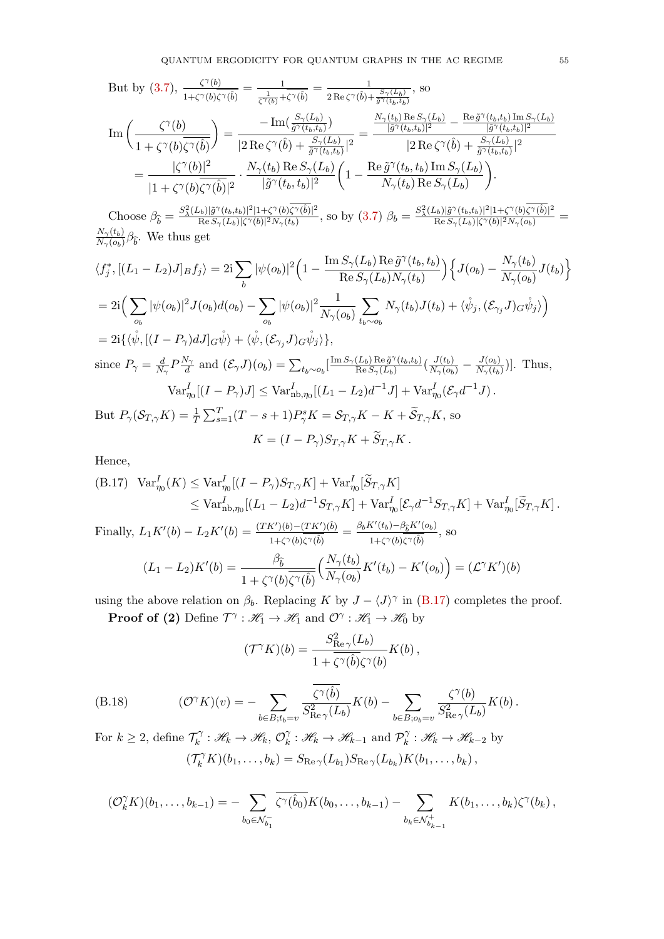But by (3.7), 
$$
\frac{\zeta^{\gamma}(b)}{1+\zeta^{\gamma}(b)\overline{\zeta^{\gamma}(b)}} = \frac{1}{\frac{1}{\zeta^{\gamma}(b)} + \overline{\zeta^{\gamma}(b)}} = \frac{1}{2 \operatorname{Re} \zeta^{\gamma}(\hat{b}) + \frac{S_{\gamma}(L_b)}{\overline{\delta}^{\gamma}(t_b, t_b)}}, \text{ so}
$$
\n
$$
\operatorname{Im}\left(\frac{\zeta^{\gamma}(b)}{1+\zeta^{\gamma}(b)\overline{\zeta^{\gamma}(\hat{b})}}\right) = \frac{-\operatorname{Im}\left(\frac{S_{\gamma}(L_b)}{\overline{\delta}^{\gamma}(t_b, t_b)}\right)}{|2 \operatorname{Re} \zeta^{\gamma}(\hat{b}) + \frac{S_{\gamma}(L_b)}{\overline{\delta}^{\gamma}(t_b, t_b)}|^2} = \frac{\frac{N_{\gamma}(t_b) \operatorname{Re} S_{\gamma}(L_b)}{|\overline{\delta}^{\gamma}(t_b, t_b)|^2} - \frac{\operatorname{Re} \tilde{g}^{\gamma}(t_b, t_b) \operatorname{Im} S_{\gamma}(L_b)}{|\overline{\delta}^{\gamma}(t_b, t_b)|^2}}{|2 \operatorname{Re} \zeta^{\gamma}(\hat{b}) + \frac{S_{\gamma}(L_b)}{\overline{\delta}^{\gamma}(t_b, t_b)}|^2}
$$
\n
$$
= \frac{|\zeta^{\gamma}(b)|^2}{|1+\zeta^{\gamma}(b)\overline{\zeta^{\gamma}(\hat{b})}|^2} \cdot \frac{N_{\gamma}(t_b) \operatorname{Re} S_{\gamma}(L_b)}{|\overline{\tilde{g}}^{\gamma}(t_b, t_b)|^2} \left(1 - \frac{\operatorname{Re} \tilde{g}^{\gamma}(t_b, t_b) \operatorname{Im} S_{\gamma}(L_b)}{N_{\gamma}(t_b) \operatorname{Re} S_{\gamma}(L_b)}\right).
$$
\n
$$
\operatorname{Im}\left(\frac{S_{\gamma}(t_b) \operatorname{Im} S_{\gamma}(t_b) \operatorname{Im} S_{\gamma}(t_b) \operatorname{Im} S_{\gamma}(t_b)}{|\overline{\tilde{g}}^{\gamma}(t_b, t_b)|^2} - \frac{S_{\gamma}(t_b) \operatorname{Im} S_{\gamma}(t_b) \operatorname{Im} S_{\gamma}(t_b)}{N_{\gamma}(t_b) \operatorname{Re} S_{\gamma
$$

Choose  $\beta_{\hat{b}} = \frac{S_{\lambda}^{2}(L_b)|\tilde{g}^{\gamma}(t_b,t_b)|^2|1+\zeta^{\gamma}(b)\zeta^{\gamma}(\hat{b})|^2}{\text{Re } S_{\gamma}(L_b)|\zeta^{\gamma}(b)|^2N_{\gamma}(t_b)}$  $\frac{(\tilde{\omega}_b)|\tilde{g}^{\gamma}(t_b,t_b)|^2|1+\zeta^{\gamma}(b)\zeta^{\gamma}(\hat{b})|^2}{\text{Re}\,S_{\gamma}(L_b)|\zeta^{\gamma}(b)|^2N_{\gamma}(t_b)},$  so by  $(3.7)$   $\beta_b = \frac{S_{\lambda}^2(L_b)|\tilde{g}^{\gamma}(t_b,t_b)|^2|1+\zeta^{\gamma}(b)\zeta^{\gamma}(\hat{b})|^2N_{\gamma}(b)}{\text{Re}\,S_{\gamma}(L_b)|\zeta^{\gamma}(b)|^2N_{\gamma}(o_b)}$  $\frac{2b||g'(b,b)b||+1+\varsigma'(b)\varsigma'(b)||}{\operatorname{Re} S_{\gamma}(L_b)|\zeta^{\gamma}(b)|^2N_{\gamma}(o_b)}=$  $N_{\gamma}(t_b)$  $\frac{N_{\gamma}(t_b)}{N_{\gamma}(o_b)}\beta_{\hat{b}}$ . We thus get

$$
\langle f_j^*, [(L_1 - L_2)J]_B f_j \rangle = 2i \sum_b |\psi(o_b)|^2 \Big( 1 - \frac{\text{Im} S_{\gamma}(L_b) \text{Re} \tilde{g}^{\gamma}(t_b, t_b)}{\text{Re} S_{\gamma}(L_b) N_{\gamma}(t_b)} \Big) \Big\{ J(o_b) - \frac{N_{\gamma}(t_b)}{N_{\gamma}(o_b)} J(t_b) \Big\}
$$
  
\n
$$
= 2i \Big( \sum_{o_b} |\psi(o_b)|^2 J(o_b) d(o_b) - \sum_{o_b} |\psi(o_b)|^2 \frac{1}{N_{\gamma}(o_b)} \sum_{t_b \sim o_b} N_{\gamma}(t_b) J(t_b) + \langle \psi_j, (\mathcal{E}_{\gamma_j} J) G \psi_j \rangle \Big)
$$
  
\n
$$
= 2i \Big\{ \langle \psi, [(I - P_{\gamma}) dJ]_G \psi \rangle + \langle \psi, (\mathcal{E}_{\gamma_j} J)_G \psi_j \rangle \Big\},
$$
  
\nsince  $P_{\gamma} = \frac{d}{N_{\gamma}} P \frac{N_{\gamma}}{d}$  and  $(\mathcal{E}_{\gamma} J)(o_b) = \sum_{t_b \sim o_b} \Big[ \frac{\text{Im} S_{\gamma}(L_b) \text{Re} \tilde{g}^{\gamma}(t_b, t_b)}{\text{Re} S_{\gamma}(L_b)} \Big( \frac{J(t_b)}{N_{\gamma}(o_b)} - \frac{J(o_b)}{N_{\gamma}(t_b)} \Big) \Big].$  Thus,  
\n
$$
\text{Var}_{\eta_0}^I [(I - P_{\gamma}) J] \leq \text{Var}_{\text{nb}, \eta_0}^I [(L_1 - L_2) d^{-1} J] + \text{Var}_{\eta_0}^I (\mathcal{E}_{\gamma} d^{-1} J).
$$
  
\nBut  $P_{\gamma}(S_{T, \gamma} K) = \frac{1}{T} \sum_{s=1}^T (T - s + 1) P_{\gamma}^s K = S_{T, \gamma} K - K + \tilde{S}_{T, \gamma} K$ , so  
\n
$$
K = (I - P_{\gamma}) S_{T, \gamma} K + \tilde{S}_{T, \gamma} K.
$$

Hence,

<span id="page-54-0"></span>(B.17) 
$$
\operatorname{Var}_{\eta_0}^I(K) \leq \operatorname{Var}_{\eta_0}^I[(I - P_{\gamma})S_{T,\gamma}K] + \operatorname{Var}_{\eta_0}^I[\widetilde{S}_{T,\gamma}K]
$$

$$
\leq \operatorname{Var}_{\text{nb},\eta_0}^I[(L_1 - L_2)d^{-1}S_{T,\gamma}K] + \operatorname{Var}_{\eta_0}^I[\mathcal{E}_{\gamma}d^{-1}S_{T,\gamma}K] + \operatorname{Var}_{\eta_0}^I[\widetilde{S}_{T,\gamma}K].
$$
  
Finally, 
$$
L_1K'(b) - L_2K'(b) = \frac{(TK')(b) - (TK')(b)}{1 + \zeta^{\gamma}(b)\zeta^{\gamma}(\widehat{b})} = \frac{\beta_b K'(t_b) - \beta_{\widehat{b}}K'(o_b)}{1 + \zeta^{\gamma}(b)\zeta^{\gamma}(\widehat{b})}, \text{ so}
$$

$$
(L_1 - L_2)K'(b) = \frac{\beta_{\widehat{b}}}{1 + \zeta^{\gamma}(b)\overline{\zeta^{\gamma}(\widehat{b})}} \Big(\frac{N_{\gamma}(t_b)}{N_{\gamma}(o_b)}K'(t_b) - K'(o_b)\Big) = (\mathcal{L}^{\gamma}K')(b)
$$

using the above relation on  $\beta_b$ . Replacing K by  $J - \langle J \rangle^{\gamma}$  in [\(B.17\)](#page-54-0) completes the proof. **Proof of (2)** Define  $\mathcal{T}^{\gamma} : \mathcal{H}_1 \to \mathcal{H}_1$  and  $\mathcal{O}^{\gamma} : \mathcal{H}_1 \to \mathcal{H}_0$  by

$$
(\mathcal{T}^{\gamma} K)(b) = \frac{S_{\text{Re}\,\gamma}^2(L_b)}{1 + \overline{\zeta^{\gamma}(\hat{b})}\zeta^{\gamma}(b)}K(b),
$$

<span id="page-54-1"></span>(B.18) 
$$
(\mathcal{O}^{\gamma} K)(v) = -\sum_{b \in B; t_b = v} \frac{\overline{\zeta^{\gamma}(\hat{b})}}{S_{\text{Re}\,\gamma}^2(L_b)} K(b) - \sum_{b \in B; o_b = v} \frac{\zeta^{\gamma}(b)}{S_{\text{Re}\,\gamma}^2(L_b)} K(b).
$$

For  $k \geq 2$ , define  $\mathcal{T}_{k}^{\gamma}$  $\widehat{k}_k^\gamma : \mathscr{H}_k \to \mathscr{H}_k, \, \mathcal{O}_k^\gamma$  $\chi_k^{\gamma} : \mathcal{H}_k \to \mathcal{H}_{k-1}$  and  $\mathcal{P}_k^{\gamma}$  $\mathscr{H}_k : \mathscr{H}_k \to \mathscr{H}_{k-2}$  by  $(\mathcal{T}_k^{\gamma} K)(b_1,\ldots,b_k) = S_{\text{Re}\,\gamma}(L_{b_1}) S_{\text{Re}\,\gamma}(L_{b_k}) K(b_1,\ldots,b_k),$ 

$$
(\mathcal{O}_k^{\gamma} K)(b_1,\ldots,b_{k-1}) = -\sum_{b_0 \in \mathcal{N}_{b_1}^-} \overline{\zeta^{\gamma}(\hat{b}_0)} K(b_0,\ldots,b_{k-1}) - \sum_{b_k \in \mathcal{N}_{b_{k-1}}^+} K(b_1,\ldots,b_k) \zeta^{\gamma}(b_k),
$$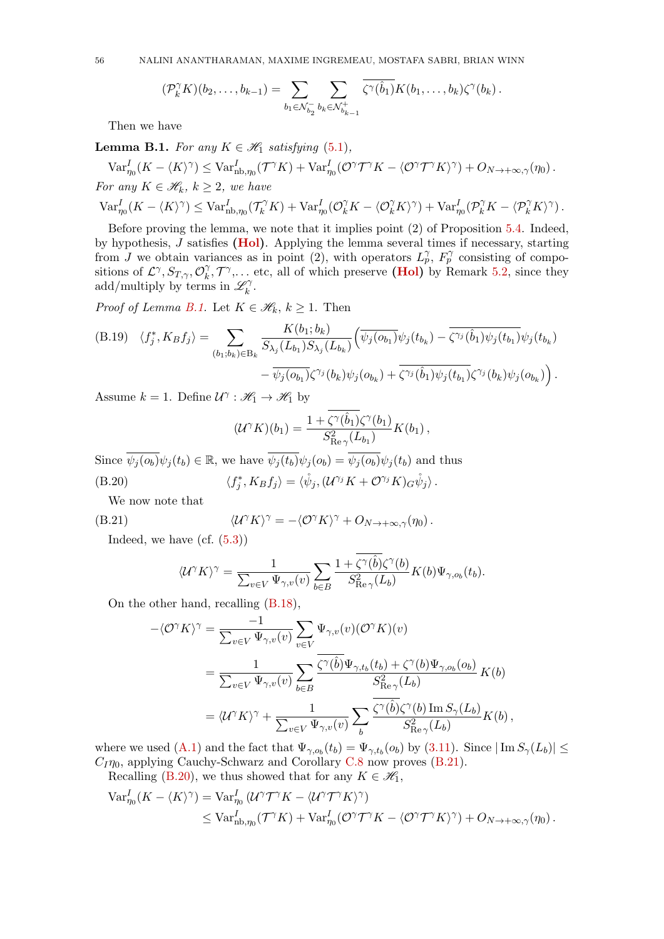56 NALINI ANANTHARAMAN, MAXIME INGREMEAU, MOSTAFA SABRI, BRIAN WINN

$$
(\mathcal{P}_k^{\gamma} K)(b_2,\ldots,b_{k-1})=\sum_{b_1\in\mathcal{N}_{b_2}^-}\sum_{b_k\in\mathcal{N}_{b_{k-1}}^+}\overline{\zeta^{\gamma}(\hat{b}_1)}K(b_1,\ldots,b_k)\zeta^{\gamma}(b_k).
$$

Then we have

<span id="page-55-0"></span>**Lemma B.1.** For any  $K \in \mathcal{H}$  satisfying [\(5.1\)](#page-16-2),

 $\text{Var}_{\eta_0}^I (K - \langle K \rangle^\gamma) \leq \text{Var}_{\text{nb}, \eta_0}^I (\mathcal{T}^\gamma K) + \text{Var}_{\eta_0}^I (\mathcal{O}^\gamma \mathcal{T}^\gamma K - \langle \mathcal{O}^\gamma \mathcal{T}^\gamma K \rangle^\gamma) + O_{N \to +\infty, \gamma}(\eta_0) \,.$ For any  $K \in \mathscr{H}_k$ ,  $k \geq 2$ , we have  $\text{Var}_{\eta_0}^I (K - \langle K \rangle^\gamma) \leq \text{Var}_{\text{nb},\eta_0}^I (\mathcal{T}_k^\gamma K) + \text{Var}_{\eta_0}^I (\mathcal{O}_k^\gamma K - \langle \mathcal{O}_k^\gamma K \rangle^\gamma) + \text{Var}_{\eta_0}^I (\mathcal{P}_k^\gamma K - \langle \mathcal{P}_k^\gamma K \rangle^\gamma) \,.$ 

Before proving the lemma, we note that it implies point (2) of Proposition [5.4.](#page-18-1) Indeed, by hypothesis,  $J$  satisfies [\(Hol\)](#page-16-3). Applying the lemma several times if necessary, starting from J we obtain variances as in point (2), with operators  $L_p^{\gamma}$ ,  $F_p^{\gamma}$  consisting of compositions of  $\mathcal{L}^{\gamma}, S_{T,\gamma}, \mathcal{O}_{k}^{\gamma}$  $\gamma_k^{\gamma}, \mathcal{T}^{\gamma}, \dots$  etc, all of which preserve (**Hol**) by Remark [5.2,](#page-16-5) since they add/multiply by terms in  $\mathscr{L}_k^{\gamma}$  $_k^{\gamma}$  .

*Proof of Lemma [B.1.](#page-55-0)* Let  $K \in \mathcal{H}_k, k \geq 1$ . Then

<span id="page-55-3"></span>(B.19) 
$$
\langle f_j^*, K_B f_j \rangle = \sum_{(b_1; b_k) \in B_k} \frac{K(b_1; b_k)}{S_{\lambda_j}(L_{b_1}) S_{\lambda_j}(L_{b_k})} \Big( \overline{\psi_j(o_{b_1})} \psi_j(t_{b_k}) - \overline{\zeta^{\gamma_j}(\hat{b}_1)} \psi_j(t_{b_1})} \psi_j(t_{b_k}) - \overline{\psi_j(o_{b_1})} \zeta^{\gamma_j}(b_k) \psi_j(o_{b_k}) + \overline{\zeta^{\gamma_j}(\hat{b}_1)} \psi_j(t_{b_1})} \zeta^{\gamma_j}(b_k) \psi_j(o_{b_k}) \Big) .
$$

Assume  $k = 1$ . Define  $\mathcal{U}^{\gamma} : \mathcal{H}_1 \to \mathcal{H}_1$  by

<span id="page-55-2"></span>
$$
(\mathcal{U}^{\gamma} K)(b_1) = \frac{1 + \zeta^{\gamma}(\hat{b}_1)\zeta^{\gamma}(b_1)}{S_{\text{Re}\,\gamma}^2(L_{b_1})} K(b_1),
$$

Since  $\overline{\psi_i(o_b)}\psi_i(t_b) \in \mathbb{R}$ , we have  $\overline{\psi_i(t_b)}\psi_i(o_b) = \overline{\psi_i(o_b)}\psi_i(t_b)$  and thus  $(B.20)$  $\langle i_j^*, K_B f_j \rangle = \langle \mathring{\psi}_j , (\mathcal{U}^{\gamma_j} K + \mathcal{O}^{\gamma_j} K)_G \mathring{\psi}_j \rangle \, .$ 

We now note that

(B.21) 
$$
\langle \mathcal{U}^{\gamma} K \rangle^{\gamma} = - \langle \mathcal{O}^{\gamma} K \rangle^{\gamma} + O_{N \to +\infty, \gamma}(\eta_0).
$$

Indeed, we have  $(cf. (5.3))$  $(cf. (5.3))$  $(cf. (5.3))$ 

<span id="page-55-1"></span>
$$
\langle \mathcal{U}^{\gamma} K \rangle^{\gamma} = \frac{1}{\sum_{v \in V} \Psi_{\gamma,v}(v)} \sum_{b \in B} \frac{1 + \overline{\zeta^{\gamma}(\hat{b})} \zeta^{\gamma}(b)}{S_{\text{Re}\gamma}^{2}(L_b)} K(b) \Psi_{\gamma,o_b}(t_b).
$$

On the other hand, recalling [\(B.18\)](#page-54-1),

$$
-\langle \mathcal{O}^{\gamma} K \rangle^{\gamma} = \frac{-1}{\sum_{v \in V} \Psi_{\gamma,v}(v)} \sum_{v \in V} \Psi_{\gamma,v}(v) (\mathcal{O}^{\gamma} K)(v)
$$
  

$$
= \frac{1}{\sum_{v \in V} \Psi_{\gamma,v}(v)} \sum_{b \in B} \frac{\overline{\zeta^{\gamma}(\hat{b})} \Psi_{\gamma,t_b}(t_b) + \zeta^{\gamma}(b) \Psi_{\gamma,o_b}(o_b)}{S_{\text{Re}\gamma}^{2}(L_b)} K(b)
$$
  

$$
= \langle \mathcal{U}^{\gamma} K \rangle^{\gamma} + \frac{1}{\sum_{v \in V} \Psi_{\gamma,v}(v)} \sum_{b} \frac{\overline{\zeta^{\gamma}(\hat{b})} \zeta^{\gamma}(b) \operatorname{Im} S_{\gamma}(L_b)}{S_{\text{Re}\gamma}^{2}(L_b)} K(b),
$$

where we used [\(A.1\)](#page-47-5) and the fact that  $\Psi_{\gamma,o_b}(t_b) = \Psi_{\gamma,t_b}(o_b)$  by [\(3.11\)](#page-9-4). Since  $|\text{Im} S_{\gamma}(L_b)| \le$  $C_I \eta_0$ , applying Cauchy-Schwarz and Corollary [C.8](#page-61-0) now proves [\(B.21\)](#page-55-1). Recalling [\(B.20\)](#page-55-2), we thus showed that for any  $K \in \mathcal{H}_1$ ,

$$
\begin{split} \text{Var}^I_{\eta_0}(K - \langle K \rangle^\gamma) &= \text{Var}^I_{\eta_0} \left( \mathcal{U}^\gamma \mathcal{T}^\gamma K - \langle \mathcal{U}^\gamma \mathcal{T}^\gamma K \rangle^\gamma \right) \\ &\leq \text{Var}^I_{\text{nb}, \eta_0}(\mathcal{T}^\gamma K) + \text{Var}^I_{\eta_0}(\mathcal{O}^\gamma \mathcal{T}^\gamma K - \langle \mathcal{O}^\gamma \mathcal{T}^\gamma K \rangle^\gamma) + O_{N \to +\infty, \gamma}(\eta_0) \,. \end{split}
$$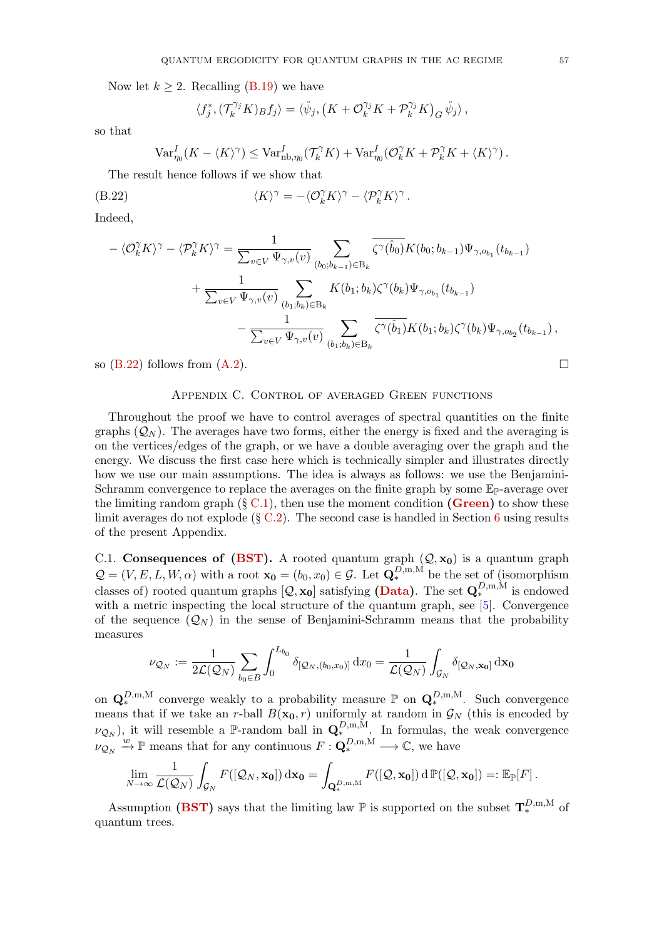Now let  $k \geq 2$ . Recalling [\(B.19\)](#page-55-3) we have

<span id="page-56-1"></span>
$$
\langle f_j^*, (\mathcal{T}_k^{\gamma_j} K)_{B} f_j \rangle = \langle \mathring{\psi}_j, \left( K + \mathcal{O}_k^{\gamma_j} K + \mathcal{P}_k^{\gamma_j} K \right)_G \mathring{\psi}_j \rangle,
$$

so that

$$
\text{Var}_{\eta_0}^I (K - \langle K \rangle^{\gamma}) \leq \text{Var}_{\text{nb}, \eta_0}^I (\mathcal{T}_k^{\gamma} K) + \text{Var}_{\eta_0}^I (\mathcal{O}_k^{\gamma} K + \mathcal{P}_k^{\gamma} K + \langle K \rangle^{\gamma}).
$$

The result hence follows if we show that

(B.22) 
$$
\langle K \rangle^{\gamma} = -\langle \mathcal{O}_k^{\gamma} K \rangle^{\gamma} - \langle \mathcal{P}_k^{\gamma} K \rangle^{\gamma}.
$$

Indeed,

$$
-\langle \mathcal{O}_k^{\gamma} K \rangle^{\gamma} - \langle \mathcal{P}_k^{\gamma} K \rangle^{\gamma} = \frac{1}{\sum_{v \in V} \Psi_{\gamma,v}(v)} \sum_{(b_0, b_{k-1}) \in B_k} \overline{\zeta^{\gamma}(\hat{b}_0)} K(b_0; b_{k-1}) \Psi_{\gamma, o_{b_1}}(t_{b_{k-1}}) + \frac{1}{\sum_{v \in V} \Psi_{\gamma,v}(v)} \sum_{(b_1, b_k) \in B_k} K(b_1; b_k) \zeta^{\gamma}(b_k) \Psi_{\gamma, o_{b_1}}(t_{b_{k-1}}) - \frac{1}{\sum_{v \in V} \Psi_{\gamma,v}(v)} \sum_{(b_1, b_k) \in B_k} \overline{\zeta^{\gamma}(\hat{b}_1)} K(b_1; b_k) \zeta^{\gamma}(b_k) \Psi_{\gamma, o_{b_2}}(t_{b_{k-1}}),
$$

so  $(B.22)$  follows from  $(A.2)$ .

# Appendix C. Control of averaged Green functions

<span id="page-56-0"></span>Throughout the proof we have to control averages of spectral quantities on the finite graphs  $(Q_N)$ . The averages have two forms, either the energy is fixed and the averaging is on the vertices/edges of the graph, or we have a double averaging over the graph and the energy. We discuss the first case here which is technically simpler and illustrates directly how we use our main assumptions. The idea is always as follows: we use the Benjamini-Schramm convergence to replace the averages on the finite graph by some  $\mathbb{E}_{\mathbb{P}}$ -average over the limiting random graph  $(\S C.1)$  $(\S C.1)$ , then use the moment condition [\(Green\)](#page-5-0) to show these limit averages do not explode  $(\S \text{ C.2})$ . The second case is handled in Section [6](#page-19-0) using results of the present Appendix.

<span id="page-56-2"></span>C.1. Consequences of [\(BST\)](#page-4-3). A rooted quantum graph  $(Q, x_0)$  is a quantum graph  $\mathcal{Q} = (V, E, L, W, \alpha)$  with a root  $\mathbf{x_0} = (b_0, x_0) \in \mathcal{G}$ . Let  $\mathbf{Q}_{*}^{D,m,M}$  be the set of (isomorphism classes of) rooted quantum graphs  $[Q, \mathbf{x_0}]$  satisfying [\(Data\)](#page-3-2). The set  $\mathbf{Q}_{*}^{D, \text{m}, \text{M}}$  is endowed with a metric inspecting the local structure of the quantum graph, see [\[5\]](#page-62-5). Convergence of the sequence  $(Q_N)$  in the sense of Benjamini-Schramm means that the probability measures

$$
\nu_{\mathcal{Q}_N} := \frac{1}{2\mathcal{L}(\mathcal{Q}_N)} \sum_{b_0 \in B} \int_0^{L_{b_0}} \delta_{[\mathcal{Q}_N, (b_0, x_0)]} \,dx_0 = \frac{1}{\mathcal{L}(\mathcal{Q}_N)} \int_{\mathcal{G}_N} \delta_{[\mathcal{Q}_N, \mathbf{x_0}]} \,d\mathbf{x_0}
$$

on  $\mathbf{Q}_{*}^{D,m,M}$  converge weakly to a probability measure  $\mathbb{P}$  on  $\mathbf{Q}_{*}^{D,m,M}$ . Such convergence means that if we take an r-ball  $B(\mathbf{x_0}, r)$  uniformly at random in  $\mathcal{G}_N$  (this is encoded by  $(\nu_{\mathcal{Q}_N})$ , it will resemble a P-random ball in  $\mathbf{Q}_{*}^{D,m,M}$ . In formulas, the weak convergence  $\nu_{\mathcal{Q}_N} \stackrel{w}{\to} \mathbb{P}$  means that for any continuous  $F: \mathbf{Q}_{*}^{D,m,M} \longrightarrow \mathbb{C}$ , we have

$$
\lim_{N\to\infty}\frac{1}{\mathcal{L}(\mathcal{Q}_N)}\int_{\mathcal{G}_N}F([\mathcal{Q}_N,\mathbf{x_0}])\,\mathrm{d}\mathbf{x_0}=\int_{\mathbf{Q}_{*}^{D,\mathrm{m},\mathrm{M}}}F([\mathcal{Q},\mathbf{x_0}])\,\mathrm{d}\,\mathbb{P}([\mathcal{Q},\mathbf{x_0}])=:\mathbb{E}_{\mathbb{P}}[F].
$$

Assumption [\(BST\)](#page-4-3) says that the limiting law  $\mathbb P$  is supported on the subset  $\mathbf T_*^{D,\mathbf m,\mathbf M}$  of quantum trees.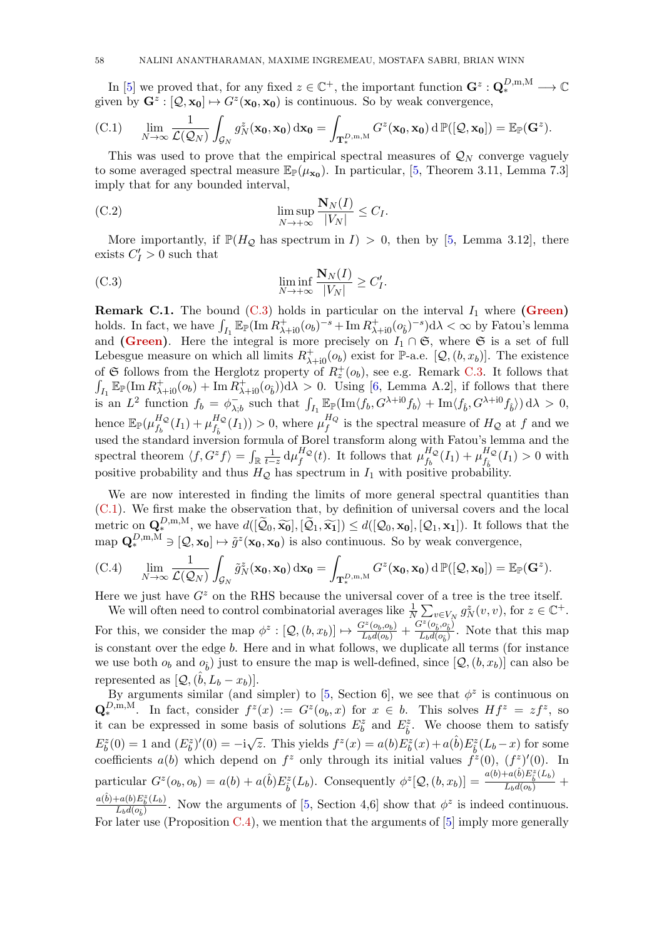In [\[5\]](#page-62-5) we proved that, for any fixed  $z \in \mathbb{C}^+$ , the important function  $\mathbf{G}^z : \mathbf{Q}_{*}^{D,m,M} \longrightarrow \mathbb{C}$ given by  $\mathbf{G}^z : [Q, \mathbf{x_0}] \mapsto G^z(\mathbf{x_0}, \mathbf{x_0})$  is continuous. So by weak convergence,

<span id="page-57-2"></span>(C.1) 
$$
\lim_{N \to \infty} \frac{1}{\mathcal{L}(\mathcal{Q}_N)} \int_{\mathcal{G}_N} g_N^z(\mathbf{x_0}, \mathbf{x_0}) \, d\mathbf{x_0} = \int_{\mathbf{T}_{*}^{D,\mathbf{m},\mathbf{M}}} G^z(\mathbf{x_0}, \mathbf{x_0}) \, d\mathbb{P}([\mathcal{Q}, \mathbf{x_0}]) = \mathbb{E}_{\mathbb{P}}(\mathbf{G}^z).
$$

This was used to prove that the empirical spectral measures of  $\mathcal{Q}_N$  converge vaguely to some averaged spectral measure  $\mathbb{E}_{\mathbb{P}}(\mu_{\mathbf{x_0}})$ . In particular, [\[5,](#page-62-5) Theorem 3.11, Lemma 7.3] imply that for any bounded interval,

<span id="page-57-0"></span>(C.2) 
$$
\limsup_{N \to +\infty} \frac{\mathbf{N}_N(I)}{|V_N|} \leq C_I.
$$

More importantly, if  $\mathbb{P}(H_{\mathcal{Q}})$  has spectrum in  $I) > 0$ , then by [\[5,](#page-62-5) Lemma 3.12], there exists  $C_I' > 0$  such that

<span id="page-57-1"></span>(C.3) 
$$
\liminf_{N \to +\infty} \frac{\mathbf{N}_N(I)}{|V_N|} \ge C'_I.
$$

**Remark C.1.** The bound [\(C.3\)](#page-57-1) holds in particular on the interval  $I_1$  where [\(Green\)](#page-5-0) holds. In fact, we have  $\int_{I_1} \mathbb{E}_{\mathbb{P}}(\text{Im } R^+_{\lambda+i0}(o_b)^{-s} + \text{Im } R^+_{\lambda+i0}(o_b)^{-s})d\lambda < \infty$  by Fatou's lemma and [\(Green\)](#page-5-0). Here the integral is more precisely on  $I_1 \cap \mathfrak{S}$ , where  $\mathfrak{S}$  is a set of full Lebesgue measure on which all limits  $R_{\lambda+i0}^+(o_b)$  exist for P-a.e. [ $\mathcal{Q}, (b, x_b)$ ]. The existence of G follows from the Herglotz property of  $R_z^+(o_b)$ , see e.g. Remark [C.3.](#page-58-1) It follows that  $\int_{I_1} \mathbb{E}_{\mathbb{P}}(\text{Im } R^+_{\lambda+i0}(o_b) + \text{Im } R^+_{\lambda+i0}(o_b))d\lambda > 0$ . Using [\[6,](#page-62-9) Lemma A.2], if follows that there is an  $L^2$  function  $f_b = \phi_{\lambda}^ \int_{\lambda,b}$  such that  $\int_{I_1} \mathbb{E}_{\mathbb{P}}(\text{Im}\langle f_b, G^{\lambda+i0}f_b \rangle + \text{Im}\langle f_{\hat{b}}, G^{\lambda+i0}f_{\hat{b}} \rangle) d\lambda > 0$ , hence  $\mathbb{E}_{\mathbb{P}}(\mu_{f_i}^{H_Q})$  $f_b^H Q(I_1) + \mu_{f_{\hat{b}}}^{H_{\mathcal{Q}}}$  $f_{\hat{b}}^{H_Q}(I_1) > 0$ , where  $\mu_f^{H_Q}$  $\int_{f}^{H_Q}$  is the spectral measure of  $H_Q$  at f and we used the standard inversion formula of Borel transform along with Fatou's lemma and the spectral theorem  $\langle f, G^z f \rangle = \int_{\mathbb{R}} \frac{1}{t-z} d\mu_f^{H_Q}$  $_{f}^{H_{\mathcal{Q}}}(t)$ . It follows that  $\mu_{f_b}^{H_{\mathcal{Q}}}$  $\frac{H_{\mathcal{Q}}}{f_{b}}(I_{1})+\mu\frac{H_{\mathcal{Q}}}{f_{\hat{b}}}$  $f_{\hat{b}}^{HQ}(I_1) > 0$  with positive probability and thus  $H_Q$  has spectrum in  $I_1$  with positive probability.

We are now interested in finding the limits of more general spectral quantities than [\(C.1\)](#page-57-2). We first make the observation that, by definition of universal covers and the local metric on  $\mathbf{Q}_{*}^{D,\text{m},\text{M}}$ , we have  $d([\tilde{\mathcal{Q}}_0, \widetilde{\mathbf{x_0}}], [\tilde{\mathcal{Q}}_1, \widetilde{\mathbf{x_1}}]) \leq d([\mathcal{Q}_0, \mathbf{x_0}], [\mathcal{Q}_1, \mathbf{x_1}])$ . It follows that the map  $\mathbf{Q}_{*}^{D,\text{m},\text{M}} \ni [\mathcal{Q}, \mathbf{x_0}] \mapsto \tilde{g}^{z}(\mathbf{x_0}, \mathbf{x_0})$  is

(C.4) 
$$
\lim_{N \to \infty} \frac{1}{\mathcal{L}(\mathcal{Q}_N)} \int_{\mathcal{G}_N} \tilde{g}_N^z(\mathbf{x_0}, \mathbf{x_0}) \, d\mathbf{x_0} = \int_{\mathbf{T}_{*}^{D,\mathbf{m},\mathbf{M}}} G^z(\mathbf{x_0}, \mathbf{x_0}) \, d\mathbb{P}([\mathcal{Q}, \mathbf{x_0}]) = \mathbb{E}_{\mathbb{P}}(\mathbf{G}^z).
$$

Here we just have  $G<sup>z</sup>$  on the RHS because the universal cover of a tree is the tree itself.

We will often need to control combinatorial averages like  $\frac{1}{N} \sum_{v \in V_N} g_N^z(v, v)$ , for  $z \in \mathbb{C}^+$ . For this, we consider the map  $\phi^z : [Q, (b, x_b)] \mapsto \frac{G^z(o_b, o_b)}{L_b d(o_b)} + \frac{G^z(o_b, o_b)}{L_b d(o_b)}$  $\frac{L_b(\sigma_{\hat{b}}^2, \sigma_{\hat{b}}^2)}{L_b(\sigma_{\hat{b}})}$ . Note that this map is constant over the edge b. Here and in what follows, we duplicate all terms (for instance we use both  $o_b$  and  $o_{\hat{b}}$ ) just to ensure the map is well-defined, since  $[Q, (b, x_b)]$  can also be represented as  $[Q, (\hat{b}, L_b - x_b)].$ 

By arguments similar (and simpler) to [\[5,](#page-62-5) Section 6], we see that  $\phi^z$  is continuous on  $\mathbf{Q}_{*}^{D,m,M}$ . In fact, consider  $f^{z}(x) := G^{z}(o_{b},x)$  for  $x \in b$ . This solves  $Hf^{z} = zf^{z}$ , so it can be expressed in some basis of solutions  $E_b^z$  and  $E_{\hat{b}}^z$ . We choose them to satisfy  $E_b^z(0) = 1$  and  $(E_b^z)'(0) = -i\sqrt{z}$ . This yields  $f^z(x) = a(b)E_b^z(x) + a(\hat{b})E_{\hat{b}}^z(L_b - x)$  for some coefficients  $a(b)$  which depend on  $f^z$  only through its initial values  $f^{\tilde{z}}(0)$ ,  $(f^z)'(0)$ . In particular  $G^z(o_b, o_b) = a(b) + a(\hat{b})E_{\hat{b}}^z(L_b)$ . Consequently  $\phi^z[Q, (b, x_b)] = \frac{a(b) + a(\hat{b})E_{\hat{b}}^z(L_b)}{L_b d(o_b)} +$  $a(b)+a(b)E^z_b(L_b)$ 

 $\frac{(\partial A)(B_{\tilde{b}}(L_b))}{(L_b d(o_{\tilde{b}}))}$ . Now the arguments of [\[5,](#page-62-5) Section 4,6] show that  $\phi^z$  is indeed continuous. For later use (Proposition [C.4\)](#page-59-2), we mention that the arguments of [\[5\]](#page-62-5) imply more generally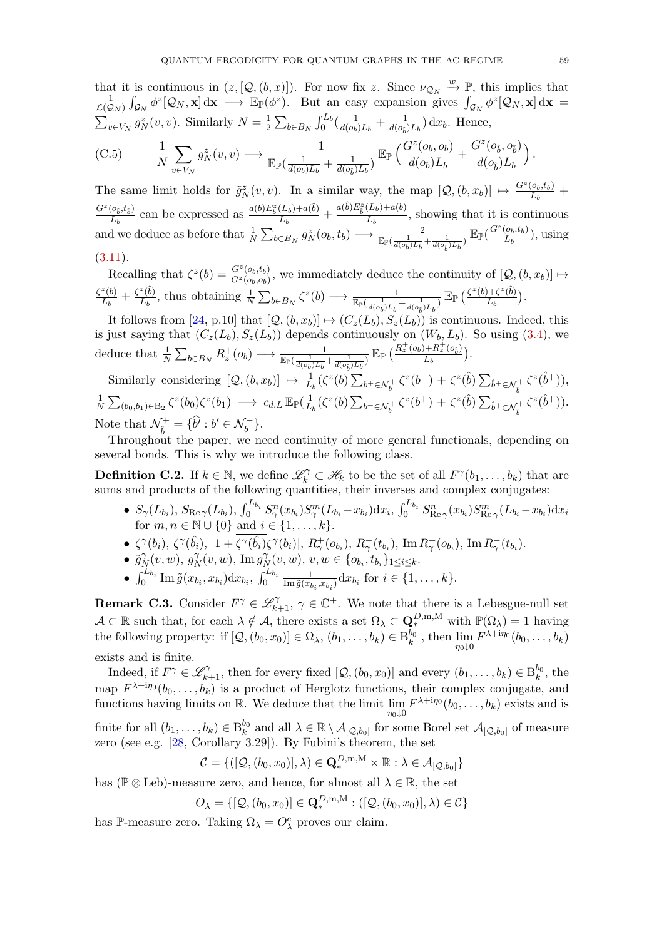that it is continuous in  $(z, [\mathcal{Q}, (b, x)])$ . For now fix z. Since  $\nu_{\mathcal{Q}_N} \stackrel{w}{\rightarrow} \mathbb{P}$ , this implies that 1  $\frac{1}{\mathcal{L}(\mathcal{Q}_N)} \int_{\mathcal{G}_N} \phi^z [\mathcal{Q}_N, \mathbf{x}] \, \mathrm{d}\mathbf{x} \longrightarrow \mathbb{E}_{\mathbb{P}}(\phi^z).$  But an easy expansion gives  $\int_{\mathcal{G}_N} \phi^z [\mathcal{Q}_N, \mathbf{x}] \, \mathrm{d}\mathbf{x} =$  $\sum_{v \in V_N} g_N^z(v, v)$ . Similarly  $N = \frac{1}{2}$  $\frac{1}{2}\sum_{b\in B_N}\int_0^{L_b}(\frac{1}{d(o_b)}$  $\frac{1}{d(o_b)L_b} + \frac{1}{d(o_{\hat{b}})}$  $\frac{1}{d(o_{\hat{b}})L_b}$  dx<sub>b</sub>. Hence,  $(C.5)$ N  $\sum$  $v \in V_N$  $g_N^z(v,v) \longrightarrow \frac{1}{\sqrt{2\pi} (1-\sqrt{2\pi} )^2}$  $\mathbb{E}_{\mathbb{P}}(\frac{1}{d(\alpha)}$  $\frac{1}{d(o_b)L_b} + \frac{1}{d(o_b)}$  $\frac{1}{d(o_{\hat{b}})L_b})$  $\mathbb{E}_{\mathbb{P}}\left(\frac{G^z(o_b,o_b)}{K}\right)$  $\frac{d(\sigma_b, \sigma_b)}{d(\sigma_b) L_b} +$  $G^z(o_{\hat{b}},o_{\hat{b}})$  $d(o_{\hat{b}})L_b$ .

<span id="page-58-2"></span>The same limit holds for  $\tilde{g}_N^z(v, v)$ . In a similar way, the map  $[Q, (b, x_b)] \mapsto \frac{G^z(o_b, t_b)}{L_b}$  $\frac{(o_b,t_b)}{L_b} +$  $G^z(o_{\hat{b}}, t_{\hat{b}})$  $\frac{(o_{\hat{b}},t_{\hat{b}})}{L_{b}}$  can be expressed as  $\frac{a(b)E_{\hat{b}}^{z}(L_{b})+a(\hat{b})}{L_{b}}$  $\frac{(L_b)+a(\hat{b})}{L_b}+\frac{a(\hat{b})E_{\hat{b}}^z(L_b)+a(b)}{L_b}$  $\frac{L_b}{L_b}$ , showing that it is continuous and we deduce as before that  $\frac{1}{N} \sum_{b \in B_N} g_N^z(o_b, t_b) \longrightarrow \frac{2}{\mathbb{E}_{\mathbb{P}}(\frac{1}{d(o_b)L_b} + \frac{1}{d(o_b)L_b})} \mathbb{E}_{\mathbb{P}}(\frac{G^z(o_b, t_b)}{L_b})$  $\frac{(O_b, t_b)}{L_b}$ ), using  $(3.11).$  $(3.11).$ 

Recalling that  $\zeta^z(b) = \frac{G^z(o_b,t_b)}{G^z(o_b,c_b)}$  $\frac{G^2(b_b,t_b)}{G^2(b_b, o_b)}$ , we immediately deduce the continuity of  $[Q,(b,x_b)] \mapsto$  $\zeta^z(b)$  $\frac{z(b)}{L_b}+\frac{\zeta^z(\hat{b})}{L_b}$  $\frac{z(\hat{b})}{L_b}$ , thus obtaining  $\frac{1}{N} \sum_{b \in B_N} \zeta^z(b) \longrightarrow \frac{1}{\mathbb{E}_{\mathbb{P}}(\frac{1}{d(o_b)L_b} + \frac{1}{d(o_{\hat{b}})L_b})} \mathbb{E}_{\mathbb{P}}(\frac{\zeta^z(b) + \zeta^z(\hat{b})}{L_b})$  $\frac{D+\zeta^{\infty}(b)}{L_{b}}\Big).$ 

It follows from [\[24,](#page-63-6) p.10] that  $[Q,(b,x_b)] \mapsto (C_z(L_b), S_z(L_b))$  is continuous. Indeed, this is just saying that  $(C_z(L_b), S_z(L_b))$  depends continuously on  $(W_b, L_b)$ . So using [\(3.4\)](#page-9-6), we deduce that  $\frac{1}{N} \sum_{b \in B_N} R_z^+(o_b) \longrightarrow \frac{1}{\mathbb{E}_{\mathbb{P}}(\frac{1}{d(o_b)L_b} + \frac{1}{d(o_b)L_b})} \mathbb{E}_{\mathbb{P}}(\frac{R_z^+(o_b) + R_z^+(o_b)}{L_b})$  $\frac{1+R_z(Q_{\hat{b}})}{L_b}$ .

Similarly considering  $[Q, (b, x_b)] \mapsto \frac{1}{L_b} (\zeta^z(b) \sum_{b^+ \in \mathcal{N}_b^+} \zeta^z(b^+) + \zeta^z(\hat{b}) \sum_{\hat{b}^+ \in \mathcal{N}_b^+} \zeta^z(\hat{b}^+)),$ 1  $\frac{1}{N}\sum_{(b_0,b_1)\in \text{B}_2}\zeta^z(b_0)\zeta^z(b_1) \longrightarrow c_{d,L}\,\mathbb{E}_{\mathbb{P}}(\frac{1}{L})$  $\frac{1}{L_b} (\zeta^z(b) \sum_{b^+ \in \mathcal{N}_b^+} \zeta^z(b^+) + \zeta^z(\hat{b}) \sum_{\hat{b}^+ \in \mathcal{N}_b^+} \zeta^z(\hat{b}^+)).$ Note that  $\mathcal{N}_{\hat{i}}^+$  $\hat{b}^+ = \{\hat{b}^t : b^t \in \mathcal{N}_b^-\}.$ 

Throughout the paper, we need continuity of more general functionals, depending on several bonds. This is why we introduce the following class.

<span id="page-58-0"></span>**Definition C.2.** If  $k \in \mathbb{N}$ , we define  $\mathscr{L}_k^{\gamma} \subset \mathscr{H}_k$  to be the set of all  $F^{\gamma}(b_1, \ldots, b_k)$  that are sums and products of the following quantities, their inverses and complex conjugates:

- $\bullet \; S_{\gamma}(L_{b_i}), \; S_{\mathrm{Re}\,\gamma}(L_{b_i}), \; \int_0^{L_{b_i}} S_{\gamma}^n(x_{b_i}) S_{\gamma}^m(L_{b_i}-x_{b_i}) \mathrm{d}x_i, \; \int_0^{L_{b_i}} S_{\mathrm{Re}\,\gamma}^n(x_{b_i}) S_{\mathrm{Re}\,\gamma}^m(L_{b_i}-x_{b_i}) \mathrm{d}x_i$ for  $m, n \in \mathbb{N} \cup \{0\}$  and  $i \in \{1, ..., k\}.$
- $\bullet \ \ \zeta^{\gamma}(b_i), \ \zeta^{\gamma}(\hat{b_i}), \ |1+\zeta^{\gamma}(\hat{b_i})\zeta^{\gamma}(b_i)|, \ R^+_{\gamma}(o_{b_i}), \ R^-_{\gamma}(t_{b_i}), \ \mathrm{Im} \ R^+_{\gamma}(o_{b_i}), \ \mathrm{Im} \ R^-_{\gamma}(t_{b_i}).$
- $\bullet$   $\tilde{g}_{\Lambda}^{\gamma}$  $\stackrel{\gamma}{N}(v,w),\stackrel{\cdot}{g^{\gamma}_N}$  $\stackrel{\gamma}{N}(v,w),\ \text{Im}\, g_N^{\gamma}$  $N_{N}^{\gamma}(v, w), v, w \in \{o_{b_i}, t_{b_i}\}_{1 \leq i \leq k}.$
- $\int_0^{L_{b_i}} \text{Im}\,\tilde{g}(x_{b_i}, x_{b_i}) \,dx_{b_i}, \int_0^{L_{b_i}} \frac{1}{\text{Im}\,\tilde{g}(x_b)}$  $\frac{1}{\text{Im}\,\tilde{g}(x_{b_i},x_{b_i})}\mathrm{d}x_{b_i}$  for  $i\in\{1,\ldots,k\}.$

<span id="page-58-1"></span>**Remark C.3.** Consider  $F^{\gamma} \in \mathcal{L}_{k+1}^{\gamma}, \gamma \in \mathbb{C}^+$ . We note that there is a Lebesgue-null set  $\mathcal{A} \subset \mathbb{R}$  such that, for each  $\lambda \notin \mathcal{A}$ , there exists a set  $\Omega_{\lambda} \subset \mathbf{Q}_{*}^{D,m,M}$  with  $\mathbb{P}(\Omega_{\lambda}) = 1$  having the following property: if  $[\mathcal{Q}, (b_0, x_0)] \in \Omega_{\lambda}, (b_1, \ldots, b_k) \in B_k^{b_0}$ , then  $\lim_{\eta_0 \downarrow 0} F^{\lambda + i\eta_0}(b_0, \ldots, b_k)$ exists and is finite.

Indeed, if  $F^{\gamma} \in \mathscr{L}_{k+1}^{\gamma}$ , then for every fixed  $[Q, (b_0, x_0)]$  and every  $(b_1, \ldots, b_k) \in B_k^{b_0}$ , the map  $F^{\lambda+i\eta_0}(b_0,\ldots,b_k)$  is a product of Herglotz functions, their complex conjugate, and functions having limits on R. We deduce that the limit  $\lim_{\eta_0 \downarrow 0} F^{\lambda + i\eta_0}(b_0, \ldots, b_k)$  exists and is

finite for all  $(b_1,\ldots,b_k) \in B_k^{b_0}$  and all  $\lambda \in \mathbb{R} \setminus \mathcal{A}_{[\mathcal{Q},b_0]}$  for some Borel set  $\mathcal{A}_{[\mathcal{Q},b_0]}$  of measure zero (see e.g. [\[28,](#page-63-12) Corollary 3.29]). By Fubini's theorem, the set

$$
\mathcal{C} = \{ ([\mathcal{Q}, (b_0, x_0)], \lambda) \in \mathbf{Q}_{*}^{D, \mathbf{m}, \mathbf{M}} \times \mathbb{R} : \lambda \in \mathcal{A}_{[\mathcal{Q}, b_0]} \}
$$

has ( $\mathbb{P} \otimes$  Leb)-measure zero, and hence, for almost all  $\lambda \in \mathbb{R}$ , the set

$$
O_{\lambda} = \{ [\mathcal{Q}, (b_0, x_0)] \in \mathbf{Q}_{*}^{D, \mathbf{m}, \mathbf{M}} : ([\mathcal{Q}, (b_0, x_0)], \lambda) \in \mathcal{C} \}
$$

has P-measure zero. Taking  $\Omega_{\lambda} = O_{\lambda}^{c}$  proves our claim.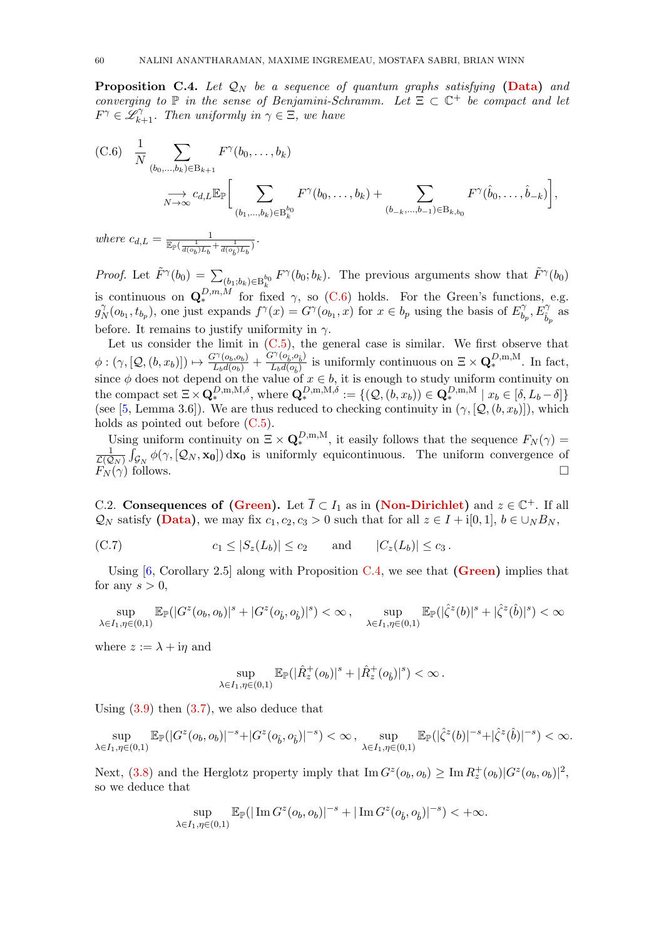<span id="page-59-2"></span>**Proposition C.4.** Let  $\mathcal{Q}_N$  be a sequence of quantum graphs satisfying [\(Data\)](#page-3-2) and converging to  $\mathbb P$  in the sense of Benjamini-Schramm. Let  $\Xi \subset \mathbb C^+$  be compact and let  $F^{\gamma} \in \mathscr{L}_{k+1}^{\gamma}$ . Then uniformly in  $\gamma \in \Xi$ , we have

<span id="page-59-1"></span>(C.6) 
$$
\frac{1}{N} \sum_{(b_0,...,b_k) \in B_{k+1}} F^{\gamma}(b_0,...,b_k)
$$
  
 $\longrightarrow \sum_{N \to \infty} c_{d,L} \mathbb{E}_{\mathbb{P}} \left[ \sum_{(b_1,...,b_k) \in B_k^{b_0}} F^{\gamma}(b_0,...,b_k) + \sum_{(b_{-k},...,b_{-1}) \in B_{k,b_0}} F^{\gamma}(\hat{b}_0,...,\hat{b}_{-k}) \right],$ 

where  $c_{d,L} = \frac{1}{\mathbb{E}_{\mathbb{P}}(\frac{1}{d(o_b)L_b} + \frac{1}{d(o_{\hat{b}})L_b})}$ .

*Proof.* Let  $\tilde{F}^{\gamma}(b_0) = \sum_{(b_1,b_k)\in B_k^{b_0}} F^{\gamma}(b_0;b_k)$ . The previous arguments show that  $\tilde{F}^{\gamma}(b_0)$ is continuous on  $\mathbf{Q}_{*}^{D,m,M}$  for fixed  $\gamma$ , so [\(C.6\)](#page-59-1) holds. For the Green's functions, e.g.  $g^{\gamma}_{\Lambda}$  $N(N(b_{b_1}, t_{b_p}),$  one just expands  $f^{\gamma}(x) = G^{\gamma}(o_{b_1}, x)$  for  $x \in b_p$  using the basis of  $E_b^{\gamma}$  $E_{\hat{b}_p}^{\gamma},E_{\hat{b}_p}^{\gamma}$  as before. It remains to justify uniformity in  $\gamma$ .

Let us consider the limit in  $(C.5)$ , the general case is similar. We first observe that  $\phi : (\gamma, [\mathcal{Q}, (b, x_b)]) \mapsto \frac{G^{\gamma}(o_b, o_b)}{L_b d(o_b)} + \frac{G^{\gamma}(o_b, o_b)}{L_b d(o_b)}$  $\frac{L^1(o_{\hat{b}}, o_{\hat{b}})}{L_b d(o_{\hat{b}})}$  is uniformly continuous on  $\Xi \times \mathbf{Q}_{*}^{D,m,M}$ . In fact, since  $\phi$  does not depend on the value of  $x \in b$ , it is enough to study uniform continuity on the compact set  $\Xi \times \mathbf{Q}_*^{D,\mathbf{m},\mathbf{M},\delta}$ , where  $\mathbf{Q}_*^{D,\mathbf{m},\mathbf{M},\delta} := \{(\mathcal{Q},(b,x_b)) \in \mathbf{Q}_*^{D,\mathbf{m},\mathbf{M}} \mid x_b \in [\delta, L_b - \delta]\}$ (see [\[5,](#page-62-5) Lemma 3.6]). We are thus reduced to checking continuity in  $(\gamma, [\mathcal{Q}, (b, x_b)])$ , which holds as pointed out before [\(C.5\)](#page-58-2).

Using uniform continuity on  $\Xi \times \mathbf{Q}_{*}^{D,m,M}$ , it easily follows that the sequence  $F_N(\gamma)$ 1  $\frac{1}{\mathcal{L}(\mathcal{Q}_N)} \int_{\mathcal{G}_N} \phi(\gamma,[\mathcal{Q}_N,\mathbf{x_0}]) d\mathbf{x_0}$  is uniformly equicontinuous. The uniform convergence of  $F_N(\gamma)$  follows.

<span id="page-59-0"></span>C.2. Consequences of [\(Green\)](#page-5-0). Let  $\overline{I} \subset I_1$  as in [\(Non-Dirichlet\)](#page-5-1) and  $z \in \mathbb{C}^+$ . If all  $\mathcal{Q}_N$  satisfy [\(Data\)](#page-3-2), we may fix  $c_1, c_2, c_3 > 0$  such that for all  $z \in I + i[0, 1], b \in \bigcup_N B_N$ ,

$$
(C.7) \t\t\t c_1 \leq |S_z(L_b)| \leq c_2 \t\t and \t |C_z(L_b)| \leq c_3.
$$

Using  $[6, Corollary 2.5]$  along with Proposition [C.4,](#page-59-2) we see that  $(Green)$  implies that for any  $s > 0$ ,

$$
\sup_{\lambda\in I_1,\eta\in(0,1)}\mathbb{E}_{\mathbb{P}}(|G^z(o_b,o_b)|^s+|G^z(o_{\hat{b}},o_{\hat{b}})|^s)<\infty\,,\quad\sup_{\lambda\in I_1,\eta\in(0,1)}\mathbb{E}_{\mathbb{P}}(|\hat{\zeta}^z(b)|^s+|\hat{\zeta}^z(\hat{b})|^s)<\infty
$$

where  $z := \lambda + i\eta$  and

$$
\sup_{\lambda \in I_1, \eta \in (0,1)} \mathbb{E}_{\mathbb{P}}(|\hat{R}_z^+(o_b)|^s + |\hat{R}_z^+(o_{\hat{b}})|^s) < \infty.
$$

Using  $(3.9)$  then  $(3.7)$ , we also deduce that

$$
\sup_{\lambda \in I_1, \eta \in (0,1)} \mathbb{E}_{\mathbb{P}}(|G^z(o_b, o_b)|^{-s} + |G^z(o_{\hat{b}}, o_{\hat{b}})|^{-s}) < \infty , \sup_{\lambda \in I_1, \eta \in (0,1)} \mathbb{E}_{\mathbb{P}}(|\hat{\zeta}^z(b)|^{-s} + |\hat{\zeta}^z(\hat{b})|^{-s}) < \infty.
$$

Next, [\(3.8\)](#page-9-10) and the Herglotz property imply that  $\text{Im } G^z(o_b, o_b) \geq \text{Im } R_z^+(o_b) |G^z(o_b, o_b)|^2$ , so we deduce that

$$
\sup_{\lambda\in I_1,\eta\in(0,1)}\mathbb{E}_{\mathbb{P}}(|\operatorname{Im} G^z(o_b,o_b)|^{-s}+|\operatorname{Im} G^z(o_{\hat{b}},o_{\hat{b}})|^{-s})<+\infty.
$$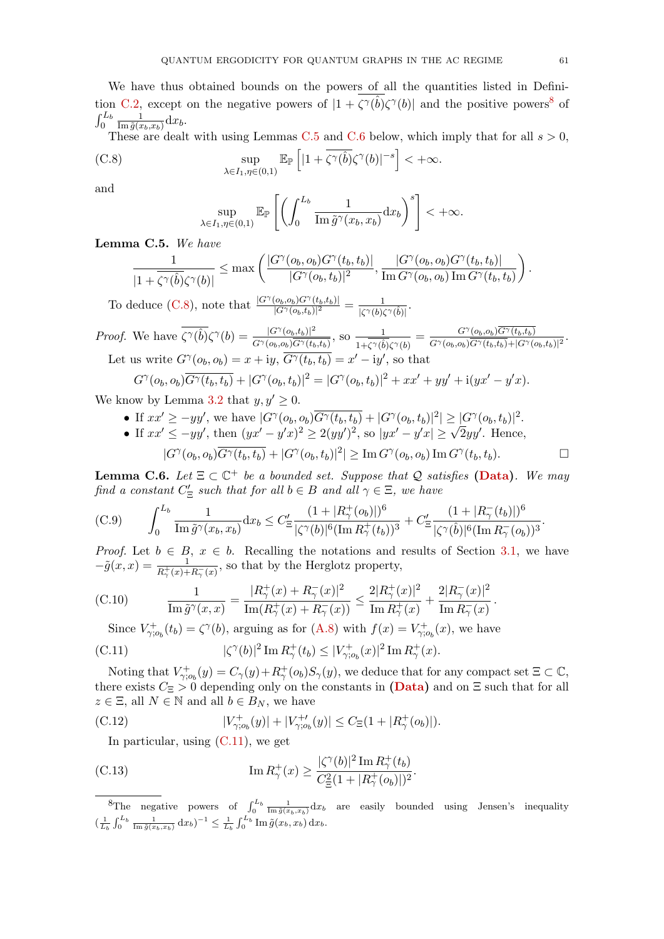We have thus obtained bounds on the powers of all the quantities listed in Defini-tion [C.2,](#page-58-0) except on the negative powers of  $|1 + \zeta^{\gamma}(\hat{b})\zeta^{\gamma}(b)|$  and the positive powers<sup>[8](#page-60-0)</sup> of  $\int_0^{L_b}$ 1  $\frac{1}{\text{Im}\,\tilde{g}(x_b,x_b)}\mathrm{d}x_b.$ 

These are dealt with using Lemmas [C.5](#page-60-1) and [C.6](#page-60-2) below, which imply that for all  $s > 0$ ,

(C.8) 
$$
\sup_{\lambda \in I_1, \eta \in (0,1)} \mathbb{E}_{\mathbb{P}} \left[ |1 + \overline{\zeta^{\gamma}(\hat{b})} \zeta^{\gamma}(b)|^{-s} \right] < +\infty.
$$

and

<span id="page-60-3"></span>
$$
\sup_{\lambda \in I_1, \eta \in (0,1)} \mathbb{E}_{\mathbb{P}} \left[ \left( \int_0^{L_b} \frac{1}{\text{Im} \,\tilde{g}^{\gamma}(x_b, x_b)} dx_b \right)^s \right] < +\infty.
$$

<span id="page-60-1"></span>Lemma C.5. We have

$$
\frac{1}{|1+\overline{\zeta^{\gamma}(\hat{b})}\zeta^{\gamma}(b)|} \leq \max \left( \frac{|G^{\gamma}(o_b, o_b)G^{\gamma}(t_b, t_b)|}{|G^{\gamma}(o_b, t_b)|^2}, \frac{|G^{\gamma}(o_b, o_b)G^{\gamma}(t_b, t_b)|}{\text{Im } G^{\gamma}(o_b, o_b) \text{Im } G^{\gamma}(t_b, t_b)} \right).
$$

To deduce [\(C.8\)](#page-60-3), note that  $\frac{|G^{\gamma}(o_b, o_b)G^{\gamma}(t_b,t_b)|}{|G^{\gamma}(o_b,t_b)|^2} = \frac{1}{|\zeta^{\gamma}(b)\zeta^{\gamma}(t_b)|^2}$  $\frac{1}{|\zeta^{\gamma}(b)\zeta^{\gamma}(\hat{b})|}$ .

*Proof.* We have  $\overline{\zeta^{\gamma}(\hat{b})}\zeta^{\gamma}(b) = \frac{|G^{\gamma}(o_b,t_b)|^2}{\zeta^{\gamma}(b) \sqrt{|G^{\gamma}(t_b)|^2}}$  $\frac{|G^{\gamma}(o_b,t_b)|^2}{G^{\gamma}(o_b,o_b)\overline{G^{\gamma}(t_b,t_b)}},$  so  $\frac{1}{1+\overline{\zeta^{\gamma}(\hat{b})\zeta^{\gamma}(b)}} = \frac{G^{\gamma}(o_b,o_b)\overline{G^{\gamma}(t_b,t_b)}}{G^{\gamma}(o_b,o_b)\overline{G^{\gamma}(t_b,t_b)}+|G^{\gamma}(o_b,o_b)|^2}$  $\frac{G^{\gamma}(o_b,o_b)G^{\gamma}(t_b,t_b)}{G^{\gamma}(o_b,o_b)\overline{G^{\gamma}(t_b,t_b)}+|G^{\gamma}(o_b,t_b)|^2}.$ Let us write  $G^{\gamma}(o_b, o_b) = x + iy$ ,  $\overline{G^{\gamma}(t_b, t_b)} = x' - iy'$ , so that

$$
G^{\gamma}(o_b, o_b)\overline{G^{\gamma}(t_b, t_b)} + |G^{\gamma}(o_b, t_b)|^2 = |G^{\gamma}(o_b, t_b)|^2 + xx' + yy' + i(yx' - y'x).
$$

We know by Lemma [3.2](#page-9-8) that  $y, y' \geq 0$ .

- If  $xx' \ge -yy'$ , we have  $|G^{\gamma}(o_b, o_b) \overline{G^{\gamma}(t_b, t_b)} + |G^{\gamma}(o_b, t_b)|^2| \ge |G^{\gamma}(o_b, t_b)|^2$ .
- If  $xx' \ge -yy'$ , we have  $|G'(0_b, 0_b)G'(0_b, t_b)| + |G'(0_b, t_b)|^2 \ge |G'(0_b, t_b)|^2$ .<br>
If  $xx' \le -yy'$ , then  $(yx'-y'x)^2 \ge 2(yy')^2$ , so  $|yx'-y'x| \ge \sqrt{2}yy'$ . Hence,  $|G^{\gamma}(o_b, o_b)\overline{G^{\gamma}(t_b, t_b)} + |G^{\gamma}(o_b, t_b)|^2| \geq \text{Im } G^{\gamma}(o_b, o_b) \text{Im } G^{\gamma}(t_b, t_b).$

<span id="page-60-2"></span>**Lemma C.6.** Let  $\Xi \subset \mathbb{C}^+$  be a bounded set. Suppose that Q satisfies [\(Data\)](#page-3-2). We may find a constant  $C'_{\Xi}$  such that for all  $b \in B$  and all  $\gamma \in \Xi$ , we have

<span id="page-60-8"></span>(C.9) 
$$
\int_0^{L_b} \frac{1}{\text{Im}\,\tilde{g}^\gamma(x_b, x_b)} dx_b \leq C'_{\Xi} \frac{(1+|R^+_{\gamma}(o_b)|)^6}{|\zeta^{\gamma}(b)|^6 (\text{Im}\,R^+_{\gamma}(t_b))^3} + C'_{\Xi} \frac{(1+|R^-_{\gamma}(t_b)|)^6}{|\zeta^{\gamma}(\hat{b})|^6 (\text{Im}\,R^-_{\gamma}(o_b))^3}.
$$

*Proof.* Let  $b \in B$ ,  $x \in b$ . Recalling the notations and results of Section [3.1,](#page-8-1) we have  $-\tilde{g}(x,x) = \frac{1}{R_{\gamma}^{+}(x)+R_{\gamma}^{-}(x)},$  so that by the Herglotz property,

<span id="page-60-7"></span>(C.10) 
$$
\frac{1}{\text{Im}\,\tilde{g}^{\gamma}(x,x)} = \frac{|R_{\gamma}^{+}(x) + R_{\gamma}^{-}(x)|^{2}}{\text{Im}(R_{\gamma}^{+}(x) + R_{\gamma}^{-}(x))} \leq \frac{2|R_{\gamma}^{+}(x)|^{2}}{\text{Im}\,R_{\gamma}^{+}(x)} + \frac{2|R_{\gamma}^{-}(x)|^{2}}{\text{Im}\,R_{\gamma}^{-}(x)}.
$$

<span id="page-60-4"></span>Since  $V_{\gamma;o_b}^+(t_b) = \zeta^{\gamma}(b)$ , arguing as for  $(A.8)$  with  $f(x) = V_{\gamma;o_b}^+(x)$ , we have

(C.11) 
$$
|\zeta^{\gamma}(b)|^2 \operatorname{Im} R_{\gamma}^+(t_b) \le |V_{\gamma;o_b}^+(x)|^2 \operatorname{Im} R_{\gamma}^+(x).
$$

Noting that  $V^+_{\gamma;o_b}(y) = C_\gamma(y) + R_\gamma^+(o_b)S_\gamma(y)$ , we deduce that for any compact set  $\Xi \subset \mathbb{C}$ , there exists  $C_{\Xi} > 0$  depending only on the constants in [\(Data\)](#page-3-2) and on  $\Xi$  such that for all  $z \in \Xi$ , all  $N \in \mathbb{N}$  and all  $b \in B_N$ , we have

(C.12) 
$$
|V_{\gamma,o_b}^+(y)| + |V_{\gamma,o_b}^{+'}(y)| \leq C_{\Xi}(1 + |R_{\gamma}^+(o_b)|).
$$

<span id="page-60-6"></span><span id="page-60-5"></span>In particular, using  $(C.11)$ , we get

(C.13) 
$$
\operatorname{Im} R_{\gamma}^{+}(x) \ge \frac{|\zeta^{\gamma}(b)|^{2} \operatorname{Im} R_{\gamma}^{+}(t_{b})}{C_{\Xi}^{2}(1+|R_{\gamma}^{+}(o_{b})|)^{2}}.
$$

<span id="page-60-0"></span><sup>8</sup>The negative powers of  $\int_0^{L_b} \frac{1}{\text{Im } \tilde{g}(x_b,x_b)} dx_b$  are easily bounded using Jensen's inequality  $\left(\frac{1}{L_b} \int_0^{L_b} \frac{1}{\text{Im} \,\tilde{g}(x_b, x_b)} \,dx_b\right)^{-1} \leq \frac{1}{L_b} \int_0^{L_b} \text{Im} \,\tilde{g}(x_b, x_b) \,dx_b.$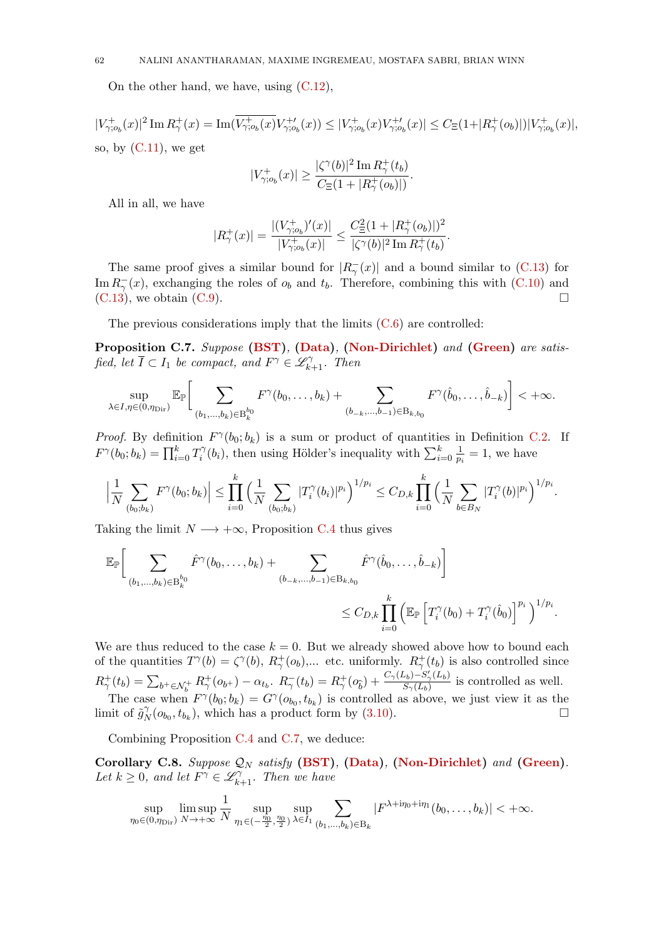On the other hand, we have, using [\(C.12\)](#page-60-5),

 $|V_{\gamma;o_{b}}^{+}(x)|^{2}\operatorname{Im}R_{\gamma}^{+}(x)=\operatorname{Im}(V_{\gamma;o_{b}}^{+}(x)V_{\gamma;o_{b}}^{+ \prime}(x))\leq |V_{\gamma;o_{b}}^{+}(x)V_{\gamma;o_{b}}^{+ \prime}(x)|\leq C_{\Xi}(1+|R_{\gamma}^{+}(o_{b})|)|V_{\gamma;o_{b}}^{+}(x)|,$ so, by  $(C.11)$ , we get

$$
|V_{\gamma;o_b}^+(x)|\geq \frac{|\zeta^\gamma(b)|^2\mathop{\rm Im}\nolimits R_\gamma^+(t_b)}{C_\Xi(1+|R_\gamma^+(o_b)|)}.
$$

All in all, we have

$$
|R^+_\gamma(x)| = \frac{|(V^+_{\gamma;o_b})'(x)|}{|V^+_{\gamma;o_b}(x)|} \le \frac{C_\Xi^2(1+|R^+_\gamma(o_b)|)^2}{|\zeta^\gamma(b)|^2\mathop{\mathrm{Im}} R^+_\gamma(t_b)}.
$$

The same proof gives a similar bound for  $|R_{\gamma}^-(x)|$  and a bound similar to [\(C.13\)](#page-60-6) for Im  $R_{\gamma}^{-}(x)$ , exchanging the roles of  $o_b$  and  $t_b$ . Therefore, combining this with [\(C.10\)](#page-60-7) and  $(C.13)$ , we obtain  $(C.9)$ .

The previous considerations imply that the limits [\(C.6\)](#page-59-1) are controlled:

<span id="page-61-1"></span>Proposition C.7. Suppose [\(BST\)](#page-4-3), [\(Data\)](#page-3-2), [\(Non-Dirichlet\)](#page-5-1) and [\(Green\)](#page-5-0) are satisfied, let  $\overline{I} \subset I_1$  be compact, and  $F^{\gamma} \in \mathscr{L}_{k+1}^{\gamma}$ . Then

$$
\sup_{\lambda\in I,\eta\in(0,\eta_{\text{Dir}})}\mathbb{E}_{\mathbb{P}}\bigg[\sum_{(b_1,\ldots,b_k)\in B_k^{b_0}}F^{\gamma}(b_0,\ldots,b_k)+\sum_{(b_{-k},\ldots,b_{-1})\in B_{k,b_0}}F^{\gamma}(\hat{b}_0,\ldots,\hat{b}_{-k})\bigg]<+\infty.
$$

*Proof.* By definition  $F^{\gamma}(b_0; b_k)$  is a sum or product of quantities in Definition [C.2.](#page-58-0) If  $F^{\gamma}(b_0;b_k)=\prod_{i=0}^k T_i^{\gamma}$  $\hat{v}_i^{\gamma}(b_i)$ , then using Hölder's inequality with  $\sum_{i=0}^k \frac{1}{p_i}$  $\frac{1}{p_i} = 1$ , we have

$$
\Big|\frac{1}{N}\sum_{(b_0,b_k)}F^{\gamma}(b_0;b_k)\Big|\leq \prod_{i=0}^k\Big(\frac{1}{N}\sum_{(b_0,b_k)}|T_i^{\gamma}(b_i)|^{p_i}\Big)^{1/p_i}\leq C_{D,k}\prod_{i=0}^k\Big(\frac{1}{N}\sum_{b\in B_N}|T_i^{\gamma}(b)|^{p_i}\Big)^{1/p_i}.
$$

Taking the limit  $N \longrightarrow +\infty$ , Proposition [C.4](#page-59-2) thus gives

$$
\mathbb{E}_{\mathbb{P}}\bigg[\sum_{(b_1,\ldots,b_k)\in B_k^{b_0}} \hat{F}^{\gamma}(b_0,\ldots,b_k) + \sum_{(b_{-k},\ldots,b_{-1})\in B_{k,b_0}} \hat{F}^{\gamma}(\hat{b}_0,\ldots,\hat{b}_{-k})\bigg] \leq C_{D,k} \prod_{i=0}^k \left(\mathbb{E}_{\mathbb{P}}\left[T_i^{\gamma}(b_0) + T_i^{\gamma}(\hat{b}_0)\right]^{p_i}\right)^{1/p_i}.
$$

We are thus reduced to the case  $k = 0$ . But we already showed above how to bound each of the quantities  $T^{\gamma}(b) = \zeta^{\gamma}(b)$ ,  $R_{\gamma}^{+}(o_b)$ ,... etc. uniformly.  $R_{\gamma}^{+}(t_b)$  is also controlled since  $R_{\gamma}^{+}(t_b) = \sum_{b^+ \in \mathcal{N}_b^+} R_{\gamma}^{+}(o_{b^+}) - \alpha_{t_b}$ ,  $R_{\gamma}^{-}(t_b) = R_{\gamma}^{+}(o_{\hat{b}}) + \frac{C_{\gamma}(L_b) - S_{\gamma}'(L_b)}{S_{\gamma}(L_b)}$  $\frac{S_b - S_\gamma(L_b)}{S_\gamma(L_b)}$  is controlled as well. The case when  $F^{\gamma}(b_0; b_k) = G^{\gamma}(o_{b_0}, t_{b_k})$  is controlled as above, we just view it as the limit of  $\tilde{g}_N^{\gamma}$  $N(N(t_{b_0}, t_{b_k}),$  which has a product form by [\(3.10\)](#page-9-0).

Combining Proposition [C.4](#page-59-2) and [C.7,](#page-61-1) we deduce:

<span id="page-61-0"></span>Corollary C.8. Suppose  $\mathcal{Q}_N$  satisfy [\(BST\)](#page-4-3), [\(Data\)](#page-3-2), [\(Non-Dirichlet\)](#page-5-1) and [\(Green\)](#page-5-0). Let  $k \geq 0$ , and let  $\overline{F}^{\gamma} \in \mathscr{L}_{k+1}^{\gamma}$ . Then we have

$$
\sup_{\eta_0 \in (0,\eta_{\text{Dir}})} \limsup_{N \to +\infty} \frac{1}{N} \sup_{\eta_1 \in (-\frac{\eta_0}{2},\frac{\eta_0}{2})} \sup_{\lambda \in I_1} \sum_{(b_1,...,b_k) \in B_k} |F^{\lambda + i\eta_0 + i\eta_1}(b_0,\ldots,b_k)| < +\infty.
$$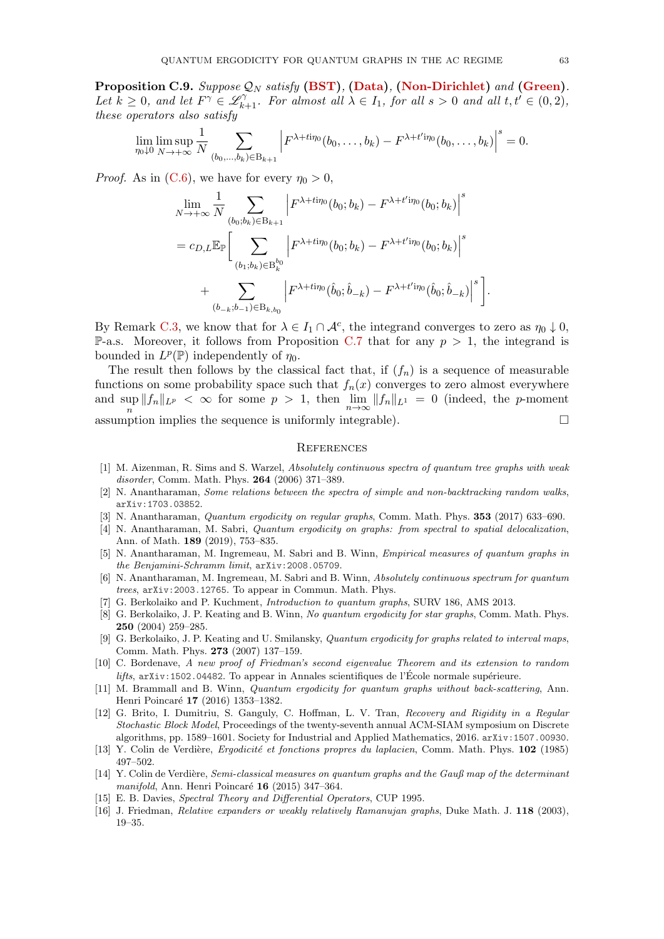<span id="page-62-14"></span>**Proposition C.9.** Suppose  $\mathcal{Q}_N$  satisfy [\(BST\)](#page-4-3), [\(Data\)](#page-3-2), [\(Non-Dirichlet\)](#page-5-1) and [\(Green\)](#page-5-0). Let  $k \geq 0$ , and let  $F^{\gamma} \in \mathscr{L}_{k+1}^{\gamma}$ . For almost all  $\lambda \in I_1$ , for all  $s > 0$  and all  $t, t' \in (0, 2)$ , these operators also satisfy

$$
\lim_{\eta_0 \downarrow 0} \limsup_{N \to +\infty} \frac{1}{N} \sum_{(b_0, \ldots, b_k) \in B_{k+1}} \left| F^{\lambda + ti\eta_0}(b_0, \ldots, b_k) - F^{\lambda + t' i\eta_0}(b_0, \ldots, b_k) \right|^s = 0.
$$

*Proof.* As in [\(C.6\)](#page-59-1), we have for every  $\eta_0 > 0$ ,

$$
\lim_{N \to +\infty} \frac{1}{N} \sum_{(b_0; b_k) \in B_{k+1}} \left| F^{\lambda + ti\eta_0}(b_0; b_k) - F^{\lambda + t' i\eta_0}(b_0; b_k) \right|^s
$$
\n
$$
= c_{D,L} \mathbb{E}_{\mathbb{P}} \Big[ \sum_{(b_1; b_k) \in B_k^{b_0}} \left| F^{\lambda + ti\eta_0}(b_0; b_k) - F^{\lambda + t' i\eta_0}(b_0; b_k) \right|^s
$$
\n
$$
+ \sum_{(b_{-k}; b_{-1}) \in B_{k, b_0}} \left| F^{\lambda + ti\eta_0}(\hat{b}_0; \hat{b}_{-k}) - F^{\lambda + t' i\eta_0}(\hat{b}_0; \hat{b}_{-k}) \right|^s \Big].
$$

By Remark [C.3,](#page-58-1) we know that for  $\lambda \in I_1 \cap \mathcal{A}^c$ , the integrand converges to zero as  $\eta_0 \downarrow 0$ , **P-a.s.** Moreover, it follows from Proposition [C.7](#page-61-1) that for any  $p > 1$ , the integrand is bounded in  $L^p(\mathbb{P})$  independently of  $\eta_0$ .

The result then follows by the classical fact that, if  $(f_n)$  is a sequence of measurable functions on some probability space such that  $f_n(x)$  converges to zero almost everywhere and sup  $\sup_n \|f_n\|_{L^p} < \infty$  for some  $p > 1$ , then  $\lim_{n\to\infty} \|f_n\|_{L^1} = 0$  (indeed, the *p*-moment assumption implies the sequence is uniformly integrable).  $\Box$ 

#### **REFERENCES**

- <span id="page-62-13"></span>[1] M. Aizenman, R. Sims and S. Warzel, Absolutely continuous spectra of quantum tree graphs with weak disorder, Comm. Math. Phys. 264 (2006) 371–389.
- <span id="page-62-16"></span>[2] N. Anantharaman, Some relations between the spectra of simple and non-backtracking random walks, [arXiv:1703.03852](https://arxiv.org/abs/1703.03852).
- <span id="page-62-7"></span>[3] N. Anantharaman, *Quantum ergodicity on regular graphs*, Comm. Math. Phys. **353** (2017) 633–690.
- <span id="page-62-6"></span>[4] N. Anantharaman, M. Sabri, Quantum ergodicity on graphs: from spectral to spatial delocalization, Ann. of Math. 189 (2019), 753–835.
- <span id="page-62-5"></span>[5] N. Anantharaman, M. Ingremeau, M. Sabri and B. Winn, Empirical measures of quantum graphs in the Benjamini-Schramm limit, [arXiv:2008.05709](https://arxiv.org/abs/2008.05709).
- <span id="page-62-9"></span>[6] N. Anantharaman, M. Ingremeau, M. Sabri and B. Winn, Absolutely continuous spectrum for quantum trees, [arXiv:2003.12765](https://arxiv.org/abs/2003.12765). To appear in Commun. Math. Phys.
- <span id="page-62-8"></span>[7] G. Berkolaiko and P. Kuchment, Introduction to quantum graphs, SURV 186, AMS 2013.
- <span id="page-62-4"></span>[8] G. Berkolaiko, J. P. Keating and B. Winn, No quantum ergodicity for star graphs, Comm. Math. Phys. 250 (2004) 259–285.
- <span id="page-62-2"></span>[9] G. Berkolaiko, J. P. Keating and U. Smilansky, Quantum ergodicity for graphs related to interval maps, Comm. Math. Phys. 273 (2007) 137–159.
- <span id="page-62-10"></span>[10] C. Bordenave, A new proof of Friedman's second eigenvalue Theorem and its extension to random  $lifts$ ,  $arXiv:1502.04482$ . To appear in Annales scientifiques de l'École normale supérieure.
- <span id="page-62-3"></span>[11] M. Brammall and B. Winn, *Quantum ergodicity for quantum graphs without back-scattering*, Ann. Henri Poincaré 17 (2016) 1353-1382.
- <span id="page-62-11"></span>[12] G. Brito, I. Dumitriu, S. Ganguly, C. Hoffman, L. V. Tran, Recovery and Rigidity in a Regular Stochastic Block Model, Proceedings of the twenty-seventh annual ACM-SIAM symposium on Discrete algorithms, pp. 1589–1601. Society for Industrial and Applied Mathematics, 2016. [arXiv:1507.00930](https://arxiv.org/abs/1507.00930).
- <span id="page-62-0"></span>[13] Y. Colin de Verdière, Ergodicité et fonctions propres du laplacien, Comm. Math. Phys. 102 (1985) 497–502.
- <span id="page-62-1"></span>[14] Y. Colin de Verdière, Semi-classical measures on quantum graphs and the Gauß map of the determinant manifold, Ann. Henri Poincaré  $16$  (2015) 347–364.
- <span id="page-62-15"></span>[15] E. B. Davies, Spectral Theory and Differential Operators, CUP 1995.
- <span id="page-62-12"></span>[16] J. Friedman, Relative expanders or weakly relatively Ramanujan graphs, Duke Math. J. 118 (2003), 19–35.